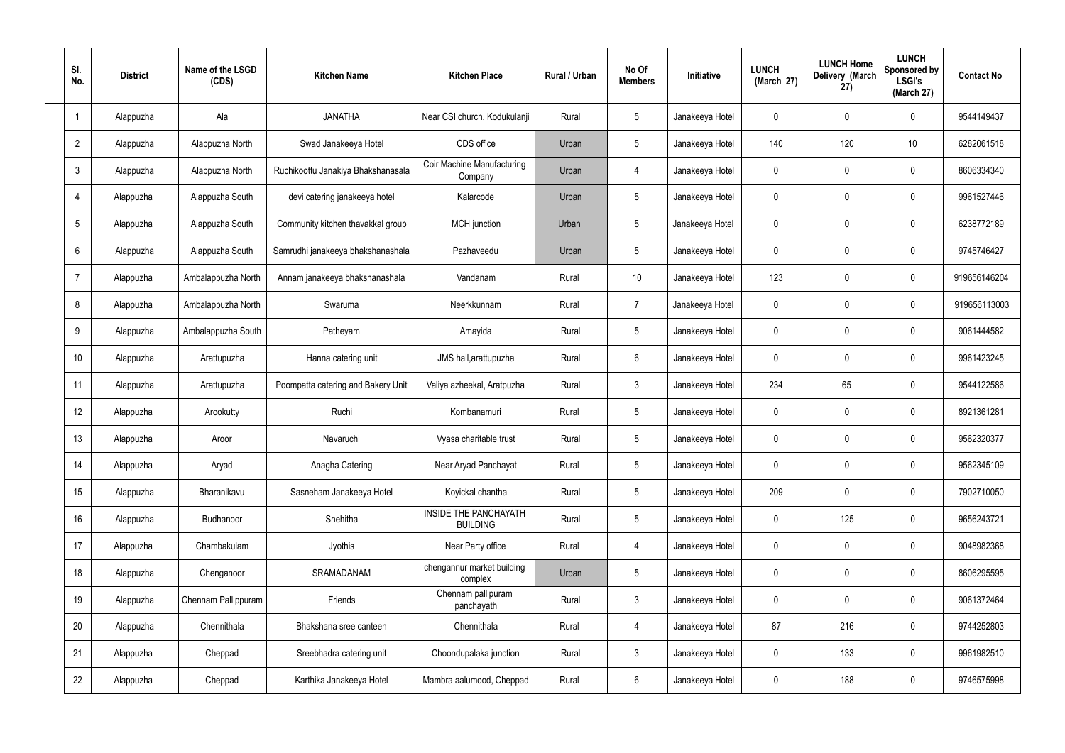| SI.<br>No.      | <b>District</b> | Name of the LSGD<br>(CDS) | <b>Kitchen Name</b>                | <b>Kitchen Place</b>                            | Rural / Urban | No Of<br><b>Members</b> | Initiative      | <b>LUNCH</b><br>(March 27) | <b>LUNCH Home</b><br>Delivery (March<br>27) | <b>LUNCH</b><br>Sponsored by<br><b>LSGI's</b><br>(March 27) | <b>Contact No</b> |
|-----------------|-----------------|---------------------------|------------------------------------|-------------------------------------------------|---------------|-------------------------|-----------------|----------------------------|---------------------------------------------|-------------------------------------------------------------|-------------------|
|                 | Alappuzha       | Ala                       | <b>JANATHA</b>                     | Near CSI church, Kodukulanji                    | Rural         | $5\phantom{.0}$         | Janakeeya Hotel | $\mathbf 0$                | 0                                           | $\mathbf 0$                                                 | 9544149437        |
| $\overline{2}$  | Alappuzha       | Alappuzha North           | Swad Janakeeya Hotel               | CDS office                                      | Urban         | $5\phantom{.0}$         | Janakeeya Hotel | 140                        | 120                                         | 10                                                          | 6282061518        |
| $\mathbf{3}$    | Alappuzha       | Alappuzha North           | Ruchikoottu Janakiya Bhakshanasala | <b>Coir Machine Manufacturing</b><br>Company    | Urban         | 4                       | Janakeeya Hotel | $\mathbf 0$                | 0                                           | $\mathbf 0$                                                 | 8606334340        |
| $\overline{4}$  | Alappuzha       | Alappuzha South           | devi catering janakeeya hotel      | Kalarcode                                       | Urban         | $5\phantom{.0}$         | Janakeeya Hotel | $\mathbf 0$                | 0                                           | $\mathbf 0$                                                 | 9961527446        |
| $5\overline{)}$ | Alappuzha       | Alappuzha South           | Community kitchen thavakkal group  | MCH junction                                    | Urban         | $5\phantom{.0}$         | Janakeeya Hotel | $\mathbf 0$                | 0                                           | $\mathbf 0$                                                 | 6238772189        |
| 6               | Alappuzha       | Alappuzha South           | Samrudhi janakeeya bhakshanashala  | Pazhaveedu                                      | Urban         | $5\phantom{.0}$         | Janakeeya Hotel | $\mathbf 0$                | 0                                           | $\mathbf 0$                                                 | 9745746427        |
| $\overline{7}$  | Alappuzha       | Ambalappuzha North        | Annam janakeeya bhakshanashala     | Vandanam                                        | Rural         | 10 <sup>°</sup>         | Janakeeya Hotel | 123                        | 0                                           | $\mathbf 0$                                                 | 919656146204      |
| 8               | Alappuzha       | Ambalappuzha North        | Swaruma                            | Neerkkunnam                                     | Rural         | $\overline{7}$          | Janakeeya Hotel | $\mathbf 0$                | 0                                           | $\mathbf 0$                                                 | 919656113003      |
| 9               | Alappuzha       | Ambalappuzha South        | Patheyam                           | Amayida                                         | Rural         | $5\,$                   | Janakeeya Hotel | $\mathbf 0$                | 0                                           | $\mathbf 0$                                                 | 9061444582        |
| 10              | Alappuzha       | Arattupuzha               | Hanna catering unit                | JMS hall, arattupuzha                           | Rural         | $6\phantom{.}6$         | Janakeeya Hotel | $\mathbf 0$                | 0                                           | $\mathbf 0$                                                 | 9961423245        |
| 11              | Alappuzha       | Arattupuzha               | Poompatta catering and Bakery Unit | Valiya azheekal, Aratpuzha                      | Rural         | $\mathfrak{Z}$          | Janakeeya Hotel | 234                        | 65                                          | $\mathbf 0$                                                 | 9544122586        |
| 12              | Alappuzha       | Arookutty                 | Ruchi                              | Kombanamuri                                     | Rural         | $5\,$                   | Janakeeya Hotel | $\mathbf 0$                | 0                                           | $\mathbf 0$                                                 | 8921361281        |
| 13              | Alappuzha       | Aroor                     | Navaruchi                          | Vyasa charitable trust                          | Rural         | $5\phantom{.0}$         | Janakeeya Hotel | 0                          | 0                                           | 0                                                           | 9562320377        |
| 14              | Alappuzha       | Aryad                     | Anagha Catering                    | Near Aryad Panchayat                            | Rural         | $5\phantom{.0}$         | Janakeeya Hotel | $\mathbf 0$                | 0                                           | $\mathbf 0$                                                 | 9562345109        |
| 15              | Alappuzha       | Bharanikavu               | Sasneham Janakeeya Hotel           | Koyickal chantha                                | Rural         | $5\phantom{.0}$         | Janakeeya Hotel | 209                        | 0                                           | $\mathbf 0$                                                 | 7902710050        |
| 16              | Alappuzha       | Budhanoor                 | Snehitha                           | <b>INSIDE THE PANCHAYATH</b><br><b>BUILDING</b> | Rural         | $5\phantom{.0}$         | Janakeeya Hotel | $\mathbf 0$                | 125                                         | $\mathbf 0$                                                 | 9656243721        |
| 17              | Alappuzha       | Chambakulam               | Jyothis                            | Near Party office                               | Rural         | $\overline{4}$          | Janakeeya Hotel | $\mathbf 0$                | 0                                           | $\mathbf 0$                                                 | 9048982368        |
| 18              | Alappuzha       | Chenganoor                | SRAMADANAM                         | chengannur market building<br>complex           | Urban         | $5\phantom{.0}$         | Janakeeya Hotel | $\mathbf 0$                | $\mathbf 0$                                 | $\mathbf 0$                                                 | 8606295595        |
| 19              | Alappuzha       | Chennam Pallippuram       | Friends                            | Chennam pallipuram<br>panchayath                | Rural         | $\mathbf{3}$            | Janakeeya Hotel | $\mathbf 0$                | $\mathbf 0$                                 | $\mathbf 0$                                                 | 9061372464        |
| 20              | Alappuzha       | Chennithala               | Bhakshana sree canteen             | Chennithala                                     | Rural         | $\overline{4}$          | Janakeeya Hotel | 87                         | 216                                         | $\mathbf 0$                                                 | 9744252803        |
| 21              | Alappuzha       | Cheppad                   | Sreebhadra catering unit           | Choondupalaka junction                          | Rural         | $\mathbf{3}$            | Janakeeya Hotel | $\pmb{0}$                  | 133                                         | $\mathbf 0$                                                 | 9961982510        |
| 22              | Alappuzha       | Cheppad                   | Karthika Janakeeya Hotel           | Mambra aalumood, Cheppad                        | Rural         | $6\,$                   | Janakeeya Hotel | 0                          | 188                                         | $\mathbf 0$                                                 | 9746575998        |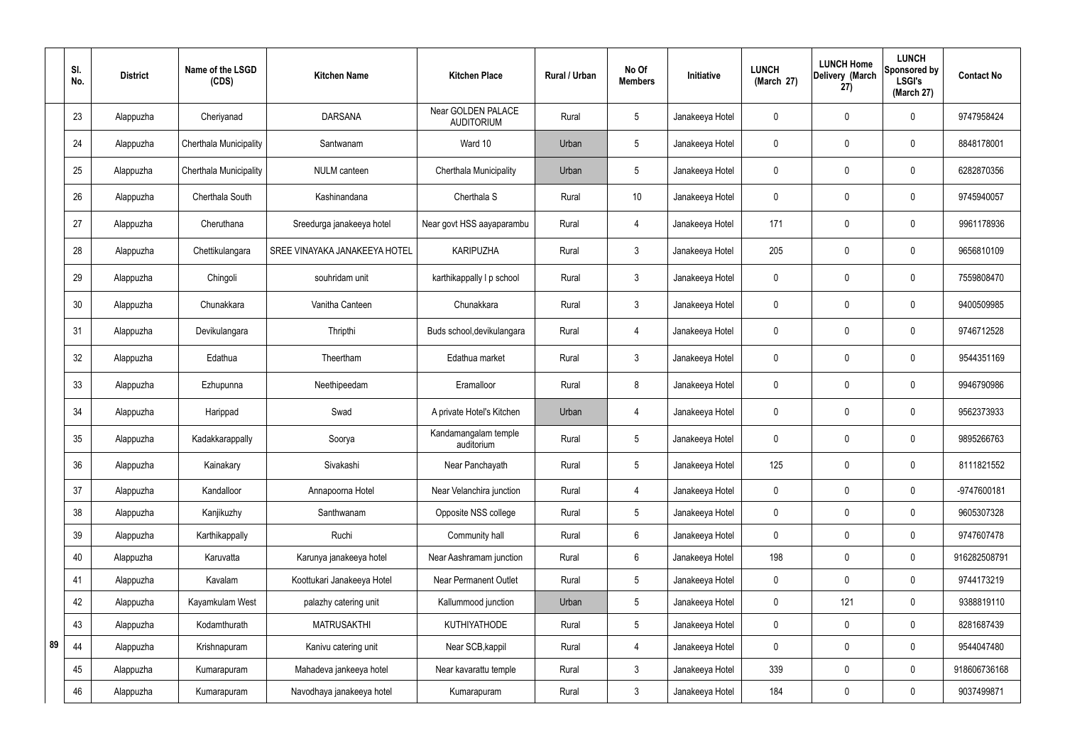|    | SI.<br>No. | <b>District</b> | Name of the LSGD<br>(CDS) | <b>Kitchen Name</b>           | <b>Kitchen Place</b>                    | <b>Rural / Urban</b> | No Of<br><b>Members</b> | Initiative      | <b>LUNCH</b><br>(March 27) | <b>LUNCH Home</b><br>Delivery (March<br>27) | <b>LUNCH</b><br>Sponsored by<br><b>LSGI's</b><br>(March 27) | <b>Contact No</b> |
|----|------------|-----------------|---------------------------|-------------------------------|-----------------------------------------|----------------------|-------------------------|-----------------|----------------------------|---------------------------------------------|-------------------------------------------------------------|-------------------|
|    | 23         | Alappuzha       | Cheriyanad                | <b>DARSANA</b>                | Near GOLDEN PALACE<br><b>AUDITORIUM</b> | Rural                | 5                       | Janakeeya Hotel | 0                          | $\mathbf 0$                                 | $\mathbf 0$                                                 | 9747958424        |
|    | 24         | Alappuzha       | Cherthala Municipality    | Santwanam                     | Ward 10                                 | Urban                | 5                       | Janakeeya Hotel | $\mathbf 0$                | $\mathbf 0$                                 | $\mathbf 0$                                                 | 8848178001        |
|    | 25         | Alappuzha       | Cherthala Municipality    | <b>NULM</b> canteen           | Cherthala Municipality                  | Urban                | 5                       | Janakeeya Hotel | 0                          | $\mathbf 0$                                 | $\mathbf 0$                                                 | 6282870356        |
|    | 26         | Alappuzha       | Cherthala South           | Kashinandana                  | Cherthala S                             | Rural                | 10                      | Janakeeya Hotel | 0                          | $\mathbf 0$                                 | $\boldsymbol{0}$                                            | 9745940057        |
|    | 27         | Alappuzha       | Cheruthana                | Sreedurga janakeeya hotel     | Near govt HSS aayaparambu               | Rural                | $\overline{4}$          | Janakeeya Hotel | 171                        | $\mathbf 0$                                 | $\mathbf 0$                                                 | 9961178936        |
|    | 28         | Alappuzha       | Chettikulangara           | SREE VINAYAKA JANAKEEYA HOTEL | <b>KARIPUZHA</b>                        | Rural                | $\mathfrak{Z}$          | Janakeeya Hotel | 205                        | $\mathbf 0$                                 | $\pmb{0}$                                                   | 9656810109        |
|    | 29         | Alappuzha       | Chingoli                  | souhridam unit                | karthikappally I p school               | Rural                | 3                       | Janakeeya Hotel | 0                          | $\mathbf 0$                                 | $\mathbf 0$                                                 | 7559808470        |
|    | 30         | Alappuzha       | Chunakkara                | Vanitha Canteen               | Chunakkara                              | Rural                | $\mathfrak{Z}$          | Janakeeya Hotel | $\mathbf 0$                | $\mathbf 0$                                 | $\mathbf 0$                                                 | 9400509985        |
|    | 31         | Alappuzha       | Devikulangara             | Thripthi                      | Buds school, devikulangara              | Rural                | $\overline{4}$          | Janakeeya Hotel | 0                          | $\mathbf 0$                                 | $\mathbf 0$                                                 | 9746712528        |
|    | 32         | Alappuzha       | Edathua                   | Theertham                     | Edathua market                          | Rural                | 3                       | Janakeeya Hotel | 0                          | $\mathbf 0$                                 | $\mathbf 0$                                                 | 9544351169        |
|    | 33         | Alappuzha       | Ezhupunna                 | Neethipeedam                  | Eramalloor                              | Rural                | 8                       | Janakeeya Hotel | 0                          | $\mathbf 0$                                 | $\mathbf 0$                                                 | 9946790986        |
|    | 34         | Alappuzha       | Harippad                  | Swad                          | A private Hotel's Kitchen               | Urban                | $\overline{4}$          | Janakeeya Hotel | 0                          | 0                                           | $\mathbf 0$                                                 | 9562373933        |
|    | 35         | Alappuzha       | Kadakkarappally           | Soorya                        | Kandamangalam temple<br>auditorium      | Rural                | 5                       | Janakeeya Hotel | 0                          | 0                                           | $\mathbf 0$                                                 | 9895266763        |
|    | 36         | Alappuzha       | Kainakary                 | Sivakashi                     | Near Panchayath                         | Rural                | 5                       | Janakeeya Hotel | 125                        | $\mathbf 0$                                 | $\mathbf 0$                                                 | 8111821552        |
|    | 37         | Alappuzha       | Kandalloor                | Annapoorna Hotel              | Near Velanchira junction                | Rural                | $\overline{4}$          | Janakeeya Hotel | $\mathbf{0}$               | $\mathbf 0$                                 | $\mathbf 0$                                                 | -9747600181       |
|    | 38         | Alappuzha       | Kanjikuzhy                | Santhwanam                    | Opposite NSS college                    | Rural                | 5                       | Janakeeya Hotel | $\mathbf 0$                | $\mathbf 0$                                 | $\pmb{0}$                                                   | 9605307328        |
|    | 39         | Alappuzha       | Karthikappally            | Ruchi                         | Community hall                          | Rural                | 6                       | Janakeeya Hotel | $\mathbf 0$                | $\mathbf 0$                                 | $\mathbf 0$                                                 | 9747607478        |
|    | 40         | Alappuzha       | Karuvatta                 | Karunya janakeeya hotel       | Near Aashramam junction                 | Rural                | 6                       | Janakeeya Hotel | 198                        | $\mathbf 0$                                 | $\mathbf 0$                                                 | 916282508791      |
|    | 41         | Alappuzha       | Kavalam                   | Koottukari Janakeeya Hotel    | Near Permanent Outlet                   | Rural                | 5                       | Janakeeya Hotel | 0                          | $\mathbf 0$                                 | $\mathbf 0$                                                 | 9744173219        |
|    | 42         | Alappuzha       | Kayamkulam West           | palazhy catering unit         | Kallummood junction                     | Urban                | 5                       | Janakeeya Hotel | $\mathbf{0}$               | 121                                         | $\mathbf 0$                                                 | 9388819110        |
|    | 43         | Alappuzha       | Kodamthurath              | <b>MATRUSAKTHI</b>            | <b>KUTHIYATHODE</b>                     | Rural                | 5                       | Janakeeya Hotel | $\mathbf 0$                | $\mathbf 0$                                 | $\mathbf 0$                                                 | 8281687439        |
| 89 | 44         | Alappuzha       | Krishnapuram              | Kanivu catering unit          | Near SCB, kappil                        | Rural                | 4                       | Janakeeya Hotel | $\mathbf 0$                | $\mathbf 0$                                 | $\pmb{0}$                                                   | 9544047480        |
|    | 45         | Alappuzha       | Kumarapuram               | Mahadeva jankeeya hotel       | Near kavarattu temple                   | Rural                | 3                       | Janakeeya Hotel | 339                        | $\mathbf 0$                                 | $\mathbf 0$                                                 | 918606736168      |
|    | 46         | Alappuzha       | Kumarapuram               | Navodhaya janakeeya hotel     | Kumarapuram                             | Rural                | 3 <sup>1</sup>          | Janakeeya Hotel | 184                        | $\mathbf 0$                                 | $\mathbf 0$                                                 | 9037499871        |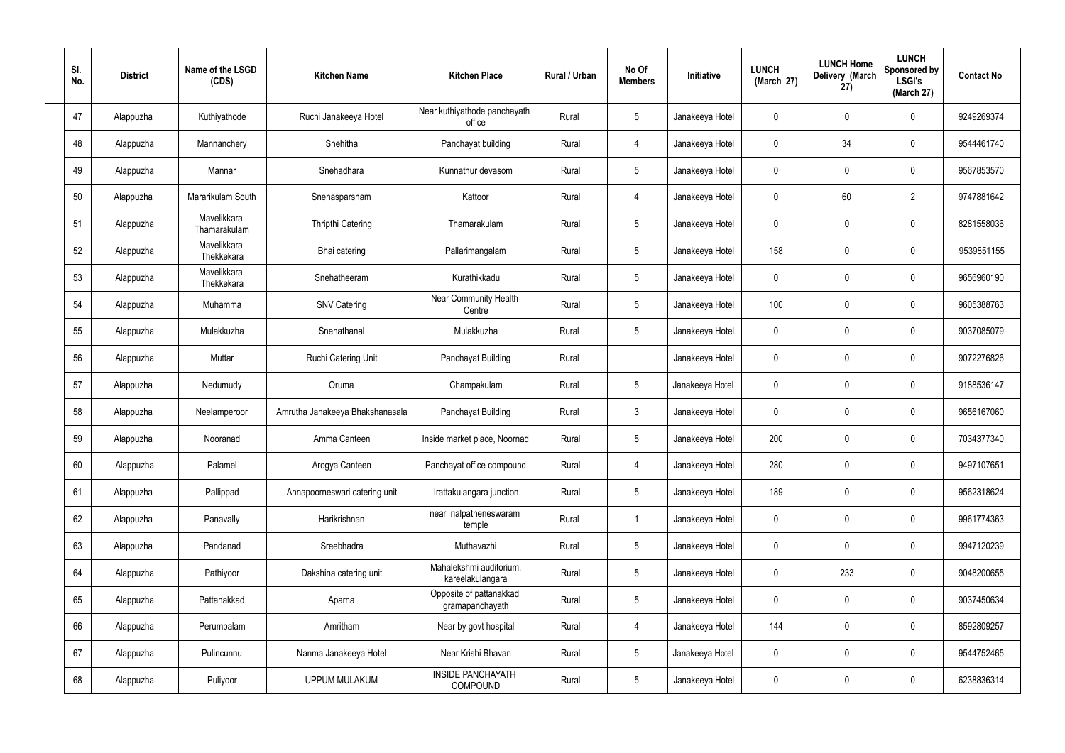| SI.<br>No. | <b>District</b> | Name of the LSGD<br>(CDS)   | <b>Kitchen Name</b>             | <b>Kitchen Place</b>                        | Rural / Urban | No Of<br><b>Members</b> | Initiative      | <b>LUNCH</b><br>(March 27) | <b>LUNCH Home</b><br>Delivery (March<br>27) | <b>LUNCH</b><br>Sponsored by<br><b>LSGI's</b><br>(March 27) | <b>Contact No</b> |
|------------|-----------------|-----------------------------|---------------------------------|---------------------------------------------|---------------|-------------------------|-----------------|----------------------------|---------------------------------------------|-------------------------------------------------------------|-------------------|
| 47         | Alappuzha       | Kuthiyathode                | Ruchi Janakeeya Hotel           | Near kuthiyathode panchayath<br>office      | Rural         | $5\phantom{.0}$         | Janakeeya Hotel | 0                          | 0                                           | $\pmb{0}$                                                   | 9249269374        |
| 48         | Alappuzha       | Mannanchery                 | Snehitha                        | Panchayat building                          | Rural         | 4                       | Janakeeya Hotel | 0                          | 34                                          | $\mathbf 0$                                                 | 9544461740        |
| 49         | Alappuzha       | Mannar                      | Snehadhara                      | Kunnathur devasom                           | Rural         | $5\phantom{.0}$         | Janakeeya Hotel | 0                          | 0                                           | $\mathbf 0$                                                 | 9567853570        |
| 50         | Alappuzha       | Mararikulam South           | Snehasparsham                   | Kattoor                                     | Rural         | 4                       | Janakeeya Hotel | 0                          | 60                                          | $\overline{2}$                                              | 9747881642        |
| 51         | Alappuzha       | Mavelikkara<br>Thamarakulam | <b>Thripthi Catering</b>        | Thamarakulam                                | Rural         | $5\phantom{.0}$         | Janakeeya Hotel | 0                          | 0                                           | $\mathbf 0$                                                 | 8281558036        |
| 52         | Alappuzha       | Mavelikkara<br>Thekkekara   | Bhai catering                   | Pallarimangalam                             | Rural         | $5\phantom{.0}$         | Janakeeya Hotel | 158                        | 0                                           | $\mathbf 0$                                                 | 9539851155        |
| 53         | Alappuzha       | Mavelikkara<br>Thekkekara   | Snehatheeram                    | Kurathikkadu                                | Rural         | $5\phantom{.0}$         | Janakeeya Hotel | 0                          | 0                                           | $\mathbf 0$                                                 | 9656960190        |
| 54         | Alappuzha       | Muhamma                     | <b>SNV Catering</b>             | Near Community Health<br>Centre             | Rural         | $5\phantom{.0}$         | Janakeeya Hotel | 100                        | 0                                           | $\mathbf 0$                                                 | 9605388763        |
| 55         | Alappuzha       | Mulakkuzha                  | Snehathanal                     | Mulakkuzha                                  | Rural         | $5\overline{)}$         | Janakeeya Hotel | 0                          | $\mathbf 0$                                 | $\mathbf 0$                                                 | 9037085079        |
| 56         | Alappuzha       | Muttar                      | Ruchi Catering Unit             | Panchayat Building                          | Rural         |                         | Janakeeya Hotel | 0                          | 0                                           | $\mathbf 0$                                                 | 9072276826        |
| 57         | Alappuzha       | Nedumudy                    | Oruma                           | Champakulam                                 | Rural         | $5\phantom{.0}$         | Janakeeya Hotel | 0                          | 0                                           | $\mathbf 0$                                                 | 9188536147        |
| 58         | Alappuzha       | Neelamperoor                | Amrutha Janakeeya Bhakshanasala | Panchayat Building                          | Rural         | $\mathbf{3}$            | Janakeeya Hotel | 0                          | 0                                           | $\mathbf 0$                                                 | 9656167060        |
| 59         | Alappuzha       | Nooranad                    | Amma Canteen                    | Inside market place, Noornad                | Rural         | 5                       | Janakeeya Hotel | 200                        | $\Omega$                                    | 0                                                           | 7034377340        |
| 60         | Alappuzha       | Palamel                     | Arogya Canteen                  | Panchayat office compound                   | Rural         | $\overline{4}$          | Janakeeya Hotel | 280                        | 0                                           | $\mathbf 0$                                                 | 9497107651        |
| 61         | Alappuzha       | Pallippad                   | Annapoorneswari catering unit   | Irattakulangara junction                    | Rural         | $5\phantom{.0}$         | Janakeeya Hotel | 189                        | 0                                           | $\mathbf 0$                                                 | 9562318624        |
| 62         | Alappuzha       | Panavally                   | Harikrishnan                    | near nalpatheneswaram<br>temple             | Rural         |                         | Janakeeya Hotel | 0                          | $\mathsf{0}$                                | $\mathbf 0$                                                 | 9961774363        |
| 63         | Alappuzha       | Pandanad                    | Sreebhadra                      | Muthavazhi                                  | Rural         | $5\phantom{.0}$         | Janakeeya Hotel | 0                          | 0                                           | $\mathbf 0$                                                 | 9947120239        |
| 64         | Alappuzha       | Pathiyoor                   | Dakshina catering unit          | Mahalekshmi auditorium,<br>kareelakulangara | Rural         | $5\phantom{.0}$         | Janakeeya Hotel | 0                          | 233                                         | $\mathbf 0$                                                 | 9048200655        |
| 65         | Alappuzha       | Pattanakkad                 | Aparna                          | Opposite of pattanakkad<br>gramapanchayath  | Rural         | $5\phantom{.0}$         | Janakeeya Hotel | 0                          | 0                                           | $\mathbf 0$                                                 | 9037450634        |
| 66         | Alappuzha       | Perumbalam                  | Amritham                        | Near by govt hospital                       | Rural         | $\overline{4}$          | Janakeeya Hotel | 144                        | 0                                           | $\mathbf 0$                                                 | 8592809257        |
| 67         | Alappuzha       | Pulincunnu                  | Nanma Janakeeya Hotel           | Near Krishi Bhavan                          | Rural         | $5\phantom{.0}$         | Janakeeya Hotel | 0                          | 0                                           | $\mathbf 0$                                                 | 9544752465        |
| 68         | Alappuzha       | Puliyoor                    | <b>UPPUM MULAKUM</b>            | <b>INSIDE PANCHAYATH</b><br><b>COMPOUND</b> | Rural         | $\overline{5}$          | Janakeeya Hotel | 0                          | 0                                           | $\boldsymbol{0}$                                            | 6238836314        |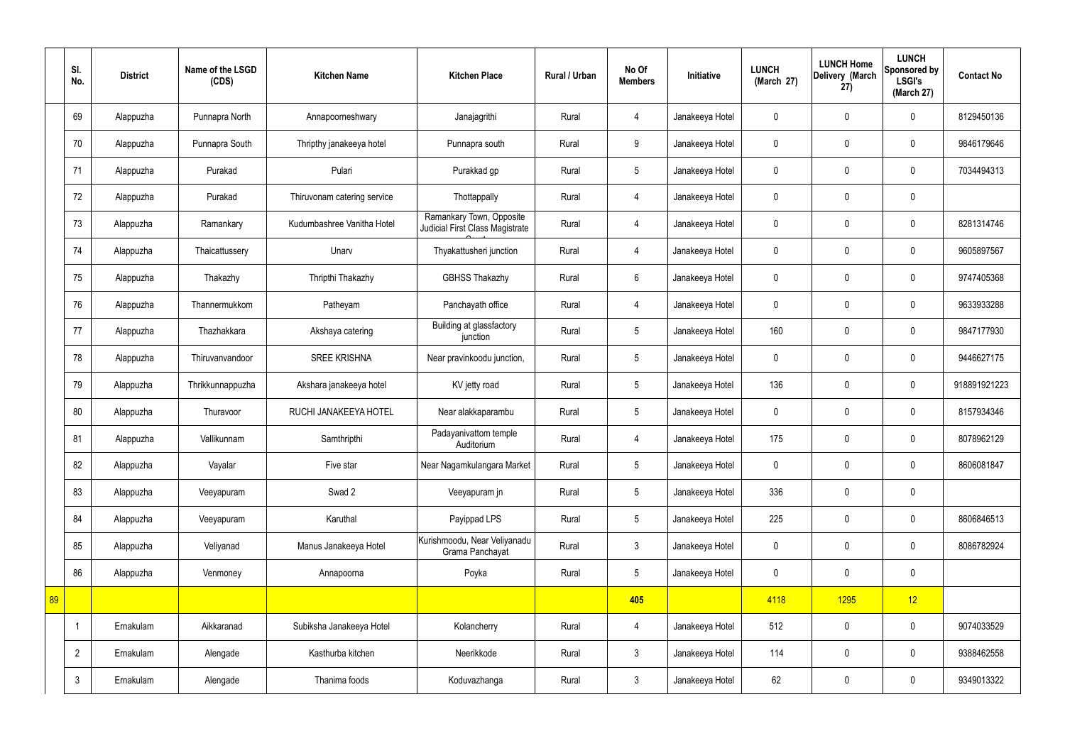|    | SI.<br>No.     | <b>District</b> | Name of the LSGD<br>(CDS) | <b>Kitchen Name</b>         | <b>Kitchen Place</b>                                        | Rural / Urban | No Of<br><b>Members</b> | Initiative      | <b>LUNCH</b><br>(March 27) | <b>LUNCH Home</b><br>Delivery (March<br>27) | <b>LUNCH</b><br>Sponsored by<br><b>LSGI's</b><br>(March 27) | <b>Contact No</b> |
|----|----------------|-----------------|---------------------------|-----------------------------|-------------------------------------------------------------|---------------|-------------------------|-----------------|----------------------------|---------------------------------------------|-------------------------------------------------------------|-------------------|
|    | 69             | Alappuzha       | Punnapra North            | Annapoorneshwary            | Janajagrithi                                                | Rural         | 4                       | Janakeeya Hotel | $\mathbf 0$                | $\mathbf 0$                                 | $\mathbf 0$                                                 | 8129450136        |
|    | 70             | Alappuzha       | Punnapra South            | Thripthy janakeeya hotel    | Punnapra south                                              | Rural         | 9                       | Janakeeya Hotel | $\mathbf 0$                | $\mathbf 0$                                 | $\mathbf 0$                                                 | 9846179646        |
|    | 71             | Alappuzha       | Purakad                   | Pulari                      | Purakkad gp                                                 | Rural         | $5\overline{)}$         | Janakeeya Hotel | $\mathbf 0$                | $\mathbf 0$                                 | $\mathbf 0$                                                 | 7034494313        |
|    | 72             | Alappuzha       | Purakad                   | Thiruvonam catering service | Thottappally                                                | Rural         | $\overline{4}$          | Janakeeya Hotel | $\mathbf 0$                | $\mathbf 0$                                 | $\mathbf 0$                                                 |                   |
|    | 73             | Alappuzha       | Ramankary                 | Kudumbashree Vanitha Hotel  | Ramankary Town, Opposite<br>Judicial First Class Magistrate | Rural         | $\overline{4}$          | Janakeeya Hotel | $\mathbf 0$                | $\mathbf 0$                                 | $\mathbf 0$                                                 | 8281314746        |
|    | 74             | Alappuzha       | Thaicattussery            | Unarv                       | Thyakattusheri junction                                     | Rural         | $\overline{4}$          | Janakeeya Hotel | $\mathbf 0$                | $\mathbf 0$                                 | $\mathbf 0$                                                 | 9605897567        |
|    | 75             | Alappuzha       | Thakazhy                  | Thripthi Thakazhy           | <b>GBHSS Thakazhy</b>                                       | Rural         | $6\overline{6}$         | Janakeeya Hotel | $\mathbf 0$                | $\mathbf 0$                                 | $\mathbf 0$                                                 | 9747405368        |
|    | 76             | Alappuzha       | Thannermukkom             | Patheyam                    | Panchayath office                                           | Rural         | $\overline{4}$          | Janakeeya Hotel | $\mathbf 0$                | $\mathbf 0$                                 | $\mathbf 0$                                                 | 9633933288        |
|    | 77             | Alappuzha       | Thazhakkara               | Akshaya catering            | Building at glassfactory<br>junction                        | Rural         | $5\phantom{.0}$         | Janakeeya Hotel | 160                        | $\mathbf 0$                                 | $\mathbf 0$                                                 | 9847177930        |
|    | 78             | Alappuzha       | Thiruvanvandoor           | <b>SREE KRISHNA</b>         | Near pravinkoodu junction,                                  | Rural         | $5\phantom{.0}$         | Janakeeya Hotel | $\mathbf 0$                | $\mathbf 0$                                 | $\mathbf 0$                                                 | 9446627175        |
|    | 79             | Alappuzha       | Thrikkunnappuzha          | Akshara janakeeya hotel     | KV jetty road                                               | Rural         | $5\phantom{.0}$         | Janakeeya Hotel | 136                        | $\mathbf 0$                                 | $\mathbf 0$                                                 | 918891921223      |
|    | 80             | Alappuzha       | Thuravoor                 | RUCHI JANAKEEYA HOTEL       | Near alakkaparambu                                          | Rural         | $5\phantom{.0}$         | Janakeeya Hotel | $\mathbf 0$                | $\mathbf 0$                                 | $\mathbf 0$                                                 | 8157934346        |
|    | 81             | Alappuzha       | Vallikunnam               | Samthripthi                 | Padayanivattom temple<br>Auditorium                         | Rural         | 4                       | Janakeeya Hotel | 175                        | $\mathbf 0$                                 | $\mathbf 0$                                                 | 8078962129        |
|    | 82             | Alappuzha       | Vayalar                   | Five star                   | Near Nagamkulangara Market                                  | Rural         | $5\phantom{.0}$         | Janakeeya Hotel | $\mathbf 0$                | $\mathbf 0$                                 | $\mathbf 0$                                                 | 8606081847        |
|    | 83             | Alappuzha       | Veeyapuram                | Swad 2                      | Veeyapuram jn                                               | Rural         | $5\overline{)}$         | Janakeeya Hotel | 336                        | $\mathbf 0$                                 | $\mathbf 0$                                                 |                   |
|    | 84             | Alappuzha       | Veeyapuram                | Karuthal                    | Payippad LPS                                                | Rural         | $5\overline{)}$         | Janakeeya Hotel | 225                        | $\pmb{0}$                                   | $\mathbf 0$                                                 | 8606846513        |
|    | 85             | Alappuzha       | Veliyanad                 | Manus Janakeeya Hotel       | Kurishmoodu, Near Veliyanadu<br>Grama Panchayat             | Rural         | $\mathbf{3}$            | Janakeeya Hotel | $\pmb{0}$                  | $\pmb{0}$                                   | $\mathbf 0$                                                 | 8086782924        |
|    | 86             | Alappuzha       | Venmoney                  | Annapoorna                  | Poyka                                                       | Rural         | 5 <sup>5</sup>          | Janakeeya Hotel | $\pmb{0}$                  | $\pmb{0}$                                   | $\mathbf 0$                                                 |                   |
| 89 |                |                 |                           |                             |                                                             |               | 405                     |                 | 4118                       | 1295                                        | 12                                                          |                   |
|    | -1             | Ernakulam       | Aikkaranad                | Subiksha Janakeeya Hotel    | Kolancherry                                                 | Rural         | $\overline{4}$          | Janakeeya Hotel | 512                        | $\pmb{0}$                                   | $\mathbf 0$                                                 | 9074033529        |
|    | $\overline{2}$ | Ernakulam       | Alengade                  | Kasthurba kitchen           | Neerikkode                                                  | Rural         | 3 <sup>1</sup>          | Janakeeya Hotel | 114                        | $\pmb{0}$                                   | $\mathbf 0$                                                 | 9388462558        |
|    | $\mathbf{3}$   | Ernakulam       | Alengade                  | Thanima foods               | Koduvazhanga                                                | Rural         | $\mathbf{3}$            | Janakeeya Hotel | 62                         | $\pmb{0}$                                   | $\mathbf 0$                                                 | 9349013322        |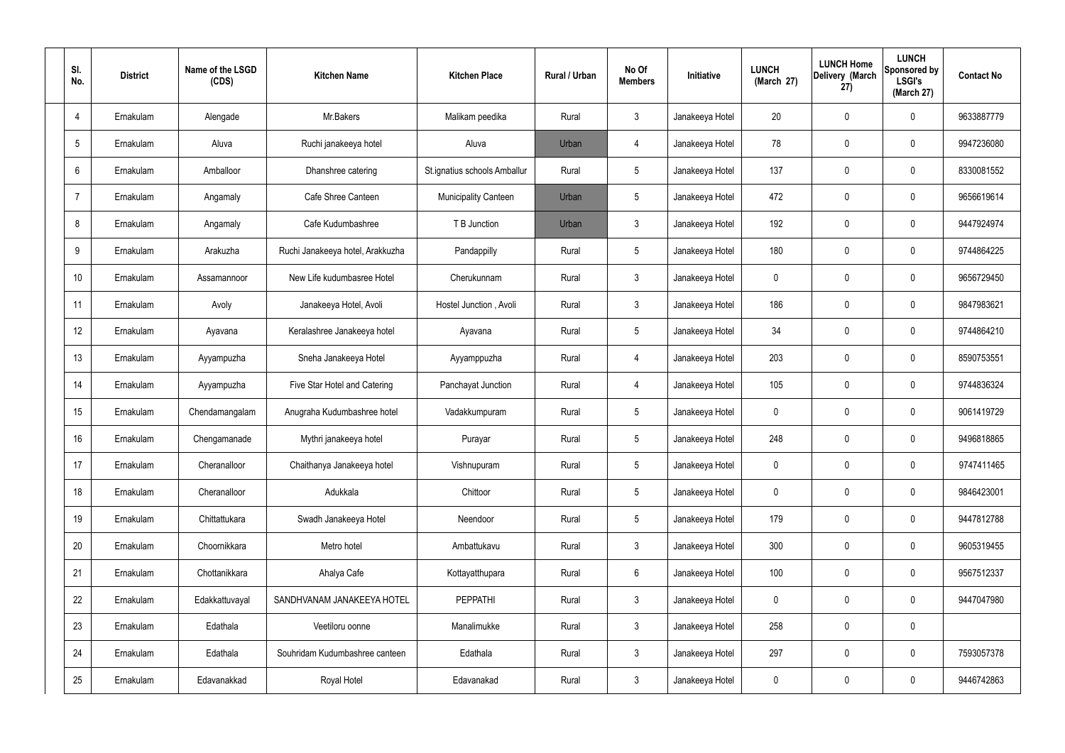| SI.<br>No.      | <b>District</b> | Name of the LSGD<br>(CDS) | <b>Kitchen Name</b>              | <b>Kitchen Place</b>         | Rural / Urban | No Of<br><b>Members</b> | Initiative      | <b>LUNCH</b><br>(March 27) | <b>LUNCH Home</b><br>Delivery (March<br>27) | <b>LUNCH</b><br>Sponsored by<br><b>LSGI's</b><br>(March 27) | <b>Contact No</b> |
|-----------------|-----------------|---------------------------|----------------------------------|------------------------------|---------------|-------------------------|-----------------|----------------------------|---------------------------------------------|-------------------------------------------------------------|-------------------|
| 4               | Ernakulam       | Alengade                  | Mr.Bakers                        | Malikam peedika              | Rural         | $\mathbf{3}$            | Janakeeya Hotel | 20                         | $\mathbf 0$                                 | 0                                                           | 9633887779        |
| $5\overline{)}$ | Ernakulam       | Aluva                     | Ruchi janakeeya hotel            | Aluva                        | Urban         | 4                       | Janakeeya Hotel | 78                         | $\mathbf 0$                                 | 0                                                           | 9947236080        |
| 6               | Ernakulam       | Amballoor                 | Dhanshree catering               | St.ignatius schools Amballur | Rural         | $5\phantom{.0}$         | Janakeeya Hotel | 137                        | 0                                           | 0                                                           | 8330081552        |
| 7               | Ernakulam       | Angamaly                  | Cafe Shree Canteen               | <b>Municipality Canteen</b>  | Urban         | $5\phantom{.0}$         | Janakeeya Hotel | 472                        | $\mathbf 0$                                 | 0                                                           | 9656619614        |
| 8               | Ernakulam       | Angamaly                  | Cafe Kudumbashree                | T B Junction                 | Urban         | $\mathbf{3}$            | Janakeeya Hotel | 192                        | 0                                           | 0                                                           | 9447924974        |
| 9               | Ernakulam       | Arakuzha                  | Ruchi Janakeeya hotel, Arakkuzha | Pandappilly                  | Rural         | $5\phantom{.0}$         | Janakeeya Hotel | 180                        | $\mathbf 0$                                 | 0                                                           | 9744864225        |
| 10              | Ernakulam       | Assamannoor               | New Life kudumbasree Hotel       | Cherukunnam                  | Rural         | $\mathbf{3}$            | Janakeeya Hotel | $\mathbf 0$                | $\mathbf 0$                                 | 0                                                           | 9656729450        |
| 11              | Ernakulam       | Avoly                     | Janakeeya Hotel, Avoli           | Hostel Junction, Avoli       | Rural         | $\mathbf{3}$            | Janakeeya Hotel | 186                        | $\mathbf 0$                                 | 0                                                           | 9847983621        |
| 12              | Ernakulam       | Ayavana                   | Keralashree Janakeeya hotel      | Ayavana                      | Rural         | $5\phantom{.0}$         | Janakeeya Hotel | 34                         | $\mathbf 0$                                 | 0                                                           | 9744864210        |
| 13              | Ernakulam       | Ayyampuzha                | Sneha Janakeeya Hotel            | Ayyamppuzha                  | Rural         | $\overline{4}$          | Janakeeya Hotel | 203                        | 0                                           | 0                                                           | 8590753551        |
| 14              | Ernakulam       | Ayyampuzha                | Five Star Hotel and Catering     | Panchayat Junction           | Rural         | $\overline{4}$          | Janakeeya Hotel | 105                        | 0                                           | 0                                                           | 9744836324        |
| 15              | Ernakulam       | Chendamangalam            | Anugraha Kudumbashree hotel      | Vadakkumpuram                | Rural         | $5\phantom{.0}$         | Janakeeya Hotel | $\mathbf 0$                | 0                                           | 0                                                           | 9061419729        |
| 16              | Ernakulam       | Chengamanade              | Mythri janakeeya hotel           | Purayar                      | Rural         | $5\phantom{.0}$         | Janakeeya Hotel | 248                        | 0                                           | 0                                                           | 9496818865        |
| 17              | Ernakulam       | Cheranalloor              | Chaithanya Janakeeya hotel       | Vishnupuram                  | Rural         | $5\phantom{.0}$         | Janakeeya Hotel | $\mathbf 0$                | $\mathbf 0$                                 | 0                                                           | 9747411465        |
| 18              | Ernakulam       | Cheranalloor              | Adukkala                         | Chittoor                     | Rural         | $5\phantom{.0}$         | Janakeeya Hotel | $\mathbf 0$                | $\mathbf 0$                                 | 0                                                           | 9846423001        |
| 19              | Ernakulam       | Chittattukara             | Swadh Janakeeya Hotel            | Neendoor                     | Rural         | $5\phantom{.0}$         | Janakeeya Hotel | 179                        | $\mathbf 0$                                 | 0                                                           | 9447812788        |
| 20              | Ernakulam       | Choornikkara              | Metro hotel                      | Ambattukavu                  | Rural         | $\mathbf{3}$            | Janakeeya Hotel | 300                        | $\mathbf 0$                                 | 0                                                           | 9605319455        |
| 21              | Ernakulam       | Chottanikkara             | Ahalya Cafe                      | Kottayatthupara              | Rural         | $6\overline{6}$         | Janakeeya Hotel | 100                        | $\boldsymbol{0}$                            | 0                                                           | 9567512337        |
| 22              | Ernakulam       | Edakkattuvayal            | SANDHVANAM JANAKEEYA HOTEL       | <b>PEPPATHI</b>              | Rural         | $\mathbf{3}$            | Janakeeya Hotel | $\mathbf 0$                | $\mathbf 0$                                 | 0                                                           | 9447047980        |
| 23              | Ernakulam       | Edathala                  | Veetiloru oonne                  | Manalimukke                  | Rural         | $\mathbf{3}$            | Janakeeya Hotel | 258                        | $\boldsymbol{0}$                            | 0                                                           |                   |
| 24              | Ernakulam       | Edathala                  | Souhridam Kudumbashree canteen   | Edathala                     | Rural         | $\mathbf{3}$            | Janakeeya Hotel | 297                        | $\mathbf 0$                                 | 0                                                           | 7593057378        |
| 25              | Ernakulam       | Edavanakkad               | Royal Hotel                      | Edavanakad                   | Rural         | $\mathbf{3}$            | Janakeeya Hotel | $\overline{0}$             | 0                                           | 0                                                           | 9446742863        |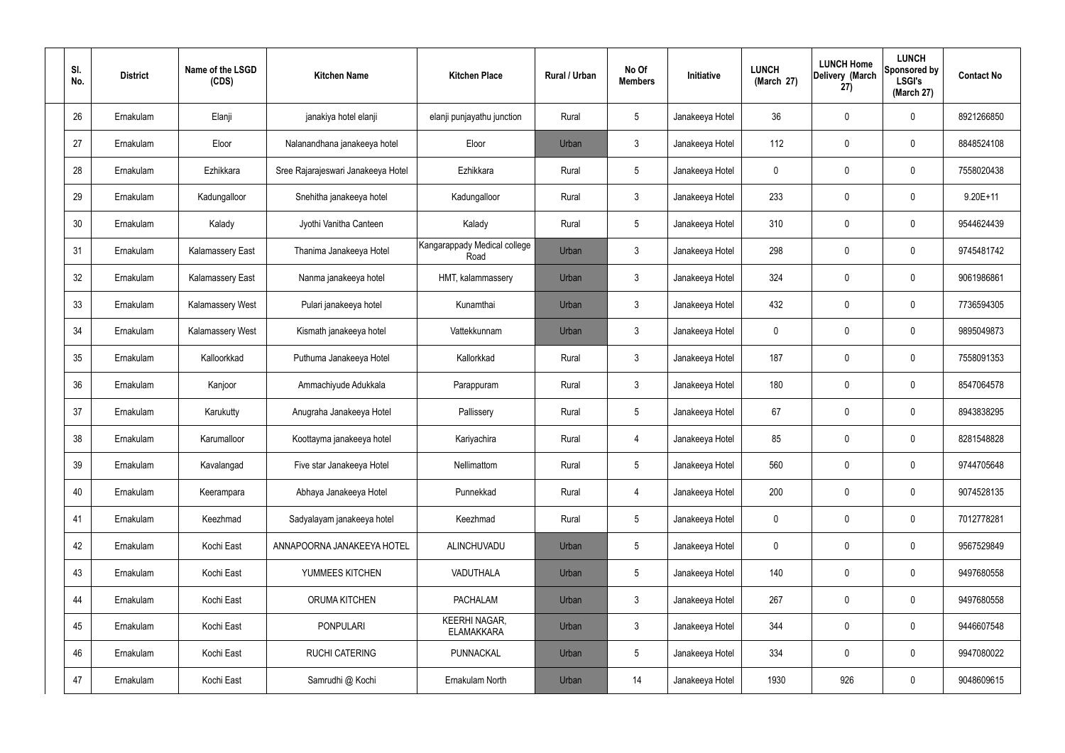| SI.<br>No. | <b>District</b> | Name of the LSGD<br>(CDS) | <b>Kitchen Name</b>                | <b>Kitchen Place</b>                      | Rural / Urban | No Of<br><b>Members</b> | Initiative      | <b>LUNCH</b><br>(March 27) | <b>LUNCH Home</b><br>Delivery (March<br>(27) | <b>LUNCH</b><br>Sponsored by<br><b>LSGI's</b><br>(March 27) | <b>Contact No</b> |
|------------|-----------------|---------------------------|------------------------------------|-------------------------------------------|---------------|-------------------------|-----------------|----------------------------|----------------------------------------------|-------------------------------------------------------------|-------------------|
| 26         | Ernakulam       | Elanji                    | janakiya hotel elanji              | elanji punjayathu junction                | Rural         | $\sqrt{5}$              | Janakeeya Hotel | 36                         | $\mathbf 0$                                  | $\mathbf 0$                                                 | 8921266850        |
| 27         | Ernakulam       | Eloor                     | Nalanandhana janakeeya hotel       | Eloor                                     | Urban         | $\mathfrak{Z}$          | Janakeeya Hotel | 112                        | 0                                            | $\mathbf 0$                                                 | 8848524108        |
| 28         | Ernakulam       | Ezhikkara                 | Sree Rajarajeswari Janakeeya Hotel | Ezhikkara                                 | Rural         | $5\phantom{.0}$         | Janakeeya Hotel | $\mathbf 0$                | 0                                            | $\mathbf 0$                                                 | 7558020438        |
| 29         | Ernakulam       | Kadungalloor              | Snehitha janakeeya hotel           | Kadungalloor                              | Rural         | $\mathbf{3}$            | Janakeeya Hotel | 233                        | 0                                            | $\mathbf 0$                                                 | $9.20E+11$        |
| 30         | Ernakulam       | Kalady                    | Jyothi Vanitha Canteen             | Kalady                                    | Rural         | $5\phantom{.0}$         | Janakeeya Hotel | 310                        | $\mathbf 0$                                  | $\mathbf 0$                                                 | 9544624439        |
| 31         | Ernakulam       | <b>Kalamassery East</b>   | Thanima Janakeeya Hotel            | Kangarappady Medical college<br>Road      | Urban         | $\mathfrak{Z}$          | Janakeeya Hotel | 298                        | 0                                            | $\mathbf 0$                                                 | 9745481742        |
| 32         | Ernakulam       | <b>Kalamassery East</b>   | Nanma janakeeya hotel              | HMT, kalammassery                         | Urban         | $\mathbf{3}$            | Janakeeya Hotel | 324                        | $\mathbf 0$                                  | $\mathbf 0$                                                 | 9061986861        |
| 33         | Ernakulam       | Kalamassery West          | Pulari janakeeya hotel             | Kunamthai                                 | Urban         | $\mathfrak{Z}$          | Janakeeya Hotel | 432                        | 0                                            | $\mathbf 0$                                                 | 7736594305        |
| 34         | Ernakulam       | Kalamassery West          | Kismath janakeeya hotel            | Vattekkunnam                              | Urban         | $\mathbf{3}$            | Janakeeya Hotel | $\mathbf 0$                | 0                                            | $\mathbf 0$                                                 | 9895049873        |
| 35         | Ernakulam       | Kalloorkkad               | Puthuma Janakeeya Hotel            | Kallorkkad                                | Rural         | $\mathbf{3}$            | Janakeeya Hotel | 187                        | 0                                            | $\mathbf 0$                                                 | 7558091353        |
| 36         | Ernakulam       | Kanjoor                   | Ammachiyude Adukkala               | Parappuram                                | Rural         | $\mathbf{3}$            | Janakeeya Hotel | 180                        | 0                                            | $\mathbf 0$                                                 | 8547064578        |
| 37         | Ernakulam       | Karukutty                 | Anugraha Janakeeya Hotel           | Pallissery                                | Rural         | $5\phantom{.0}$         | Janakeeya Hotel | 67                         | 0                                            | $\mathbf 0$                                                 | 8943838295        |
| 38         | Ernakulam       | Karumalloor               | Koottayma janakeeya hotel          | Kariyachira                               | Rural         | 4                       | Janakeeya Hotel | 85                         | 0                                            | 0                                                           | 8281548828        |
| 39         | Ernakulam       | Kavalangad                | Five star Janakeeya Hotel          | Nellimattom                               | Rural         | $5\phantom{.0}$         | Janakeeya Hotel | 560                        | $\mathbf 0$                                  | $\mathbf 0$                                                 | 9744705648        |
| 40         | Ernakulam       | Keerampara                | Abhaya Janakeeya Hotel             | Punnekkad                                 | Rural         | $\overline{4}$          | Janakeeya Hotel | 200                        | $\mathbf 0$                                  | $\mathbf 0$                                                 | 9074528135        |
| 41         | Ernakulam       | Keezhmad                  | Sadyalayam janakeeya hotel         | Keezhmad                                  | Rural         | $5\phantom{.0}$         | Janakeeya Hotel | $\mathbf 0$                | $\mathbf 0$                                  | $\mathbf 0$                                                 | 7012778281        |
| 42         | Ernakulam       | Kochi East                | ANNAPOORNA JANAKEEYA HOTEL         | ALINCHUVADU                               | Urban         | $5\phantom{.0}$         | Janakeeya Hotel | $\mathbf 0$                | $\mathbf 0$                                  | $\mathbf 0$                                                 | 9567529849        |
| 43         | Ernakulam       | Kochi East                | YUMMEES KITCHEN                    | VADUTHALA                                 | Urban         | $5\phantom{.0}$         | Janakeeya Hotel | 140                        | 0                                            | $\mathbf 0$                                                 | 9497680558        |
| 44         | Ernakulam       | Kochi East                | ORUMA KITCHEN                      | <b>PACHALAM</b>                           | Urban         | $\mathbf{3}$            | Janakeeya Hotel | 267                        | 0                                            | $\mathbf 0$                                                 | 9497680558        |
| 45         | Ernakulam       | Kochi East                | <b>PONPULARI</b>                   | <b>KEERHI NAGAR,</b><br><b>ELAMAKKARA</b> | Urban         | $\mathbf{3}$            | Janakeeya Hotel | 344                        | 0                                            | $\mathbf 0$                                                 | 9446607548        |
| 46         | Ernakulam       | Kochi East                | <b>RUCHI CATERING</b>              | PUNNACKAL                                 | Urban         | $5\phantom{.0}$         | Janakeeya Hotel | 334                        | $\mathbf 0$                                  | $\mathbf 0$                                                 | 9947080022        |
| 47         | Ernakulam       | Kochi East                | Samrudhi @ Kochi                   | Ernakulam North                           | Urban         | 14                      | Janakeeya Hotel | 1930                       | 926                                          | $\bf{0}$                                                    | 9048609615        |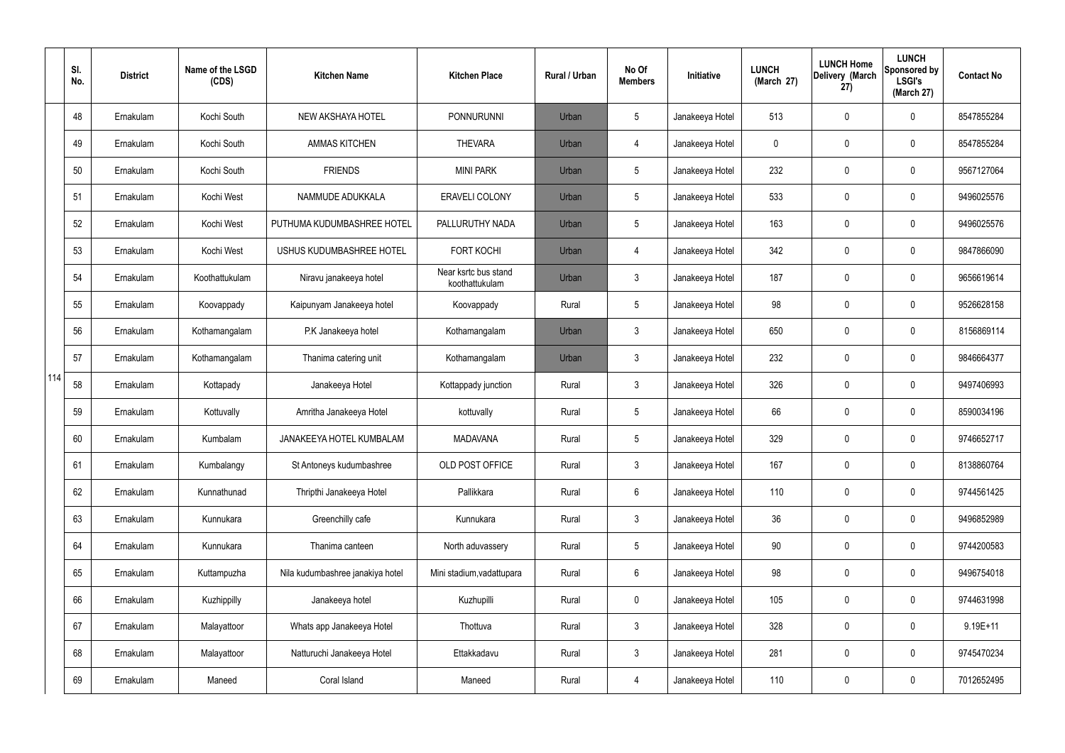|     | SI.<br>No. | <b>District</b> | Name of the LSGD<br>(CDS) | <b>Kitchen Name</b>              | <b>Kitchen Place</b>                   | Rural / Urban | No Of<br><b>Members</b> | Initiative      | <b>LUNCH</b><br>(March 27) | <b>LUNCH Home</b><br>Delivery (March<br>27) | <b>LUNCH</b><br>Sponsored by<br><b>LSGI's</b><br>(March 27) | <b>Contact No</b> |
|-----|------------|-----------------|---------------------------|----------------------------------|----------------------------------------|---------------|-------------------------|-----------------|----------------------------|---------------------------------------------|-------------------------------------------------------------|-------------------|
|     | 48         | Ernakulam       | Kochi South               | NEW AKSHAYA HOTEL                | <b>PONNURUNNI</b>                      | Urban         | $5\phantom{.0}$         | Janakeeya Hotel | 513                        | 0                                           | $\mathbf 0$                                                 | 8547855284        |
|     | 49         | Ernakulam       | Kochi South               | <b>AMMAS KITCHEN</b>             | <b>THEVARA</b>                         | Urban         | 4                       | Janakeeya Hotel | $\mathbf 0$                | 0                                           | $\mathbf 0$                                                 | 8547855284        |
|     | 50         | Ernakulam       | Kochi South               | <b>FRIENDS</b>                   | <b>MINI PARK</b>                       | Urban         | $5\phantom{.0}$         | Janakeeya Hotel | 232                        | 0                                           | $\mathbf 0$                                                 | 9567127064        |
|     | 51         | Ernakulam       | Kochi West                | NAMMUDE ADUKKALA                 | <b>ERAVELI COLONY</b>                  | Urban         | $5\phantom{.0}$         | Janakeeya Hotel | 533                        | 0                                           | $\mathbf 0$                                                 | 9496025576        |
|     | 52         | Ernakulam       | Kochi West                | PUTHUMA KUDUMBASHREE HOTEL       | PALLURUTHY NADA                        | Urban         | $5\phantom{.0}$         | Janakeeya Hotel | 163                        | 0                                           | $\mathbf 0$                                                 | 9496025576        |
|     | 53         | Ernakulam       | Kochi West                | USHUS KUDUMBASHREE HOTEL         | <b>FORT KOCHI</b>                      | Urban         | 4                       | Janakeeya Hotel | 342                        | 0                                           | $\mathbf 0$                                                 | 9847866090        |
|     | 54         | Ernakulam       | Koothattukulam            | Niravu janakeeya hotel           | Near ksrtc bus stand<br>koothattukulam | Urban         | $\mathbf{3}$            | Janakeeya Hotel | 187                        | 0                                           | $\mathbf 0$                                                 | 9656619614        |
|     | 55         | Ernakulam       | Koovappady                | Kaipunyam Janakeeya hotel        | Koovappady                             | Rural         | $5\phantom{.0}$         | Janakeeya Hotel | 98                         | 0                                           | $\mathbf 0$                                                 | 9526628158        |
|     | 56         | Ernakulam       | Kothamangalam             | P.K Janakeeya hotel              | Kothamangalam                          | Urban         | $\mathbf{3}$            | Janakeeya Hotel | 650                        | 0                                           | $\mathbf 0$                                                 | 8156869114        |
|     | 57         | Ernakulam       | Kothamangalam             | Thanima catering unit            | Kothamangalam                          | Urban         | $\mathbf{3}$            | Janakeeya Hotel | 232                        | 0                                           | $\mathbf 0$                                                 | 9846664377        |
| 114 | 58         | Ernakulam       | Kottapady                 | Janakeeya Hotel                  | Kottappady junction                    | Rural         | $\mathbf{3}$            | Janakeeya Hotel | 326                        | $\mathbf 0$                                 | $\mathbf 0$                                                 | 9497406993        |
|     | 59         | Ernakulam       | Kottuvally                | Amritha Janakeeya Hotel          | kottuvally                             | Rural         | $5\phantom{.0}$         | Janakeeya Hotel | 66                         | 0                                           | $\mathbf 0$                                                 | 8590034196        |
|     | 60         | Ernakulam       | Kumbalam                  | JANAKEEYA HOTEL KUMBALAM         | <b>MADAVANA</b>                        | Rural         | $5\phantom{.0}$         | Janakeeya Hotel | 329                        | $\mathbf 0$                                 | $\mathbf 0$                                                 | 9746652717        |
|     | 61         | Ernakulam       | Kumbalangy                | St Antoneys kudumbashree         | OLD POST OFFICE                        | Rural         | $\mathbf{3}$            | Janakeeya Hotel | 167                        | 0                                           | $\mathbf 0$                                                 | 8138860764        |
|     | 62         | Ernakulam       | Kunnathunad               | Thripthi Janakeeya Hotel         | Pallikkara                             | Rural         | $6\overline{6}$         | Janakeeya Hotel | 110                        | 0                                           | $\mathbf 0$                                                 | 9744561425        |
|     | 63         | Ernakulam       | Kunnukara                 | Greenchilly cafe                 | Kunnukara                              | Rural         | $\mathbf{3}$            | Janakeeya Hotel | 36                         | 0                                           | $\mathbf 0$                                                 | 9496852989        |
|     | 64         | Ernakulam       | Kunnukara                 | Thanima canteen                  | North aduvassery                       | Rural         | $5\phantom{.0}$         | Janakeeya Hotel | 90                         | 0                                           | $\mathbf 0$                                                 | 9744200583        |
|     | 65         | Ernakulam       | Kuttampuzha               | Nila kudumbashree janakiya hotel | Mini stadium, vadattupara              | Rural         | $6\overline{6}$         | Janakeeya Hotel | 98                         | $\pmb{0}$                                   | $\mathbf 0$                                                 | 9496754018        |
|     | 66         | Ernakulam       | Kuzhippilly               | Janakeeya hotel                  | Kuzhupilli                             | Rural         | $\mathbf 0$             | Janakeeya Hotel | 105                        | 0                                           | $\mathbf 0$                                                 | 9744631998        |
|     | 67         | Ernakulam       | Malayattoor               | Whats app Janakeeya Hotel        | Thottuva                               | Rural         | $\mathfrak{Z}$          | Janakeeya Hotel | 328                        | $\pmb{0}$                                   | $\mathbf 0$                                                 | $9.19E + 11$      |
|     | 68         | Ernakulam       | Malayattoor               | Natturuchi Janakeeya Hotel       | Ettakkadavu                            | Rural         | $\mathbf{3}$            | Janakeeya Hotel | 281                        | 0                                           | $\mathbf 0$                                                 | 9745470234        |
|     | 69         | Ernakulam       | Maneed                    | Coral Island                     | Maneed                                 | Rural         | $\overline{4}$          | Janakeeya Hotel | 110                        | 0                                           | $\mathbf 0$                                                 | 7012652495        |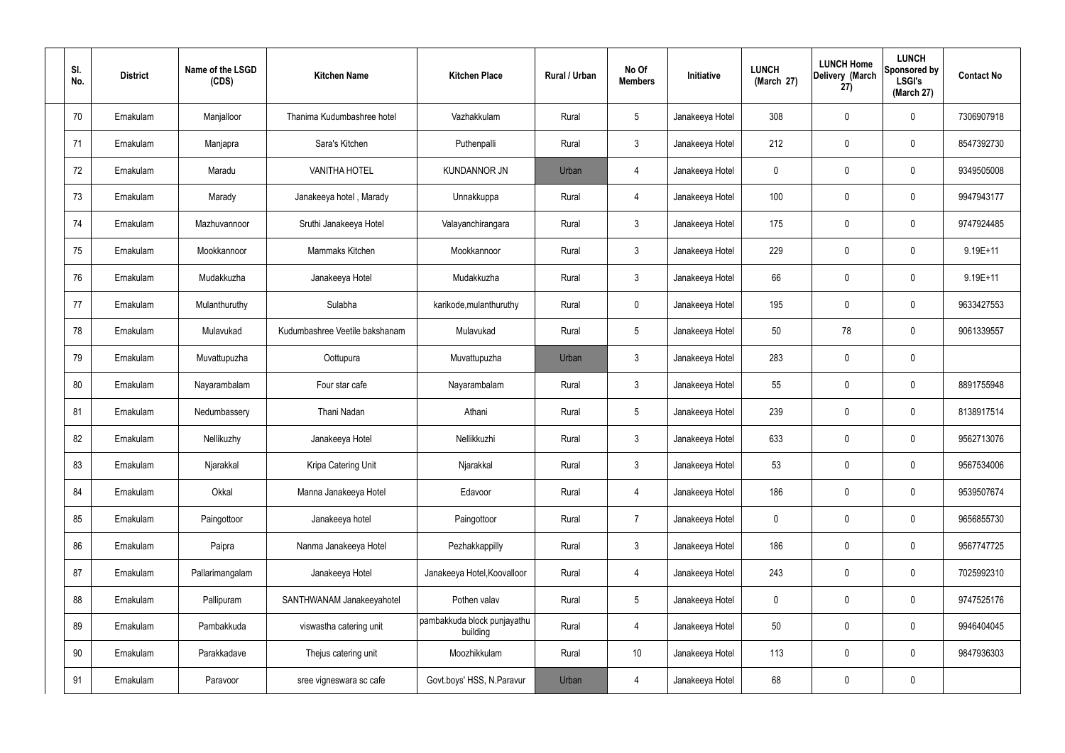| SI.<br>No. | <b>District</b> | Name of the LSGD<br>(CDS) | <b>Kitchen Name</b>            | <b>Kitchen Place</b>                    | Rural / Urban | No Of<br><b>Members</b> | Initiative      | <b>LUNCH</b><br>(March 27) | <b>LUNCH Home</b><br>Delivery (March<br>27) | <b>LUNCH</b><br><b>Sponsored by</b><br><b>LSGI's</b><br>(March 27) | <b>Contact No</b> |
|------------|-----------------|---------------------------|--------------------------------|-----------------------------------------|---------------|-------------------------|-----------------|----------------------------|---------------------------------------------|--------------------------------------------------------------------|-------------------|
| 70         | Ernakulam       | Manjalloor                | Thanima Kudumbashree hotel     | Vazhakkulam                             | Rural         | $5\phantom{.0}$         | Janakeeya Hotel | 308                        | $\mathbf 0$                                 | 0                                                                  | 7306907918        |
| 71         | Ernakulam       | Manjapra                  | Sara's Kitchen                 | Puthenpalli                             | Rural         | $\mathbf{3}$            | Janakeeya Hotel | 212                        | $\mathbf 0$                                 | 0                                                                  | 8547392730        |
| 72         | Ernakulam       | Maradu                    | <b>VANITHA HOTEL</b>           | <b>KUNDANNOR JN</b>                     | Urban         | 4                       | Janakeeya Hotel | 0                          | 0                                           | 0                                                                  | 9349505008        |
| 73         | Ernakulam       | Marady                    | Janakeeya hotel, Marady        | Unnakkuppa                              | Rural         | $\overline{4}$          | Janakeeya Hotel | 100                        | $\mathbf 0$                                 | 0                                                                  | 9947943177        |
| 74         | Ernakulam       | Mazhuvannoor              | Sruthi Janakeeya Hotel         | Valayanchirangara                       | Rural         | $\mathbf{3}$            | Janakeeya Hotel | 175                        | $\mathbf 0$                                 | 0                                                                  | 9747924485        |
| 75         | Ernakulam       | Mookkannoor               | Mammaks Kitchen                | Mookkannoor                             | Rural         | $\mathbf{3}$            | Janakeeya Hotel | 229                        | $\mathbf 0$                                 | 0                                                                  | $9.19E + 11$      |
| 76         | Ernakulam       | Mudakkuzha                | Janakeeya Hotel                | Mudakkuzha                              | Rural         | $\mathbf{3}$            | Janakeeya Hotel | 66                         | $\boldsymbol{0}$                            | 0                                                                  | $9.19E + 11$      |
| 77         | Ernakulam       | Mulanthuruthy             | Sulabha                        | karikode, mulanthuruthy                 | Rural         | $\overline{0}$          | Janakeeya Hotel | 195                        | $\mathbf 0$                                 | 0                                                                  | 9633427553        |
| 78         | Ernakulam       | Mulavukad                 | Kudumbashree Veetile bakshanam | Mulavukad                               | Rural         | $5\phantom{.0}$         | Janakeeya Hotel | 50                         | 78                                          | 0                                                                  | 9061339557        |
| 79         | Ernakulam       | Muvattupuzha              | Oottupura                      | Muvattupuzha                            | Urban         | $\mathbf{3}$            | Janakeeya Hotel | 283                        | $\mathbf 0$                                 | 0                                                                  |                   |
| 80         | Ernakulam       | Nayarambalam              | Four star cafe                 | Nayarambalam                            | Rural         | $\mathbf{3}$            | Janakeeya Hotel | 55                         | 0                                           | 0                                                                  | 8891755948        |
| 81         | Ernakulam       | Nedumbassery              | Thani Nadan                    | Athani                                  | Rural         | $5\phantom{.0}$         | Janakeeya Hotel | 239                        | 0                                           | 0                                                                  | 8138917514        |
| 82         | Ernakulam       | Nellikuzhy                | Janakeeya Hotel                | Nellikkuzhi                             | Rural         | $\mathbf{3}$            | Janakeeya Hotel | 633                        | 0                                           | 0                                                                  | 9562713076        |
| 83         | Ernakulam       | Njarakkal                 | Kripa Catering Unit            | Njarakkal                               | Rural         | $\mathbf{3}$            | Janakeeya Hotel | 53                         | $\mathbf 0$                                 | 0                                                                  | 9567534006        |
| 84         | Ernakulam       | Okkal                     | Manna Janakeeya Hotel          | Edavoor                                 | Rural         | $\overline{4}$          | Janakeeya Hotel | 186                        | $\pmb{0}$                                   | 0                                                                  | 9539507674        |
| 85         | Ernakulam       | Paingottoor               | Janakeeya hotel                | Paingottoor                             | Rural         | $\overline{7}$          | Janakeeya Hotel | $\mathbf 0$                | $\mathbf 0$                                 | 0                                                                  | 9656855730        |
| 86         | Ernakulam       | Paipra                    | Nanma Janakeeya Hotel          | Pezhakkappilly                          | Rural         | $\mathbf{3}$            | Janakeeya Hotel | 186                        | $\pmb{0}$                                   | 0                                                                  | 9567747725        |
| 87         | Ernakulam       | Pallarimangalam           | Janakeeya Hotel                | Janakeeya Hotel, Koovalloor             | Rural         | $\overline{4}$          | Janakeeya Hotel | 243                        | $\pmb{0}$                                   | 0                                                                  | 7025992310        |
| 88         | Ernakulam       | Pallipuram                | SANTHWANAM Janakeeyahotel      | Pothen valav                            | Rural         | $5\phantom{.0}$         | Janakeeya Hotel | $\mathbf 0$                | $\pmb{0}$                                   | 0                                                                  | 9747525176        |
| 89         | Ernakulam       | Pambakkuda                | viswastha catering unit        | pambakkuda block punjayathu<br>building | Rural         | 4                       | Janakeeya Hotel | 50                         | $\mathbf 0$                                 | 0                                                                  | 9946404045        |
| 90         | Ernakulam       | Parakkadave               | Thejus catering unit           | Moozhikkulam                            | Rural         | 10 <sup>°</sup>         | Janakeeya Hotel | 113                        | $\mathbf 0$                                 | $\mathbf 0$                                                        | 9847936303        |
| 91         | Ernakulam       | Paravoor                  | sree vigneswara sc cafe        | Govt.boys' HSS, N.Paravur               | Urban         | $\overline{4}$          | Janakeeya Hotel | 68                         | $\pmb{0}$                                   | 0                                                                  |                   |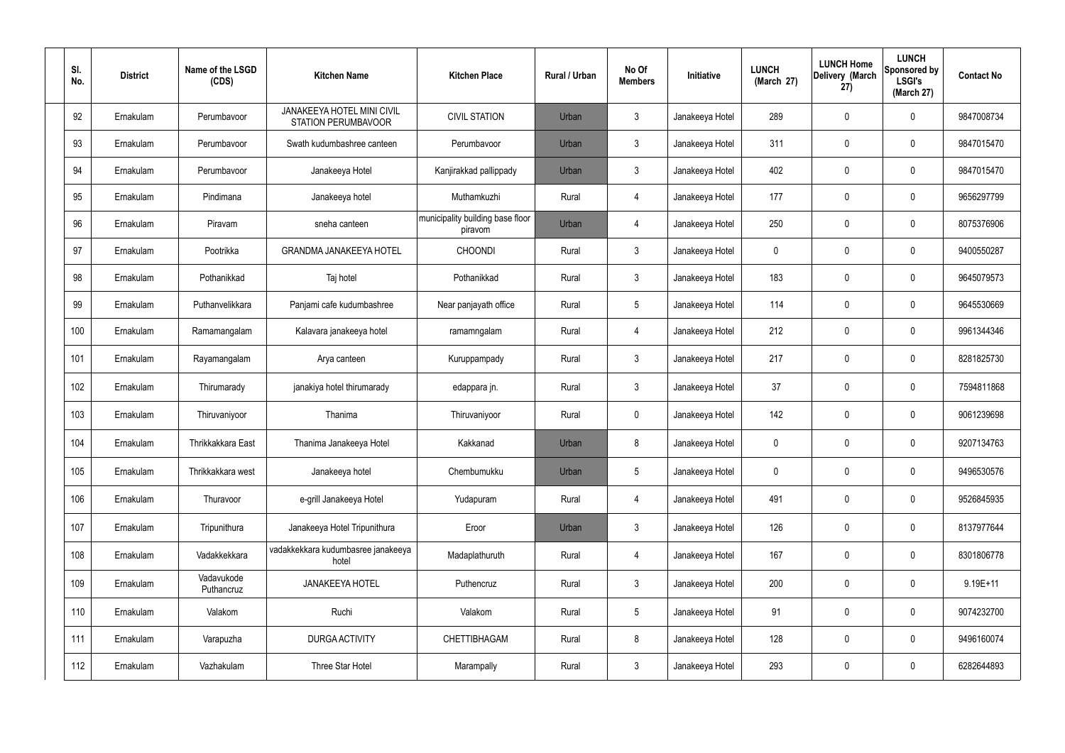| SI.<br>No. | <b>District</b> | Name of the LSGD<br>(CDS) | <b>Kitchen Name</b>                                             | <b>Kitchen Place</b>                        | Rural / Urban | No Of<br><b>Members</b> | Initiative      | <b>LUNCH</b><br>(March 27) | <b>LUNCH Home</b><br>Delivery (March<br>27) | <b>LUNCH</b><br>Sponsored by<br><b>LSGI's</b><br>(March 27) | <b>Contact No</b> |
|------------|-----------------|---------------------------|-----------------------------------------------------------------|---------------------------------------------|---------------|-------------------------|-----------------|----------------------------|---------------------------------------------|-------------------------------------------------------------|-------------------|
| 92         | Ernakulam       | Perumbavoor               | <b>JANAKEEYA HOTEL MINI CIVIL</b><br><b>STATION PERUMBAVOOR</b> | <b>CIVIL STATION</b>                        | Urban         | $\mathbf{3}$            | Janakeeya Hotel | 289                        | 0                                           | $\mathbf 0$                                                 | 9847008734        |
| 93         | Ernakulam       | Perumbavoor               | Swath kudumbashree canteen                                      | Perumbavoor                                 | Urban         | $\mathbf{3}$            | Janakeeya Hotel | 311                        | 0                                           | $\boldsymbol{0}$                                            | 9847015470        |
| 94         | Ernakulam       | Perumbavoor               | Janakeeya Hotel                                                 | Kanjirakkad pallippady                      | Urban         | $\mathbf{3}$            | Janakeeya Hotel | 402                        | 0                                           | $\mathbf 0$                                                 | 9847015470        |
| 95         | Ernakulam       | Pindimana                 | Janakeeya hotel                                                 | Muthamkuzhi                                 | Rural         | 4                       | Janakeeya Hotel | 177                        | $\mathbf 0$                                 | $\boldsymbol{0}$                                            | 9656297799        |
| 96         | Ernakulam       | Piravam                   | sneha canteen                                                   | municipality building base floor<br>piravom | Urban         | 4                       | Janakeeya Hotel | 250                        | 0                                           | $\boldsymbol{0}$                                            | 8075376906        |
| 97         | Ernakulam       | Pootrikka                 | <b>GRANDMA JANAKEEYA HOTEL</b>                                  | <b>CHOONDI</b>                              | Rural         | $\mathbf{3}$            | Janakeeya Hotel | $\mathbf 0$                | 0                                           | $\boldsymbol{0}$                                            | 9400550287        |
| 98         | Ernakulam       | Pothanikkad               | Taj hotel                                                       | Pothanikkad                                 | Rural         | $\mathbf{3}$            | Janakeeya Hotel | 183                        | 0                                           | $\boldsymbol{0}$                                            | 9645079573        |
| 99         | Ernakulam       | Puthanvelikkara           | Panjami cafe kudumbashree                                       | Near panjayath office                       | Rural         | $5\phantom{.0}$         | Janakeeya Hotel | 114                        | 0                                           | $\boldsymbol{0}$                                            | 9645530669        |
| 100        | Ernakulam       | Ramamangalam              | Kalavara janakeeya hotel                                        | ramamngalam                                 | Rural         | 4                       | Janakeeya Hotel | 212                        | 0                                           | $\mathbf 0$                                                 | 9961344346        |
| 101        | Ernakulam       | Rayamangalam              | Arya canteen                                                    | Kuruppampady                                | Rural         | $\mathbf{3}$            | Janakeeya Hotel | 217                        | $\mathbf 0$                                 | $\boldsymbol{0}$                                            | 8281825730        |
| 102        | Ernakulam       | Thirumarady               | janakiya hotel thirumarady                                      | edappara jn.                                | Rural         | $\mathbf{3}$            | Janakeeya Hotel | 37                         | $\boldsymbol{0}$                            | $\boldsymbol{0}$                                            | 7594811868        |
| 103        | Ernakulam       | Thiruvaniyoor             | Thanima                                                         | Thiruvaniyoor                               | Rural         | $\mathbf 0$             | Janakeeya Hotel | 142                        | $\boldsymbol{0}$                            | $\pmb{0}$                                                   | 9061239698        |
| 104        | Ernakulam       | Thrikkakkara East         | Thanima Janakeeya Hotel                                         | Kakkanad                                    | Urban         | 8                       | Janakeeya Hotel | 0                          | $\mathbf 0$                                 | 0                                                           | 9207134763        |
| 105        | Ernakulam       | Thrikkakkara west         | Janakeeya hotel                                                 | Chembumukku                                 | Urban         | $5\phantom{.0}$         | Janakeeya Hotel | $\mathbf 0$                | $\overline{0}$                              | $\pmb{0}$                                                   | 9496530576        |
| 106        | Ernakulam       | Thuravoor                 | e-grill Janakeeya Hotel                                         | Yudapuram                                   | Rural         | $\overline{4}$          | Janakeeya Hotel | 491                        | $\pmb{0}$                                   | $\pmb{0}$                                                   | 9526845935        |
| 107        | Ernakulam       | Tripunithura              | Janakeeya Hotel Tripunithura                                    | Eroor                                       | Urban         | $\mathbf{3}$            | Janakeeya Hotel | 126                        | $\boldsymbol{0}$                            | $\pmb{0}$                                                   | 8137977644        |
| 108        | Ernakulam       | Vadakkekkara              | vadakkekkara kudumbasree janakeeya<br>hotel                     | Madaplathuruth                              | Rural         | $\overline{4}$          | Janakeeya Hotel | 167                        | $\pmb{0}$                                   | $\mathsf{0}$                                                | 8301806778        |
| 109        | Ernakulam       | Vadavukode<br>Puthancruz  | <b>JANAKEEYA HOTEL</b>                                          | Puthencruz                                  | Rural         | $\mathbf{3}$            | Janakeeya Hotel | 200                        | $\pmb{0}$                                   | $\pmb{0}$                                                   | $9.19E + 11$      |
| 110        | Ernakulam       | Valakom                   | Ruchi                                                           | Valakom                                     | Rural         | $5\overline{)}$         | Janakeeya Hotel | 91                         | $\boldsymbol{0}$                            | $\pmb{0}$                                                   | 9074232700        |
| 111        | Ernakulam       | Varapuzha                 | <b>DURGA ACTIVITY</b>                                           | CHETTIBHAGAM                                | Rural         | 8                       | Janakeeya Hotel | 128                        | $\mathbf 0$                                 | $\pmb{0}$                                                   | 9496160074        |
| 112        | Ernakulam       | Vazhakulam                | Three Star Hotel                                                | Marampally                                  | Rural         | $\mathbf{3}$            | Janakeeya Hotel | 293                        | $\pmb{0}$                                   | $\pmb{0}$                                                   | 6282644893        |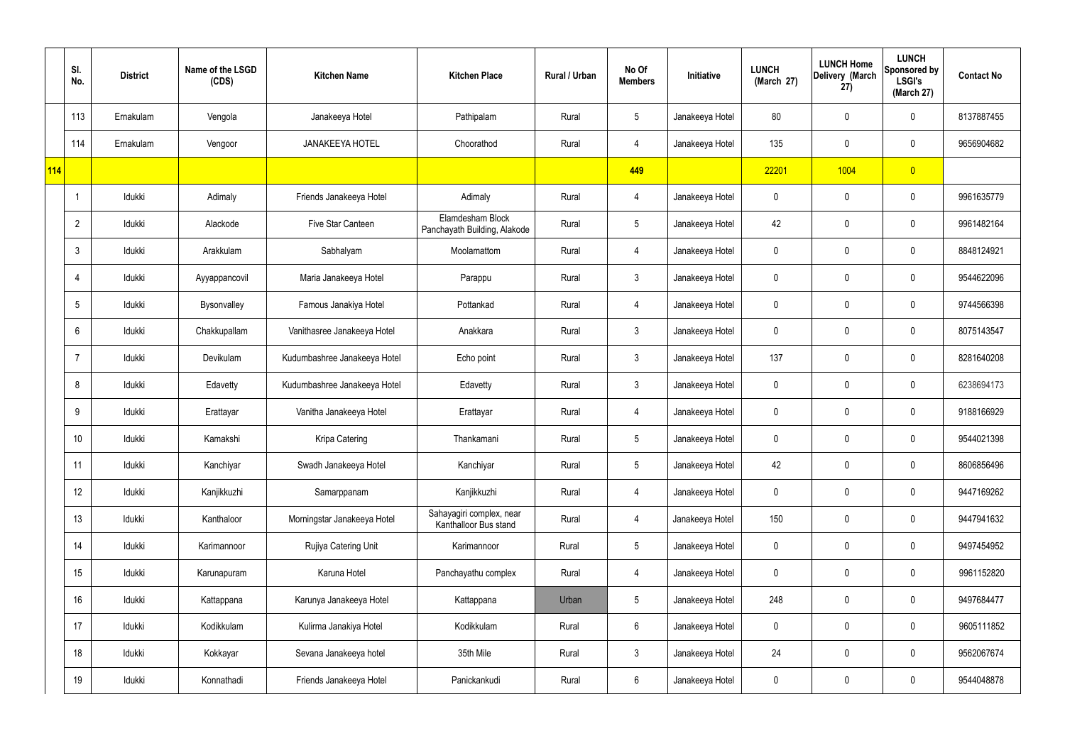|     | SI.<br>No.     | <b>District</b> | Name of the LSGD<br>(CDS) | <b>Kitchen Name</b>          | <b>Kitchen Place</b>                              | Rural / Urban | No Of<br><b>Members</b> | Initiative      | <b>LUNCH</b><br>(March 27) | <b>LUNCH Home</b><br>Delivery (March<br>27) | <b>LUNCH</b><br>Sponsored by<br><b>LSGI's</b><br>(March 27) | <b>Contact No</b> |
|-----|----------------|-----------------|---------------------------|------------------------------|---------------------------------------------------|---------------|-------------------------|-----------------|----------------------------|---------------------------------------------|-------------------------------------------------------------|-------------------|
|     | 113            | Ernakulam       | Vengola                   | Janakeeya Hotel              | Pathipalam                                        | Rural         | $5\phantom{.0}$         | Janakeeya Hotel | 80                         | $\mathbf 0$                                 | $\mathbf 0$                                                 | 8137887455        |
|     | 114            | Ernakulam       | Vengoor                   | <b>JANAKEEYA HOTEL</b>       | Choorathod                                        | Rural         | $\overline{4}$          | Janakeeya Hotel | 135                        | $\mathbf 0$                                 | $\mathbf 0$                                                 | 9656904682        |
| 114 |                |                 |                           |                              |                                                   |               | 449                     |                 | 22201                      | 1004                                        | $\overline{0}$                                              |                   |
|     |                | Idukki          | Adimaly                   | Friends Janakeeya Hotel      | Adimaly                                           | Rural         | $\overline{4}$          | Janakeeya Hotel | 0                          | $\mathbf 0$                                 | $\mathbf 0$                                                 | 9961635779        |
|     | $\overline{2}$ | Idukki          | Alackode                  | Five Star Canteen            | Elamdesham Block<br>Panchayath Building, Alakode  | Rural         | $5\overline{)}$         | Janakeeya Hotel | 42                         | $\mathbf 0$                                 | $\mathbf 0$                                                 | 9961482164        |
|     | 3              | Idukki          | Arakkulam                 | Sabhalyam                    | Moolamattom                                       | Rural         | $\overline{4}$          | Janakeeya Hotel | 0                          | $\mathbf 0$                                 | $\mathbf 0$                                                 | 8848124921        |
|     | $\overline{4}$ | Idukki          | Ayyappancovil             | Maria Janakeeya Hotel        | Parappu                                           | Rural         | $\mathbf{3}$            | Janakeeya Hotel | 0                          | $\mathbf 0$                                 | $\mathbf 0$                                                 | 9544622096        |
|     | 5              | Idukki          | Bysonvalley               | Famous Janakiya Hotel        | Pottankad                                         | Rural         | $\overline{4}$          | Janakeeya Hotel | 0                          | $\mathbf 0$                                 | $\mathbf 0$                                                 | 9744566398        |
|     | 6              | Idukki          | Chakkupallam              | Vanithasree Janakeeya Hotel  | Anakkara                                          | Rural         | $\mathbf{3}$            | Janakeeya Hotel | 0                          | $\mathbf 0$                                 | $\mathbf 0$                                                 | 8075143547        |
|     |                | Idukki          | Devikulam                 | Kudumbashree Janakeeya Hotel | Echo point                                        | Rural         | $\mathbf{3}$            | Janakeeya Hotel | 137                        | $\mathbf 0$                                 | $\mathbf 0$                                                 | 8281640208        |
|     | 8              | Idukki          | Edavetty                  | Kudumbashree Janakeeya Hotel | Edavetty                                          | Rural         | $\mathbf{3}$            | Janakeeya Hotel | 0                          | $\mathbf 0$                                 | $\mathbf 0$                                                 | 6238694173        |
|     | 9              | Idukki          | Erattayar                 | Vanitha Janakeeya Hotel      | Erattayar                                         | Rural         | 4                       | Janakeeya Hotel | 0                          | $\mathbf 0$                                 | $\mathbf 0$                                                 | 9188166929        |
|     | 10             | Idukki          | Kamakshi                  | Kripa Catering               | Thankamani                                        | Rural         | $5\phantom{.0}$         | Janakeeya Hotel | 0                          | 0                                           | $\mathbf 0$                                                 | 9544021398        |
|     | 11             | Idukki          | Kanchiyar                 | Swadh Janakeeya Hotel        | Kanchiyar                                         | Rural         | $5\phantom{.0}$         | Janakeeya Hotel | 42                         | $\mathsf{0}$                                | $\mathbf 0$                                                 | 8606856496        |
|     | 12             | Idukki          | Kanjikkuzhi               | Samarppanam                  | Kanjikkuzhi                                       | Rural         | $\overline{4}$          | Janakeeya Hotel | 0                          | $\mathbf 0$                                 | $\mathbf 0$                                                 | 9447169262        |
|     | 13             | Idukki          | Kanthaloor                | Morningstar Janakeeya Hotel  | Sahayagiri complex, near<br>Kanthalloor Bus stand | Rural         | $\overline{4}$          | Janakeeya Hotel | 150                        | 0                                           | $\mathbf 0$                                                 | 9447941632        |
|     | 14             | Idukki          | Karimannoor               | Rujiya Catering Unit         | Karimannoor                                       | Rural         | $5\phantom{.0}$         | Janakeeya Hotel | $\mathbf 0$                | 0                                           | $\mathbf 0$                                                 | 9497454952        |
|     | 15             | Idukki          | Karunapuram               | Karuna Hotel                 | Panchayathu complex                               | Rural         | $\overline{4}$          | Janakeeya Hotel | 0                          | 0                                           | $\mathbf 0$                                                 | 9961152820        |
|     | 16             | Idukki          | Kattappana                | Karunya Janakeeya Hotel      | Kattappana                                        | Urban         | $5\phantom{.0}$         | Janakeeya Hotel | 248                        | 0                                           | $\mathbf 0$                                                 | 9497684477        |
|     | 17             | Idukki          | Kodikkulam                | Kulirma Janakiya Hotel       | Kodikkulam                                        | Rural         | $6\overline{6}$         | Janakeeya Hotel | 0                          | 0                                           | $\mathbf 0$                                                 | 9605111852        |
|     | 18             | Idukki          | Kokkayar                  | Sevana Janakeeya hotel       | 35th Mile                                         | Rural         | $\mathfrak{Z}$          | Janakeeya Hotel | 24                         | 0                                           | $\mathbf 0$                                                 | 9562067674        |
|     | 19             | Idukki          | Konnathadi                | Friends Janakeeya Hotel      | Panickankudi                                      | Rural         | $6\phantom{.}6$         | Janakeeya Hotel | 0                          | 0                                           | $\overline{0}$                                              | 9544048878        |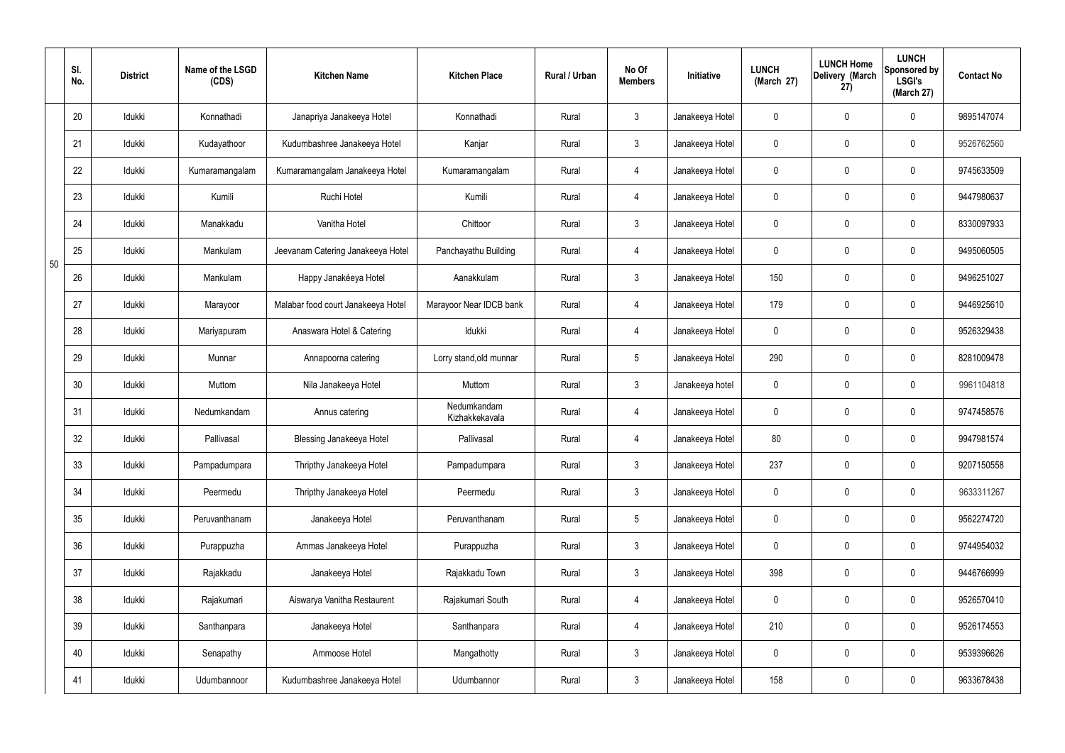|    | SI.<br>No. | <b>District</b> | Name of the LSGD<br>(CDS) | <b>Kitchen Name</b>                | <b>Kitchen Place</b>          | Rural / Urban | No Of<br><b>Members</b> | Initiative      | <b>LUNCH</b><br>(March 27) | <b>LUNCH Home</b><br>Delivery (March<br>27) | <b>LUNCH</b><br>Sponsored by<br><b>LSGI's</b><br>(March 27) | <b>Contact No</b> |
|----|------------|-----------------|---------------------------|------------------------------------|-------------------------------|---------------|-------------------------|-----------------|----------------------------|---------------------------------------------|-------------------------------------------------------------|-------------------|
|    | 20         | Idukki          | Konnathadi                | Janapriya Janakeeya Hotel          | Konnathadi                    | Rural         | $\mathbf{3}$            | Janakeeya Hotel | 0                          | 0                                           | $\mathbf 0$                                                 | 9895147074        |
|    | 21         | Idukki          | Kudayathoor               | Kudumbashree Janakeeya Hotel       | Kanjar                        | Rural         | $3\phantom{.0}$         | Janakeeya Hotel | $\mathbf 0$                | 0                                           | $\mathbf 0$                                                 | 9526762560        |
|    | 22         | Idukki          | Kumaramangalam            | Kumaramangalam Janakeeya Hotel     | Kumaramangalam                | Rural         | $\overline{4}$          | Janakeeya Hotel | 0                          | 0                                           | $\mathbf 0$                                                 | 9745633509        |
|    | 23         | Idukki          | Kumili                    | Ruchi Hotel                        | Kumili                        | Rural         | $\overline{4}$          | Janakeeya Hotel | $\mathbf 0$                | 0                                           | $\mathbf 0$                                                 | 9447980637        |
|    | 24         | Idukki          | Manakkadu                 | Vanitha Hotel                      | Chittoor                      | Rural         | $3\phantom{.0}$         | Janakeeya Hotel | 0                          | 0                                           | $\mathbf 0$                                                 | 8330097933        |
| 50 | 25         | Idukki          | Mankulam                  | Jeevanam Catering Janakeeya Hotel  | Panchayathu Building          | Rural         | $\overline{4}$          | Janakeeya Hotel | $\mathbf 0$                | 0                                           | $\pmb{0}$                                                   | 9495060505        |
|    | 26         | Idukki          | Mankulam                  | Happy Janakéeya Hotel              | Aanakkulam                    | Rural         | $3\phantom{.0}$         | Janakeeya Hotel | 150                        | 0                                           | $\mathbf 0$                                                 | 9496251027        |
|    | 27         | Idukki          | Marayoor                  | Malabar food court Janakeeya Hotel | Marayoor Near IDCB bank       | Rural         | $\overline{4}$          | Janakeeya Hotel | 179                        | 0                                           | $\pmb{0}$                                                   | 9446925610        |
|    | 28         | Idukki          | Mariyapuram               | Anaswara Hotel & Catering          | Idukki                        | Rural         | $\overline{4}$          | Janakeeya Hotel | $\mathbf 0$                | 0                                           | $\mathbf 0$                                                 | 9526329438        |
|    | 29         | Idukki          | Munnar                    | Annapoorna catering                | Lorry stand, old munnar       | Rural         | $5\phantom{.0}$         | Janakeeya Hotel | 290                        | 0                                           | $\mathbf 0$                                                 | 8281009478        |
|    | 30         | Idukki          | Muttom                    | Nila Janakeeya Hotel               | Muttom                        | Rural         | $3\phantom{.0}$         | Janakeeya hotel | $\mathbf 0$                | 0                                           | $\mathbf 0$                                                 | 9961104818        |
|    | 31         | Idukki          | Nedumkandam               | Annus catering                     | Nedumkandam<br>Kizhakkekavala | Rural         | 4                       | Janakeeya Hotel | $\mathbf 0$                | 0                                           | $\pmb{0}$                                                   | 9747458576        |
|    | 32         | Idukki          | Pallivasal                | Blessing Janakeeya Hotel           | Pallivasal                    | Rural         | $\overline{4}$          | Janakeeya Hotel | 80                         | 0                                           | $\mathbf 0$                                                 | 9947981574        |
|    | 33         | Idukki          | Pampadumpara              | Thripthy Janakeeya Hotel           | Pampadumpara                  | Rural         | $\mathbf{3}$            | Janakeeya Hotel | 237                        | 0                                           | $\mathbf 0$                                                 | 9207150558        |
|    | 34         | Idukki          | Peermedu                  | Thripthy Janakeeya Hotel           | Peermedu                      | Rural         | $\mathbf{3}$            | Janakeeya Hotel | $\pmb{0}$                  | 0                                           | $\pmb{0}$                                                   | 9633311267        |
|    | 35         | Idukki          | Peruvanthanam             | Janakeeya Hotel                    | Peruvanthanam                 | Rural         | $5\phantom{.0}$         | Janakeeya Hotel | 0                          | $\mathbf 0$                                 | $\mathbf 0$                                                 | 9562274720        |
|    | 36         | Idukki          | Purappuzha                | Ammas Janakeeya Hotel              | Purappuzha                    | Rural         | $\mathbf{3}$            | Janakeeya Hotel | $\pmb{0}$                  | 0                                           | $\pmb{0}$                                                   | 9744954032        |
|    | 37         | Idukki          | Rajakkadu                 | Janakeeya Hotel                    | Rajakkadu Town                | Rural         | $3\phantom{.0}$         | Janakeeya Hotel | 398                        | 0                                           | $\mathbf 0$                                                 | 9446766999        |
|    | 38         | Idukki          | Rajakumari                | Aiswarya Vanitha Restaurent        | Rajakumari South              | Rural         | $\overline{4}$          | Janakeeya Hotel | $\pmb{0}$                  | 0                                           | $\pmb{0}$                                                   | 9526570410        |
|    | 39         | Idukki          | Santhanpara               | Janakeeya Hotel                    | Santhanpara                   | Rural         | $\overline{4}$          | Janakeeya Hotel | 210                        | 0                                           | $\mathbf 0$                                                 | 9526174553        |
|    | 40         | Idukki          | Senapathy                 | Ammoose Hotel                      | Mangathotty                   | Rural         | $\mathbf{3}$            | Janakeeya Hotel | $\pmb{0}$                  | 0                                           | $\mathbf 0$                                                 | 9539396626        |
|    | 41         | Idukki          | Udumbannoor               | Kudumbashree Janakeeya Hotel       | Udumbannor                    | Rural         | $\mathfrak{Z}$          | Janakeeya Hotel | 158                        | 0                                           | $\pmb{0}$                                                   | 9633678438        |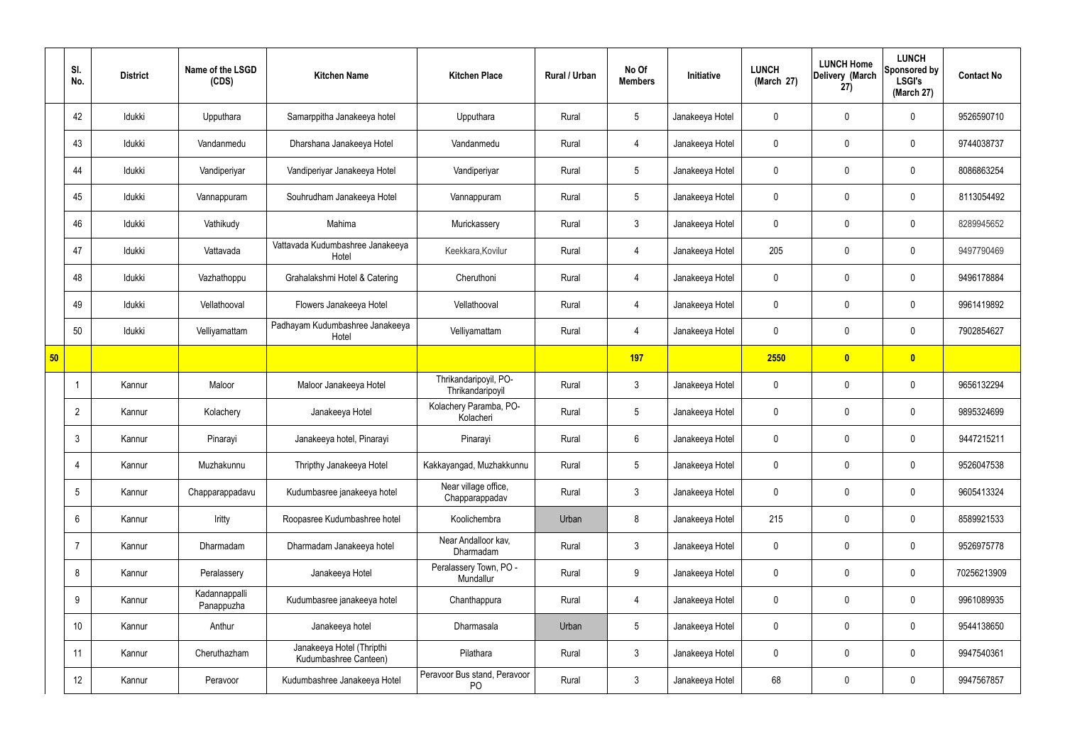|    | SI.<br>No.      | <b>District</b> | Name of the LSGD<br>(CDS)   | <b>Kitchen Name</b>                                | <b>Kitchen Place</b>                      | Rural / Urban | No Of<br><b>Members</b> | Initiative      | <b>LUNCH</b><br>(March 27) | <b>LUNCH Home</b><br>Delivery (March<br>27) | <b>LUNCH</b><br>Sponsored by<br><b>LSGI's</b><br>(March 27) | <b>Contact No</b> |
|----|-----------------|-----------------|-----------------------------|----------------------------------------------------|-------------------------------------------|---------------|-------------------------|-----------------|----------------------------|---------------------------------------------|-------------------------------------------------------------|-------------------|
|    | 42              | Idukki          | Upputhara                   | Samarppitha Janakeeya hotel                        | Upputhara                                 | Rural         | $5\phantom{.0}$         | Janakeeya Hotel | 0                          | 0                                           | $\mathbf 0$                                                 | 9526590710        |
|    | 43              | Idukki          | Vandanmedu                  | Dharshana Janakeeya Hotel                          | Vandanmedu                                | Rural         | 4                       | Janakeeya Hotel | $\mathbf 0$                | 0                                           | $\pmb{0}$                                                   | 9744038737        |
|    | 44              | Idukki          | Vandiperiyar                | Vandiperiyar Janakeeya Hotel                       | Vandiperiyar                              | Rural         | $5\phantom{.0}$         | Janakeeya Hotel | 0                          | $\mathbf 0$                                 | $\mathbf 0$                                                 | 8086863254        |
|    | 45              | Idukki          | Vannappuram                 | Souhrudham Janakeeya Hotel                         | Vannappuram                               | Rural         | $5\phantom{.0}$         | Janakeeya Hotel | $\mathbf 0$                | 0                                           | $\mathbf 0$                                                 | 8113054492        |
|    | 46              | Idukki          | Vathikudy                   | Mahima                                             | Murickassery                              | Rural         | $\mathbf{3}$            | Janakeeya Hotel | 0                          | $\mathbf 0$                                 | $\mathbf 0$                                                 | 8289945652        |
|    | 47              | Idukki          | Vattavada                   | Vattavada Kudumbashree Janakeeya<br>Hotel          | Keekkara, Kovilur                         | Rural         | 4                       | Janakeeya Hotel | 205                        | 0                                           | $\mathbf 0$                                                 | 9497790469        |
|    | 48              | Idukki          | Vazhathoppu                 | Grahalakshmi Hotel & Catering                      | Cheruthoni                                | Rural         | 4                       | Janakeeya Hotel | 0                          | 0                                           | $\mathbf 0$                                                 | 9496178884        |
|    | 49              | Idukki          | Vellathooval                | Flowers Janakeeya Hotel                            | Vellathooval                              | Rural         | 4                       | Janakeeya Hotel | 0                          | 0                                           | $\mathbf 0$                                                 | 9961419892        |
|    | 50              | Idukki          | Velliyamattam               | Padhayam Kudumbashree Janakeeya<br>Hotel           | Velliyamattam                             | Rural         | 4                       | Janakeeya Hotel | 0                          | 0                                           | $\mathbf 0$                                                 | 7902854627        |
| 50 |                 |                 |                             |                                                    |                                           |               | 197                     |                 | 2550                       | $\overline{\mathbf{0}}$                     | $\bullet$                                                   |                   |
|    | $\mathbf 1$     | Kannur          | Maloor                      | Maloor Janakeeya Hotel                             | Thrikandaripoyil, PO-<br>Thrikandaripoyil | Rural         | $\mathbf{3}$            | Janakeeya Hotel | 0                          | 0                                           | $\mathbf 0$                                                 | 9656132294        |
|    | $\overline{2}$  | Kannur          | Kolachery                   | Janakeeya Hotel                                    | Kolachery Paramba, PO-<br>Kolacheri       | Rural         | $5\phantom{.0}$         | Janakeeya Hotel | 0                          | 0                                           | $\mathbf 0$                                                 | 9895324699        |
|    | $\mathbf{3}$    | Kannur          | Pinarayi                    | Janakeeya hotel, Pinarayi                          | Pinarayi                                  | Rural         | 6                       | Janakeeya Hotel | 0                          | 0                                           | $\mathbf 0$                                                 | 9447215211        |
|    | $\overline{4}$  | Kannur          | Muzhakunnu                  | Thripthy Janakeeya Hotel                           | Kakkayangad, Muzhakkunnu                  | Rural         | $5\phantom{.0}$         | Janakeeya Hotel | 0                          | 0                                           | $\mathbf 0$                                                 | 9526047538        |
|    | $5\phantom{.0}$ | Kannur          | Chapparappadavu             | Kudumbasree janakeeya hotel                        | Near village office,<br>Chapparappadav    | Rural         | $\mathfrak{Z}$          | Janakeeya Hotel | 0                          | 0                                           | $\mathbf 0$                                                 | 9605413324        |
|    | $6\phantom{.}6$ | Kannur          | Iritty                      | Roopasree Kudumbashree hotel                       | Koolichembra                              | Urban         | 8                       | Janakeeya Hotel | 215                        | 0                                           | $\mathbf 0$                                                 | 8589921533        |
|    | $\overline{7}$  | Kannur          | Dharmadam                   | Dharmadam Janakeeya hotel                          | Near Andalloor kav,<br>Dharmadam          | Rural         | $\mathfrak{Z}$          | Janakeeya Hotel | $\mathbf 0$                | 0                                           | $\mathbf 0$                                                 | 9526975778        |
|    | 8               | Kannur          | Peralassery                 | Janakeeya Hotel                                    | Peralassery Town, PO -<br>Mundallur       | Rural         | 9                       | Janakeeya Hotel | 0                          | 0                                           | $\mathbf 0$                                                 | 70256213909       |
|    | 9               | Kannur          | Kadannappalli<br>Panappuzha | Kudumbasree janakeeya hotel                        | Chanthappura                              | Rural         | $\overline{4}$          | Janakeeya Hotel | 0                          | 0                                           | $\mathbf 0$                                                 | 9961089935        |
|    | 10              | Kannur          | Anthur                      | Janakeeya hotel                                    | Dharmasala                                | Urban         | $5\phantom{.0}$         | Janakeeya Hotel | 0                          | 0                                           | $\mathbf 0$                                                 | 9544138650        |
|    | 11              | Kannur          | Cheruthazham                | Janakeeya Hotel (Thripthi<br>Kudumbashree Canteen) | Pilathara                                 | Rural         | $\mathbf{3}$            | Janakeeya Hotel | $\mathbf 0$                | 0                                           | $\mathbf 0$                                                 | 9947540361        |
|    | 12              | Kannur          | Peravoor                    | Kudumbashree Janakeeya Hotel                       | Peravoor Bus stand, Peravoor<br>PO        | Rural         | $\mathbf{3}$            | Janakeeya Hotel | 68                         | 0                                           | $\pmb{0}$                                                   | 9947567857        |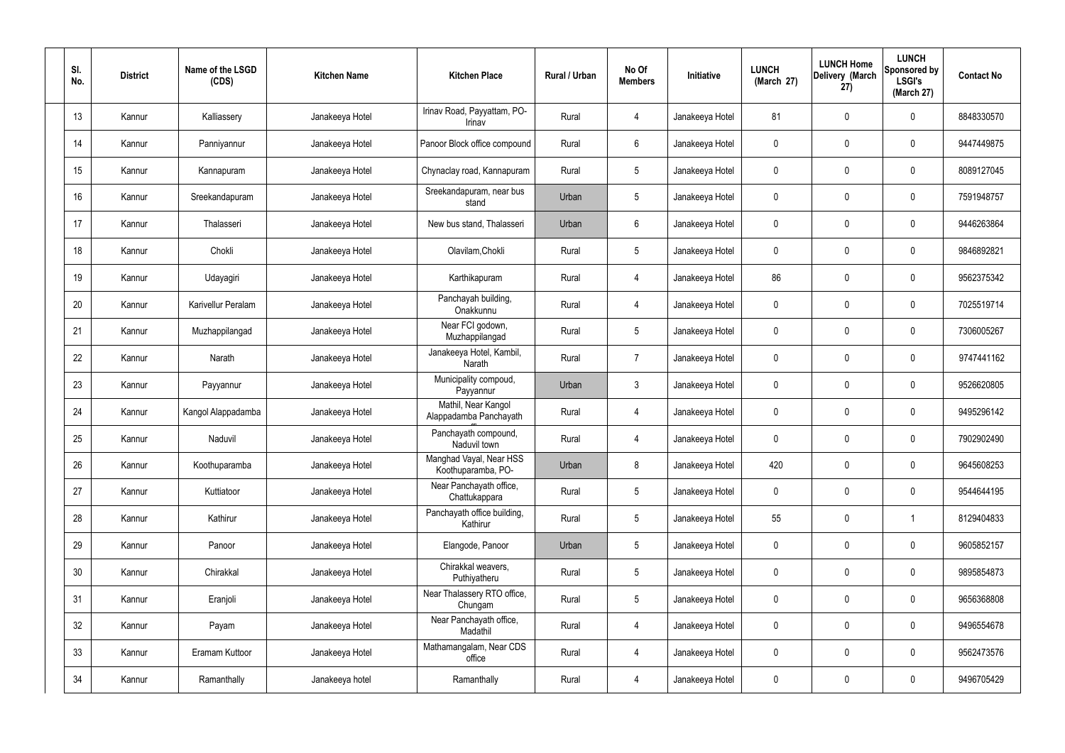| SI.<br>No. | <b>District</b> | Name of the LSGD<br>(CDS) | <b>Kitchen Name</b> | <b>Kitchen Place</b>                          | <b>Rural / Urban</b> | No Of<br><b>Members</b> | Initiative      | <b>LUNCH</b><br>(March 27) | <b>LUNCH Home</b><br>Delivery (March<br>27) | <b>LUNCH</b><br>Sponsored by<br><b>LSGI's</b><br>(March 27) | <b>Contact No</b> |
|------------|-----------------|---------------------------|---------------------|-----------------------------------------------|----------------------|-------------------------|-----------------|----------------------------|---------------------------------------------|-------------------------------------------------------------|-------------------|
| 13         | Kannur          | Kalliassery               | Janakeeya Hotel     | Irinav Road, Payyattam, PO-<br>Irinav         | Rural                | $\overline{4}$          | Janakeeya Hotel | 81                         | $\mathbf 0$                                 | $\mathbf 0$                                                 | 8848330570        |
| 14         | Kannur          | Panniyannur               | Janakeeya Hotel     | Panoor Block office compound                  | Rural                | 6                       | Janakeeya Hotel | 0                          | $\mathbf 0$                                 | $\mathbf 0$                                                 | 9447449875        |
| 15         | Kannur          | Kannapuram                | Janakeeya Hotel     | Chynaclay road, Kannapuram                    | Rural                | 5                       | Janakeeya Hotel | 0                          | $\mathbf 0$                                 | $\mathbf 0$                                                 | 8089127045        |
| 16         | Kannur          | Sreekandapuram            | Janakeeya Hotel     | Sreekandapuram, near bus<br>stand             | Urban                | 5                       | Janakeeya Hotel | 0                          | $\mathbf 0$                                 | $\mathbf 0$                                                 | 7591948757        |
| 17         | Kannur          | Thalasseri                | Janakeeya Hotel     | New bus stand, Thalasseri                     | Urban                | $6\overline{6}$         | Janakeeya Hotel | 0                          | 0                                           | $\mathbf 0$                                                 | 9446263864        |
| 18         | Kannur          | Chokli                    | Janakeeya Hotel     | Olavilam, Chokli                              | Rural                | 5                       | Janakeeya Hotel | 0                          | $\mathbf 0$                                 | $\pmb{0}$                                                   | 9846892821        |
| 19         | Kannur          | Udayagiri                 | Janakeeya Hotel     | Karthikapuram                                 | Rural                | $\overline{4}$          | Janakeeya Hotel | 86                         | $\mathbf 0$                                 | $\mathbf 0$                                                 | 9562375342        |
| 20         | Kannur          | Karivellur Peralam        | Janakeeya Hotel     | Panchayah building,<br>Onakkunnu              | Rural                | $\overline{4}$          | Janakeeya Hotel | 0                          | $\mathbf 0$                                 | $\mathbf 0$                                                 | 7025519714        |
| 21         | Kannur          | Muzhappilangad            | Janakeeya Hotel     | Near FCI godown,<br>Muzhappilangad            | Rural                | 5                       | Janakeeya Hotel | 0                          | 0                                           | $\mathbf 0$                                                 | 7306005267        |
| 22         | Kannur          | Narath                    | Janakeeya Hotel     | Janakeeya Hotel, Kambil,<br>Narath            | Rural                | $\overline{7}$          | Janakeeya Hotel | 0                          | 0                                           | $\mathbf 0$                                                 | 9747441162        |
| 23         | Kannur          | Payyannur                 | Janakeeya Hotel     | Municipality compoud,<br>Payyannur            | Urban                | $\mathfrak{Z}$          | Janakeeya Hotel | 0                          | 0                                           | $\mathbf 0$                                                 | 9526620805        |
| 24         | Kannur          | Kangol Alappadamba        | Janakeeya Hotel     | Mathil, Near Kangol<br>Alappadamba Panchayath | Rural                | 4                       | Janakeeya Hotel | 0                          | 0                                           | $\mathbf 0$                                                 | 9495296142        |
| 25         | Kannur          | Naduvil                   | Janakeeya Hotel     | Panchayath compound,<br>Naduvil town          | Rural                | $\overline{4}$          | Janakeeya Hotel | 0                          | $\mathbf 0$                                 | $\mathbf 0$                                                 | 7902902490        |
| 26         | Kannur          | Koothuparamba             | Janakeeya Hotel     | Manghad Vayal, Near HSS<br>Koothuparamba, PO- | Urban                | 8                       | Janakeeya Hotel | 420                        | $\mathbf 0$                                 | $\mathbf 0$                                                 | 9645608253        |
| 27         | Kannur          | Kuttiatoor                | Janakeeya Hotel     | Near Panchayath office,<br>Chattukappara      | Rural                | 5                       | Janakeeya Hotel | $\mathbf 0$                | $\mathbf 0$                                 | $\mathbf 0$                                                 | 9544644195        |
| 28         | Kannur          | Kathirur                  | Janakeeya Hotel     | Panchayath office building,<br>Kathirur       | Rural                | 5                       | Janakeeya Hotel | 55                         | $\pmb{0}$                                   | -1                                                          | 8129404833        |
| 29         | Kannur          | Panoor                    | Janakeeya Hotel     | Elangode, Panoor                              | Urban                | 5                       | Janakeeya Hotel | $\mathbf 0$                | $\mathbf 0$                                 | $\pmb{0}$                                                   | 9605852157        |
| 30         | Kannur          | Chirakkal                 | Janakeeya Hotel     | Chirakkal weavers,<br>Puthiyatheru            | Rural                | 5                       | Janakeeya Hotel | 0                          | $\mathbf 0$                                 | $\mathbf 0$                                                 | 9895854873        |
| 31         | Kannur          | Eranjoli                  | Janakeeya Hotel     | Near Thalassery RTO office,<br>Chungam        | Rural                | 5                       | Janakeeya Hotel | $\mathbf 0$                | $\mathbf 0$                                 | $\pmb{0}$                                                   | 9656368808        |
| 32         | Kannur          | Payam                     | Janakeeya Hotel     | Near Panchayath office,<br>Madathil           | Rural                | $\overline{4}$          | Janakeeya Hotel | 0                          | $\pmb{0}$                                   | $\pmb{0}$                                                   | 9496554678        |
| 33         | Kannur          | Eramam Kuttoor            | Janakeeya Hotel     | Mathamangalam, Near CDS<br>office             | Rural                | $\overline{4}$          | Janakeeya Hotel | 0                          | $\overline{0}$                              | $\mathbf 0$                                                 | 9562473576        |
| 34         | Kannur          | Ramanthally               | Janakeeya hotel     | Ramanthally                                   | Rural                | $\overline{4}$          | Janakeeya Hotel | 0                          | $\boldsymbol{0}$                            | $\mathsf{0}$                                                | 9496705429        |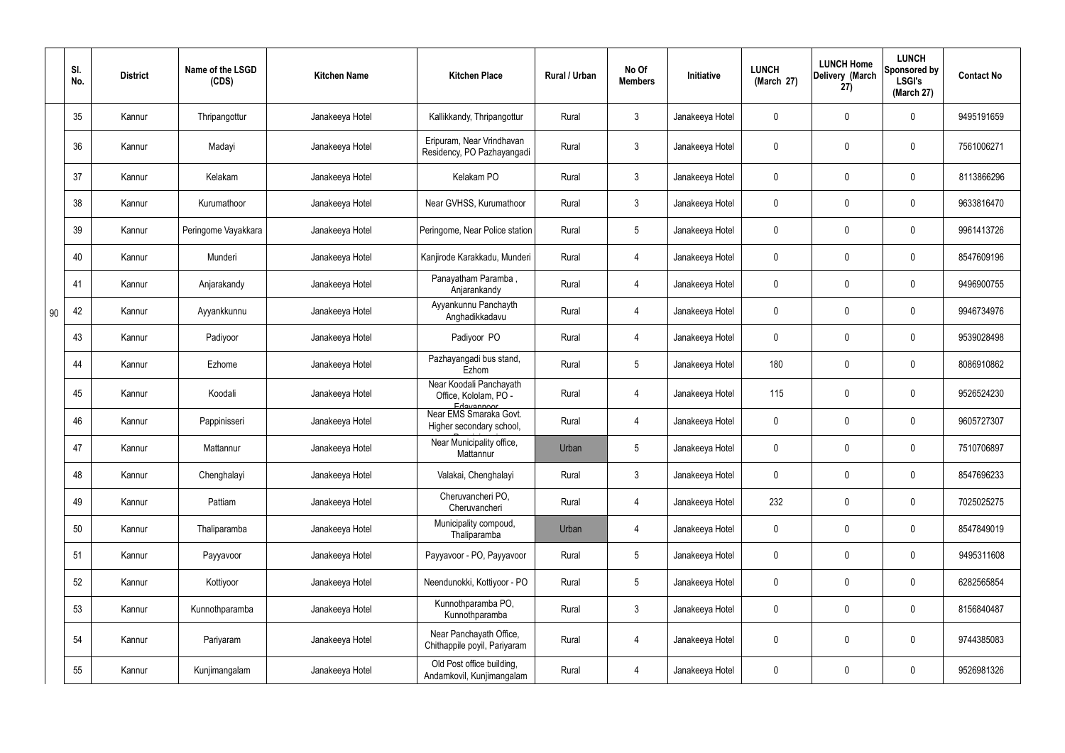|    | SI.<br>No. | <b>District</b> | Name of the LSGD<br>(CDS) | <b>Kitchen Name</b> | <b>Kitchen Place</b>                                           | Rural / Urban | No Of<br><b>Members</b> | Initiative      | <b>LUNCH</b><br>(March 27) | <b>LUNCH Home</b><br>Delivery (March<br>27) | <b>LUNCH</b><br>Sponsored by<br><b>LSGI's</b><br>(March 27) | <b>Contact No</b> |
|----|------------|-----------------|---------------------------|---------------------|----------------------------------------------------------------|---------------|-------------------------|-----------------|----------------------------|---------------------------------------------|-------------------------------------------------------------|-------------------|
|    | 35         | Kannur          | Thripangottur             | Janakeeya Hotel     | Kallikkandy, Thripangottur                                     | Rural         | $\mathbf{3}$            | Janakeeya Hotel | 0                          | $\mathbf 0$                                 | $\mathbf 0$                                                 | 9495191659        |
|    | 36         | Kannur          | Madayi                    | Janakeeya Hotel     | Eripuram, Near Vrindhavan<br>Residency, PO Pazhayangadi        | Rural         | $\mathbf{3}$            | Janakeeya Hotel | $\mathbf{0}$               | 0                                           | $\mathbf 0$                                                 | 7561006271        |
|    | 37         | Kannur          | Kelakam                   | Janakeeya Hotel     | Kelakam PO                                                     | Rural         | $\mathbf{3}$            | Janakeeya Hotel | 0                          | $\mathbf 0$                                 | $\mathbf 0$                                                 | 8113866296        |
|    | 38         | Kannur          | Kurumathoor               | Janakeeya Hotel     | Near GVHSS, Kurumathoor                                        | Rural         | $\mathbf{3}$            | Janakeeya Hotel | 0                          | $\mathbf 0$                                 | $\mathbf 0$                                                 | 9633816470        |
|    | 39         | Kannur          | Peringome Vayakkara       | Janakeeya Hotel     | Peringome, Near Police station                                 | Rural         | $5\phantom{.0}$         | Janakeeya Hotel | 0                          | $\mathbf 0$                                 | $\overline{0}$                                              | 9961413726        |
|    | 40         | Kannur          | Munderi                   | Janakeeya Hotel     | Kanjirode Karakkadu, Munderi                                   | Rural         | 4                       | Janakeeya Hotel | 0                          | 0                                           | $\mathbf 0$                                                 | 8547609196        |
|    | 41         | Kannur          | Anjarakandy               | Janakeeya Hotel     | Panayatham Paramba,<br>Anjarankandy                            | Rural         | 4                       | Janakeeya Hotel | 0                          | 0                                           | $\overline{0}$                                              | 9496900755        |
| 90 | 42         | Kannur          | Ayyankkunnu               | Janakeeya Hotel     | Ayyankunnu Panchayth<br>Anghadikkadavu                         | Rural         | 4                       | Janakeeya Hotel | 0                          | 0                                           | $\mathbf 0$                                                 | 9946734976        |
|    | 43         | Kannur          | Padiyoor                  | Janakeeya Hotel     | Padiyoor PO                                                    | Rural         | 4                       | Janakeeya Hotel | 0                          | 0                                           | $\mathbf 0$                                                 | 9539028498        |
|    | 44         | Kannur          | Ezhome                    | Janakeeya Hotel     | Pazhayangadi bus stand,<br>Ezhom                               | Rural         | $5\phantom{.0}$         | Janakeeya Hotel | 180                        | 0                                           | $\mathbf 0$                                                 | 8086910862        |
|    | 45         | Kannur          | Koodali                   | Janakeeya Hotel     | Near Koodali Panchayath<br>Office, Kololam, PO -<br>Edayannoor | Rural         | 4                       | Janakeeya Hotel | 115                        | $\mathbf 0$                                 | $\mathbf 0$                                                 | 9526524230        |
|    | 46         | Kannur          | Pappinisseri              | Janakeeya Hotel     | Near EMS Smaraka Govt.<br>Higher secondary school,             | Rural         | 4                       | Janakeeya Hotel | 0                          | 0                                           | $\mathbf 0$                                                 | 9605727307        |
|    | 47         | Kannur          | Mattannur                 | Janakeeya Hotel     | Near Municipality office,<br>Mattannur                         | Urban         | 5                       | Janakeeya Hotel | $\overline{0}$             | $\mathbf 0$                                 | 0                                                           | 7510706897        |
|    | 48         | Kannur          | Chenghalayi               | Janakeeya Hotel     | Valakai, Chenghalayi                                           | Rural         | $\mathfrak{Z}$          | Janakeeya Hotel | $\pmb{0}$                  | 0                                           | $\mathbf 0$                                                 | 8547696233        |
|    | 49         | Kannur          | Pattiam                   | Janakeeya Hotel     | Cheruvancheri PO,<br>Cheruvancheri                             | Rural         | $\overline{4}$          | Janakeeya Hotel | 232                        | 0                                           | $\mathbf 0$                                                 | 7025025275        |
|    | 50         | Kannur          | Thaliparamba              | Janakeeya Hotel     | Municipality compoud,<br>Thaliparamba                          | Urban         | $\overline{4}$          | Janakeeya Hotel | 0                          | 0                                           | $\mathbf 0$                                                 | 8547849019        |
|    | 51         | Kannur          | Payyavoor                 | Janakeeya Hotel     | Payyavoor - PO, Payyavoor                                      | Rural         | $5\phantom{.0}$         | Janakeeya Hotel | 0                          | 0                                           | $\mathbf 0$                                                 | 9495311608        |
|    | 52         | Kannur          | Kottiyoor                 | Janakeeya Hotel     | Neendunokki, Kottiyoor - PO                                    | Rural         | $5\phantom{.0}$         | Janakeeya Hotel | 0                          | 0                                           | $\mathbf 0$                                                 | 6282565854        |
|    | 53         | Kannur          | Kunnothparamba            | Janakeeya Hotel     | Kunnothparamba PO,<br>Kunnothparamba                           | Rural         | $\mathfrak{Z}$          | Janakeeya Hotel | 0                          | 0                                           | $\mathbf 0$                                                 | 8156840487        |
|    | 54         | Kannur          | Pariyaram                 | Janakeeya Hotel     | Near Panchayath Office,<br>Chithappile poyil, Pariyaram        | Rural         | $\overline{4}$          | Janakeeya Hotel | 0                          | 0                                           | $\pmb{0}$                                                   | 9744385083        |
|    | 55         | Kannur          | Kunjimangalam             | Janakeeya Hotel     | Old Post office building,<br>Andamkovil, Kunjimangalam         | Rural         | 4                       | Janakeeya Hotel | 0                          | $\pmb{0}$                                   | $\boldsymbol{0}$                                            | 9526981326        |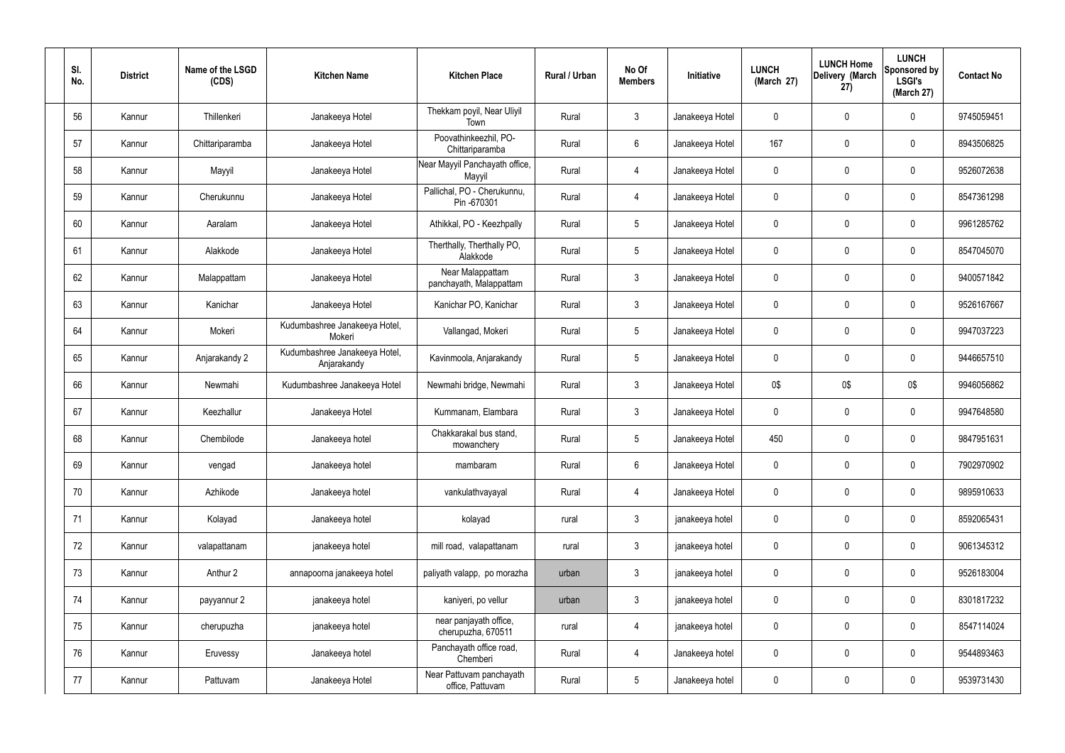| SI.<br>No. | <b>District</b> | Name of the LSGD<br>(CDS) | <b>Kitchen Name</b>                          | <b>Kitchen Place</b>                         | Rural / Urban | No Of<br><b>Members</b> | Initiative      | <b>LUNCH</b><br>(March 27) | <b>LUNCH Home</b><br>Delivery (March<br>27) | <b>LUNCH</b><br>Sponsored by<br><b>LSGI's</b><br>(March 27) | <b>Contact No</b> |
|------------|-----------------|---------------------------|----------------------------------------------|----------------------------------------------|---------------|-------------------------|-----------------|----------------------------|---------------------------------------------|-------------------------------------------------------------|-------------------|
| 56         | Kannur          | Thillenkeri               | Janakeeya Hotel                              | Thekkam poyil, Near Uliyil<br>Town           | Rural         | $\mathbf{3}$            | Janakeeya Hotel | $\mathbf 0$                | $\mathbf 0$                                 | $\mathbf 0$                                                 | 9745059451        |
| 57         | Kannur          | Chittariparamba           | Janakeeya Hotel                              | Poovathinkeezhil, PO-<br>Chittariparamba     | Rural         | $6\overline{6}$         | Janakeeya Hotel | 167                        | $\mathbf 0$                                 | $\mathbf 0$                                                 | 8943506825        |
| 58         | Kannur          | Mayyil                    | Janakeeya Hotel                              | Near Mayyil Panchayath office,<br>Mayyil     | Rural         | 4                       | Janakeeya Hotel | $\mathbf 0$                | $\mathbf 0$                                 | $\mathbf 0$                                                 | 9526072638        |
| 59         | Kannur          | Cherukunnu                | Janakeeya Hotel                              | Pallichal, PO - Cherukunnu,<br>Pin -670301   | Rural         | 4                       | Janakeeya Hotel | $\mathbf 0$                | $\mathbf 0$                                 | $\mathbf 0$                                                 | 8547361298        |
| 60         | Kannur          | Aaralam                   | Janakeeya Hotel                              | Athikkal, PO - Keezhpally                    | Rural         | $5\overline{)}$         | Janakeeya Hotel | $\mathbf 0$                | $\mathbf 0$                                 | $\mathbf 0$                                                 | 9961285762        |
| 61         | Kannur          | Alakkode                  | Janakeeya Hotel                              | Therthally, Therthally PO,<br>Alakkode       | Rural         | $5\phantom{.0}$         | Janakeeya Hotel | $\mathbf 0$                | $\mathbf 0$                                 | $\mathbf 0$                                                 | 8547045070        |
| 62         | Kannur          | Malappattam               | Janakeeya Hotel                              | Near Malappattam<br>panchayath, Malappattam  | Rural         | $\mathbf{3}$            | Janakeeya Hotel | $\mathbf 0$                | $\mathbf 0$                                 | $\mathbf 0$                                                 | 9400571842        |
| 63         | Kannur          | Kanichar                  | Janakeeya Hotel                              | Kanichar PO, Kanichar                        | Rural         | $\mathbf{3}$            | Janakeeya Hotel | $\mathbf 0$                | $\mathbf 0$                                 | $\mathbf 0$                                                 | 9526167667        |
| 64         | Kannur          | Mokeri                    | Kudumbashree Janakeeya Hotel,<br>Mokeri      | Vallangad, Mokeri                            | Rural         | $5\overline{)}$         | Janakeeya Hotel | $\mathbf 0$                | $\mathbf 0$                                 | $\mathbf 0$                                                 | 9947037223        |
| 65         | Kannur          | Anjarakandy 2             | Kudumbashree Janakeeya Hotel,<br>Anjarakandy | Kavinmoola, Anjarakandy                      | Rural         | $5\overline{)}$         | Janakeeya Hotel | $\mathbf 0$                | $\mathbf 0$                                 | $\mathbf 0$                                                 | 9446657510        |
| 66         | Kannur          | Newmahi                   | Kudumbashree Janakeeya Hotel                 | Newmahi bridge, Newmahi                      | Rural         | $\mathbf{3}$            | Janakeeya Hotel | 0\$                        | 0\$                                         | 0\$                                                         | 9946056862        |
| 67         | Kannur          | Keezhallur                | Janakeeya Hotel                              | Kummanam, Elambara                           | Rural         | $\mathbf{3}$            | Janakeeya Hotel | $\mathbf 0$                | $\mathbf 0$                                 | $\mathbf 0$                                                 | 9947648580        |
| 68         | Kannur          | Chembilode                | Janakeeya hotel                              | Chakkarakal bus stand,<br>mowanchery         | Rural         | $5\overline{)}$         | Janakeeya Hotel | 450                        | $\mathbf 0$                                 | $\mathbf 0$                                                 | 9847951631        |
| 69         | Kannur          | vengad                    | Janakeeya hotel                              | mambaram                                     | Rural         | $6\overline{6}$         | Janakeeya Hotel | $\mathbf 0$                | $\pmb{0}$                                   | $\mathbf 0$                                                 | 7902970902        |
| 70         | Kannur          | Azhikode                  | Janakeeya hotel                              | vankulathvayayal                             | Rural         | $\overline{4}$          | Janakeeya Hotel | $\mathbf 0$                | $\pmb{0}$                                   | $\mathbf 0$                                                 | 9895910633        |
| 71         | Kannur          | Kolayad                   | Janakeeya hotel                              | kolayad                                      | rural         | $3\phantom{a}$          | janakeeya hotel | $\mathbf 0$                | $\mathbf 0$                                 | $\mathbf 0$                                                 | 8592065431        |
| 72         | Kannur          | valapattanam              | janakeeya hotel                              | mill road, valapattanam                      | rural         | $\mathbf{3}$            | janakeeya hotel | $\mathbf 0$                | $\pmb{0}$                                   | $\mathbf 0$                                                 | 9061345312        |
| 73         | Kannur          | Anthur 2                  | annapoorna janakeeya hotel                   | paliyath valapp, po morazha                  | urban         | $\mathbf{3}$            | janakeeya hotel | $\mathbf 0$                | 0                                           | $\mathbf 0$                                                 | 9526183004        |
| 74         | Kannur          | payyannur 2               | janakeeya hotel                              | kaniyeri, po vellur                          | urban         | $\mathbf{3}$            | janakeeya hotel | $\mathbf 0$                | $\pmb{0}$                                   | $\mathbf 0$                                                 | 8301817232        |
| 75         | Kannur          | cherupuzha                | janakeeya hotel                              | near panjayath office,<br>cherupuzha, 670511 | rural         | $\overline{4}$          | janakeeya hotel | $\mathbf 0$                | 0                                           | $\mathbf 0$                                                 | 8547114024        |
| 76         | Kannur          | Eruvessy                  | Janakeeya hotel                              | Panchayath office road,<br>Chemberi          | Rural         | $\overline{4}$          | Janakeeya hotel | $\mathbf 0$                | 0                                           | $\mathbf 0$                                                 | 9544893463        |
| 77         | Kannur          | Pattuvam                  | Janakeeya Hotel                              | Near Pattuvam panchayath<br>office, Pattuvam | Rural         | $5\phantom{.0}$         | Janakeeya hotel | $\pmb{0}$                  | 0                                           | $\boldsymbol{0}$                                            | 9539731430        |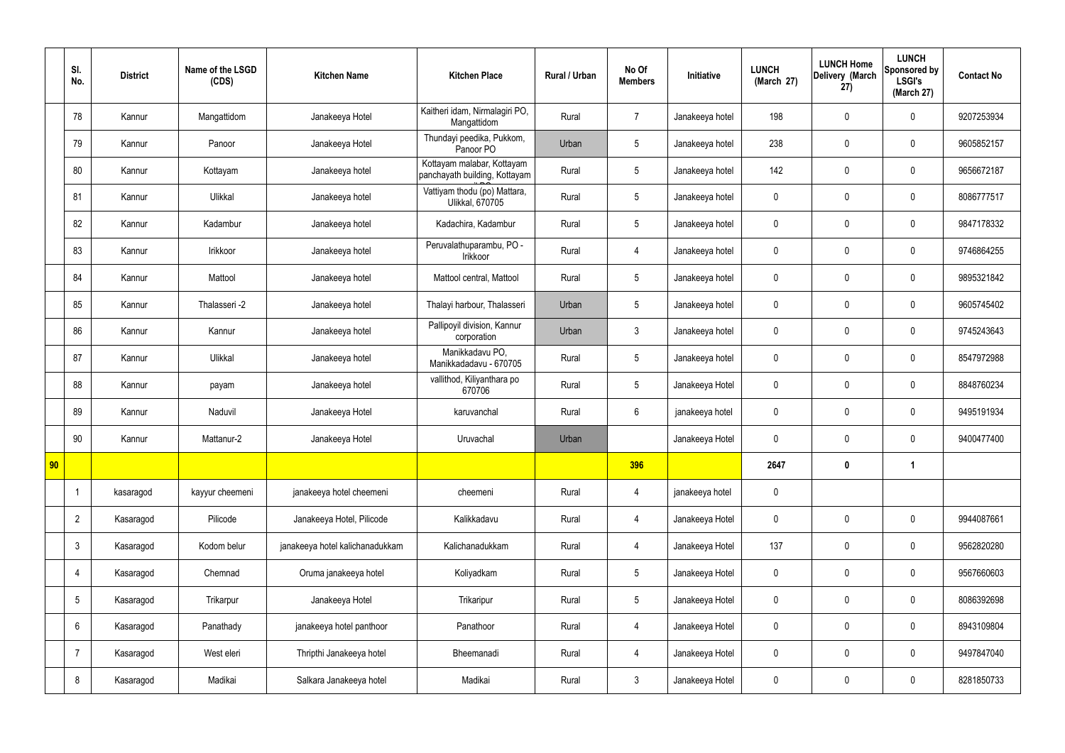|                 | SI.<br>No.     | <b>District</b> | Name of the LSGD<br>(CDS) | <b>Kitchen Name</b>             | <b>Kitchen Place</b>                                        | Rural / Urban | No Of<br><b>Members</b> | Initiative      | <b>LUNCH</b><br>(March 27) | <b>LUNCH Home</b><br>Delivery (March<br>27) | <b>LUNCH</b><br>Sponsored by<br><b>LSGI's</b><br>(March 27) | <b>Contact No</b> |
|-----------------|----------------|-----------------|---------------------------|---------------------------------|-------------------------------------------------------------|---------------|-------------------------|-----------------|----------------------------|---------------------------------------------|-------------------------------------------------------------|-------------------|
|                 | 78             | Kannur          | Mangattidom               | Janakeeya Hotel                 | Kaitheri idam, Nirmalagiri PO,<br>Mangattidom               | Rural         | $\overline{7}$          | Janakeeya hotel | 198                        | $\mathbf 0$                                 | $\mathbf 0$                                                 | 9207253934        |
|                 | 79             | Kannur          | Panoor                    | Janakeeya Hotel                 | Thundayi peedika, Pukkom,<br>Panoor PO                      | Urban         | $5\overline{)}$         | Janakeeya hotel | 238                        | $\mathbf 0$                                 | $\mathbf 0$                                                 | 9605852157        |
|                 | 80             | Kannur          | Kottayam                  | Janakeeya hotel                 | Kottayam malabar, Kottayam<br>panchayath building, Kottayam | Rural         | $5\overline{)}$         | Janakeeya hotel | 142                        | $\mathbf 0$                                 | $\mathbf 0$                                                 | 9656672187        |
|                 | 81             | Kannur          | Ulikkal                   | Janakeeya hotel                 | Vattiyam thodu (po) Mattara,<br>Ulikkal, 670705             | Rural         | $5\overline{)}$         | Janakeeya hotel | $\mathbf 0$                | $\mathbf 0$                                 | $\mathbf 0$                                                 | 8086777517        |
|                 | 82             | Kannur          | Kadambur                  | Janakeeya hotel                 | Kadachira, Kadambur                                         | Rural         | $5\overline{)}$         | Janakeeya hotel | $\mathbf 0$                | $\mathbf 0$                                 | $\mathbf 0$                                                 | 9847178332        |
|                 | 83             | Kannur          | Irikkoor                  | Janakeeya hotel                 | Peruvalathuparambu, PO -<br>Irikkoor                        | Rural         | 4                       | Janakeeya hotel | $\mathbf 0$                | $\mathbf 0$                                 | $\mathbf 0$                                                 | 9746864255        |
|                 | 84             | Kannur          | Mattool                   | Janakeeya hotel                 | Mattool central, Mattool                                    | Rural         | 5 <sub>5</sub>          | Janakeeya hotel | $\mathbf 0$                | $\mathbf 0$                                 | $\mathbf 0$                                                 | 9895321842        |
|                 | 85             | Kannur          | Thalasseri -2             | Janakeeya hotel                 | Thalayi harbour, Thalasseri                                 | Urban         | $5\overline{)}$         | Janakeeya hotel | $\mathbf 0$                | $\mathbf 0$                                 | $\mathbf 0$                                                 | 9605745402        |
|                 | 86             | Kannur          | Kannur                    | Janakeeya hotel                 | Pallipoyil division, Kannur<br>corporation                  | Urban         | $\mathbf{3}$            | Janakeeya hotel | $\mathbf 0$                | $\mathbf 0$                                 | $\mathbf 0$                                                 | 9745243643        |
|                 | 87             | Kannur          | Ulikkal                   | Janakeeya hotel                 | Manikkadavu PO,<br>Manikkadadavu - 670705                   | Rural         | $5\phantom{.0}$         | Janakeeya hotel | $\mathbf 0$                | $\mathbf 0$                                 | $\mathbf 0$                                                 | 8547972988        |
|                 | 88             | Kannur          | payam                     | Janakeeya hotel                 | vallithod, Kiliyanthara po<br>670706                        | Rural         | $5\phantom{.0}$         | Janakeeya Hotel | $\mathbf 0$                | $\mathbf 0$                                 | $\mathbf 0$                                                 | 8848760234        |
|                 | 89             | Kannur          | Naduvil                   | Janakeeya Hotel                 | karuvanchal                                                 | Rural         | $6\phantom{.}6$         | janakeeya hotel | $\mathbf 0$                | $\mathbf 0$                                 | $\mathbf 0$                                                 | 9495191934        |
|                 | 90             | Kannur          | Mattanur-2                | Janakeeya Hotel                 | Uruvachal                                                   | Urban         |                         | Janakeeya Hotel | $\mathbf 0$                | $\mathbf 0$                                 | $\mathbf 0$                                                 | 9400477400        |
| 90 <sub>o</sub> |                |                 |                           |                                 |                                                             |               | 396                     |                 | 2647                       | $\bm{0}$                                    | $\overline{\phantom{a}}$                                    |                   |
|                 | -1             | kasaragod       | kayyur cheemeni           | janakeeya hotel cheemeni        | cheemeni                                                    | Rural         | $\overline{4}$          | janakeeya hotel | $\mathbf 0$                |                                             |                                                             |                   |
|                 | $\overline{2}$ | Kasaragod       | Pilicode                  | Janakeeya Hotel, Pilicode       | Kalikkadavu                                                 | Rural         | $\overline{4}$          | Janakeeya Hotel | $\pmb{0}$                  | $\pmb{0}$                                   | $\mathbf 0$                                                 | 9944087661        |
|                 | 3              | Kasaragod       | Kodom belur               | janakeeya hotel kalichanadukkam | Kalichanadukkam                                             | Rural         | $\overline{4}$          | Janakeeya Hotel | 137                        | $\pmb{0}$                                   | $\mathbf 0$                                                 | 9562820280        |
|                 | 4              | Kasaragod       | Chemnad                   | Oruma janakeeya hotel           | Koliyadkam                                                  | Rural         | 5 <sub>5</sub>          | Janakeeya Hotel | $\mathbf 0$                | $\pmb{0}$                                   | $\mathbf 0$                                                 | 9567660603        |
|                 | 5              | Kasaragod       | Trikarpur                 | Janakeeya Hotel                 | Trikaripur                                                  | Rural         | 5 <sub>5</sub>          | Janakeeya Hotel | $\mathbf 0$                | $\mathbf 0$                                 | $\mathbf 0$                                                 | 8086392698        |
|                 | 6              | Kasaragod       | Panathady                 | janakeeya hotel panthoor        | Panathoor                                                   | Rural         | $\overline{4}$          | Janakeeya Hotel | $\mathbf 0$                | $\mathbf 0$                                 | $\mathbf 0$                                                 | 8943109804        |
|                 | $\overline{7}$ | Kasaragod       | West eleri                | Thripthi Janakeeya hotel        | Bheemanadi                                                  | Rural         | $\overline{4}$          | Janakeeya Hotel | $\mathbf 0$                | $\pmb{0}$                                   | $\mathbf 0$                                                 | 9497847040        |
|                 | 8              | Kasaragod       | Madikai                   | Salkara Janakeeya hotel         | Madikai                                                     | Rural         | 3 <sup>5</sup>          | Janakeeya Hotel | $\pmb{0}$                  | $\pmb{0}$                                   | $\boldsymbol{0}$                                            | 8281850733        |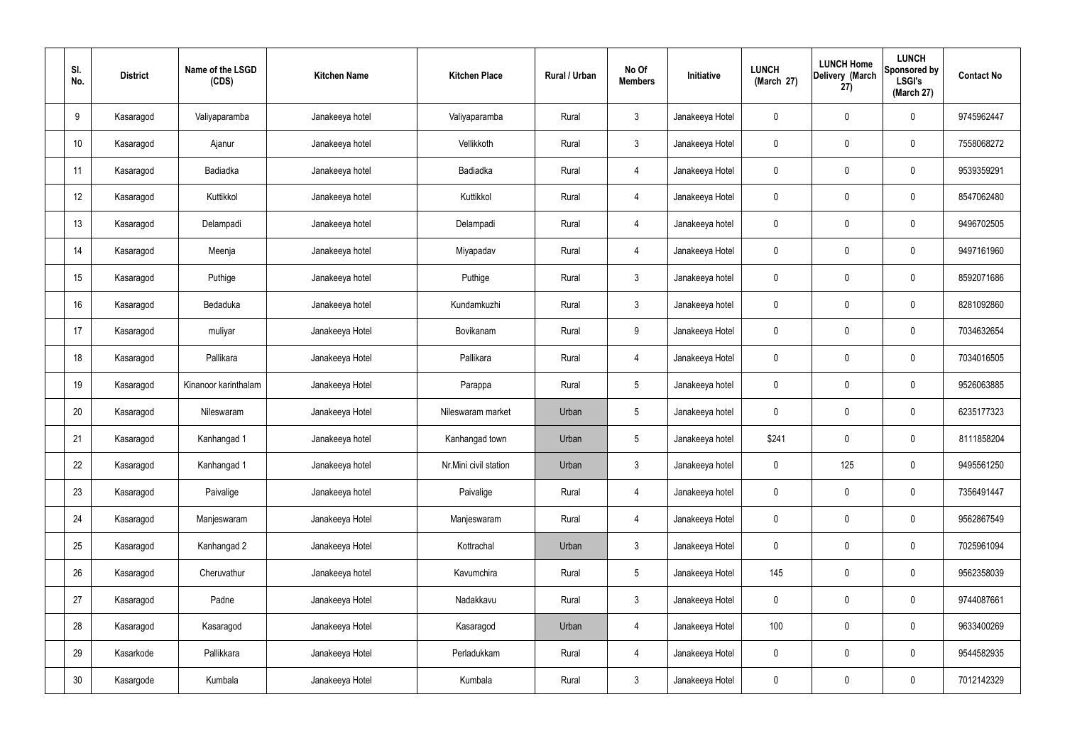| SI.<br>No. | <b>District</b> | Name of the LSGD<br>(CDS) | <b>Kitchen Name</b> | <b>Kitchen Place</b>  | <b>Rural / Urban</b> | No Of<br><b>Members</b> | Initiative      | <b>LUNCH</b><br>(March 27) | <b>LUNCH Home</b><br>Delivery (March<br>27) | <b>LUNCH</b><br>Sponsored by<br><b>LSGI's</b><br>(March 27) | <b>Contact No</b> |
|------------|-----------------|---------------------------|---------------------|-----------------------|----------------------|-------------------------|-----------------|----------------------------|---------------------------------------------|-------------------------------------------------------------|-------------------|
| 9          | Kasaragod       | Valiyaparamba             | Janakeeya hotel     | Valiyaparamba         | Rural                | $\mathbf{3}$            | Janakeeya Hotel | $\mathbf 0$                | $\pmb{0}$                                   | $\mathbf 0$                                                 | 9745962447        |
| 10         | Kasaragod       | Ajanur                    | Janakeeya hotel     | Vellikkoth            | Rural                | $\mathbf{3}$            | Janakeeya Hotel | $\mathbf 0$                | $\mathbf 0$                                 | $\mathbf 0$                                                 | 7558068272        |
| 11         | Kasaragod       | Badiadka                  | Janakeeya hotel     | Badiadka              | Rural                | $\overline{4}$          | Janakeeya Hotel | $\mathbf 0$                | $\pmb{0}$                                   | $\mathbf 0$                                                 | 9539359291        |
| 12         | Kasaragod       | Kuttikkol                 | Janakeeya hotel     | Kuttikkol             | Rural                | $\overline{4}$          | Janakeeya Hotel | $\mathbf 0$                | $\mathbf 0$                                 | $\mathbf 0$                                                 | 8547062480        |
| 13         | Kasaragod       | Delampadi                 | Janakeeya hotel     | Delampadi             | Rural                | $\overline{4}$          | Janakeeya hotel | $\mathbf 0$                | $\pmb{0}$                                   | $\mathbf 0$                                                 | 9496702505        |
| 14         | Kasaragod       | Meenja                    | Janakeeya hotel     | Miyapadav             | Rural                | $\overline{4}$          | Janakeeya Hotel | $\mathbf 0$                | $\mathbf 0$                                 | $\mathbf 0$                                                 | 9497161960        |
| 15         | Kasaragod       | Puthige                   | Janakeeya hotel     | Puthige               | Rural                | $\mathbf{3}$            | Janakeeya hotel | $\mathbf 0$                | $\pmb{0}$                                   | $\mathbf 0$                                                 | 8592071686        |
| 16         | Kasaragod       | Bedaduka                  | Janakeeya hotel     | Kundamkuzhi           | Rural                | $\mathbf{3}$            | Janakeeya hotel | $\mathbf 0$                | $\mathbf 0$                                 | $\mathbf 0$                                                 | 8281092860        |
| 17         | Kasaragod       | muliyar                   | Janakeeya Hotel     | Bovikanam             | Rural                | 9                       | Janakeeya Hotel | $\boldsymbol{0}$           | $\pmb{0}$                                   | $\mathbf 0$                                                 | 7034632654        |
| 18         | Kasaragod       | Pallikara                 | Janakeeya Hotel     | Pallikara             | Rural                | $\overline{4}$          | Janakeeya Hotel | $\mathbf 0$                | $\mathbf 0$                                 | $\mathbf 0$                                                 | 7034016505        |
| 19         | Kasaragod       | Kinanoor karinthalam      | Janakeeya Hotel     | Parappa               | Rural                | $5\phantom{.0}$         | Janakeeya hotel | $\boldsymbol{0}$           | $\pmb{0}$                                   | $\mathbf 0$                                                 | 9526063885        |
| 20         | Kasaragod       | Nileswaram                | Janakeeya Hotel     | Nileswaram market     | Urban                | 5                       | Janakeeya hotel | $\mathbf 0$                | $\pmb{0}$                                   | $\mathbf 0$                                                 | 6235177323        |
| 21         | Kasaragod       | Kanhangad 1               | Janakeeya hotel     | Kanhangad town        | Urban                | 5                       | Janakeeya hotel | \$241                      | $\mathbf 0$                                 | $\mathbf 0$                                                 | 8111858204        |
| 22         | Kasaragod       | Kanhangad 1               | Janakeeya hotel     | Nr.Mini civil station | Urban                | $\mathfrak{Z}$          | Janakeeya hotel | $\pmb{0}$                  | 125                                         | $\mathbf 0$                                                 | 9495561250        |
| 23         | Kasaragod       | Paivalige                 | Janakeeya hotel     | Paivalige             | Rural                | $\overline{4}$          | Janakeeya hotel | $\pmb{0}$                  | $\pmb{0}$                                   | $\mathbf 0$                                                 | 7356491447        |
| 24         | Kasaragod       | Manjeswaram               | Janakeeya Hotel     | Manjeswaram           | Rural                | $\overline{4}$          | Janakeeya Hotel | $\pmb{0}$                  | $\pmb{0}$                                   | $\mathbf 0$                                                 | 9562867549        |
| 25         | Kasaragod       | Kanhangad 2               | Janakeeya Hotel     | Kottrachal            | Urban                | $\mathbf{3}$            | Janakeeya Hotel | $\mathbf 0$                | $\pmb{0}$                                   | $\mathbf 0$                                                 | 7025961094        |
| 26         | Kasaragod       | Cheruvathur               | Janakeeya hotel     | Kavumchira            | Rural                | $5\phantom{.0}$         | Janakeeya Hotel | 145                        | $\pmb{0}$                                   | $\mathbf 0$                                                 | 9562358039        |
| 27         | Kasaragod       | Padne                     | Janakeeya Hotel     | Nadakkavu             | Rural                | $\mathbf{3}$            | Janakeeya Hotel | $\mathbf 0$                | $\pmb{0}$                                   | $\mathbf 0$                                                 | 9744087661        |
| 28         | Kasaragod       | Kasaragod                 | Janakeeya Hotel     | Kasaragod             | Urban                | 4                       | Janakeeya Hotel | 100                        | $\pmb{0}$                                   | $\mathbf 0$                                                 | 9633400269        |
| 29         | Kasarkode       | Pallikkara                | Janakeeya Hotel     | Perladukkam           | Rural                | 4                       | Janakeeya Hotel | $\pmb{0}$                  | $\pmb{0}$                                   | $\mathbf 0$                                                 | 9544582935        |
| $30\,$     | Kasargode       | Kumbala                   | Janakeeya Hotel     | Kumbala               | Rural                | $\mathfrak{Z}$          | Janakeeya Hotel | $\pmb{0}$                  | $\pmb{0}$                                   | $\mathbf 0$                                                 | 7012142329        |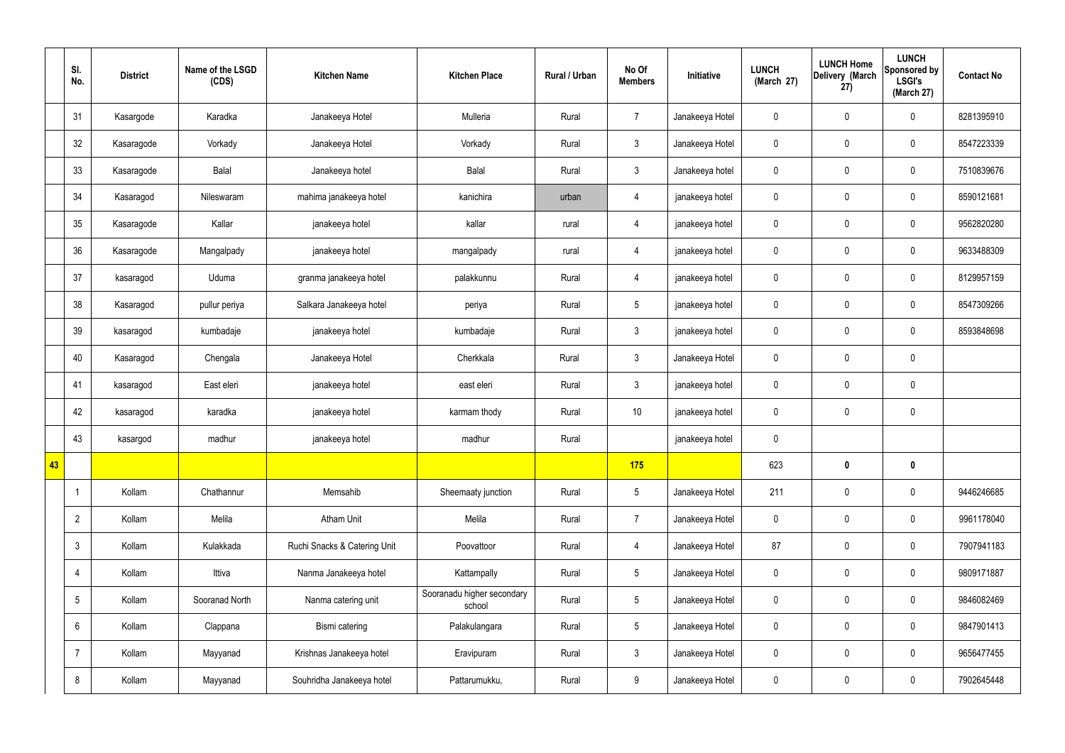|    | SI.<br>No.           | <b>District</b> | Name of the LSGD<br>(CDS) | <b>Kitchen Name</b>          | <b>Kitchen Place</b>                 | Rural / Urban | No Of<br><b>Members</b> | Initiative      | <b>LUNCH</b><br>(March 27) | <b>LUNCH Home</b><br>Delivery (March<br>27) | <b>LUNCH</b><br>Sponsored by<br><b>LSGI's</b><br>(March 27) | <b>Contact No</b> |
|----|----------------------|-----------------|---------------------------|------------------------------|--------------------------------------|---------------|-------------------------|-----------------|----------------------------|---------------------------------------------|-------------------------------------------------------------|-------------------|
|    | 31                   | Kasargode       | Karadka                   | Janakeeya Hotel              | Mulleria                             | Rural         | $\overline{7}$          | Janakeeya Hotel | $\mathbf 0$                | $\mathbf 0$                                 | $\mathbf 0$                                                 | 8281395910        |
|    | 32                   | Kasaragode      | Vorkady                   | Janakeeya Hotel              | Vorkady                              | Rural         | $3\phantom{a}$          | Janakeeya Hotel | $\mathbf 0$                | $\pmb{0}$                                   | $\mathbf 0$                                                 | 8547223339        |
|    | 33                   | Kasaragode      | Balal                     | Janakeeya hotel              | Balal                                | Rural         | $3\phantom{a}$          | Janakeeya hotel | $\mathbf 0$                | $\pmb{0}$                                   | $\mathbf 0$                                                 | 7510839676        |
|    | 34                   | Kasaragod       | Nileswaram                | mahima janakeeya hotel       | kanichira                            | urban         | $\overline{4}$          | janakeeya hotel | $\mathbf 0$                | $\pmb{0}$                                   | $\mathbf 0$                                                 | 8590121681        |
|    | 35                   | Kasaragode      | Kallar                    | janakeeya hotel              | kallar                               | rural         | $\overline{4}$          | janakeeya hotel | $\mathbf 0$                | $\mathbf 0$                                 | $\mathbf 0$                                                 | 9562820280        |
|    | 36                   | Kasaragode      | Mangalpady                | janakeeya hotel              | mangalpady                           | rural         | 4                       | janakeeya hotel | $\mathbf 0$                | $\mathbf 0$                                 | $\mathbf 0$                                                 | 9633488309        |
|    | 37                   | kasaragod       | Uduma                     | granma janakeeya hotel       | palakkunnu                           | Rural         | 4                       | janakeeya hotel | $\mathbf 0$                | $\mathbf 0$                                 | $\mathbf 0$                                                 | 8129957159        |
|    | 38                   | Kasaragod       | pullur periya             | Salkara Janakeeya hotel      | periya                               | Rural         | $5\overline{)}$         | janakeeya hotel | $\mathbf 0$                | $\pmb{0}$                                   | $\mathbf 0$                                                 | 8547309266        |
|    | 39                   | kasaragod       | kumbadaje                 | janakeeya hotel              | kumbadaje                            | Rural         | $\mathbf{3}$            | janakeeya hotel | $\mathbf 0$                | $\mathbf 0$                                 | $\mathbf 0$                                                 | 8593848698        |
|    | 40                   | Kasaragod       | Chengala                  | Janakeeya Hotel              | Cherkkala                            | Rural         | $3\phantom{a}$          | Janakeeya Hotel | $\mathbf 0$                | $\mathbf 0$                                 | $\mathbf 0$                                                 |                   |
|    | 41                   | kasaragod       | East eleri                | janakeeya hotel              | east eleri                           | Rural         | $\mathbf{3}$            | janakeeya hotel | $\mathbf 0$                | $\mathbf 0$                                 | $\mathbf 0$                                                 |                   |
|    | 42                   | kasaragod       | karadka                   | janakeeya hotel              | karmam thody                         | Rural         | $10$                    | janakeeya hotel | $\mathbf 0$                | $\mathbf 0$                                 | $\mathbf 0$                                                 |                   |
|    | 43                   | kasargod        | madhur                    | janakeeya hotel              | madhur                               | Rural         |                         | janakeeya hotel | $\mathbf 0$                |                                             |                                                             |                   |
| 43 |                      |                 |                           |                              |                                      |               | 175                     |                 | 623                        | $\bf{0}$                                    | $\mathbf 0$                                                 |                   |
|    | $\blacktriangleleft$ | Kollam          | Chathannur                | Memsahib                     | Sheemaaty junction                   | Rural         | 5 <sub>5</sub>          | Janakeeya Hotel | 211                        | $\mathbf 0$                                 | $\mathbf 0$                                                 | 9446246685        |
|    | $\overline{2}$       | Kollam          | Melila                    | <b>Atham Unit</b>            | Melila                               | Rural         | $\overline{7}$          | Janakeeya Hotel | $\mathbf 0$                | $\mathbf 0$                                 | $\mathbf 0$                                                 | 9961178040        |
|    | 3                    | Kollam          | Kulakkada                 | Ruchi Snacks & Catering Unit | Poovattoor                           | Rural         | $\overline{4}$          | Janakeeya Hotel | 87                         | $\mathbf 0$                                 | $\mathbf 0$                                                 | 7907941183        |
|    | 4                    | Kollam          | Ittiva                    | Nanma Janakeeya hotel        | Kattampally                          | Rural         | $5\overline{)}$         | Janakeeya Hotel | $\mathbf 0$                | $\mathbf 0$                                 | $\mathbf 0$                                                 | 9809171887        |
|    | 5                    | Kollam          | Sooranad North            | Nanma catering unit          | Sooranadu higher secondary<br>school | Rural         | $5\overline{)}$         | Janakeeya Hotel | $\mathbf 0$                | $\pmb{0}$                                   | $\mathbf 0$                                                 | 9846082469        |
|    | 6                    | Kollam          | Clappana                  | Bismi catering               | Palakulangara                        | Rural         | $5\overline{)}$         | Janakeeya Hotel | $\mathbf 0$                | $\mathbf 0$                                 | $\mathbf 0$                                                 | 9847901413        |
|    | 7                    | Kollam          | Mayyanad                  | Krishnas Janakeeya hotel     | Eravipuram                           | Rural         | $3\phantom{a}$          | Janakeeya Hotel | $\mathbf 0$                | $\pmb{0}$                                   | $\mathbf 0$                                                 | 9656477455        |
|    | 8                    | Kollam          | Mayyanad                  | Souhridha Janakeeya hotel    | Pattarumukku,                        | Rural         | 9                       | Janakeeya Hotel | $\pmb{0}$                  | $\pmb{0}$                                   | $\boldsymbol{0}$                                            | 7902645448        |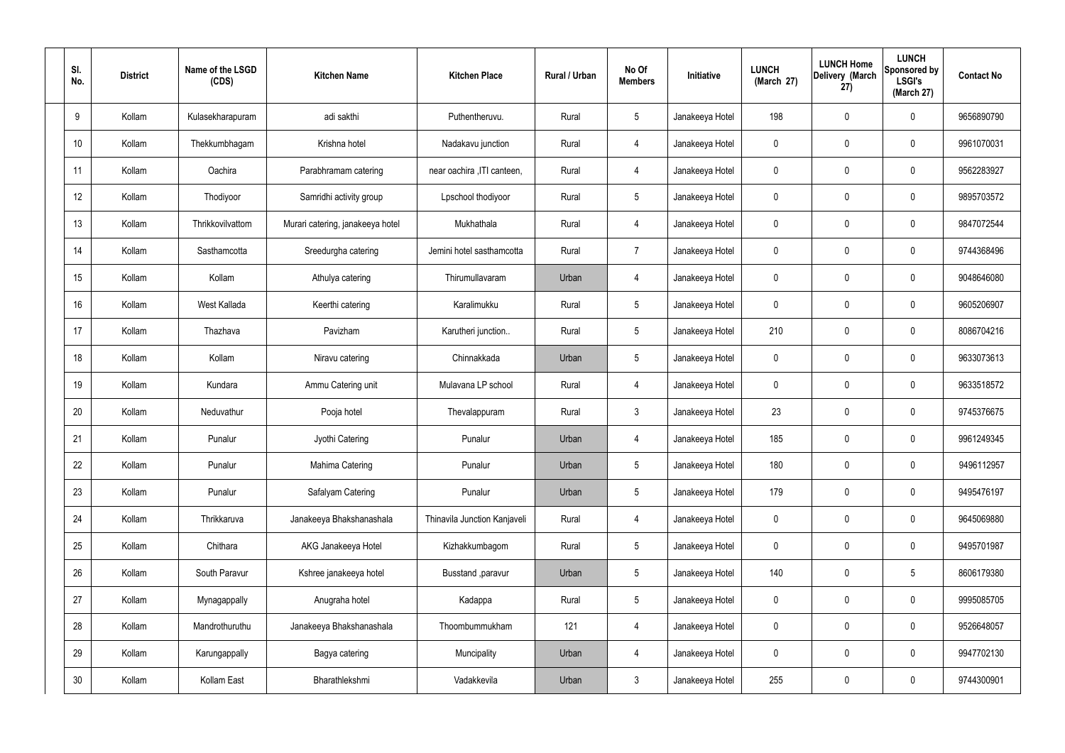| SI.<br>No. | <b>District</b> | Name of the LSGD<br>(CDS) | <b>Kitchen Name</b>              | <b>Kitchen Place</b>         | Rural / Urban | No Of<br><b>Members</b> | Initiative      | <b>LUNCH</b><br>(March 27) | <b>LUNCH Home</b><br>Delivery (March<br>27) | <b>LUNCH</b><br>Sponsored by<br><b>LSGI's</b><br>(March 27) | <b>Contact No</b> |
|------------|-----------------|---------------------------|----------------------------------|------------------------------|---------------|-------------------------|-----------------|----------------------------|---------------------------------------------|-------------------------------------------------------------|-------------------|
| 9          | Kollam          | Kulasekharapuram          | adi sakthi                       | Puthentheruvu.               | Rural         | $5\phantom{.0}$         | Janakeeya Hotel | 198                        | 0                                           | $\mathbf 0$                                                 | 9656890790        |
| 10         | Kollam          | Thekkumbhagam             | Krishna hotel                    | Nadakavu junction            | Rural         | 4                       | Janakeeya Hotel | $\mathbf 0$                | 0                                           | $\mathbf 0$                                                 | 9961070031        |
| 11         | Kollam          | Oachira                   | Parabhramam catering             | near oachira , ITI canteen,  | Rural         | $\overline{4}$          | Janakeeya Hotel | $\mathbf 0$                | 0                                           | $\mathbf 0$                                                 | 9562283927        |
| 12         | Kollam          | Thodiyoor                 | Samridhi activity group          | Lpschool thodiyoor           | Rural         | $5\phantom{.0}$         | Janakeeya Hotel | $\mathbf 0$                | 0                                           | $\mathbf 0$                                                 | 9895703572        |
| 13         | Kollam          | Thrikkovilvattom          | Murari catering, janakeeya hotel | Mukhathala                   | Rural         | $\overline{4}$          | Janakeeya Hotel | $\mathbf 0$                | 0                                           | $\mathbf 0$                                                 | 9847072544        |
| 14         | Kollam          | Sasthamcotta              | Sreedurgha catering              | Jemini hotel sasthamcotta    | Rural         | $\overline{7}$          | Janakeeya Hotel | $\mathbf 0$                | 0                                           | $\mathbf 0$                                                 | 9744368496        |
| 15         | Kollam          | Kollam                    | Athulya catering                 | Thirumullavaram              | Urban         | $\overline{4}$          | Janakeeya Hotel | $\mathbf 0$                | 0                                           | $\mathbf 0$                                                 | 9048646080        |
| 16         | Kollam          | West Kallada              | Keerthi catering                 | Karalimukku                  | Rural         | $5\phantom{.0}$         | Janakeeya Hotel | $\mathbf 0$                | 0                                           | $\mathbf 0$                                                 | 9605206907        |
| 17         | Kollam          | Thazhava                  | Pavizham                         | Karutheri junction           | Rural         | $5\phantom{.0}$         | Janakeeya Hotel | 210                        | $\mathbf 0$                                 | $\mathbf 0$                                                 | 8086704216        |
| 18         | Kollam          | Kollam                    | Niravu catering                  | Chinnakkada                  | Urban         | $5\phantom{.0}$         | Janakeeya Hotel | $\mathbf 0$                | 0                                           | $\mathbf 0$                                                 | 9633073613        |
| 19         | Kollam          | Kundara                   | Ammu Catering unit               | Mulavana LP school           | Rural         | 4                       | Janakeeya Hotel | $\mathbf 0$                | 0                                           | $\mathbf 0$                                                 | 9633518572        |
| 20         | Kollam          | Neduvathur                | Pooja hotel                      | Thevalappuram                | Rural         | $\mathbf{3}$            | Janakeeya Hotel | 23                         | 0                                           | $\mathbf 0$                                                 | 9745376675        |
| 21         | Kollam          | Punalur                   | Jyothi Catering                  | Punalur                      | Urban         | 4                       | Janakeeya Hotel | 185                        | 0                                           | $\mathbf 0$                                                 | 9961249345        |
| 22         | Kollam          | Punalur                   | Mahima Catering                  | Punalur                      | Urban         | $5\phantom{.0}$         | Janakeeya Hotel | 180                        | $\mathbf 0$                                 | $\mathbf 0$                                                 | 9496112957        |
| 23         | Kollam          | Punalur                   | Safalyam Catering                | Punalur                      | Urban         | $5\phantom{.0}$         | Janakeeya Hotel | 179                        | $\mathbf 0$                                 | $\mathbf 0$                                                 | 9495476197        |
| 24         | Kollam          | Thrikkaruva               | Janakeeya Bhakshanashala         | Thinavila Junction Kanjaveli | Rural         | $\overline{4}$          | Janakeeya Hotel | $\mathbf 0$                | $\mathbf 0$                                 | $\mathbf 0$                                                 | 9645069880        |
| 25         | Kollam          | Chithara                  | AKG Janakeeya Hotel              | Kizhakkumbagom               | Rural         | $5\phantom{.0}$         | Janakeeya Hotel | $\mathbf 0$                | 0                                           | $\mathbf 0$                                                 | 9495701987        |
| 26         | Kollam          | South Paravur             | Kshree janakeeya hotel           | Busstand , paravur           | Urban         | $5\phantom{.0}$         | Janakeeya Hotel | 140                        | 0                                           | $5\phantom{.0}$                                             | 8606179380        |
| 27         | Kollam          | Mynagappally              | Anugraha hotel                   | Kadappa                      | Rural         | $5\phantom{.0}$         | Janakeeya Hotel | $\mathbf 0$                | 0                                           | $\mathbf 0$                                                 | 9995085705        |
| 28         | Kollam          | Mandrothuruthu            | Janakeeya Bhakshanashala         | Thoombummukham               | 121           | $\overline{4}$          | Janakeeya Hotel | $\mathbf 0$                | 0                                           | $\mathbf 0$                                                 | 9526648057        |
| 29         | Kollam          | Karungappally             | Bagya catering                   | Muncipality                  | Urban         | $\overline{4}$          | Janakeeya Hotel | $\mathbf 0$                | 0                                           | $\mathbf 0$                                                 | 9947702130        |
| 30         | Kollam          | Kollam East               | Bharathlekshmi                   | Vadakkevila                  | Urban         | $\mathfrak{Z}$          | Janakeeya Hotel | 255                        | 0                                           | $\mathbf 0$                                                 | 9744300901        |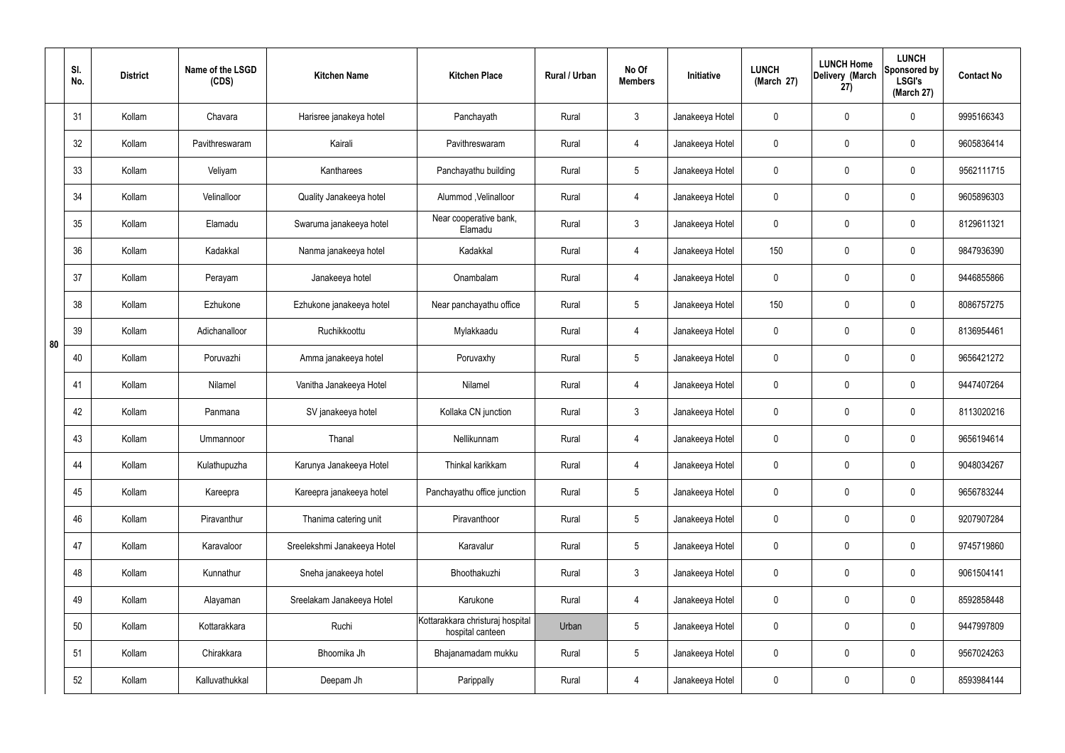|    | SI.<br>No. | <b>District</b> | Name of the LSGD<br>(CDS) | <b>Kitchen Name</b>         | <b>Kitchen Place</b>                                 | Rural / Urban | No Of<br><b>Members</b> | Initiative      | <b>LUNCH</b><br>(March 27) | <b>LUNCH Home</b><br>Delivery (March<br>27) | <b>LUNCH</b><br>Sponsored by<br><b>LSGI's</b><br>(March 27) | <b>Contact No</b> |
|----|------------|-----------------|---------------------------|-----------------------------|------------------------------------------------------|---------------|-------------------------|-----------------|----------------------------|---------------------------------------------|-------------------------------------------------------------|-------------------|
|    | 31         | Kollam          | Chavara                   | Harisree janakeya hotel     | Panchayath                                           | Rural         | $\mathbf{3}$            | Janakeeya Hotel | 0                          | $\mathbf 0$                                 | $\mathbf 0$                                                 | 9995166343        |
|    | 32         | Kollam          | Pavithreswaram            | Kairali                     | Pavithreswaram                                       | Rural         | $\overline{4}$          | Janakeeya Hotel | 0                          | $\mathbf 0$                                 | $\mathbf 0$                                                 | 9605836414        |
|    | 33         | Kollam          | Veliyam                   | Kantharees                  | Panchayathu building                                 | Rural         | $5\overline{)}$         | Janakeeya Hotel | 0                          | $\mathbf 0$                                 | $\mathbf 0$                                                 | 9562111715        |
|    | 34         | Kollam          | Velinalloor               | Quality Janakeeya hotel     | Alummod, Velinalloor                                 | Rural         | 4                       | Janakeeya Hotel | 0                          | $\mathbf 0$                                 | $\mathbf 0$                                                 | 9605896303        |
|    | 35         | Kollam          | Elamadu                   | Swaruma janakeeya hotel     | Near cooperative bank,<br>Elamadu                    | Rural         | $\mathbf{3}$            | Janakeeya Hotel | 0                          | $\mathbf 0$                                 | $\mathbf 0$                                                 | 8129611321        |
|    | 36         | Kollam          | Kadakkal                  | Nanma janakeeya hotel       | Kadakkal                                             | Rural         | 4                       | Janakeeya Hotel | 150                        | $\mathbf 0$                                 | $\mathbf 0$                                                 | 9847936390        |
|    | 37         | Kollam          | Perayam                   | Janakeeya hotel             | Onambalam                                            | Rural         | 4                       | Janakeeya Hotel | 0                          | $\mathbf 0$                                 | $\mathbf 0$                                                 | 9446855866        |
|    | 38         | Kollam          | Ezhukone                  | Ezhukone janakeeya hotel    | Near panchayathu office                              | Rural         | $5\phantom{.0}$         | Janakeeya Hotel | 150                        | 0                                           | $\mathbf 0$                                                 | 8086757275        |
| 80 | 39         | Kollam          | Adichanalloor             | Ruchikkoottu                | Mylakkaadu                                           | Rural         | 4                       | Janakeeya Hotel | 0                          | 0                                           | $\mathbf 0$                                                 | 8136954461        |
|    | 40         | Kollam          | Poruvazhi                 | Amma janakeeya hotel        | Poruvaxhy                                            | Rural         | $5\overline{)}$         | Janakeeya Hotel | 0                          | 0                                           | $\mathbf 0$                                                 | 9656421272        |
|    | 41         | Kollam          | Nilamel                   | Vanitha Janakeeya Hotel     | Nilamel                                              | Rural         | 4                       | Janakeeya Hotel | 0                          | $\mathbf 0$                                 | $\mathbf 0$                                                 | 9447407264        |
|    | 42         | Kollam          | Panmana                   | SV janakeeya hotel          | Kollaka CN junction                                  | Rural         | $\mathbf{3}$            | Janakeeya Hotel | 0                          | $\mathbf 0$                                 | $\mathbf 0$                                                 | 8113020216        |
|    | 43         | Kollam          | Ummannoor                 | Thanal                      | Nellikunnam                                          | Rural         | 4                       | Janakeeya Hotel | 0                          | $\mathbf 0$                                 | $\mathbf 0$                                                 | 9656194614        |
|    | 44         | Kollam          | Kulathupuzha              | Karunya Janakeeya Hotel     | Thinkal karikkam                                     | Rural         | $\overline{4}$          | Janakeeya Hotel | $\mathbf 0$                | 0                                           | $\mathbf 0$                                                 | 9048034267        |
|    | 45         | Kollam          | Kareepra                  | Kareepra janakeeya hotel    | Panchayathu office junction                          | Rural         | $5\overline{)}$         | Janakeeya Hotel | 0                          | 0                                           | $\mathbf 0$                                                 | 9656783244        |
|    | 46         | Kollam          | Piravanthur               | Thanima catering unit       | Piravanthoor                                         | Rural         | $5\overline{)}$         | Janakeeya Hotel | 0                          | 0                                           | $\mathbf 0$                                                 | 9207907284        |
|    | 47         | Kollam          | Karavaloor                | Sreelekshmi Janakeeya Hotel | Karavalur                                            | Rural         | $5\phantom{.0}$         | Janakeeya Hotel | 0                          | 0                                           | $\mathbf 0$                                                 | 9745719860        |
|    | 48         | Kollam          | Kunnathur                 | Sneha janakeeya hotel       | Bhoothakuzhi                                         | Rural         | $\mathbf{3}$            | Janakeeya Hotel | 0                          | 0                                           | $\mathbf 0$                                                 | 9061504141        |
|    | 49         | Kollam          | Alayaman                  | Sreelakam Janakeeya Hotel   | Karukone                                             | Rural         | $\overline{4}$          | Janakeeya Hotel | 0                          | 0                                           | $\mathbf 0$                                                 | 8592858448        |
|    | 50         | Kollam          | Kottarakkara              | Ruchi                       | Kottarakkara christuraj hospital<br>hospital canteen | Urban         | $5\phantom{.0}$         | Janakeeya Hotel | 0                          | 0                                           | $\mathbf 0$                                                 | 9447997809        |
|    | 51         | Kollam          | Chirakkara                | Bhoomika Jh                 | Bhajanamadam mukku                                   | Rural         | $5\phantom{.0}$         | Janakeeya Hotel | $\mathbf 0$                | 0                                           | $\mathbf 0$                                                 | 9567024263        |
|    | 52         | Kollam          | Kalluvathukkal            | Deepam Jh                   | Parippally                                           | Rural         | 4                       | Janakeeya Hotel | 0                          | 0                                           | $\boldsymbol{0}$                                            | 8593984144        |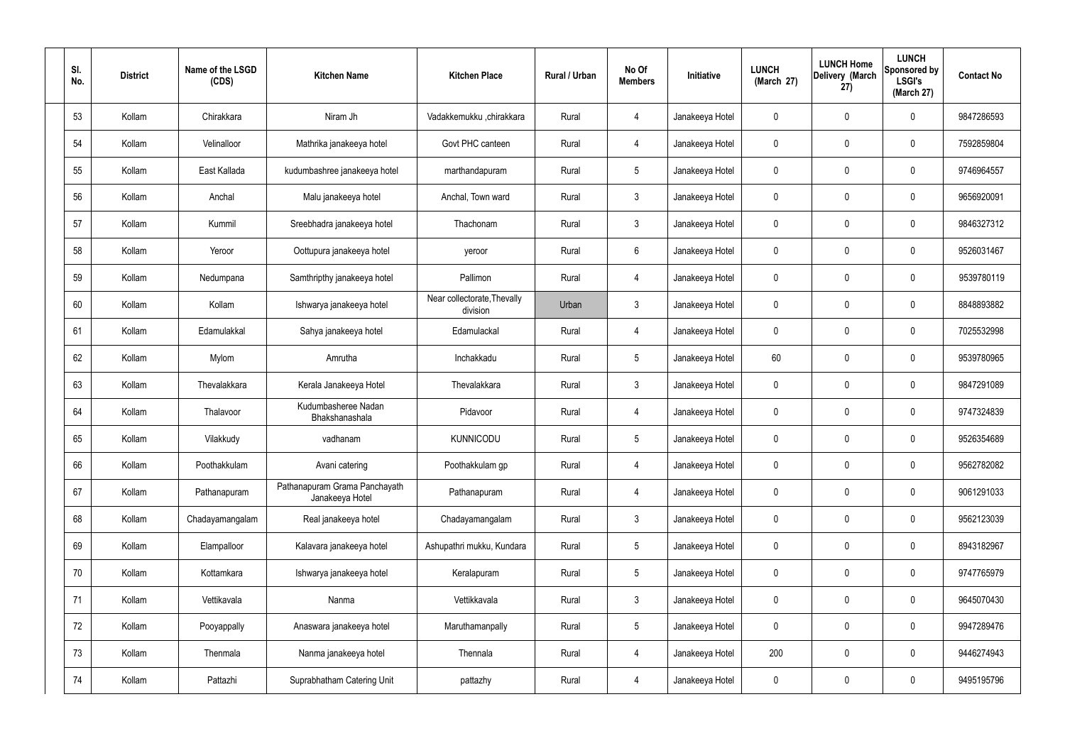| SI.<br>No. | <b>District</b> | Name of the LSGD<br>(CDS) | <b>Kitchen Name</b>                              | <b>Kitchen Place</b>                    | Rural / Urban | No Of<br><b>Members</b> | Initiative      | <b>LUNCH</b><br>(March 27) | <b>LUNCH Home</b><br>Delivery (March<br>27) | <b>LUNCH</b><br>Sponsored by<br><b>LSGI's</b><br>(March 27) | <b>Contact No</b> |
|------------|-----------------|---------------------------|--------------------------------------------------|-----------------------------------------|---------------|-------------------------|-----------------|----------------------------|---------------------------------------------|-------------------------------------------------------------|-------------------|
| 53         | Kollam          | Chirakkara                | Niram Jh                                         | Vadakkemukku ,chirakkara                | Rural         | $\overline{4}$          | Janakeeya Hotel | 0                          | $\mathbf 0$                                 | $\mathbf 0$                                                 | 9847286593        |
| 54         | Kollam          | Velinalloor               | Mathrika janakeeya hotel                         | Govt PHC canteen                        | Rural         | $\overline{4}$          | Janakeeya Hotel | 0                          | $\mathbf 0$                                 | $\mathbf 0$                                                 | 7592859804        |
| 55         | Kollam          | East Kallada              | kudumbashree janakeeya hotel                     | marthandapuram                          | Rural         | $5\overline{)}$         | Janakeeya Hotel | 0                          | $\mathbf 0$                                 | $\mathbf 0$                                                 | 9746964557        |
| 56         | Kollam          | Anchal                    | Malu janakeeya hotel                             | Anchal, Town ward                       | Rural         | $\mathbf{3}$            | Janakeeya Hotel | 0                          | $\mathbf 0$                                 | $\mathbf 0$                                                 | 9656920091        |
| 57         | Kollam          | Kummil                    | Sreebhadra janakeeya hotel                       | Thachonam                               | Rural         | $\mathbf{3}$            | Janakeeya Hotel | 0                          | $\mathbf 0$                                 | $\mathbf 0$                                                 | 9846327312        |
| 58         | Kollam          | Yeroor                    | Oottupura janakeeya hotel                        | yeroor                                  | Rural         | $6\phantom{.}6$         | Janakeeya Hotel | 0                          | $\mathbf 0$                                 | $\mathbf 0$                                                 | 9526031467        |
| 59         | Kollam          | Nedumpana                 | Samthripthy janakeeya hotel                      | Pallimon                                | Rural         | $\overline{4}$          | Janakeeya Hotel | 0                          | $\mathbf 0$                                 | $\mathbf 0$                                                 | 9539780119        |
| 60         | Kollam          | Kollam                    | Ishwarya janakeeya hotel                         | Near collectorate, Thevally<br>division | Urban         | $\mathbf{3}$            | Janakeeya Hotel | 0                          | 0                                           | $\mathbf 0$                                                 | 8848893882        |
| 61         | Kollam          | Edamulakkal               | Sahya janakeeya hotel                            | Edamulackal                             | Rural         | $\overline{4}$          | Janakeeya Hotel | 0                          | $\mathbf 0$                                 | $\mathbf 0$                                                 | 7025532998        |
| 62         | Kollam          | Mylom                     | Amrutha                                          | Inchakkadu                              | Rural         | $5\phantom{.0}$         | Janakeeya Hotel | 60                         | 0                                           | $\mathbf 0$                                                 | 9539780965        |
| 63         | Kollam          | Thevalakkara              | Kerala Janakeeya Hotel                           | Thevalakkara                            | Rural         | $\mathbf{3}$            | Janakeeya Hotel | 0                          | 0                                           | $\mathbf 0$                                                 | 9847291089        |
| 64         | Kollam          | Thalavoor                 | Kudumbasheree Nadan<br>Bhakshanashala            | Pidavoor                                | Rural         | 4                       | Janakeeya Hotel | 0                          | 0                                           | $\mathbf 0$                                                 | 9747324839        |
| 65         | Kollam          | Vilakkudy                 | vadhanam                                         | <b>KUNNICODU</b>                        | Rural         | $5\phantom{.0}$         | Janakeeya Hotel | 0                          | 0                                           | $\mathbf 0$                                                 | 9526354689        |
| 66         | Kollam          | Poothakkulam              | Avani catering                                   | Poothakkulam gp                         | Rural         | $\overline{4}$          | Janakeeya Hotel | 0                          | $\mathbf 0$                                 | $\mathbf 0$                                                 | 9562782082        |
| 67         | Kollam          | Pathanapuram              | Pathanapuram Grama Panchayath<br>Janakeeya Hotel | Pathanapuram                            | Rural         | $\overline{4}$          | Janakeeya Hotel | 0                          | $\mathbf 0$                                 | $\mathbf 0$                                                 | 9061291033        |
| 68         | Kollam          | Chadayamangalam           | Real janakeeya hotel                             | Chadayamangalam                         | Rural         | $\mathbf{3}$            | Janakeeya Hotel | 0                          | $\mathbf 0$                                 | $\mathbf 0$                                                 | 9562123039        |
| 69         | Kollam          | Elampalloor               | Kalavara janakeeya hotel                         | Ashupathri mukku, Kundara               | Rural         | $5\overline{)}$         | Janakeeya Hotel | 0                          | $\mathbf 0$                                 | $\mathbf 0$                                                 | 8943182967        |
| 70         | Kollam          | Kottamkara                | Ishwarya janakeeya hotel                         | Keralapuram                             | Rural         | $5\overline{)}$         | Janakeeya Hotel | 0                          | $\mathbf 0$                                 | $\mathbf 0$                                                 | 9747765979        |
| 71         | Kollam          | Vettikavala               | Nanma                                            | Vettikkavala                            | Rural         | $\mathbf{3}$            | Janakeeya Hotel | 0                          | 0                                           | $\mathbf 0$                                                 | 9645070430        |
| 72         | Kollam          | Pooyappally               | Anaswara janakeeya hotel                         | Maruthamanpally                         | Rural         | $5\overline{)}$         | Janakeeya Hotel | 0                          | 0                                           | $\mathbf 0$                                                 | 9947289476        |
| 73         | Kollam          | Thenmala                  | Nanma janakeeya hotel                            | Thennala                                | Rural         | $\overline{4}$          | Janakeeya Hotel | 200                        | 0                                           | $\mathbf 0$                                                 | 9446274943        |
| 74         | Kollam          | Pattazhi                  | Suprabhatham Catering Unit                       | pattazhy                                | Rural         | 4                       | Janakeeya Hotel | 0                          | 0                                           | $\overline{0}$                                              | 9495195796        |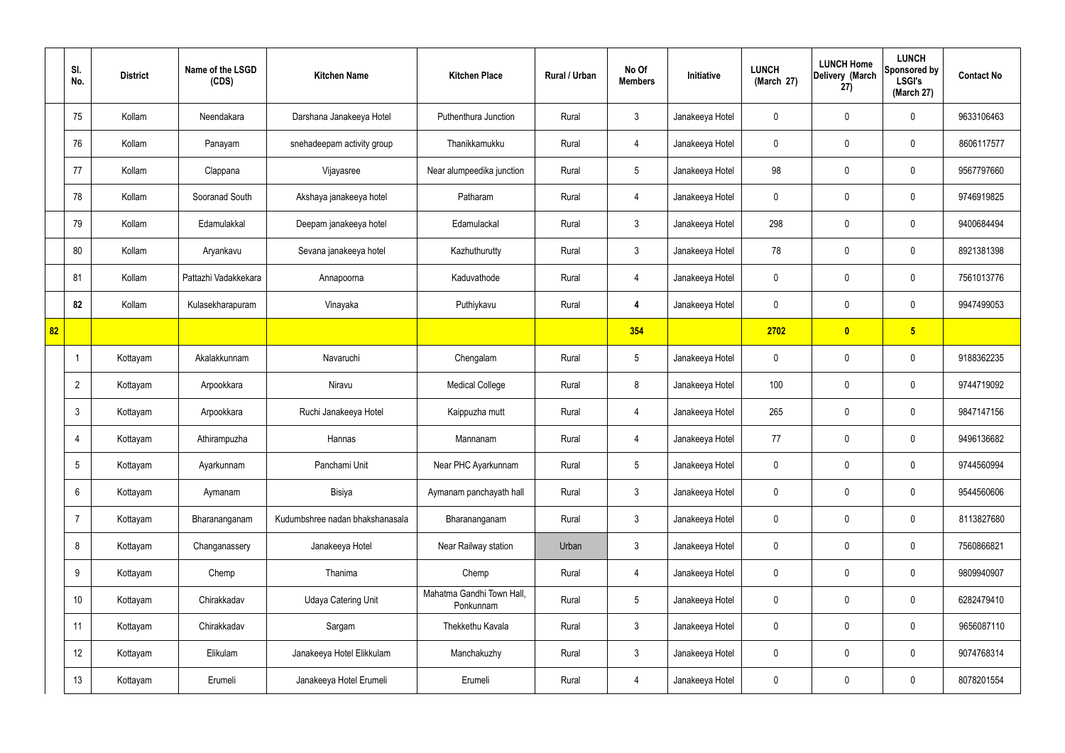|    | SI.<br>No.      | <b>District</b> | Name of the LSGD<br>(CDS) | <b>Kitchen Name</b>             | <b>Kitchen Place</b>                   | Rural / Urban | No Of<br><b>Members</b> | Initiative      | <b>LUNCH</b><br>(March 27) | <b>LUNCH Home</b><br>Delivery (March<br>27) | <b>LUNCH</b><br>Sponsored by<br><b>LSGI's</b><br>(March 27) | <b>Contact No</b> |
|----|-----------------|-----------------|---------------------------|---------------------------------|----------------------------------------|---------------|-------------------------|-----------------|----------------------------|---------------------------------------------|-------------------------------------------------------------|-------------------|
|    | 75              | Kollam          | Neendakara                | Darshana Janakeeya Hotel        | Puthenthura Junction                   | Rural         | $\mathbf{3}$            | Janakeeya Hotel | $\mathbf 0$                | 0                                           | $\mathbf 0$                                                 | 9633106463        |
|    | 76              | Kollam          | Panayam                   | snehadeepam activity group      | Thanikkamukku                          | Rural         | $\overline{4}$          | Janakeeya Hotel | $\mathbf 0$                | 0                                           | $\mathbf 0$                                                 | 8606117577        |
|    | 77              | Kollam          | Clappana                  | Vijayasree                      | Near alumpeedika junction              | Rural         | $5\phantom{.0}$         | Janakeeya Hotel | 98                         | 0                                           | $\mathbf 0$                                                 | 9567797660        |
|    | 78              | Kollam          | Sooranad South            | Akshaya janakeeya hotel         | Patharam                               | Rural         | $\overline{4}$          | Janakeeya Hotel | $\mathbf 0$                | $\mathbf 0$                                 | $\mathbf 0$                                                 | 9746919825        |
|    | 79              | Kollam          | Edamulakkal               | Deepam janakeeya hotel          | Edamulackal                            | Rural         | $\mathbf{3}$            | Janakeeya Hotel | 298                        | $\mathbf 0$                                 | $\mathbf 0$                                                 | 9400684494        |
|    | 80              | Kollam          | Aryankavu                 | Sevana janakeeya hotel          | Kazhuthurutty                          | Rural         | $\mathbf{3}$            | Janakeeya Hotel | 78                         | $\mathbf 0$                                 | $\mathbf 0$                                                 | 8921381398        |
|    | 81              | Kollam          | Pattazhi Vadakkekara      | Annapoorna                      | Kaduvathode                            | Rural         | $\overline{4}$          | Janakeeya Hotel | $\mathbf 0$                | $\mathbf 0$                                 | $\mathbf 0$                                                 | 7561013776        |
|    | 82              | Kollam          | Kulasekharapuram          | Vinayaka                        | Puthiykavu                             | Rural         | 4                       | Janakeeya Hotel | $\mathbf 0$                | 0                                           | $\mathbf 0$                                                 | 9947499053        |
| 82 |                 |                 |                           |                                 |                                        |               | 354                     |                 | 2702                       | $\bullet$                                   | $5\overline{)}$                                             |                   |
|    | -1              | Kottayam        | Akalakkunnam              | Navaruchi                       | Chengalam                              | Rural         | $5\phantom{.0}$         | Janakeeya Hotel | $\mathbf 0$                | $\boldsymbol{0}$                            | $\mathbf 0$                                                 | 9188362235        |
|    | $\overline{2}$  | Kottayam        | Arpookkara                | Niravu                          | <b>Medical College</b>                 | Rural         | 8                       | Janakeeya Hotel | 100                        | 0                                           | $\mathbf 0$                                                 | 9744719092        |
|    | $\mathbf{3}$    | Kottayam        | Arpookkara                | Ruchi Janakeeya Hotel           | Kaippuzha mutt                         | Rural         | 4                       | Janakeeya Hotel | 265                        | $\mathbf 0$                                 | $\mathbf 0$                                                 | 9847147156        |
|    | $\overline{4}$  | Kottayam        | Athirampuzha              | Hannas                          | Mannanam                               | Rural         | 4                       | Janakeeya Hotel | 77                         | 0                                           | $\mathbf 0$                                                 | 9496136682        |
|    | $5\phantom{.0}$ | Kottayam        | Ayarkunnam                | Panchami Unit                   | Near PHC Ayarkunnam                    | Rural         | $5\phantom{.0}$         | Janakeeya Hotel | $\mathbf 0$                | $\mathbf 0$                                 | $\mathbf 0$                                                 | 9744560994        |
|    | $6\overline{6}$ | Kottayam        | Aymanam                   | Bisiya                          | Aymanam panchayath hall                | Rural         | $\mathbf{3}$            | Janakeeya Hotel | $\mathbf 0$                | $\mathbf 0$                                 | $\mathbf 0$                                                 | 9544560606        |
|    | $\overline{7}$  | Kottayam        | Bharananganam             | Kudumbshree nadan bhakshanasala | Bharananganam                          | Rural         | $\mathbf{3}$            | Janakeeya Hotel | $\mathbf 0$                | $\mathbf 0$                                 | $\mathbf 0$                                                 | 8113827680        |
|    | 8               | Kottayam        | Changanassery             | Janakeeya Hotel                 | Near Railway station                   | Urban         | $\mathbf{3}$            | Janakeeya Hotel | $\mathbf 0$                | 0                                           | $\mathbf 0$                                                 | 7560866821        |
|    | 9               | Kottayam        | Chemp                     | Thanima                         | Chemp                                  | Rural         | $\overline{4}$          | Janakeeya Hotel | $\mathbf 0$                | 0                                           | $\mathbf 0$                                                 | 9809940907        |
|    | 10 <sup>°</sup> | Kottayam        | Chirakkadav               | <b>Udaya Catering Unit</b>      | Mahatma Gandhi Town Hall,<br>Ponkunnam | Rural         | $5\phantom{.0}$         | Janakeeya Hotel | $\mathbf 0$                | 0                                           | $\mathbf 0$                                                 | 6282479410        |
|    | 11              | Kottayam        | Chirakkadav               | Sargam                          | Thekkethu Kavala                       | Rural         | $\mathfrak{Z}$          | Janakeeya Hotel | $\pmb{0}$                  | 0                                           | $\mathbf 0$                                                 | 9656087110        |
|    | 12              | Kottayam        | Elikulam                  | Janakeeya Hotel Elikkulam       | Manchakuzhy                            | Rural         | $\mathbf{3}$            | Janakeeya Hotel | $\mathbf 0$                | 0                                           | $\mathbf 0$                                                 | 9074768314        |
|    | 13              | Kottayam        | Erumeli                   | Janakeeya Hotel Erumeli         | Erumeli                                | Rural         | 4                       | Janakeeya Hotel | 0                          | 0                                           | $\mathbf 0$                                                 | 8078201554        |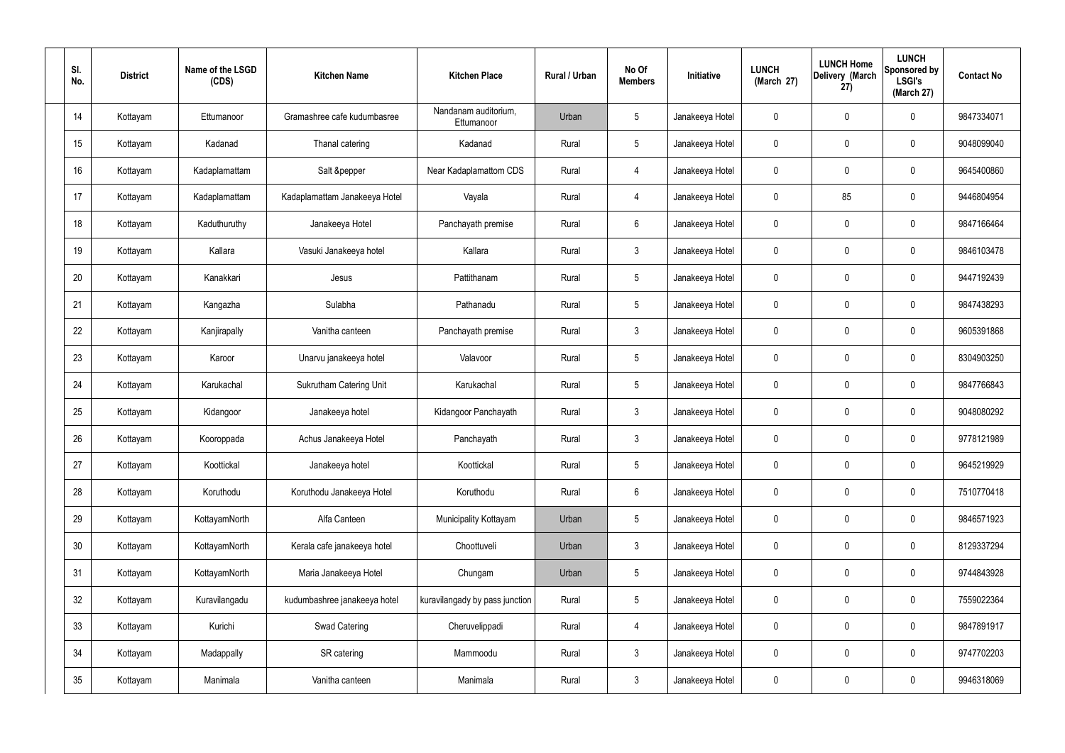| SI.<br>No.      | <b>District</b> | Name of the LSGD<br>(CDS) | <b>Kitchen Name</b>            | <b>Kitchen Place</b>               | Rural / Urban | No Of<br><b>Members</b> | Initiative      | <b>LUNCH</b><br>(March 27) | <b>LUNCH Home</b><br>Delivery (March<br>27) | <b>LUNCH</b><br>Sponsored by<br><b>LSGI's</b><br>(March 27) | <b>Contact No</b> |
|-----------------|-----------------|---------------------------|--------------------------------|------------------------------------|---------------|-------------------------|-----------------|----------------------------|---------------------------------------------|-------------------------------------------------------------|-------------------|
| 14              | Kottayam        | Ettumanoor                | Gramashree cafe kudumbasree    | Nandanam auditorium.<br>Ettumanoor | Urban         | $5\phantom{.0}$         | Janakeeya Hotel | 0                          | 0                                           | $\mathbf 0$                                                 | 9847334071        |
| 15              | Kottayam        | Kadanad                   | Thanal catering                | Kadanad                            | Rural         | $5\phantom{.0}$         | Janakeeya Hotel | $\mathbf 0$                | 0                                           | $\mathbf 0$                                                 | 9048099040        |
| 16              | Kottayam        | Kadaplamattam             | Salt &pepper                   | Near Kadaplamattom CDS             | Rural         | 4                       | Janakeeya Hotel | $\mathbf 0$                | 0                                           | $\mathbf 0$                                                 | 9645400860        |
| 17              | Kottayam        | Kadaplamattam             | Kadaplamattam Janakeeya Hotel  | Vayala                             | Rural         | $\overline{4}$          | Janakeeya Hotel | $\mathbf 0$                | 85                                          | $\mathbf 0$                                                 | 9446804954        |
| 18              | Kottayam        | Kaduthuruthy              | Janakeeya Hotel                | Panchayath premise                 | Rural         | $6\phantom{.}$          | Janakeeya Hotel | $\mathbf 0$                | $\boldsymbol{0}$                            | $\mathbf 0$                                                 | 9847166464        |
| 19              | Kottayam        | Kallara                   | Vasuki Janakeeya hotel         | Kallara                            | Rural         | $\mathbf{3}$            | Janakeeya Hotel | $\mathbf 0$                | 0                                           | $\mathbf 0$                                                 | 9846103478        |
| 20              | Kottayam        | Kanakkari                 | Jesus                          | Pattithanam                        | Rural         | $5\phantom{.0}$         | Janakeeya Hotel | $\mathbf 0$                | 0                                           | $\mathbf 0$                                                 | 9447192439        |
| 21              | Kottayam        | Kangazha                  | Sulabha                        | Pathanadu                          | Rural         | $5\phantom{.0}$         | Janakeeya Hotel | $\mathbf 0$                | 0                                           | $\mathbf 0$                                                 | 9847438293        |
| 22              | Kottayam        | Kanjirapally              | Vanitha canteen                | Panchayath premise                 | Rural         | $\mathbf{3}$            | Janakeeya Hotel | $\mathbf 0$                | $\boldsymbol{0}$                            | $\mathbf 0$                                                 | 9605391868        |
| 23              | Kottayam        | Karoor                    | Unarvu janakeeya hotel         | Valavoor                           | Rural         | $5\phantom{.0}$         | Janakeeya Hotel | $\mathbf 0$                | 0                                           | $\mathbf 0$                                                 | 8304903250        |
| 24              | Kottayam        | Karukachal                | <b>Sukrutham Catering Unit</b> | Karukachal                         | Rural         | $5\phantom{.0}$         | Janakeeya Hotel | $\mathbf 0$                | 0                                           | $\boldsymbol{0}$                                            | 9847766843        |
| 25              | Kottayam        | Kidangoor                 | Janakeeya hotel                | Kidangoor Panchayath               | Rural         | $\mathfrak{Z}$          | Janakeeya Hotel | $\mathbf 0$                | 0                                           | $\boldsymbol{0}$                                            | 9048080292        |
| 26              | Kottayam        | Kooroppada                | Achus Janakeeya Hotel          | Panchayath                         | Rural         | $\mathbf{3}$            | Janakeeya Hotel | 0                          | 0                                           | $\boldsymbol{0}$                                            | 9778121989        |
| 27              | Kottayam        | Koottickal                | Janakeeya hotel                | Koottickal                         | Rural         | $5\phantom{.0}$         | Janakeeya Hotel | $\mathbf 0$                | $\mathbf 0$                                 | $\mathbf 0$                                                 | 9645219929        |
| 28              | Kottayam        | Koruthodu                 | Koruthodu Janakeeya Hotel      | Koruthodu                          | Rural         | $6\,$                   | Janakeeya Hotel | $\mathbf 0$                | $\mathbf 0$                                 | $\mathbf 0$                                                 | 7510770418        |
| 29              | Kottayam        | KottayamNorth             | Alfa Canteen                   | Municipality Kottayam              | Urban         | $5\phantom{.0}$         | Janakeeya Hotel | $\mathbf 0$                | $\mathbf 0$                                 | $\mathbf 0$                                                 | 9846571923        |
| 30 <sub>2</sub> | Kottayam        | KottayamNorth             | Kerala cafe janakeeya hotel    | Choottuveli                        | Urban         | $\mathbf{3}$            | Janakeeya Hotel | $\mathbf 0$                | $\mathsf{0}$                                | $\mathbf 0$                                                 | 8129337294        |
| 31              | Kottayam        | KottayamNorth             | Maria Janakeeya Hotel          | Chungam                            | Urban         | $\sqrt{5}$              | Janakeeya Hotel | $\mathbf 0$                | $\mathbf 0$                                 | $\mathbf 0$                                                 | 9744843928        |
| 32              | Kottayam        | Kuravilangadu             | kudumbashree janakeeya hotel   | kuravilangady by pass junction     | Rural         | $5\,$                   | Janakeeya Hotel | $\mathbf 0$                | $\mathsf{0}$                                | $\mathbf 0$                                                 | 7559022364        |
| 33              | Kottayam        | Kurichi                   | Swad Catering                  | Cheruvelippadi                     | Rural         | 4                       | Janakeeya Hotel | $\mathbf 0$                | $\mathbf 0$                                 | $\mathbf 0$                                                 | 9847891917        |
| 34              | Kottayam        | Madappally                | SR catering                    | Mammoodu                           | Rural         | $\mathbf{3}$            | Janakeeya Hotel | $\pmb{0}$                  | 0                                           | $\mathbf 0$                                                 | 9747702203        |
| $35\,$          | Kottayam        | Manimala                  | Vanitha canteen                | Manimala                           | Rural         | $\mathfrak{Z}$          | Janakeeya Hotel | 0                          | $\pmb{0}$                                   | $\pmb{0}$                                                   | 9946318069        |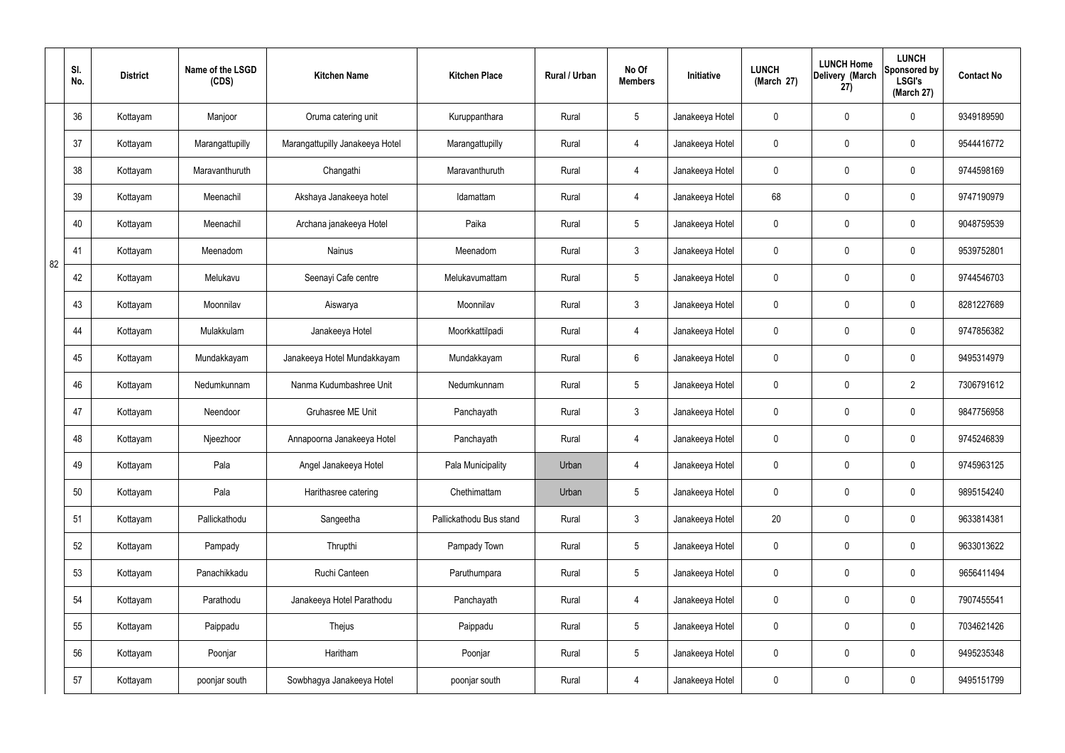|    | SI.<br>No. | <b>District</b> | Name of the LSGD<br>(CDS) | <b>Kitchen Name</b>             | <b>Kitchen Place</b>    | Rural / Urban | No Of<br><b>Members</b> | Initiative      | <b>LUNCH</b><br>(March 27) | <b>LUNCH Home</b><br>Delivery (March<br>27) | <b>LUNCH</b><br>Sponsored by<br><b>LSGI's</b><br>(March 27) | <b>Contact No</b> |
|----|------------|-----------------|---------------------------|---------------------------------|-------------------------|---------------|-------------------------|-----------------|----------------------------|---------------------------------------------|-------------------------------------------------------------|-------------------|
|    | 36         | Kottayam        | Manjoor                   | Oruma catering unit             | Kuruppanthara           | Rural         | $5\phantom{.0}$         | Janakeeya Hotel | $\mathbf 0$                | 0                                           | $\mathbf 0$                                                 | 9349189590        |
|    | 37         | Kottayam        | Marangattupilly           | Marangattupilly Janakeeya Hotel | Marangattupilly         | Rural         | 4                       | Janakeeya Hotel | $\mathbf 0$                | 0                                           | $\mathbf 0$                                                 | 9544416772        |
|    | 38         | Kottayam        | Maravanthuruth            | Changathi                       | Maravanthuruth          | Rural         | 4                       | Janakeeya Hotel | $\mathbf 0$                | 0                                           | $\mathbf 0$                                                 | 9744598169        |
|    | 39         | Kottayam        | Meenachil                 | Akshaya Janakeeya hotel         | Idamattam               | Rural         | 4                       | Janakeeya Hotel | 68                         | 0                                           | $\mathbf 0$                                                 | 9747190979        |
|    | 40         | Kottayam        | Meenachil                 | Archana janakeeya Hotel         | Paika                   | Rural         | $5\phantom{.0}$         | Janakeeya Hotel | $\mathbf 0$                | 0                                           | $\mathbf 0$                                                 | 9048759539        |
| 82 | 41         | Kottayam        | Meenadom                  | <b>Nainus</b>                   | Meenadom                | Rural         | $\mathbf{3}$            | Janakeeya Hotel | $\mathbf 0$                | 0                                           | $\mathbf 0$                                                 | 9539752801        |
|    | 42         | Kottayam        | Melukavu                  | Seenayi Cafe centre             | Melukavumattam          | Rural         | $5\phantom{.0}$         | Janakeeya Hotel | $\mathbf 0$                | 0                                           | $\mathbf 0$                                                 | 9744546703        |
|    | 43         | Kottayam        | Moonnilav                 | Aiswarya                        | Moonnilav               | Rural         | $\mathbf{3}$            | Janakeeya Hotel | $\mathbf 0$                | 0                                           | $\mathbf 0$                                                 | 8281227689        |
|    | 44         | Kottayam        | Mulakkulam                | Janakeeya Hotel                 | Moorkkattilpadi         | Rural         | $\overline{4}$          | Janakeeya Hotel | $\mathbf 0$                | 0                                           | $\mathbf 0$                                                 | 9747856382        |
|    | 45         | Kottayam        | Mundakkayam               | Janakeeya Hotel Mundakkayam     | Mundakkayam             | Rural         | $6\phantom{.}6$         | Janakeeya Hotel | $\mathbf 0$                | 0                                           | $\mathbf 0$                                                 | 9495314979        |
|    | 46         | Kottayam        | Nedumkunnam               | Nanma Kudumbashree Unit         | Nedumkunnam             | Rural         | $5\phantom{.0}$         | Janakeeya Hotel | $\mathbf 0$                | $\boldsymbol{0}$                            | $\overline{2}$                                              | 7306791612        |
|    | 47         | Kottayam        | Neendoor                  | Gruhasree ME Unit               | Panchayath              | Rural         | $\mathbf{3}$            | Janakeeya Hotel | $\mathbf 0$                | 0                                           | $\mathbf 0$                                                 | 9847756958        |
|    | 48         | Kottayam        | Njeezhoor                 | Annapoorna Janakeeya Hotel      | Panchayath              | Rural         | 4                       | Janakeeya Hotel | 0                          | 0                                           | $\mathbf 0$                                                 | 9745246839        |
|    | 49         | Kottayam        | Pala                      | Angel Janakeeya Hotel           | Pala Municipality       | Urban         | $\overline{4}$          | Janakeeya Hotel | $\mathbf 0$                | 0                                           | $\mathbf 0$                                                 | 9745963125        |
|    | 50         | Kottayam        | Pala                      | Harithasree catering            | Chethimattam            | Urban         | $5\phantom{.0}$         | Janakeeya Hotel | $\pmb{0}$                  | 0                                           | $\mathbf 0$                                                 | 9895154240        |
|    | 51         | Kottayam        | Pallickathodu             | Sangeetha                       | Pallickathodu Bus stand | Rural         | $\mathbf{3}$            | Janakeeya Hotel | 20                         | 0                                           | $\mathbf 0$                                                 | 9633814381        |
|    | 52         | Kottayam        | Pampady                   | Thrupthi                        | Pampady Town            | Rural         | $5\phantom{.0}$         | Janakeeya Hotel | $\pmb{0}$                  | 0                                           | $\mathbf 0$                                                 | 9633013622        |
|    | 53         | Kottayam        | Panachikkadu              | Ruchi Canteen                   | Paruthumpara            | Rural         | $5\overline{)}$         | Janakeeya Hotel | $\mathbf 0$                | 0                                           | $\mathbf 0$                                                 | 9656411494        |
|    | 54         | Kottayam        | Parathodu                 | Janakeeya Hotel Parathodu       | Panchayath              | Rural         | $\overline{4}$          | Janakeeya Hotel | $\mathbf 0$                | 0                                           | $\mathbf 0$                                                 | 7907455541        |
|    | 55         | Kottayam        | Paippadu                  | Thejus                          | Paippadu                | Rural         | $5\overline{)}$         | Janakeeya Hotel | $\mathbf 0$                | 0                                           | $\mathbf 0$                                                 | 7034621426        |
|    | 56         | Kottayam        | Poonjar                   | Haritham                        | Poonjar                 | Rural         | $5\phantom{.0}$         | Janakeeya Hotel | $\pmb{0}$                  | $\pmb{0}$                                   | $\mathbf 0$                                                 | 9495235348        |
|    | 57         | Kottayam        | poonjar south             | Sowbhagya Janakeeya Hotel       | poonjar south           | Rural         | $\overline{4}$          | Janakeeya Hotel | 0                          | $\pmb{0}$                                   | $\boldsymbol{0}$                                            | 9495151799        |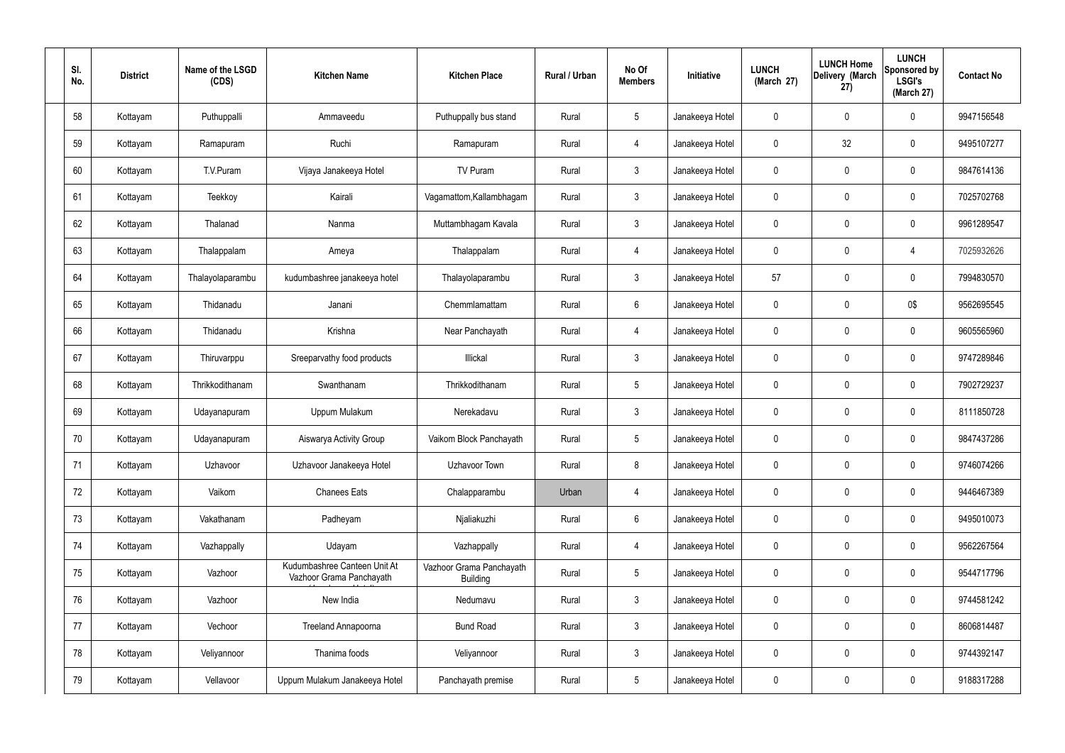| SI.<br>No. | <b>District</b> | Name of the LSGD<br>(CDS) | <b>Kitchen Name</b>                                      | <b>Kitchen Place</b>                        | <b>Rural / Urban</b> | No Of<br><b>Members</b> | Initiative      | <b>LUNCH</b><br>(March 27) | <b>LUNCH Home</b><br>Delivery (March<br>27) | <b>LUNCH</b><br><b>Sponsored by</b><br><b>LSGI's</b><br>(March 27) | <b>Contact No</b> |
|------------|-----------------|---------------------------|----------------------------------------------------------|---------------------------------------------|----------------------|-------------------------|-----------------|----------------------------|---------------------------------------------|--------------------------------------------------------------------|-------------------|
| 58         | Kottayam        | Puthuppalli               | Ammaveedu                                                | Puthuppally bus stand                       | Rural                | $5\phantom{.0}$         | Janakeeya Hotel | $\mathbf 0$                | $\mathbf 0$                                 | 0                                                                  | 9947156548        |
| 59         | Kottayam        | Ramapuram                 | Ruchi                                                    | Ramapuram                                   | Rural                | $\overline{4}$          | Janakeeya Hotel | 0                          | 32                                          | 0                                                                  | 9495107277        |
| 60         | Kottayam        | T.V.Puram                 | Vijaya Janakeeya Hotel                                   | TV Puram                                    | Rural                | $\mathbf{3}$            | Janakeeya Hotel | 0                          | $\mathbf 0$                                 | 0                                                                  | 9847614136        |
| 61         | Kottayam        | Teekkoy                   | Kairali                                                  | Vagamattom, Kallambhagam                    | Rural                | $\mathbf{3}$            | Janakeeya Hotel | $\mathbf 0$                | $\mathbf 0$                                 | 0                                                                  | 7025702768        |
| 62         | Kottayam        | Thalanad                  | Nanma                                                    | Muttambhagam Kavala                         | Rural                | $\mathbf{3}$            | Janakeeya Hotel | 0                          | $\mathbf 0$                                 | 0                                                                  | 9961289547        |
| 63         | Kottayam        | Thalappalam               | Ameya                                                    | Thalappalam                                 | Rural                | $\overline{4}$          | Janakeeya Hotel | $\mathbf 0$                | $\mathbf 0$                                 | 4                                                                  | 7025932626        |
| 64         | Kottayam        | Thalayolaparambu          | kudumbashree janakeeya hotel                             | Thalayolaparambu                            | Rural                | $\mathbf{3}$            | Janakeeya Hotel | 57                         | $\mathbf 0$                                 | 0                                                                  | 7994830570        |
| 65         | Kottayam        | Thidanadu                 | Janani                                                   | Chemmlamattam                               | Rural                | $6\overline{6}$         | Janakeeya Hotel | $\mathbf 0$                | $\mathbf 0$                                 | 0\$                                                                | 9562695545        |
| 66         | Kottayam        | Thidanadu                 | Krishna                                                  | Near Panchayath                             | Rural                | $\overline{4}$          | Janakeeya Hotel | 0                          | $\mathbf 0$                                 | 0                                                                  | 9605565960        |
| 67         | Kottayam        | Thiruvarppu               | Sreeparvathy food products                               | Illickal                                    | Rural                | $\mathbf{3}$            | Janakeeya Hotel | $\mathbf 0$                | $\mathbf 0$                                 | 0                                                                  | 9747289846        |
| 68         | Kottayam        | Thrikkodithanam           | Swanthanam                                               | Thrikkodithanam                             | Rural                | $5\phantom{.0}$         | Janakeeya Hotel | 0                          | 0                                           | 0                                                                  | 7902729237        |
| 69         | Kottayam        | Udayanapuram              | Uppum Mulakum                                            | Nerekadavu                                  | Rural                | $\mathbf{3}$            | Janakeeya Hotel | $\mathbf 0$                | 0                                           | 0                                                                  | 8111850728        |
| 70         | Kottayam        | Udayanapuram              | Aiswarya Activity Group                                  | Vaikom Block Panchayath                     | Rural                | 5                       | Janakeeya Hotel | 0                          | 0                                           | 0                                                                  | 9847437286        |
| 71         | Kottayam        | Uzhavoor                  | Uzhavoor Janakeeya Hotel                                 | Uzhavoor Town                               | Rural                | 8                       | Janakeeya Hotel | $\mathbf 0$                | $\mathbf 0$                                 | 0                                                                  | 9746074266        |
| 72         | Kottayam        | Vaikom                    | <b>Chanees Eats</b>                                      | Chalapparambu                               | Urban                | $\overline{4}$          | Janakeeya Hotel | $\mathbf 0$                | $\pmb{0}$                                   | 0                                                                  | 9446467389        |
| 73         | Kottayam        | Vakathanam                | Padheyam                                                 | Njaliakuzhi                                 | Rural                | $6\overline{6}$         | Janakeeya Hotel | $\mathbf 0$                | $\mathbf 0$                                 | 0                                                                  | 9495010073        |
| 74         | Kottayam        | Vazhappally               | Udayam                                                   | Vazhappally                                 | Rural                | $\overline{4}$          | Janakeeya Hotel | $\mathbf 0$                | $\pmb{0}$                                   | 0                                                                  | 9562267564        |
| 75         | Kottayam        | Vazhoor                   | Kudumbashree Canteen Unit At<br>Vazhoor Grama Panchayath | Vazhoor Grama Panchayath<br><b>Building</b> | Rural                | $5\phantom{.0}$         | Janakeeya Hotel | 0                          | $\mathbf 0$                                 | 0                                                                  | 9544717796        |
| 76         | Kottayam        | Vazhoor                   | New India                                                | Nedumavu                                    | Rural                | $\mathbf{3}$            | Janakeeya Hotel | $\mathbf 0$                | $\pmb{0}$                                   | 0                                                                  | 9744581242        |
| 77         | Kottayam        | Vechoor                   | Treeland Annapoorna                                      | <b>Bund Road</b>                            | Rural                | $\mathbf{3}$            | Janakeeya Hotel | $\mathbf 0$                | $\mathbf 0$                                 | 0                                                                  | 8606814487        |
| 78         | Kottayam        | Veliyannoor               | Thanima foods                                            | Veliyannoor                                 | Rural                | $\mathbf{3}$            | Janakeeya Hotel | $\mathbf 0$                | $\mathbf 0$                                 | $\mathbf 0$                                                        | 9744392147        |
| 79         | Kottayam        | Vellavoor                 | Uppum Mulakum Janakeeya Hotel                            | Panchayath premise                          | Rural                | $5\phantom{.0}$         | Janakeeya Hotel | 0                          | $\boldsymbol{0}$                            | 0                                                                  | 9188317288        |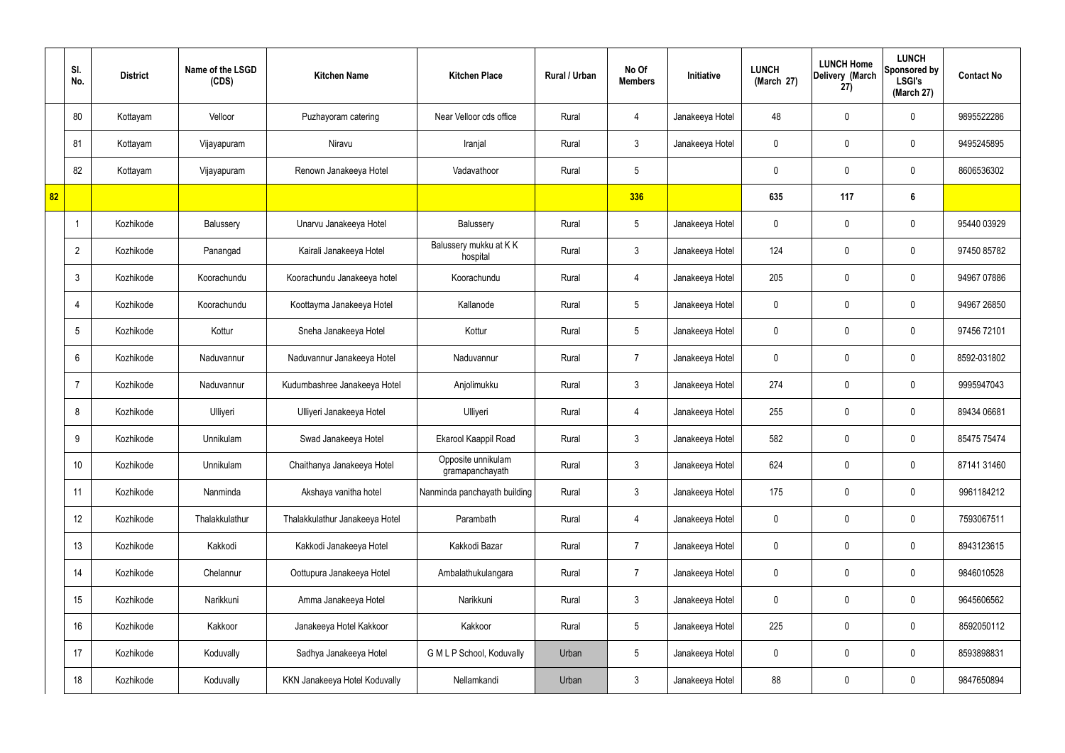|    | SI.<br>No.      | <b>District</b> | Name of the LSGD<br>(CDS) | <b>Kitchen Name</b>            | <b>Kitchen Place</b>                  | <b>Rural / Urban</b> | No Of<br><b>Members</b> | Initiative      | <b>LUNCH</b><br>(March 27) | <b>LUNCH Home</b><br>Delivery (March<br>27) | <b>LUNCH</b><br>Sponsored by<br><b>LSGI's</b><br>(March 27) | <b>Contact No</b> |
|----|-----------------|-----------------|---------------------------|--------------------------------|---------------------------------------|----------------------|-------------------------|-----------------|----------------------------|---------------------------------------------|-------------------------------------------------------------|-------------------|
|    | 80              | Kottayam        | Velloor                   | Puzhayoram catering            | Near Velloor cds office               | Rural                | 4                       | Janakeeya Hotel | 48                         | $\mathbf 0$                                 | $\mathbf 0$                                                 | 9895522286        |
|    | 81              | Kottayam        | Vijayapuram               | Niravu                         | Iranjal                               | Rural                | $\mathbf{3}$            | Janakeeya Hotel | $\mathbf 0$                | $\mathbf 0$                                 | $\mathbf 0$                                                 | 9495245895        |
|    | 82              | Kottayam        | Vijayapuram               | Renown Janakeeya Hotel         | Vadavathoor                           | Rural                | $5\phantom{.0}$         |                 | $\mathbf 0$                | $\mathbf 0$                                 | $\mathbf 0$                                                 | 8606536302        |
| 82 |                 |                 |                           |                                |                                       |                      | 336                     |                 | 635                        | 117                                         | $6\phantom{1}$                                              |                   |
|    | -1              | Kozhikode       | Balussery                 | Unarvu Janakeeya Hotel         | Balussery                             | Rural                | $5\phantom{.0}$         | Janakeeya Hotel | $\mathbf 0$                | $\mathbf 0$                                 | $\mathbf 0$                                                 | 95440 03929       |
|    | $\overline{2}$  | Kozhikode       | Panangad                  | Kairali Janakeeya Hotel        | Balussery mukku at K K<br>hospital    | Rural                | $\mathbf{3}$            | Janakeeya Hotel | 124                        | $\mathbf 0$                                 | $\mathbf 0$                                                 | 97450 85782       |
|    | 3               | Kozhikode       | Koorachundu               | Koorachundu Janakeeya hotel    | Koorachundu                           | Rural                | $\overline{4}$          | Janakeeya Hotel | 205                        | $\mathbf 0$                                 | $\mathbf 0$                                                 | 94967 07886       |
|    | $\overline{4}$  | Kozhikode       | Koorachundu               | Koottayma Janakeeya Hotel      | Kallanode                             | Rural                | $5\overline{)}$         | Janakeeya Hotel | $\mathbf 0$                | $\mathbf 0$                                 | $\mathbf 0$                                                 | 94967 26850       |
|    | $5\overline{)}$ | Kozhikode       | Kottur                    | Sneha Janakeeya Hotel          | Kottur                                | Rural                | $5\overline{)}$         | Janakeeya Hotel | $\mathbf 0$                | $\mathbf 0$                                 | $\mathbf 0$                                                 | 97456 72101       |
|    | 6               | Kozhikode       | Naduvannur                | Naduvannur Janakeeya Hotel     | Naduvannur                            | Rural                | $\overline{7}$          | Janakeeya Hotel | $\mathbf 0$                | $\mathbf 0$                                 | $\mathbf 0$                                                 | 8592-031802       |
|    | $\overline{7}$  | Kozhikode       | Naduvannur                | Kudumbashree Janakeeya Hotel   | Anjolimukku                           | Rural                | 3                       | Janakeeya Hotel | 274                        | $\mathbf 0$                                 | $\mathbf 0$                                                 | 9995947043        |
|    | 8               | Kozhikode       | Ulliyeri                  | Ulliyeri Janakeeya Hotel       | Ulliyeri                              | Rural                | 4                       | Janakeeya Hotel | 255                        | $\mathbf 0$                                 | $\mathbf 0$                                                 | 89434 06681       |
|    | 9               | Kozhikode       | Unnikulam                 | Swad Janakeeya Hotel           | Ekarool Kaappil Road                  | Rural                | $\mathbf{3}$            | Janakeeya Hotel | 582                        | $\mathbf 0$                                 | $\mathbf 0$                                                 | 85475 75474       |
|    | 10              | Kozhikode       | Unnikulam                 | Chaithanya Janakeeya Hotel     | Opposite unnikulam<br>gramapanchayath | Rural                | $\mathbf{3}$            | Janakeeya Hotel | 624                        | $\mathbf 0$                                 | $\mathbf 0$                                                 | 87141 31460       |
|    | 11              | Kozhikode       | Nanminda                  | Akshaya vanitha hotel          | Nanminda panchayath building          | Rural                | $3\phantom{a}$          | Janakeeya Hotel | 175                        | $\mathbf 0$                                 | $\mathbf 0$                                                 | 9961184212        |
|    | 12              | Kozhikode       | Thalakkulathur            | Thalakkulathur Janakeeya Hotel | Parambath                             | Rural                | $\overline{4}$          | Janakeeya Hotel | $\mathbf 0$                | $\mathbf 0$                                 | $\mathbf 0$                                                 | 7593067511        |
|    | 13              | Kozhikode       | Kakkodi                   | Kakkodi Janakeeya Hotel        | Kakkodi Bazar                         | Rural                | $\overline{7}$          | Janakeeya Hotel | $\mathbf 0$                | 0                                           | $\mathbf 0$                                                 | 8943123615        |
|    | 14              | Kozhikode       | Chelannur                 | Oottupura Janakeeya Hotel      | Ambalathukulangara                    | Rural                | $\overline{7}$          | Janakeeya Hotel | $\mathbf 0$                | 0                                           | $\mathbf 0$                                                 | 9846010528        |
|    | 15              | Kozhikode       | Narikkuni                 | Amma Janakeeya Hotel           | Narikkuni                             | Rural                | $\mathbf{3}$            | Janakeeya Hotel | $\mathbf 0$                | 0                                           | $\mathbf 0$                                                 | 9645606562        |
|    | 16              | Kozhikode       | Kakkoor                   | Janakeeya Hotel Kakkoor        | Kakkoor                               | Rural                | $5\phantom{.0}$         | Janakeeya Hotel | 225                        | 0                                           | $\mathbf 0$                                                 | 8592050112        |
|    | 17              | Kozhikode       | Koduvally                 | Sadhya Janakeeya Hotel         | G M L P School, Koduvally             | Urban                | $5\phantom{.0}$         | Janakeeya Hotel | $\mathbf 0$                | 0                                           | $\mathbf 0$                                                 | 8593898831        |
|    | 18              | Kozhikode       | Koduvally                 | KKN Janakeeya Hotel Koduvally  | Nellamkandi                           | Urban                | $\mathbf{3}$            | Janakeeya Hotel | 88                         | 0                                           | $\overline{0}$                                              | 9847650894        |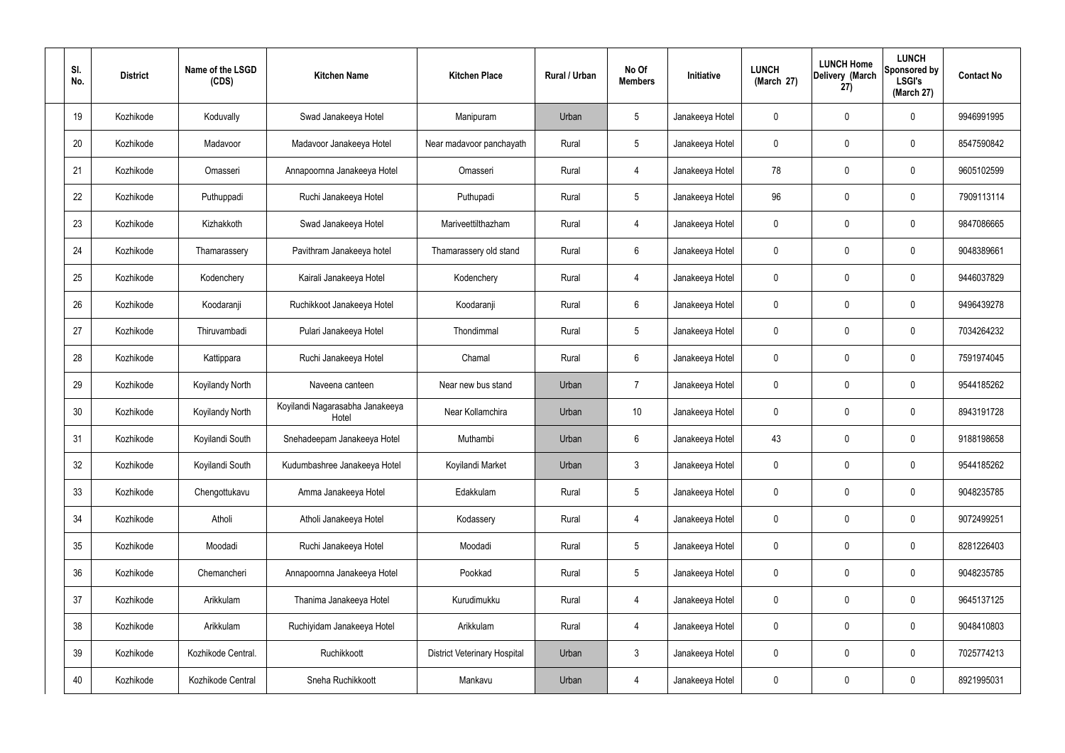| SI.<br>No. | <b>District</b> | Name of the LSGD<br>(CDS) | <b>Kitchen Name</b>                      | <b>Kitchen Place</b>                | Rural / Urban | No Of<br><b>Members</b> | Initiative      | <b>LUNCH</b><br>(March 27) | <b>LUNCH Home</b><br>Delivery (March<br>27) | <b>LUNCH</b><br>Sponsored by<br><b>LSGI's</b><br>(March 27) | <b>Contact No</b> |
|------------|-----------------|---------------------------|------------------------------------------|-------------------------------------|---------------|-------------------------|-----------------|----------------------------|---------------------------------------------|-------------------------------------------------------------|-------------------|
| 19         | Kozhikode       | Koduvally                 | Swad Janakeeya Hotel                     | Manipuram                           | Urban         | $5\phantom{.0}$         | Janakeeya Hotel | 0                          | 0                                           | $\mathbf 0$                                                 | 9946991995        |
| 20         | Kozhikode       | Madavoor                  | Madavoor Janakeeya Hotel                 | Near madavoor panchayath            | Rural         | $\sqrt{5}$              | Janakeeya Hotel | $\mathbf 0$                | 0                                           | $\mathbf 0$                                                 | 8547590842        |
| 21         | Kozhikode       | Omasseri                  | Annapoornna Janakeeya Hotel              | Omasseri                            | Rural         | $\overline{4}$          | Janakeeya Hotel | 78                         | 0                                           | $\mathbf 0$                                                 | 9605102599        |
| 22         | Kozhikode       | Puthuppadi                | Ruchi Janakeeya Hotel                    | Puthupadi                           | Rural         | $\sqrt{5}$              | Janakeeya Hotel | 96                         | 0                                           | $\mathbf 0$                                                 | 7909113114        |
| 23         | Kozhikode       | Kizhakkoth                | Swad Janakeeya Hotel                     | Mariveettilthazham                  | Rural         | $\overline{4}$          | Janakeeya Hotel | $\mathbf 0$                | 0                                           | $\mathbf 0$                                                 | 9847086665        |
| 24         | Kozhikode       | Thamarassery              | Pavithram Janakeeya hotel                | Thamarassery old stand              | Rural         | $6\phantom{.}$          | Janakeeya Hotel | $\mathbf 0$                | 0                                           | $\mathbf 0$                                                 | 9048389661        |
| 25         | Kozhikode       | Kodenchery                | Kairali Janakeeya Hotel                  | Kodenchery                          | Rural         | 4                       | Janakeeya Hotel | $\mathbf 0$                | 0                                           | $\mathbf 0$                                                 | 9446037829        |
| 26         | Kozhikode       | Koodaranji                | Ruchikkoot Janakeeya Hotel               | Koodaranji                          | Rural         | $6\phantom{.}$          | Janakeeya Hotel | $\mathbf 0$                | 0                                           | $\mathbf 0$                                                 | 9496439278        |
| 27         | Kozhikode       | Thiruvambadi              | Pulari Janakeeya Hotel                   | Thondimmal                          | Rural         | $\sqrt{5}$              | Janakeeya Hotel | $\mathbf 0$                | 0                                           | $\mathbf 0$                                                 | 7034264232        |
| 28         | Kozhikode       | Kattippara                | Ruchi Janakeeya Hotel                    | Chamal                              | Rural         | $6\phantom{.}$          | Janakeeya Hotel | $\mathbf 0$                | 0                                           | $\boldsymbol{0}$                                            | 7591974045        |
| 29         | Kozhikode       | Koyilandy North           | Naveena canteen                          | Near new bus stand                  | Urban         | $\overline{7}$          | Janakeeya Hotel | 0                          | 0                                           | $\boldsymbol{0}$                                            | 9544185262        |
| 30         | Kozhikode       | Koyilandy North           | Koyilandi Nagarasabha Janakeeya<br>Hotel | Near Kollamchira                    | Urban         | 10                      | Janakeeya Hotel | $\mathbf 0$                | 0                                           | $\boldsymbol{0}$                                            | 8943191728        |
| 31         | Kozhikode       | Koyilandi South           | Snehadeepam Janakeeya Hotel              | Muthambi                            | Urban         | 6                       | Janakeeya Hotel | 43                         | 0                                           | 0                                                           | 9188198658        |
| 32         | Kozhikode       | Koyilandi South           | Kudumbashree Janakeeya Hotel             | Koyilandi Market                    | Urban         | $\mathbf{3}$            | Janakeeya Hotel | $\mathbf 0$                | 0                                           | $\mathbf 0$                                                 | 9544185262        |
| 33         | Kozhikode       | Chengottukavu             | Amma Janakeeya Hotel                     | Edakkulam                           | Rural         | $5\phantom{.0}$         | Janakeeya Hotel | $\mathbf 0$                | $\mathbf 0$                                 | $\mathbf 0$                                                 | 9048235785        |
| 34         | Kozhikode       | Atholi                    | Atholi Janakeeya Hotel                   | Kodassery                           | Rural         | 4                       | Janakeeya Hotel | $\mathbf 0$                | $\mathbf 0$                                 | $\mathbf 0$                                                 | 9072499251        |
| 35         | Kozhikode       | Moodadi                   | Ruchi Janakeeya Hotel                    | Moodadi                             | Rural         | $5\phantom{.0}$         | Janakeeya Hotel | $\mathbf 0$                | $\mathbf 0$                                 | $\mathbf 0$                                                 | 8281226403        |
| 36         | Kozhikode       | Chemancheri               | Annapoornna Janakeeya Hotel              | Pookkad                             | Rural         | $5\phantom{.0}$         | Janakeeya Hotel | $\mathbf 0$                | $\mathbf 0$                                 | $\mathbf 0$                                                 | 9048235785        |
| 37         | Kozhikode       | Arikkulam                 | Thanima Janakeeya Hotel                  | Kurudimukku                         | Rural         | 4                       | Janakeeya Hotel | $\mathbf 0$                | $\mathbf 0$                                 | $\mathbf 0$                                                 | 9645137125        |
| 38         | Kozhikode       | Arikkulam                 | Ruchiyidam Janakeeya Hotel               | Arikkulam                           | Rural         | 4                       | Janakeeya Hotel | $\mathbf 0$                | $\mathbf 0$                                 | $\mathbf 0$                                                 | 9048410803        |
| 39         | Kozhikode       | Kozhikode Central.        | Ruchikkoott                              | <b>District Veterinary Hospital</b> | Urban         | $\mathbf{3}$            | Janakeeya Hotel | $\mathbf 0$                | 0                                           | $\mathbf 0$                                                 | 7025774213        |
| 40         | Kozhikode       | Kozhikode Central         | Sneha Ruchikkoott                        | Mankavu                             | Urban         | 4                       | Janakeeya Hotel | 0                          | 0                                           | $\boldsymbol{0}$                                            | 8921995031        |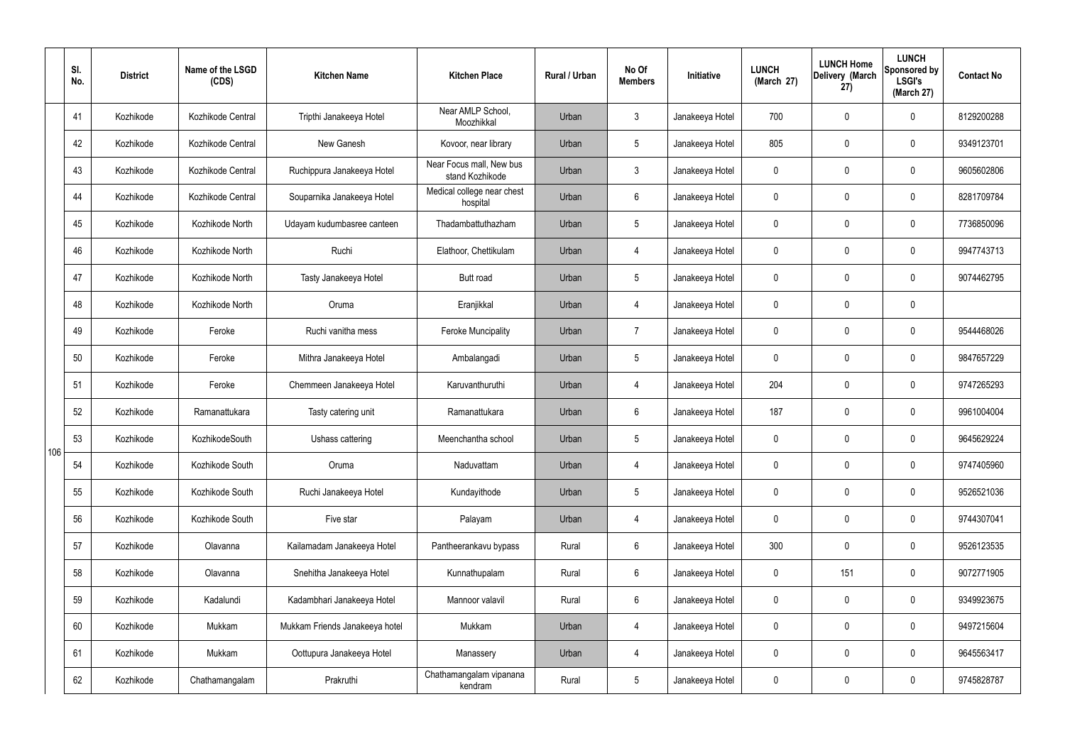|     | SI.<br>No. | <b>District</b> | Name of the LSGD<br>(CDS) | <b>Kitchen Name</b>            | <b>Kitchen Place</b>                        | <b>Rural / Urban</b> | No Of<br><b>Members</b> | Initiative      | <b>LUNCH</b><br>(March 27) | <b>LUNCH Home</b><br>Delivery (March<br>(27) | <b>LUNCH</b><br>Sponsored by<br><b>LSGI's</b><br>(March 27) | <b>Contact No</b> |
|-----|------------|-----------------|---------------------------|--------------------------------|---------------------------------------------|----------------------|-------------------------|-----------------|----------------------------|----------------------------------------------|-------------------------------------------------------------|-------------------|
|     | 41         | Kozhikode       | Kozhikode Central         | Tripthi Janakeeya Hotel        | Near AMLP School,<br>Moozhikkal             | Urban                | $\mathbf{3}$            | Janakeeya Hotel | 700                        | $\mathbf 0$                                  | $\mathbf 0$                                                 | 8129200288        |
|     | 42         | Kozhikode       | Kozhikode Central         | New Ganesh                     | Kovoor, near library                        | Urban                | $5\overline{)}$         | Janakeeya Hotel | 805                        | $\mathbf 0$                                  | $\mathbf 0$                                                 | 9349123701        |
|     | 43         | Kozhikode       | Kozhikode Central         | Ruchippura Janakeeya Hotel     | Near Focus mall, New bus<br>stand Kozhikode | Urban                | $3\phantom{a}$          | Janakeeya Hotel | $\mathbf 0$                | $\mathbf 0$                                  | $\mathbf 0$                                                 | 9605602806        |
|     | 44         | Kozhikode       | Kozhikode Central         | Souparnika Janakeeya Hotel     | Medical college near chest<br>hospital      | Urban                | 6                       | Janakeeya Hotel | $\mathbf 0$                | $\mathbf 0$                                  | $\mathbf 0$                                                 | 8281709784        |
|     | 45         | Kozhikode       | Kozhikode North           | Udayam kudumbasree canteen     | Thadambattuthazham                          | Urban                | 5 <sup>5</sup>          | Janakeeya Hotel | $\mathbf 0$                | $\mathbf 0$                                  | $\mathbf 0$                                                 | 7736850096        |
|     | 46         | Kozhikode       | Kozhikode North           | Ruchi                          | Elathoor, Chettikulam                       | Urban                | $\overline{4}$          | Janakeeya Hotel | $\mathbf 0$                | $\mathbf 0$                                  | $\mathbf 0$                                                 | 9947743713        |
|     | 47         | Kozhikode       | Kozhikode North           | Tasty Janakeeya Hotel          | <b>Butt</b> road                            | Urban                | $5\phantom{.0}$         | Janakeeya Hotel | $\mathbf 0$                | $\mathbf 0$                                  | $\mathbf 0$                                                 | 9074462795        |
|     | 48         | Kozhikode       | Kozhikode North           | Oruma                          | Eranjikkal                                  | Urban                | $\overline{4}$          | Janakeeya Hotel | $\mathbf 0$                | $\mathbf 0$                                  | $\mathbf 0$                                                 |                   |
|     | 49         | Kozhikode       | Feroke                    | Ruchi vanitha mess             | <b>Feroke Muncipality</b>                   | Urban                | $\overline{7}$          | Janakeeya Hotel | $\mathbf 0$                | $\mathbf 0$                                  | $\mathbf 0$                                                 | 9544468026        |
|     | 50         | Kozhikode       | Feroke                    | Mithra Janakeeya Hotel         | Ambalangadi                                 | Urban                | $5\phantom{.0}$         | Janakeeya Hotel | $\mathbf 0$                | $\mathbf 0$                                  | $\mathbf 0$                                                 | 9847657229        |
|     | 51         | Kozhikode       | Feroke                    | Chemmeen Janakeeya Hotel       | Karuvanthuruthi                             | Urban                | $\overline{4}$          | Janakeeya Hotel | 204                        | $\mathbf 0$                                  | $\mathbf 0$                                                 | 9747265293        |
|     | 52         | Kozhikode       | Ramanattukara             | Tasty catering unit            | Ramanattukara                               | Urban                | 6                       | Janakeeya Hotel | 187                        | $\mathbf 0$                                  | $\mathbf 0$                                                 | 9961004004        |
| 106 | 53         | Kozhikode       | KozhikodeSouth            | Ushass cattering               | Meenchantha school                          | Urban                | $5\phantom{.0}$         | Janakeeya Hotel | $\mathbf 0$                | $\mathbf 0$                                  | $\mathbf 0$                                                 | 9645629224        |
|     | 54         | Kozhikode       | Kozhikode South           | Oruma                          | Naduvattam                                  | Urban                | 4                       | Janakeeya Hotel | $\mathbf 0$                | $\mathbf 0$                                  | $\mathbf 0$                                                 | 9747405960        |
|     | 55         | Kozhikode       | Kozhikode South           | Ruchi Janakeeya Hotel          | Kundayithode                                | Urban                | 5 <sub>5</sub>          | Janakeeya Hotel | $\pmb{0}$                  | $\pmb{0}$                                    | $\mathbf 0$                                                 | 9526521036        |
|     | 56         | Kozhikode       | Kozhikode South           | Five star                      | Palayam                                     | Urban                | $\overline{4}$          | Janakeeya Hotel | $\pmb{0}$                  | $\pmb{0}$                                    | $\mathbf 0$                                                 | 9744307041        |
|     | 57         | Kozhikode       | Olavanna                  | Kailamadam Janakeeya Hotel     | Pantheerankavu bypass                       | Rural                | $6\phantom{.}6$         | Janakeeya Hotel | 300                        | $\pmb{0}$                                    | $\boldsymbol{0}$                                            | 9526123535        |
|     | 58         | Kozhikode       | Olavanna                  | Snehitha Janakeeya Hotel       | Kunnathupalam                               | Rural                | $6\overline{6}$         | Janakeeya Hotel | $\mathbf 0$                | 151                                          | $\mathbf 0$                                                 | 9072771905        |
|     | 59         | Kozhikode       | Kadalundi                 | Kadambhari Janakeeya Hotel     | Mannoor valavil                             | Rural                | $6\overline{6}$         | Janakeeya Hotel | $\mathbf 0$                | $\pmb{0}$                                    | $\mathbf 0$                                                 | 9349923675        |
|     | 60         | Kozhikode       | Mukkam                    | Mukkam Friends Janakeeya hotel | Mukkam                                      | Urban                | 4                       | Janakeeya Hotel | $\mathbf 0$                | $\mathbf 0$                                  | $\mathbf 0$                                                 | 9497215604        |
|     | 61         | Kozhikode       | Mukkam                    | Oottupura Janakeeya Hotel      | Manassery                                   | Urban                | 4                       | Janakeeya Hotel | $\mathbf 0$                | $\pmb{0}$                                    | $\mathbf 0$                                                 | 9645563417        |
|     | 62         | Kozhikode       | Chathamangalam            | Prakruthi                      | Chathamangalam vipanana<br>kendram          | Rural                | 5 <sub>5</sub>          | Janakeeya Hotel | $\pmb{0}$                  | $\pmb{0}$                                    | $\boldsymbol{0}$                                            | 9745828787        |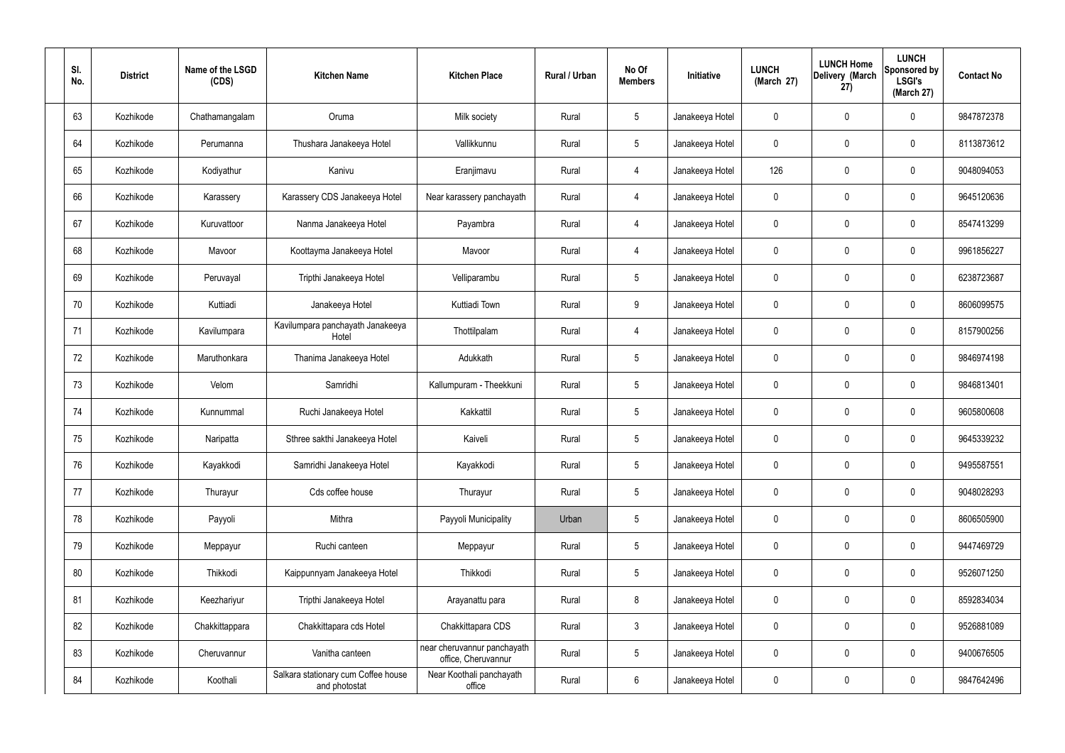| SI.<br>No. | <b>District</b> | Name of the LSGD<br>(CDS) | <b>Kitchen Name</b>                                  | <b>Kitchen Place</b>                               | Rural / Urban | No Of<br><b>Members</b> | Initiative      | <b>LUNCH</b><br>(March 27) | <b>LUNCH Home</b><br>Delivery (March<br>27) | <b>LUNCH</b><br><b>Sponsored by</b><br><b>LSGI's</b><br>(March 27) | <b>Contact No</b> |
|------------|-----------------|---------------------------|------------------------------------------------------|----------------------------------------------------|---------------|-------------------------|-----------------|----------------------------|---------------------------------------------|--------------------------------------------------------------------|-------------------|
| 63         | Kozhikode       | Chathamangalam            | Oruma                                                | Milk society                                       | Rural         | $5\phantom{.0}$         | Janakeeya Hotel | 0                          | $\mathbf 0$                                 | 0                                                                  | 9847872378        |
| 64         | Kozhikode       | Perumanna                 | Thushara Janakeeya Hotel                             | Vallikkunnu                                        | Rural         | $5\phantom{.0}$         | Janakeeya Hotel | $\mathbf 0$                | $\mathbf 0$                                 | 0                                                                  | 8113873612        |
| 65         | Kozhikode       | Kodiyathur                | Kanivu                                               | Eranjimavu                                         | Rural         | $\overline{4}$          | Janakeeya Hotel | 126                        | $\mathbf 0$                                 | 0                                                                  | 9048094053        |
| 66         | Kozhikode       | Karassery                 | Karassery CDS Janakeeya Hotel                        | Near karassery panchayath                          | Rural         | $\overline{4}$          | Janakeeya Hotel | $\mathbf 0$                | $\mathbf 0$                                 | 0                                                                  | 9645120636        |
| 67         | Kozhikode       | Kuruvattoor               | Nanma Janakeeya Hotel                                | Payambra                                           | Rural         | $\overline{4}$          | Janakeeya Hotel | $\mathbf 0$                | $\mathbf 0$                                 | 0                                                                  | 8547413299        |
| 68         | Kozhikode       | Mavoor                    | Koottayma Janakeeya Hotel                            | Mavoor                                             | Rural         | $\overline{4}$          | Janakeeya Hotel | $\mathbf 0$                | $\mathbf 0$                                 | 0                                                                  | 9961856227        |
| 69         | Kozhikode       | Peruvayal                 | Tripthi Janakeeya Hotel                              | Velliparambu                                       | Rural         | $5\phantom{.0}$         | Janakeeya Hotel | 0                          | $\mathbf 0$                                 | 0                                                                  | 6238723687        |
| 70         | Kozhikode       | Kuttiadi                  | Janakeeya Hotel                                      | Kuttiadi Town                                      | Rural         | 9                       | Janakeeya Hotel | $\mathbf 0$                | $\mathbf 0$                                 | 0                                                                  | 8606099575        |
| 71         | Kozhikode       | Kavilumpara               | Kavilumpara panchayath Janakeeya<br>Hotel            | Thottilpalam                                       | Rural         | $\overline{4}$          | Janakeeya Hotel | $\mathbf 0$                | $\mathbf 0$                                 | 0                                                                  | 8157900256        |
| 72         | Kozhikode       | Maruthonkara              | Thanima Janakeeya Hotel                              | Adukkath                                           | Rural         | $5\phantom{.0}$         | Janakeeya Hotel | $\mathbf 0$                | $\mathbf 0$                                 | 0                                                                  | 9846974198        |
| 73         | Kozhikode       | Velom                     | Samridhi                                             | Kallumpuram - Theekkuni                            | Rural         | $5\phantom{.0}$         | Janakeeya Hotel | 0                          | 0                                           | 0                                                                  | 9846813401        |
| 74         | Kozhikode       | Kunnummal                 | Ruchi Janakeeya Hotel                                | Kakkattil                                          | Rural         | $5\phantom{.0}$         | Janakeeya Hotel | $\mathbf 0$                | 0                                           | 0                                                                  | 9605800608        |
| 75         | Kozhikode       | Naripatta                 | Sthree sakthi Janakeeya Hotel                        | Kaiveli                                            | Rural         | 5                       | Janakeeya Hotel | 0                          | 0                                           | 0                                                                  | 9645339232        |
| 76         | Kozhikode       | Kayakkodi                 | Samridhi Janakeeya Hotel                             | Kayakkodi                                          | Rural         | $5\phantom{.0}$         | Janakeeya Hotel | $\mathbf 0$                | $\mathbf 0$                                 | 0                                                                  | 9495587551        |
| 77         | Kozhikode       | Thurayur                  | Cds coffee house                                     | Thurayur                                           | Rural         | $5\phantom{.0}$         | Janakeeya Hotel | $\mathbf 0$                | $\pmb{0}$                                   | 0                                                                  | 9048028293        |
| 78         | Kozhikode       | Payyoli                   | Mithra                                               | Payyoli Municipality                               | Urban         | $5\phantom{.0}$         | Janakeeya Hotel | $\mathbf 0$                | $\mathbf 0$                                 | 0                                                                  | 8606505900        |
| 79         | Kozhikode       | Meppayur                  | Ruchi canteen                                        | Meppayur                                           | Rural         | $5\phantom{.0}$         | Janakeeya Hotel | $\mathbf 0$                | $\pmb{0}$                                   | 0                                                                  | 9447469729        |
| 80         | Kozhikode       | Thikkodi                  | Kaippunnyam Janakeeya Hotel                          | Thikkodi                                           | Rural         | $5\phantom{.0}$         | Janakeeya Hotel | $\mathbf 0$                | $\mathbf 0$                                 | 0                                                                  | 9526071250        |
| 81         | Kozhikode       | Keezhariyur               | Tripthi Janakeeya Hotel                              | Arayanattu para                                    | Rural         | 8                       | Janakeeya Hotel | $\mathbf 0$                | $\pmb{0}$                                   | 0                                                                  | 8592834034        |
| 82         | Kozhikode       | Chakkittappara            | Chakkittapara cds Hotel                              | Chakkittapara CDS                                  | Rural         | $\mathbf{3}$            | Janakeeya Hotel | $\mathbf 0$                | $\mathbf 0$                                 | 0                                                                  | 9526881089        |
| 83         | Kozhikode       | Cheruvannur               | Vanitha canteen                                      | near cheruvannur panchayath<br>office, Cheruvannur | Rural         | $5\phantom{.0}$         | Janakeeya Hotel | $\mathbf 0$                | $\mathbf 0$                                 | $\mathbf 0$                                                        | 9400676505        |
| 84         | Kozhikode       | Koothali                  | Salkara stationary cum Coffee house<br>and photostat | Near Koothali panchayath<br>office                 | Rural         | 6                       | Janakeeya Hotel | 0                          | $\pmb{0}$                                   | 0                                                                  | 9847642496        |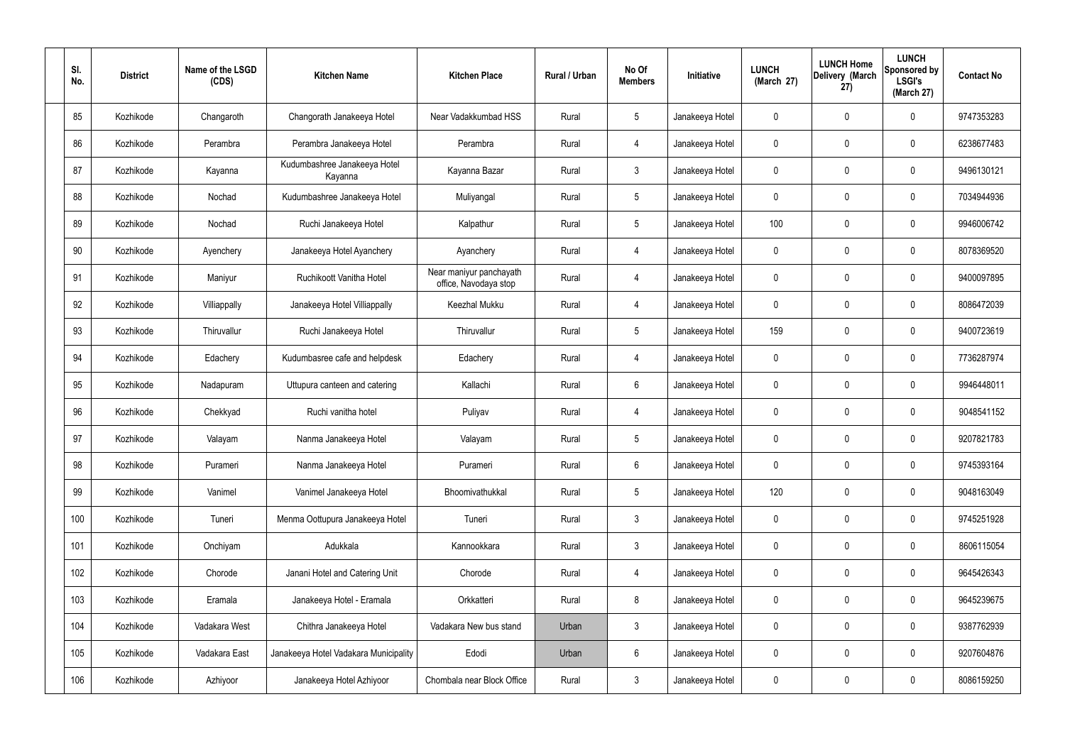| SI.<br>No. | <b>District</b> | Name of the LSGD<br>(CDS) | <b>Kitchen Name</b>                     | <b>Kitchen Place</b>                             | <b>Rural / Urban</b> | No Of<br><b>Members</b> | Initiative      | <b>LUNCH</b><br>(March 27) | <b>LUNCH Home</b><br>Delivery (March<br>27) | <b>LUNCH</b><br>Sponsored by<br><b>LSGI's</b><br>(March 27) | <b>Contact No</b> |
|------------|-----------------|---------------------------|-----------------------------------------|--------------------------------------------------|----------------------|-------------------------|-----------------|----------------------------|---------------------------------------------|-------------------------------------------------------------|-------------------|
| 85         | Kozhikode       | Changaroth                | Changorath Janakeeya Hotel              | Near Vadakkumbad HSS                             | Rural                | $5\overline{)}$         | Janakeeya Hotel | $\mathbf 0$                | $\mathbf 0$                                 | $\mathbf{0}$                                                | 9747353283        |
| 86         | Kozhikode       | Perambra                  | Perambra Janakeeya Hotel                | Perambra                                         | Rural                | 4                       | Janakeeya Hotel | $\mathbf 0$                | $\mathbf 0$                                 | $\mathbf 0$                                                 | 6238677483        |
| 87         | Kozhikode       | Kayanna                   | Kudumbashree Janakeeya Hotel<br>Kayanna | Kayanna Bazar                                    | Rural                | $\mathbf{3}$            | Janakeeya Hotel | $\mathbf 0$                | $\mathbf 0$                                 | $\mathbf 0$                                                 | 9496130121        |
| 88         | Kozhikode       | Nochad                    | Kudumbashree Janakeeya Hotel            | Muliyangal                                       | Rural                | $5\overline{)}$         | Janakeeya Hotel | $\mathbf 0$                | $\mathbf 0$                                 | $\mathbf 0$                                                 | 7034944936        |
| 89         | Kozhikode       | Nochad                    | Ruchi Janakeeya Hotel                   | Kalpathur                                        | Rural                | $5\overline{)}$         | Janakeeya Hotel | 100                        | $\mathbf 0$                                 | $\mathbf 0$                                                 | 9946006742        |
| 90         | Kozhikode       | Ayenchery                 | Janakeeya Hotel Ayanchery               | Ayanchery                                        | Rural                | 4                       | Janakeeya Hotel | $\mathbf 0$                | $\mathbf 0$                                 | $\mathbf 0$                                                 | 8078369520        |
| 91         | Kozhikode       | Maniyur                   | Ruchikoott Vanitha Hotel                | Near maniyur panchayath<br>office, Navodaya stop | Rural                | $\overline{4}$          | Janakeeya Hotel | $\mathbf 0$                | $\mathbf 0$                                 | $\mathbf 0$                                                 | 9400097895        |
| 92         | Kozhikode       | Villiappally              | Janakeeya Hotel Villiappally            | Keezhal Mukku                                    | Rural                | 4                       | Janakeeya Hotel | $\mathbf 0$                | $\mathbf 0$                                 | $\mathbf 0$                                                 | 8086472039        |
| 93         | Kozhikode       | Thiruvallur               | Ruchi Janakeeya Hotel                   | Thiruvallur                                      | Rural                | $5\overline{)}$         | Janakeeya Hotel | 159                        | $\mathbf 0$                                 | $\mathbf 0$                                                 | 9400723619        |
| 94         | Kozhikode       | Edachery                  | Kudumbasree cafe and helpdesk           | Edachery                                         | Rural                | $\overline{4}$          | Janakeeya Hotel | $\mathbf 0$                | $\mathbf 0$                                 | $\mathbf 0$                                                 | 7736287974        |
| 95         | Kozhikode       | Nadapuram                 | Uttupura canteen and catering           | Kallachi                                         | Rural                | $6\overline{6}$         | Janakeeya Hotel | $\mathbf 0$                | $\mathbf 0$                                 | $\mathbf 0$                                                 | 9946448011        |
| 96         | Kozhikode       | Chekkyad                  | Ruchi vanitha hotel                     | Puliyav                                          | Rural                | $\overline{4}$          | Janakeeya Hotel | $\mathbf 0$                | $\mathbf 0$                                 | $\mathbf 0$                                                 | 9048541152        |
| 97         | Kozhikode       | Valayam                   | Nanma Janakeeya Hotel                   | Valayam                                          | Rural                | $5\overline{)}$         | Janakeeya Hotel | $\mathbf 0$                | 0                                           | $\mathbf 0$                                                 | 9207821783        |
| 98         | Kozhikode       | Purameri                  | Nanma Janakeeya Hotel                   | Purameri                                         | Rural                | $6\overline{6}$         | Janakeeya Hotel | $\mathbf 0$                | $\mathbf 0$                                 | $\mathbf 0$                                                 | 9745393164        |
| 99         | Kozhikode       | Vanimel                   | Vanimel Janakeeya Hotel                 | Bhoomivathukkal                                  | Rural                | $5\overline{)}$         | Janakeeya Hotel | 120                        | $\mathbf 0$                                 | $\mathbf 0$                                                 | 9048163049        |
| 100        | Kozhikode       | Tuneri                    | Menma Oottupura Janakeeya Hotel         | Tuneri                                           | Rural                | 3                       | Janakeeya Hotel | $\mathbf 0$                | $\mathbf 0$                                 | $\mathbf 0$                                                 | 9745251928        |
| 101        | Kozhikode       | Onchiyam                  | Adukkala                                | Kannookkara                                      | Rural                | $\mathbf{3}$            | Janakeeya Hotel | $\mathbf 0$                | $\mathbf 0$                                 | $\mathbf 0$                                                 | 8606115054        |
| 102        | Kozhikode       | Chorode                   | Janani Hotel and Catering Unit          | Chorode                                          | Rural                | $\overline{4}$          | Janakeeya Hotel | $\mathbf 0$                | 0                                           | $\mathbf 0$                                                 | 9645426343        |
| 103        | Kozhikode       | Eramala                   | Janakeeya Hotel - Eramala               | Orkkatteri                                       | Rural                | 8                       | Janakeeya Hotel | $\mathbf 0$                | 0                                           | $\mathbf 0$                                                 | 9645239675        |
| 104        | Kozhikode       | Vadakara West             | Chithra Janakeeya Hotel                 | Vadakara New bus stand                           | Urban                | $\mathbf{3}$            | Janakeeya Hotel | $\mathbf 0$                | 0                                           | $\mathbf 0$                                                 | 9387762939        |
| 105        | Kozhikode       | Vadakara East             | Janakeeya Hotel Vadakara Municipality   | Edodi                                            | Urban                | 6                       | Janakeeya Hotel | $\mathbf 0$                | 0                                           | $\mathbf 0$                                                 | 9207604876        |
| 106        | Kozhikode       | Azhiyoor                  | Janakeeya Hotel Azhiyoor                | Chombala near Block Office                       | Rural                | 3 <sup>2</sup>          | Janakeeya Hotel | $\pmb{0}$                  | 0                                           | $\overline{0}$                                              | 8086159250        |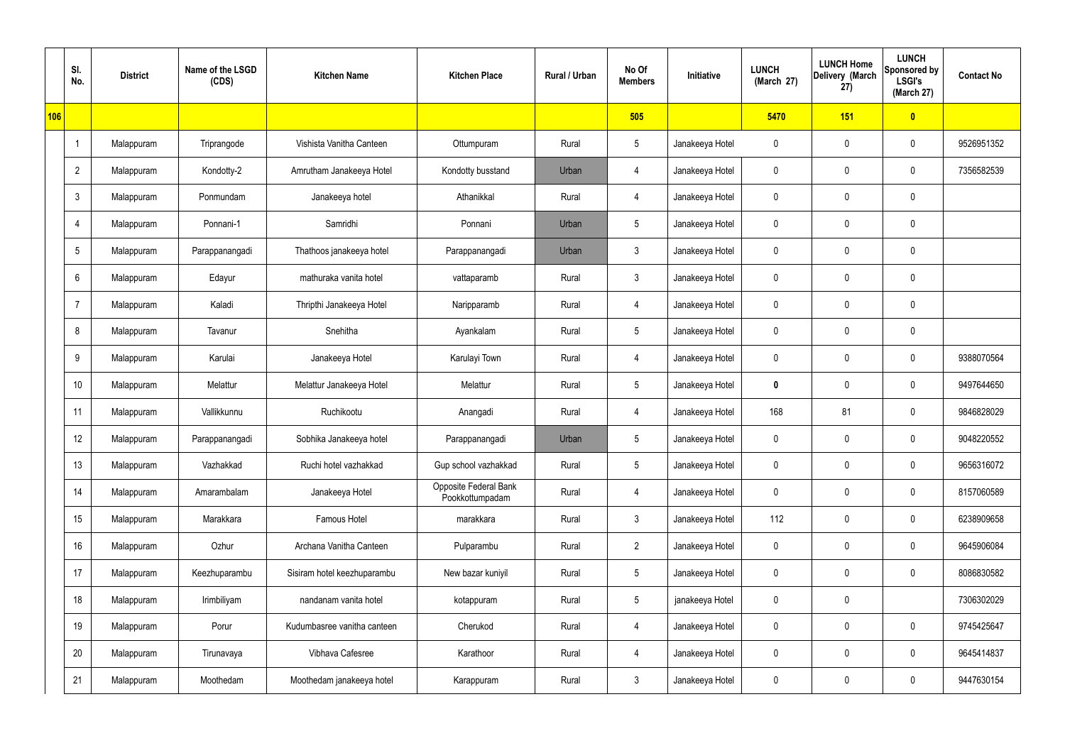|     | SI.<br>No.      | <b>District</b> | Name of the LSGD<br>(CDS) | <b>Kitchen Name</b>         | <b>Kitchen Place</b>                            | Rural / Urban | No Of<br><b>Members</b> | Initiative      | <b>LUNCH</b><br>(March 27) | <b>LUNCH Home</b><br>Delivery (March<br>27) | <b>LUNCH</b><br>Sponsored by<br><b>LSGI's</b><br>(March 27) | <b>Contact No</b> |
|-----|-----------------|-----------------|---------------------------|-----------------------------|-------------------------------------------------|---------------|-------------------------|-----------------|----------------------------|---------------------------------------------|-------------------------------------------------------------|-------------------|
| 106 |                 |                 |                           |                             |                                                 |               | 505                     |                 | 5470                       | 151                                         | $\bullet$                                                   |                   |
|     |                 | Malappuram      | Triprangode               | Vishista Vanitha Canteen    | Ottumpuram                                      | Rural         | $5\phantom{.0}$         | Janakeeya Hotel | $\mathbf 0$                | 0                                           | $\pmb{0}$                                                   | 9526951352        |
|     | $\overline{2}$  | Malappuram      | Kondotty-2                | Amrutham Janakeeya Hotel    | Kondotty busstand                               | Urban         | 4                       | Janakeeya Hotel | $\mathbf 0$                | 0                                           | $\mathbf 0$                                                 | 7356582539        |
|     | $\mathbf{3}$    | Malappuram      | Ponmundam                 | Janakeeya hotel             | Athanikkal                                      | Rural         | $\overline{4}$          | Janakeeya Hotel | $\mathbf 0$                | 0                                           | $\pmb{0}$                                                   |                   |
|     | 4               | Malappuram      | Ponnani-1                 | Samridhi                    | Ponnani                                         | Urban         | $5\phantom{.0}$         | Janakeeya Hotel | 0                          | 0                                           | $\pmb{0}$                                                   |                   |
|     | 5               | Malappuram      | Parappanangadi            | Thathoos janakeeya hotel    | Parappanangadi                                  | Urban         | $\mathbf{3}$            | Janakeeya Hotel | $\mathbf 0$                | 0                                           | $\pmb{0}$                                                   |                   |
|     | 6               | Malappuram      | Edayur                    | mathuraka vanita hotel      | vattaparamb                                     | Rural         | $\mathfrak{Z}$          | Janakeeya Hotel | 0                          | 0                                           | $\pmb{0}$                                                   |                   |
|     | $\overline{7}$  | Malappuram      | Kaladi                    | Thripthi Janakeeya Hotel    | Naripparamb                                     | Rural         | $\overline{4}$          | Janakeeya Hotel | 0                          | 0                                           | $\mathbf 0$                                                 |                   |
|     | 8               | Malappuram      | Tavanur                   | Snehitha                    | Ayankalam                                       | Rural         | $5\,$                   | Janakeeya Hotel | 0                          | $\boldsymbol{0}$                            | $\pmb{0}$                                                   |                   |
|     | 9               | Malappuram      | Karulai                   | Janakeeya Hotel             | Karulayi Town                                   | Rural         | $\overline{4}$          | Janakeeya Hotel | 0                          | 0                                           | $\boldsymbol{0}$                                            | 9388070564        |
|     | 10 <sup>°</sup> | Malappuram      | Melattur                  | Melattur Janakeeya Hotel    | Melattur                                        | Rural         | $5\phantom{.0}$         | Janakeeya Hotel | 0                          | $\mathbf 0$                                 | $\boldsymbol{0}$                                            | 9497644650        |
|     | 11              | Malappuram      | Vallikkunnu               | Ruchikootu                  | Anangadi                                        | Rural         | 4                       | Janakeeya Hotel | 168                        | 81                                          | $\boldsymbol{0}$                                            | 9846828029        |
|     | 12              | Malappuram      | Parappanangadi            | Sobhika Janakeeya hotel     | Parappanangadi                                  | Urban         | $5\phantom{.0}$         | Janakeeya Hotel | 0                          | $\mathbf 0$                                 | $\boldsymbol{0}$                                            | 9048220552        |
|     | 13              | Malappuram      | Vazhakkad                 | Ruchi hotel vazhakkad       | Gup school vazhakkad                            | Rural         | $5\phantom{.0}$         | Janakeeya Hotel | $\mathbf 0$                | $\mathsf{0}$                                | $\mathbf 0$                                                 | 9656316072        |
|     | 14              | Malappuram      | Amarambalam               | Janakeeya Hotel             | <b>Opposite Federal Bank</b><br>Pookkottumpadam | Rural         | $\overline{4}$          | Janakeeya Hotel | $\mathbf 0$                | $\mathsf{0}$                                | $\mathbf 0$                                                 | 8157060589        |
|     | 15              | Malappuram      | Marakkara                 | Famous Hotel                | marakkara                                       | Rural         | $\mathbf{3}$            | Janakeeya Hotel | 112                        | 0                                           | $\mathbf 0$                                                 | 6238909658        |
|     | 16              | Malappuram      | Ozhur                     | Archana Vanitha Canteen     | Pulparambu                                      | Rural         | $2^{\circ}$             | Janakeeya Hotel | $\mathbf 0$                | $\mathsf{0}$                                | $\mathbf 0$                                                 | 9645906084        |
|     | 17              | Malappuram      | Keezhuparambu             | Sisiram hotel keezhuparambu | New bazar kuniyil                               | Rural         | $5\phantom{.0}$         | Janakeeya Hotel | 0                          | $\mathbf 0$                                 | $\mathbf 0$                                                 | 8086830582        |
|     | 18              | Malappuram      | Irimbiliyam               | nandanam vanita hotel       | kotappuram                                      | Rural         | $5\phantom{.0}$         | janakeeya Hotel | $\mathbf 0$                | $\mathsf{0}$                                |                                                             | 7306302029        |
|     | 19              | Malappuram      | Porur                     | Kudumbasree vanitha canteen | Cherukod                                        | Rural         | 4                       | Janakeeya Hotel | 0                          | 0                                           | $\mathbf 0$                                                 | 9745425647        |
|     | 20              | Malappuram      | Tirunavaya                | Vibhava Cafesree            | Karathoor                                       | Rural         | $\overline{4}$          | Janakeeya Hotel | 0                          | $\mathbf 0$                                 | $\mathbf 0$                                                 | 9645414837        |
|     | 21              | Malappuram      | Moothedam                 | Moothedam janakeeya hotel   | Karappuram                                      | Rural         | $\mathfrak{Z}$          | Janakeeya Hotel | 0                          | 0                                           | $\pmb{0}$                                                   | 9447630154        |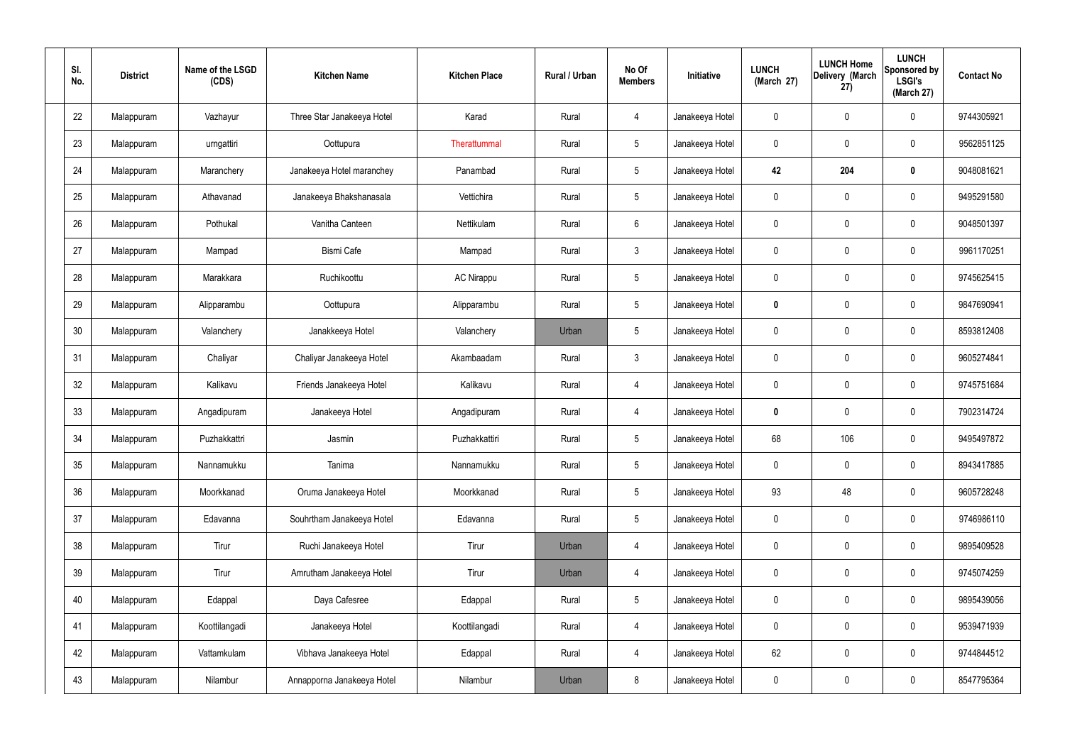| SI.<br>No. | <b>District</b> | Name of the LSGD<br>(CDS) | <b>Kitchen Name</b>        | <b>Kitchen Place</b> | Rural / Urban | No Of<br><b>Members</b> | Initiative      | <b>LUNCH</b><br>(March 27) | <b>LUNCH Home</b><br>Delivery (March<br>27) | <b>LUNCH</b><br>Sponsored by<br><b>LSGI's</b><br>(March 27) | <b>Contact No</b> |
|------------|-----------------|---------------------------|----------------------------|----------------------|---------------|-------------------------|-----------------|----------------------------|---------------------------------------------|-------------------------------------------------------------|-------------------|
| 22         | Malappuram      | Vazhayur                  | Three Star Janakeeya Hotel | Karad                | Rural         | $\overline{4}$          | Janakeeya Hotel | 0                          | 0                                           | $\mathbf 0$                                                 | 9744305921        |
| 23         | Malappuram      | urngattiri                | Oottupura                  | Therattummal         | Rural         | $\sqrt{5}$              | Janakeeya Hotel | $\mathbf 0$                | 0                                           | $\mathbf 0$                                                 | 9562851125        |
| 24         | Malappuram      | Maranchery                | Janakeeya Hotel maranchey  | Panambad             | Rural         | $5\phantom{.0}$         | Janakeeya Hotel | 42                         | 204                                         | $\mathbf 0$                                                 | 9048081621        |
| 25         | Malappuram      | Athavanad                 | Janakeeya Bhakshanasala    | Vettichira           | Rural         | $\sqrt{5}$              | Janakeeya Hotel | $\mathbf 0$                | 0                                           | $\mathbf 0$                                                 | 9495291580        |
| 26         | Malappuram      | Pothukal                  | Vanitha Canteen            | Nettikulam           | Rural         | $6\phantom{.}6$         | Janakeeya Hotel | $\mathbf 0$                | 0                                           | $\mathbf 0$                                                 | 9048501397        |
| 27         | Malappuram      | Mampad                    | <b>Bismi Cafe</b>          | Mampad               | Rural         | $\mathbf{3}$            | Janakeeya Hotel | $\mathbf 0$                | 0                                           | $\mathbf 0$                                                 | 9961170251        |
| 28         | Malappuram      | Marakkara                 | Ruchikoottu                | <b>AC Nirappu</b>    | Rural         | $5\phantom{.0}$         | Janakeeya Hotel | $\mathbf 0$                | 0                                           | $\mathbf 0$                                                 | 9745625415        |
| 29         | Malappuram      | Alipparambu               | Oottupura                  | Alipparambu          | Rural         | $\sqrt{5}$              | Janakeeya Hotel | $\mathbf 0$                | 0                                           | $\mathbf 0$                                                 | 9847690941        |
| 30         | Malappuram      | Valanchery                | Janakkeeya Hotel           | Valanchery           | Urban         | $\sqrt{5}$              | Janakeeya Hotel | $\mathbf 0$                | $\boldsymbol{0}$                            | $\mathbf 0$                                                 | 8593812408        |
| 31         | Malappuram      | Chaliyar                  | Chaliyar Janakeeya Hotel   | Akambaadam           | Rural         | $\mathfrak{Z}$          | Janakeeya Hotel | $\mathbf 0$                | 0                                           | $\mathbf 0$                                                 | 9605274841        |
| 32         | Malappuram      | Kalikavu                  | Friends Janakeeya Hotel    | Kalikavu             | Rural         | $\overline{4}$          | Janakeeya Hotel | $\mathbf 0$                | 0                                           | $\boldsymbol{0}$                                            | 9745751684        |
| 33         | Malappuram      | Angadipuram               | Janakeeya Hotel            | Angadipuram          | Rural         | 4                       | Janakeeya Hotel | 0                          | 0                                           | $\boldsymbol{0}$                                            | 7902314724        |
| 34         | Malappuram      | Puzhakkattri              | Jasmin                     | Puzhakkattiri        | Rural         | $5\phantom{.0}$         | Janakeeya Hotel | 68                         | 106                                         | 0                                                           | 9495497872        |
| 35         | Malappuram      | Nannamukku                | Tanima                     | Nannamukku           | Rural         | $5\phantom{.0}$         | Janakeeya Hotel | $\mathbf 0$                | $\mathsf{0}$                                | $\mathbf 0$                                                 | 8943417885        |
| 36         | Malappuram      | Moorkkanad                | Oruma Janakeeya Hotel      | Moorkkanad           | Rural         | $5\phantom{.0}$         | Janakeeya Hotel | 93                         | 48                                          | $\mathbf 0$                                                 | 9605728248        |
| 37         | Malappuram      | Edavanna                  | Souhrtham Janakeeya Hotel  | Edavanna             | Rural         | $5\phantom{.0}$         | Janakeeya Hotel | $\mathbf 0$                | $\mathbf 0$                                 | $\mathbf 0$                                                 | 9746986110        |
| 38         | Malappuram      | Tirur                     | Ruchi Janakeeya Hotel      | Tirur                | Urban         | $\overline{4}$          | Janakeeya Hotel | $\mathbf 0$                | $\mathsf{0}$                                | $\mathbf 0$                                                 | 9895409528        |
| 39         | Malappuram      | Tirur                     | Amrutham Janakeeya Hotel   | Tirur                | Urban         | $\overline{4}$          | Janakeeya Hotel | $\mathbf 0$                | $\mathbf 0$                                 | $\mathbf 0$                                                 | 9745074259        |
| 40         | Malappuram      | Edappal                   | Daya Cafesree              | Edappal              | Rural         | $5\phantom{.0}$         | Janakeeya Hotel | $\mathbf 0$                | $\mathsf{0}$                                | $\mathbf 0$                                                 | 9895439056        |
| 41         | Malappuram      | Koottilangadi             | Janakeeya Hotel            | Koottilangadi        | Rural         | 4                       | Janakeeya Hotel | $\mathbf 0$                | $\mathbf 0$                                 | $\mathbf 0$                                                 | 9539471939        |
| 42         | Malappuram      | Vattamkulam               | Vibhava Janakeeya Hotel    | Edappal              | Rural         | $\overline{4}$          | Janakeeya Hotel | 62                         | 0                                           | $\mathbf 0$                                                 | 9744844512        |
| 43         | Malappuram      | Nilambur                  | Annapporna Janakeeya Hotel | Nilambur             | Urban         | 8                       | Janakeeya Hotel | 0                          | $\pmb{0}$                                   | $\boldsymbol{0}$                                            | 8547795364        |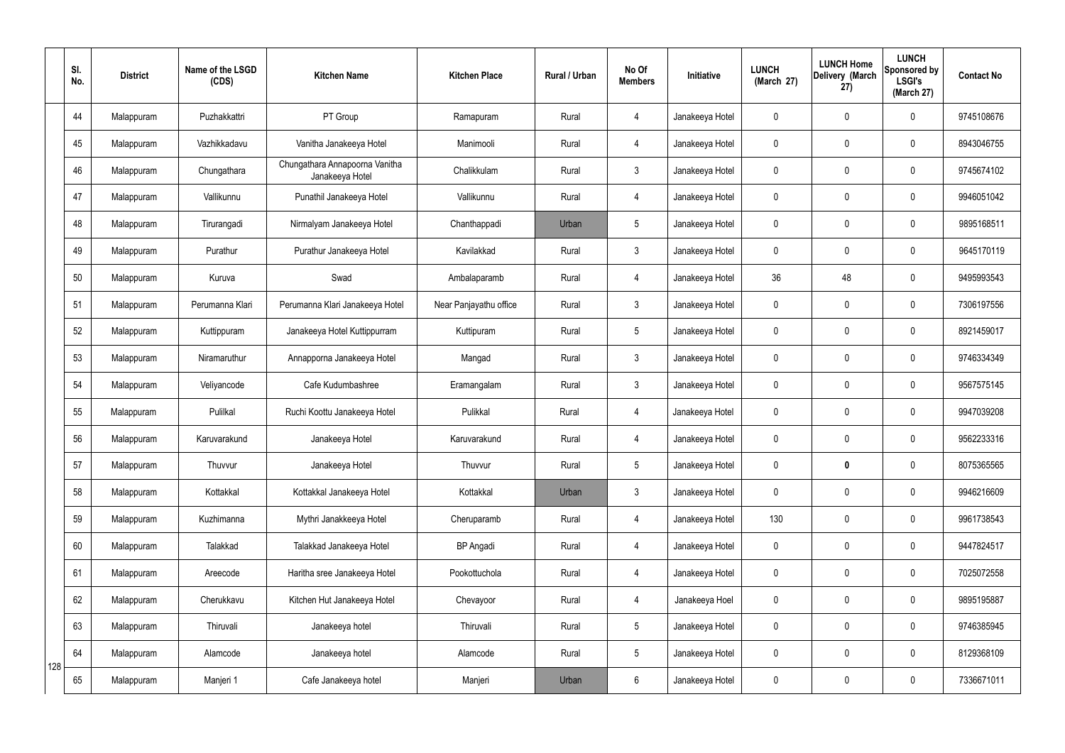|     | SI.<br>No. | <b>District</b> | Name of the LSGD<br>(CDS) | <b>Kitchen Name</b>                               | <b>Kitchen Place</b>   | Rural / Urban | No Of<br><b>Members</b> | Initiative      | <b>LUNCH</b><br>(March 27) | <b>LUNCH Home</b><br>Delivery (March<br>27) | <b>LUNCH</b><br>Sponsored by<br><b>LSGI's</b><br>(March 27) | <b>Contact No</b> |
|-----|------------|-----------------|---------------------------|---------------------------------------------------|------------------------|---------------|-------------------------|-----------------|----------------------------|---------------------------------------------|-------------------------------------------------------------|-------------------|
|     | 44         | Malappuram      | Puzhakkattri              | PT Group                                          | Ramapuram              | Rural         | $\overline{4}$          | Janakeeya Hotel | $\mathbf 0$                | $\mathbf 0$                                 | $\mathbf 0$                                                 | 9745108676        |
|     | 45         | Malappuram      | Vazhikkadavu              | Vanitha Janakeeya Hotel                           | Manimooli              | Rural         | $\overline{4}$          | Janakeeya Hotel | $\mathbf 0$                | $\mathbf 0$                                 | $\mathbf 0$                                                 | 8943046755        |
|     | 46         | Malappuram      | Chungathara               | Chungathara Annapoorna Vanitha<br>Janakeeya Hotel | Chalikkulam            | Rural         | $\mathbf{3}$            | Janakeeya Hotel | $\mathbf 0$                | $\mathbf 0$                                 | $\mathbf 0$                                                 | 9745674102        |
|     | 47         | Malappuram      | Vallikunnu                | Punathil Janakeeya Hotel                          | Vallikunnu             | Rural         | $\overline{4}$          | Janakeeya Hotel | $\mathbf 0$                | $\mathbf 0$                                 | $\mathbf 0$                                                 | 9946051042        |
|     | 48         | Malappuram      | Tirurangadi               | Nirmalyam Janakeeya Hotel                         | Chanthappadi           | Urban         | $5\overline{)}$         | Janakeeya Hotel | $\mathbf 0$                | $\mathbf 0$                                 | $\mathbf 0$                                                 | 9895168511        |
|     | 49         | Malappuram      | Purathur                  | Purathur Janakeeya Hotel                          | Kavilakkad             | Rural         | $\mathbf{3}$            | Janakeeya Hotel | $\mathbf 0$                | $\mathbf 0$                                 | $\mathbf 0$                                                 | 9645170119        |
|     | 50         | Malappuram      | Kuruva                    | Swad                                              | Ambalaparamb           | Rural         | 4                       | Janakeeya Hotel | 36                         | 48                                          | $\mathbf 0$                                                 | 9495993543        |
|     | 51         | Malappuram      | Perumanna Klari           | Perumanna Klari Janakeeya Hotel                   | Near Panjayathu office | Rural         | $\mathbf{3}$            | Janakeeya Hotel | $\mathbf 0$                | $\mathbf 0$                                 | $\mathbf 0$                                                 | 7306197556        |
|     | 52         | Malappuram      | Kuttippuram               | Janakeeya Hotel Kuttippurram                      | Kuttipuram             | Rural         | $5\overline{)}$         | Janakeeya Hotel | $\mathbf 0$                | $\mathbf 0$                                 | $\mathbf 0$                                                 | 8921459017        |
|     | 53         | Malappuram      | Niramaruthur              | Annapporna Janakeeya Hotel                        | Mangad                 | Rural         | $\mathbf{3}$            | Janakeeya Hotel | $\mathbf 0$                | $\mathbf 0$                                 | $\mathbf 0$                                                 | 9746334349        |
|     | 54         | Malappuram      | Veliyancode               | Cafe Kudumbashree                                 | Eramangalam            | Rural         | $\mathbf{3}$            | Janakeeya Hotel | $\mathbf 0$                | $\mathbf 0$                                 | $\mathbf 0$                                                 | 9567575145        |
|     | 55         | Malappuram      | Pulilkal                  | Ruchi Koottu Janakeeya Hotel                      | Pulikkal               | Rural         | 4                       | Janakeeya Hotel | $\mathbf 0$                | $\mathbf 0$                                 | $\mathbf 0$                                                 | 9947039208        |
|     | 56         | Malappuram      | Karuvarakund              | Janakeeya Hotel                                   | Karuvarakund           | Rural         | 4                       | Janakeeya Hotel | $\mathbf 0$                | $\mathbf 0$                                 | $\mathbf 0$                                                 | 9562233316        |
|     | 57         | Malappuram      | Thuvvur                   | Janakeeya Hotel                                   | Thuvvur                | Rural         | $5\phantom{.0}$         | Janakeeya Hotel | $\mathbf 0$                | 0                                           | $\mathbf 0$                                                 | 8075365565        |
|     | 58         | Malappuram      | Kottakkal                 | Kottakkal Janakeeya Hotel                         | Kottakkal              | Urban         | 3                       | Janakeeya Hotel | $\mathbf 0$                | $\pmb{0}$                                   | $\mathbf 0$                                                 | 9946216609        |
|     | 59         | Malappuram      | Kuzhimanna                | Mythri Janakkeeya Hotel                           | Cheruparamb            | Rural         | $\overline{4}$          | Janakeeya Hotel | 130                        | $\pmb{0}$                                   | $\mathbf 0$                                                 | 9961738543        |
|     | 60         | Malappuram      | Talakkad                  | Talakkad Janakeeya Hotel                          | <b>BP</b> Angadi       | Rural         | $\overline{4}$          | Janakeeya Hotel | $\mathbf 0$                | $\pmb{0}$                                   | $\mathbf 0$                                                 | 9447824517        |
|     | 61         | Malappuram      | Areecode                  | Haritha sree Janakeeya Hotel                      | Pookottuchola          | Rural         | $\overline{4}$          | Janakeeya Hotel | $\mathbf 0$                | $\pmb{0}$                                   | $\mathbf 0$                                                 | 7025072558        |
|     | 62         | Malappuram      | Cherukkavu                | Kitchen Hut Janakeeya Hotel                       | Chevayoor              | Rural         | $\overline{4}$          | Janakeeya Hoel  | $\mathbf 0$                | $\pmb{0}$                                   | $\mathbf 0$                                                 | 9895195887        |
|     | 63         | Malappuram      | Thiruvali                 | Janakeeya hotel                                   | Thiruvali              | Rural         | 5 <sub>5</sub>          | Janakeeya Hotel | $\mathbf 0$                | $\pmb{0}$                                   | $\mathbf 0$                                                 | 9746385945        |
| 128 | 64         | Malappuram      | Alamcode                  | Janakeeya hotel                                   | Alamcode               | Rural         | $5\phantom{.0}$         | Janakeeya Hotel | $\mathbf 0$                | $\pmb{0}$                                   | $\mathbf 0$                                                 | 8129368109        |
|     | 65         | Malappuram      | Manjeri 1                 | Cafe Janakeeya hotel                              | Manjeri                | Urban         | $6\overline{6}$         | Janakeeya Hotel | $\pmb{0}$                  | $\pmb{0}$                                   | $\boldsymbol{0}$                                            | 7336671011        |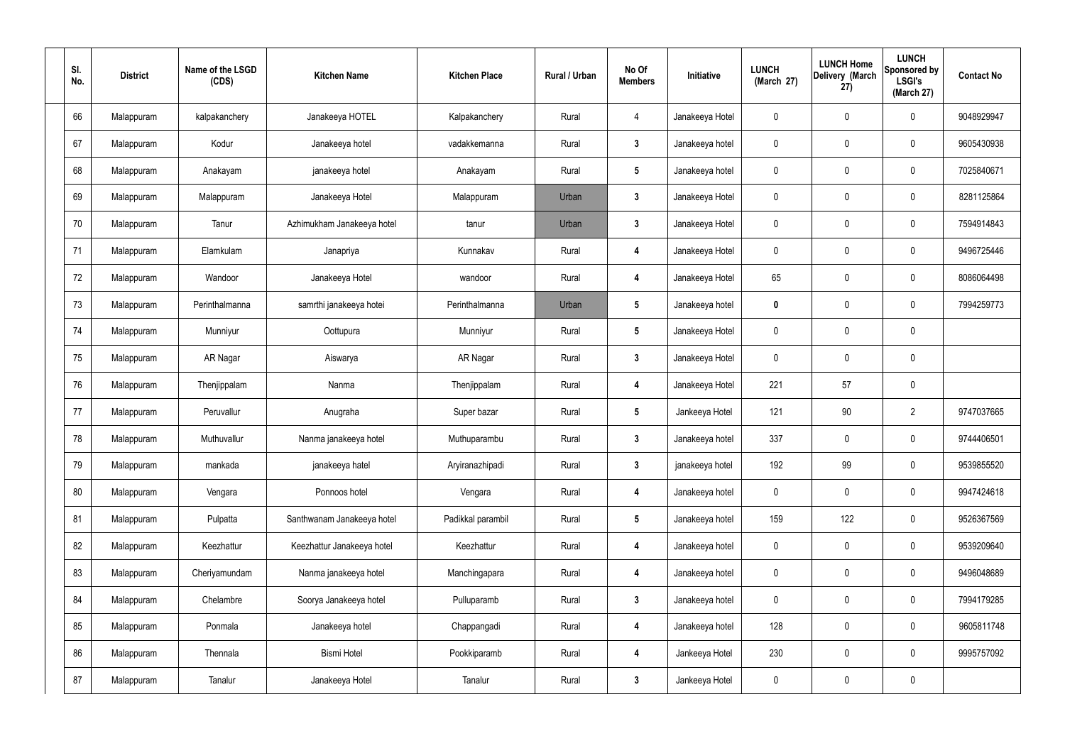| SI.<br>No. | <b>District</b> | Name of the LSGD<br>(CDS) | <b>Kitchen Name</b>        | <b>Kitchen Place</b> | Rural / Urban | No Of<br><b>Members</b> | Initiative      | <b>LUNCH</b><br>(March 27) | <b>LUNCH Home</b><br>Delivery (March<br>27) | <b>LUNCH</b><br>Sponsored by<br><b>LSGI's</b><br>(March 27) | <b>Contact No</b> |
|------------|-----------------|---------------------------|----------------------------|----------------------|---------------|-------------------------|-----------------|----------------------------|---------------------------------------------|-------------------------------------------------------------|-------------------|
| 66         | Malappuram      | kalpakanchery             | Janakeeya HOTEL            | Kalpakanchery        | Rural         | 4                       | Janakeeya Hotel | 0                          | $\mathbf 0$                                 | $\pmb{0}$                                                   | 9048929947        |
| 67         | Malappuram      | Kodur                     | Janakeeya hotel            | vadakkemanna         | Rural         | $\mathbf{3}$            | Janakeeya hotel | 0                          | $\mathbf 0$                                 | $\pmb{0}$                                                   | 9605430938        |
| 68         | Malappuram      | Anakayam                  | janakeeya hotel            | Anakayam             | Rural         | $5\phantom{.0}$         | Janakeeya hotel | 0                          | $\mathbf 0$                                 | $\pmb{0}$                                                   | 7025840671        |
| 69         | Malappuram      | Malappuram                | Janakeeya Hotel            | Malappuram           | Urban         | $\mathbf{3}$            | Janakeeya Hotel | 0                          | $\mathbf 0$                                 | $\pmb{0}$                                                   | 8281125864        |
| 70         | Malappuram      | Tanur                     | Azhimukham Janakeeya hotel | tanur                | Urban         | 3                       | Janakeeya Hotel | 0                          | $\mathbf 0$                                 | $\pmb{0}$                                                   | 7594914843        |
| 71         | Malappuram      | Elamkulam                 | Janapriya                  | Kunnakav             | Rural         | 4                       | Janakeeya Hotel | 0                          | $\mathbf 0$                                 | $\pmb{0}$                                                   | 9496725446        |
| 72         | Malappuram      | Wandoor                   | Janakeeya Hotel            | wandoor              | Rural         | 4                       | Janakeeya Hotel | 65                         | $\mathbf 0$                                 | $\pmb{0}$                                                   | 8086064498        |
| 73         | Malappuram      | Perinthalmanna            | samrthi janakeeya hotei    | Perinthalmanna       | Urban         | $5\phantom{.0}$         | Janakeeya hotel | 0                          | $\mathbf 0$                                 | $\pmb{0}$                                                   | 7994259773        |
| 74         | Malappuram      | Munniyur                  | Oottupura                  | Munniyur             | Rural         | $5\phantom{.0}$         | Janakeeya Hotel | 0                          | $\mathbf 0$                                 | $\pmb{0}$                                                   |                   |
| 75         | Malappuram      | AR Nagar                  | Aiswarya                   | AR Nagar             | Rural         | 3                       | Janakeeya Hotel | 0                          | $\mathbf 0$                                 | $\pmb{0}$                                                   |                   |
| 76         | Malappuram      | Thenjippalam              | Nanma                      | Thenjippalam         | Rural         | 4                       | Janakeeya Hotel | 221                        | 57                                          | $\pmb{0}$                                                   |                   |
| 77         | Malappuram      | Peruvallur                | Anugraha                   | Super bazar          | Rural         | $5\phantom{.0}$         | Jankeeya Hotel  | 121                        | 90                                          | $\overline{2}$                                              | 9747037665        |
| 78         | Malappuram      | Muthuvallur               | Nanma janakeeya hotel      | Muthuparambu         | Rural         | 3                       | Janakeeya hotel | 337                        | $\mathbf 0$                                 | $\mathbf 0$                                                 | 9744406501        |
| 79         | Malappuram      | mankada                   | janakeeya hatel            | Aryiranazhipadi      | Rural         | 3                       | janakeeya hotel | 192                        | 99                                          | $\pmb{0}$                                                   | 9539855520        |
| 80         | Malappuram      | Vengara                   | Ponnoos hotel              | Vengara              | Rural         | 4                       | Janakeeya hotel | 0                          | $\mathbf 0$                                 | $\mathbf 0$                                                 | 9947424618        |
| 81         | Malappuram      | Pulpatta                  | Santhwanam Janakeeya hotel | Padikkal parambil    | Rural         | $5\phantom{.0}$         | Janakeeya hotel | 159                        | 122                                         | $\mathbf 0$                                                 | 9526367569        |
| 82         | Malappuram      | Keezhattur                | Keezhattur Janakeeya hotel | Keezhattur           | Rural         | $\overline{\mathbf{4}}$ | Janakeeya hotel | 0                          | $\mathbf 0$                                 | $\mathsf{0}$                                                | 9539209640        |
| 83         | Malappuram      | Cheriyamundam             | Nanma janakeeya hotel      | Manchingapara        | Rural         | $\overline{\mathbf{4}}$ | Janakeeya hotel | 0                          | $\mathbf 0$                                 | $\mathbf 0$                                                 | 9496048689        |
| 84         | Malappuram      | Chelambre                 | Soorya Janakeeya hotel     | Pulluparamb          | Rural         | $\mathbf{3}$            | Janakeeya hotel | 0                          | $\mathbf 0$                                 | $\pmb{0}$                                                   | 7994179285        |
| 85         | Malappuram      | Ponmala                   | Janakeeya hotel            | Chappangadi          | Rural         | $\overline{\mathbf{4}}$ | Janakeeya hotel | 128                        | $\mathbf 0$                                 | $\mathbf 0$                                                 | 9605811748        |
| 86         | Malappuram      | Thennala                  | <b>Bismi Hotel</b>         | Pookkiparamb         | Rural         | $\overline{\mathbf{4}}$ | Jankeeya Hotel  | 230                        | $\mathbf 0$                                 | $\mathbf 0$                                                 | 9995757092        |
| 87         | Malappuram      | Tanalur                   | Janakeeya Hotel            | Tanalur              | Rural         | $\mathbf{3}$            | Jankeeya Hotel  | 0                          | $\mathbf 0$                                 | 0                                                           |                   |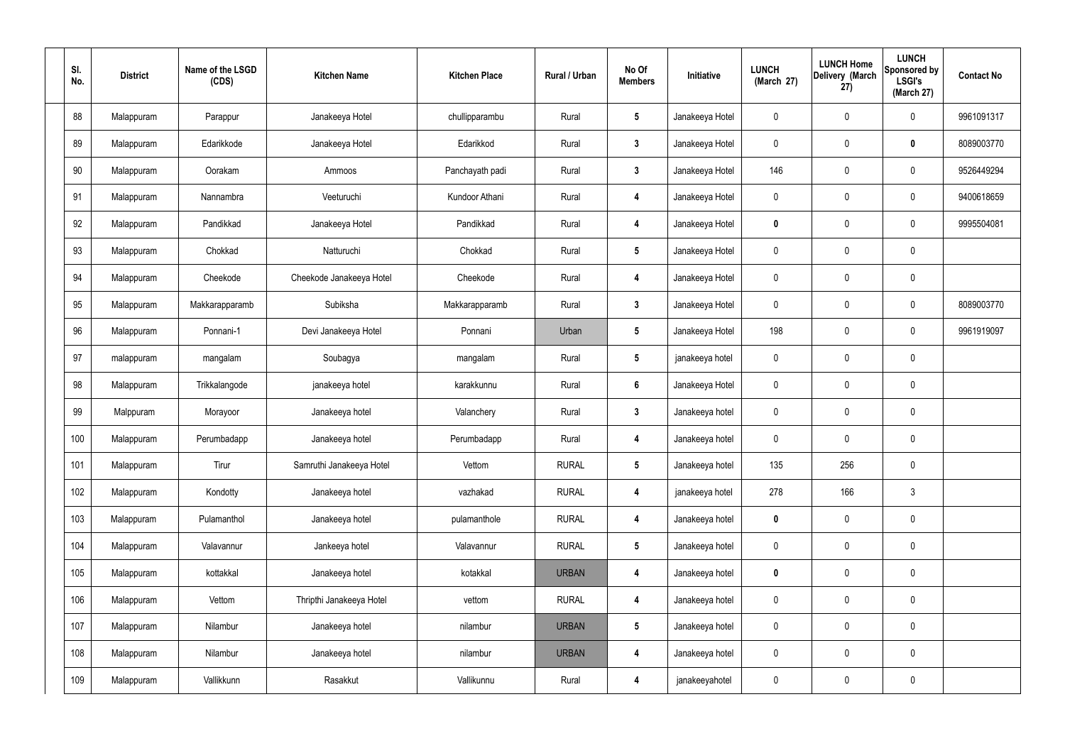| SI.<br>No. | <b>District</b> | Name of the LSGD<br>(CDS) | <b>Kitchen Name</b>      | <b>Kitchen Place</b> | Rural / Urban | No Of<br><b>Members</b> | Initiative      | <b>LUNCH</b><br>(March 27) | <b>LUNCH Home</b><br>Delivery (March<br>27) | <b>LUNCH</b><br>Sponsored by<br><b>LSGI's</b><br>(March 27) | <b>Contact No</b> |
|------------|-----------------|---------------------------|--------------------------|----------------------|---------------|-------------------------|-----------------|----------------------------|---------------------------------------------|-------------------------------------------------------------|-------------------|
| 88         | Malappuram      | Parappur                  | Janakeeya Hotel          | chullipparambu       | Rural         | $5\phantom{.0}$         | Janakeeya Hotel | 0                          | $\boldsymbol{0}$                            | $\mathbf 0$                                                 | 9961091317        |
| 89         | Malappuram      | Edarikkode                | Janakeeya Hotel          | Edarikkod            | Rural         | $\mathbf{3}$            | Janakeeya Hotel | $\mathbf 0$                | $\mathbf 0$                                 | $\mathbf 0$                                                 | 8089003770        |
| 90         | Malappuram      | Oorakam                   | Ammoos                   | Panchayath padi      | Rural         | $\mathbf{3}$            | Janakeeya Hotel | 146                        | $\boldsymbol{0}$                            | $\mathbf 0$                                                 | 9526449294        |
| 91         | Malappuram      | Nannambra                 | Veeturuchi               | Kundoor Athani       | Rural         | 4                       | Janakeeya Hotel | $\mathbf 0$                | $\boldsymbol{0}$                            | $\mathbf 0$                                                 | 9400618659        |
| 92         | Malappuram      | Pandikkad                 | Janakeeya Hotel          | Pandikkad            | Rural         | 4                       | Janakeeya Hotel | 0                          | $\boldsymbol{0}$                            | $\mathbf 0$                                                 | 9995504081        |
| 93         | Malappuram      | Chokkad                   | Natturuchi               | Chokkad              | Rural         | $5\phantom{.0}$         | Janakeeya Hotel | $\mathbf 0$                | $\mathbf 0$                                 | $\pmb{0}$                                                   |                   |
| 94         | Malappuram      | Cheekode                  | Cheekode Janakeeya Hotel | Cheekode             | Rural         | $\boldsymbol{4}$        | Janakeeya Hotel | $\mathbf 0$                | $\boldsymbol{0}$                            | $\pmb{0}$                                                   |                   |
| 95         | Malappuram      | Makkarapparamb            | Subiksha                 | Makkarapparamb       | Rural         | $\mathbf{3}$            | Janakeeya Hotel | $\mathbf 0$                | $\mathbf 0$                                 | $\mathbf 0$                                                 | 8089003770        |
| 96         | Malappuram      | Ponnani-1                 | Devi Janakeeya Hotel     | Ponnani              | Urban         | $5\phantom{.0}$         | Janakeeya Hotel | 198                        | $\boldsymbol{0}$                            | $\mathbf 0$                                                 | 9961919097        |
| 97         | malappuram      | mangalam                  | Soubagya                 | mangalam             | Rural         | $5\phantom{.0}$         | janakeeya hotel | $\mathbf 0$                | 0                                           | $\mathbf 0$                                                 |                   |
| 98         | Malappuram      | Trikkalangode             | janakeeya hotel          | karakkunnu           | Rural         | $6\phantom{a}$          | Janakeeya Hotel | $\mathbf 0$                | $\boldsymbol{0}$                            | $\mathbf 0$                                                 |                   |
| 99         | Malppuram       | Morayoor                  | Janakeeya hotel          | Valanchery           | Rural         | $\mathbf{3}$            | Janakeeya hotel | $\mathbf 0$                | 0                                           | $\mathbf 0$                                                 |                   |
| 100        | Malappuram      | Perumbadapp               | Janakeeya hotel          | Perumbadapp          | Rural         | 4                       | Janakeeya hotel | 0                          | $\mathbf 0$                                 | $\mathbf 0$                                                 |                   |
| 101        | Malappuram      | Tirur                     | Samruthi Janakeeya Hotel | Vettom               | <b>RURAL</b>  | $5\phantom{.0}$         | Janakeeya hotel | 135                        | 256                                         | $\mathbf 0$                                                 |                   |
| 102        | Malappuram      | Kondotty                  | Janakeeya hotel          | vazhakad             | <b>RURAL</b>  | 4                       | janakeeya hotel | 278                        | 166                                         | $\mathfrak{Z}$                                              |                   |
| 103        | Malappuram      | Pulamanthol               | Janakeeya hotel          | pulamanthole         | <b>RURAL</b>  | $\boldsymbol{4}$        | Janakeeya hotel | $\mathbf 0$                | 0                                           | $\mathbf 0$                                                 |                   |
| 104        | Malappuram      | Valavannur                | Jankeeya hotel           | Valavannur           | <b>RURAL</b>  | $5\phantom{.0}$         | Janakeeya hotel | $\pmb{0}$                  | 0                                           | $\mathbf 0$                                                 |                   |
| 105        | Malappuram      | kottakkal                 | Janakeeya hotel          | kotakkal             | <b>URBAN</b>  | 4                       | Janakeeya hotel | $\mathbf 0$                | 0                                           | $\mathbf 0$                                                 |                   |
| 106        | Malappuram      | Vettom                    | Thripthi Janakeeya Hotel | vettom               | <b>RURAL</b>  | $\boldsymbol{4}$        | Janakeeya hotel | $\pmb{0}$                  | 0                                           | $\mathbf 0$                                                 |                   |
| 107        | Malappuram      | Nilambur                  | Janakeeya hotel          | nilambur             | <b>URBAN</b>  | $5\phantom{.0}$         | Janakeeya hotel | 0                          | 0                                           | $\mathbf 0$                                                 |                   |
| 108        | Malappuram      | Nilambur                  | Janakeeya hotel          | nilambur             | <b>URBAN</b>  | 4                       | Janakeeya hotel | $\pmb{0}$                  | 0                                           | $\mathbf 0$                                                 |                   |
| 109        | Malappuram      | Vallikkunn                | Rasakkut                 | Vallikunnu           | Rural         | 4                       | janakeeyahotel  | 0                          | $\pmb{0}$                                   | $\pmb{0}$                                                   |                   |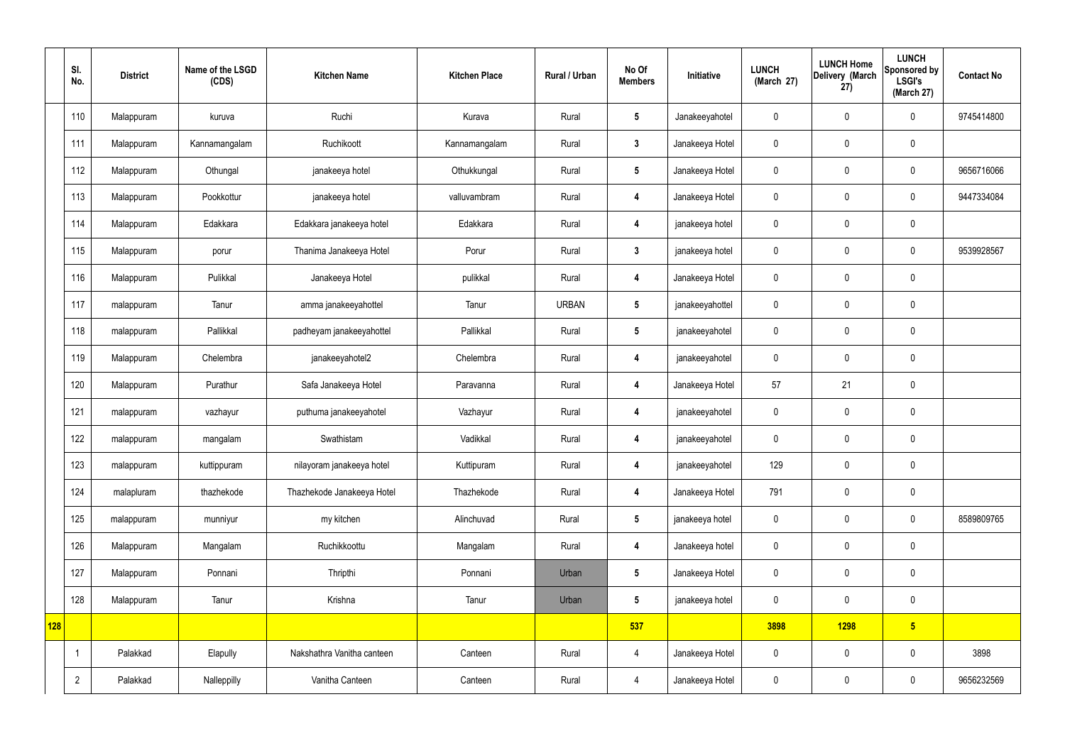|     | SI.<br>No.     | <b>District</b> | Name of the LSGD<br>(CDS) | <b>Kitchen Name</b>        | <b>Kitchen Place</b> | <b>Rural / Urban</b> | No Of<br><b>Members</b> | Initiative      | <b>LUNCH</b><br>(March 27) | <b>LUNCH Home</b><br>Delivery (March<br>27) | <b>LUNCH</b><br>Sponsored by<br><b>LSGI's</b><br>(March 27) | <b>Contact No</b> |
|-----|----------------|-----------------|---------------------------|----------------------------|----------------------|----------------------|-------------------------|-----------------|----------------------------|---------------------------------------------|-------------------------------------------------------------|-------------------|
|     | 110            | Malappuram      | kuruva                    | Ruchi                      | Kurava               | Rural                | $5\phantom{.0}$         | Janakeeyahotel  | $\mathbf 0$                | $\mathbf 0$                                 | $\mathbf 0$                                                 | 9745414800        |
|     | 111            | Malappuram      | Kannamangalam             | Ruchikoott                 | Kannamangalam        | Rural                | $\mathbf{3}$            | Janakeeya Hotel | $\boldsymbol{0}$           | $\mathbf 0$                                 | $\mathbf 0$                                                 |                   |
|     | 112            | Malappuram      | Othungal                  | janakeeya hotel            | Othukkungal          | Rural                | $5\phantom{.0}$         | Janakeeya Hotel | $\boldsymbol{0}$           | $\mathbf 0$                                 | $\mathbf 0$                                                 | 9656716066        |
|     | 113            | Malappuram      | Pookkottur                | janakeeya hotel            | valluvambram         | Rural                | $\overline{4}$          | Janakeeya Hotel | $\boldsymbol{0}$           | $\mathbf 0$                                 | $\mathbf 0$                                                 | 9447334084        |
|     | 114            | Malappuram      | Edakkara                  | Edakkara janakeeya hotel   | Edakkara             | Rural                | $\overline{\mathbf{4}}$ | janakeeya hotel | $\boldsymbol{0}$           | $\mathbf 0$                                 | $\mathbf 0$                                                 |                   |
|     | 115            | Malappuram      | porur                     | Thanima Janakeeya Hotel    | Porur                | Rural                | $3\phantom{a}$          | janakeeya hotel | $\boldsymbol{0}$           | $\mathbf 0$                                 | $\mathbf 0$                                                 | 9539928567        |
|     | 116            | Malappuram      | Pulikkal                  | Janakeeya Hotel            | pulikkal             | Rural                | $\overline{4}$          | Janakeeya Hotel | $\boldsymbol{0}$           | $\mathbf 0$                                 | $\mathbf 0$                                                 |                   |
|     | 117            | malappuram      | Tanur                     | amma janakeeyahottel       | Tanur                | <b>URBAN</b>         | $5\phantom{.0}$         | janakeeyahottel | $\boldsymbol{0}$           | $\mathbf 0$                                 | $\mathbf 0$                                                 |                   |
|     | 118            | malappuram      | Pallikkal                 | padheyam janakeeyahottel   | Pallikkal            | Rural                | $5\phantom{.0}$         | janakeeyahotel  | $\boldsymbol{0}$           | $\mathbf 0$                                 | $\mathbf 0$                                                 |                   |
|     | 119            | Malappuram      | Chelembra                 | janakeeyahotel2            | Chelembra            | Rural                | $\boldsymbol{4}$        | janakeeyahotel  | $\boldsymbol{0}$           | $\mathbf 0$                                 | $\mathbf 0$                                                 |                   |
|     | 120            | Malappuram      | Purathur                  | Safa Janakeeya Hotel       | Paravanna            | Rural                | $\overline{\mathbf{4}}$ | Janakeeya Hotel | 57                         | 21                                          | $\mathbf 0$                                                 |                   |
|     | 121            | malappuram      | vazhayur                  | puthuma janakeeyahotel     | Vazhayur             | Rural                | 4                       | janakeeyahotel  | $\boldsymbol{0}$           | $\mathbf 0$                                 | $\mathbf 0$                                                 |                   |
|     | 122            | malappuram      | mangalam                  | Swathistam                 | Vadikkal             | Rural                | 4                       | janakeeyahotel  | $\boldsymbol{0}$           | $\mathbf 0$                                 | $\mathbf 0$                                                 |                   |
|     | 123            | malappuram      | kuttippuram               | nilayoram janakeeya hotel  | Kuttipuram           | Rural                | $\boldsymbol{4}$        | janakeeyahotel  | 129                        | $\pmb{0}$                                   | $\mathbf 0$                                                 |                   |
|     | 124            | malapluram      | thazhekode                | Thazhekode Janakeeya Hotel | Thazhekode           | Rural                | $\overline{4}$          | Janakeeya Hotel | 791                        | $\pmb{0}$                                   | $\mathbf 0$                                                 |                   |
|     | 125            | malappuram      | munniyur                  | my kitchen                 | Alinchuvad           | Rural                | $5\phantom{.0}$         | janakeeya hotel | $\pmb{0}$                  | $\pmb{0}$                                   | $\pmb{0}$                                                   | 8589809765        |
|     | 126            | Malappuram      | Mangalam                  | Ruchikkoottu               | Mangalam             | Rural                | $\overline{4}$          | Janakeeya hotel | $\pmb{0}$                  | $\pmb{0}$                                   | $\mathbf 0$                                                 |                   |
|     | 127            | Malappuram      | Ponnani                   | Thripthi                   | Ponnani              | Urban                | $5\phantom{.0}$         | Janakeeya Hotel | $\pmb{0}$                  | $\boldsymbol{0}$                            | $\mathbf 0$                                                 |                   |
|     | 128            | Malappuram      | Tanur                     | Krishna                    | Tanur                | Urban                | $5\phantom{.0}$         | janakeeya hotel | $\pmb{0}$                  | $\overline{0}$                              | $\mathbf 0$                                                 |                   |
| 128 |                |                 |                           |                            |                      |                      | 537                     |                 | 3898                       | <b>1298</b>                                 | $5\overline{)}$                                             |                   |
|     |                | Palakkad        | Elapully                  | Nakshathra Vanitha canteen | Canteen              | Rural                | $\overline{4}$          | Janakeeya Hotel | $\pmb{0}$                  | $\pmb{0}$                                   | $\pmb{0}$                                                   | 3898              |
|     | $\overline{2}$ | Palakkad        | Nalleppilly               | Vanitha Canteen            | Canteen              | Rural                | $\overline{4}$          | Janakeeya Hotel | $\pmb{0}$                  | $\pmb{0}$                                   | $\pmb{0}$                                                   | 9656232569        |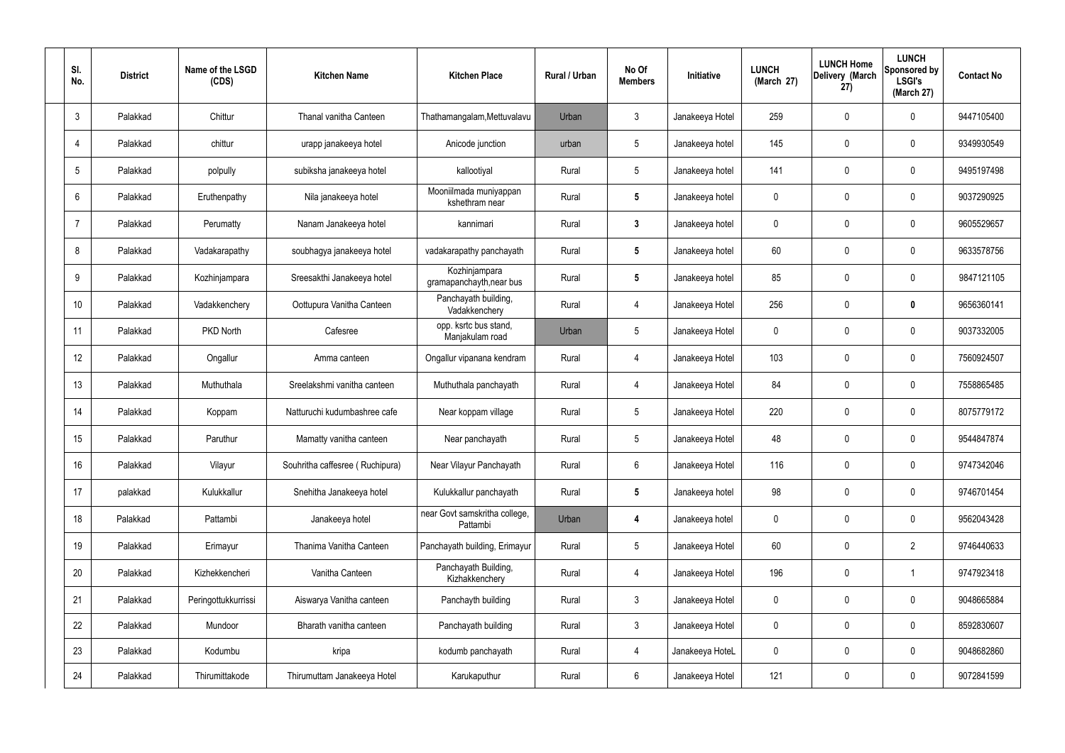| SI.<br>No. | <b>District</b> | Name of the LSGD<br>(CDS) | <b>Kitchen Name</b>             | <b>Kitchen Place</b>                      | Rural / Urban | No Of<br><b>Members</b> | <b>Initiative</b> | <b>LUNCH</b><br>(March 27) | <b>LUNCH Home</b><br>Delivery (March<br>(27) | <b>LUNCH</b><br>Sponsored by<br><b>LSGI's</b><br>(March 27) | <b>Contact No</b> |
|------------|-----------------|---------------------------|---------------------------------|-------------------------------------------|---------------|-------------------------|-------------------|----------------------------|----------------------------------------------|-------------------------------------------------------------|-------------------|
| 3          | Palakkad        | Chittur                   | Thanal vanitha Canteen          | Thathamangalam, Mettuvalavu               | Urban         | 3                       | Janakeeya Hotel   | 259                        | 0                                            | $\mathbf 0$                                                 | 9447105400        |
|            | Palakkad        | chittur                   | urapp janakeeya hotel           | Anicode junction                          | urban         | 5                       | Janakeeya hotel   | 145                        | 0                                            | $\mathbf 0$                                                 | 9349930549        |
| 5          | Palakkad        | polpully                  | subiksha janakeeya hotel        | kallootiyal                               | Rural         | $5\phantom{.0}$         | Janakeeya hotel   | 141                        | 0                                            | $\mathbf 0$                                                 | 9495197498        |
| 6          | Palakkad        | Eruthenpathy              | Nila janakeeya hotel            | Mooniilmada muniyappan<br>kshethram near  | Rural         | $5\phantom{.0}$         | Janakeeya hotel   | $\mathbf 0$                | 0                                            | $\mathbf 0$                                                 | 9037290925        |
| 7          | Palakkad        | Perumatty                 | Nanam Janakeeya hotel           | kannimari                                 | Rural         | $\mathbf{3}$            | Janakeeya hotel   | 0                          | 0                                            | $\mathbf 0$                                                 | 9605529657        |
| 8          | Palakkad        | Vadakarapathy             | soubhagya janakeeya hotel       | vadakarapathy panchayath                  | Rural         | $5\phantom{.0}$         | Janakeeya hotel   | 60                         | $\mathbf{0}$                                 | $\mathbf 0$                                                 | 9633578756        |
| 9          | Palakkad        | Kozhinjampara             | Sreesakthi Janakeeya hotel      | Kozhinjampara<br>gramapanchayth, near bus | Rural         | $5\phantom{.0}$         | Janakeeya hotel   | 85                         | $\mathbf{0}$                                 | $\mathbf 0$                                                 | 9847121105        |
| 10         | Palakkad        | Vadakkenchery             | Oottupura Vanitha Canteen       | Panchayath building,<br>Vadakkenchery     | Rural         | $\overline{4}$          | Janakeeya Hotel   | 256                        | $\mathbf{0}$                                 | $\mathbf 0$                                                 | 9656360141        |
| 11         | Palakkad        | PKD North                 | Cafesree                        | opp. ksrtc bus stand,<br>Manjakulam road  | Urban         | $5\phantom{.0}$         | Janakeeya Hotel   | 0                          | 0                                            | $\mathbf 0$                                                 | 9037332005        |
| 12         | Palakkad        | Ongallur                  | Amma canteen                    | Ongallur vipanana kendram                 | Rural         | 4                       | Janakeeya Hotel   | 103                        | 0                                            | $\boldsymbol{0}$                                            | 7560924507        |
| 13         | Palakkad        | Muthuthala                | Sreelakshmi vanitha canteen     | Muthuthala panchayath                     | Rural         | 4                       | Janakeeya Hotel   | 84                         | 0                                            | 0                                                           | 7558865485        |
| 14         | Palakkad        | Koppam                    | Natturuchi kudumbashree cafe    | Near koppam village                       | Rural         | $5\phantom{.0}$         | Janakeeya Hotel   | 220                        | 0                                            | $\boldsymbol{0}$                                            | 8075779172        |
| 15         | Palakkad        | Paruthur                  | Mamatty vanitha canteen         | Near panchayath                           | Rural         | 5                       | Janakeeya Hotel   | 48                         | 0                                            | 0                                                           | 9544847874        |
| 16         | Palakkad        | Vilayur                   | Souhritha caffesree (Ruchipura) | Near Vilayur Panchayath                   | Rural         | $6\phantom{.}$          | Janakeeya Hotel   | 116                        | $\mathbf 0$                                  | $\mathbf 0$                                                 | 9747342046        |
| 17         | palakkad        | Kulukkallur               | Snehitha Janakeeya hotel        | Kulukkallur panchayath                    | Rural         | $5\phantom{.0}$         | Janakeeya hotel   | 98                         | $\mathbf 0$                                  | $\mathbf 0$                                                 | 9746701454        |
| 18         | Palakkad        | Pattambi                  | Janakeeya hotel                 | near Govt samskritha college,<br>Pattambi | Urban         | 4                       | Janakeeya hotel   | $\mathbf 0$                | $\mathbf 0$                                  | $\mathbf 0$                                                 | 9562043428        |
| 19         | Palakkad        | Erimayur                  | Thanima Vanitha Canteen         | Panchayath building, Erimayur             | Rural         | $5\phantom{.0}$         | Janakeeya Hotel   | 60                         | $\mathbf 0$                                  | $\overline{2}$                                              | 9746440633        |
| 20         | Palakkad        | Kizhekkencheri            | Vanitha Canteen                 | Panchayath Building,<br>Kizhakkenchery    | Rural         | $\overline{4}$          | Janakeeya Hotel   | 196                        | $\mathbf 0$                                  | $\mathbf 1$                                                 | 9747923418        |
| 21         | Palakkad        | Peringottukkurrissi       | Aiswarya Vanitha canteen        | Panchayth building                        | Rural         | $3\phantom{a}$          | Janakeeya Hotel   | $\mathbf 0$                | 0                                            | $\mathbf 0$                                                 | 9048665884        |
| 22         | Palakkad        | Mundoor                   | Bharath vanitha canteen         | Panchayath building                       | Rural         | $\mathbf{3}$            | Janakeeya Hotel   | $\mathbf 0$                | $\mathbf 0$                                  | $\mathbf 0$                                                 | 8592830607        |
| 23         | Palakkad        | Kodumbu                   | kripa                           | kodumb panchayath                         | Rural         | 4                       | Janakeeya HoteL   | 0                          | 0                                            | $\mathbf 0$                                                 | 9048682860        |
| 24         | Palakkad        | Thirumittakode            | Thirumuttam Janakeeya Hotel     | Karukaputhur                              | Rural         | $6\phantom{.}6$         | Janakeeya Hotel   | 121                        | 0                                            | $\pmb{0}$                                                   | 9072841599        |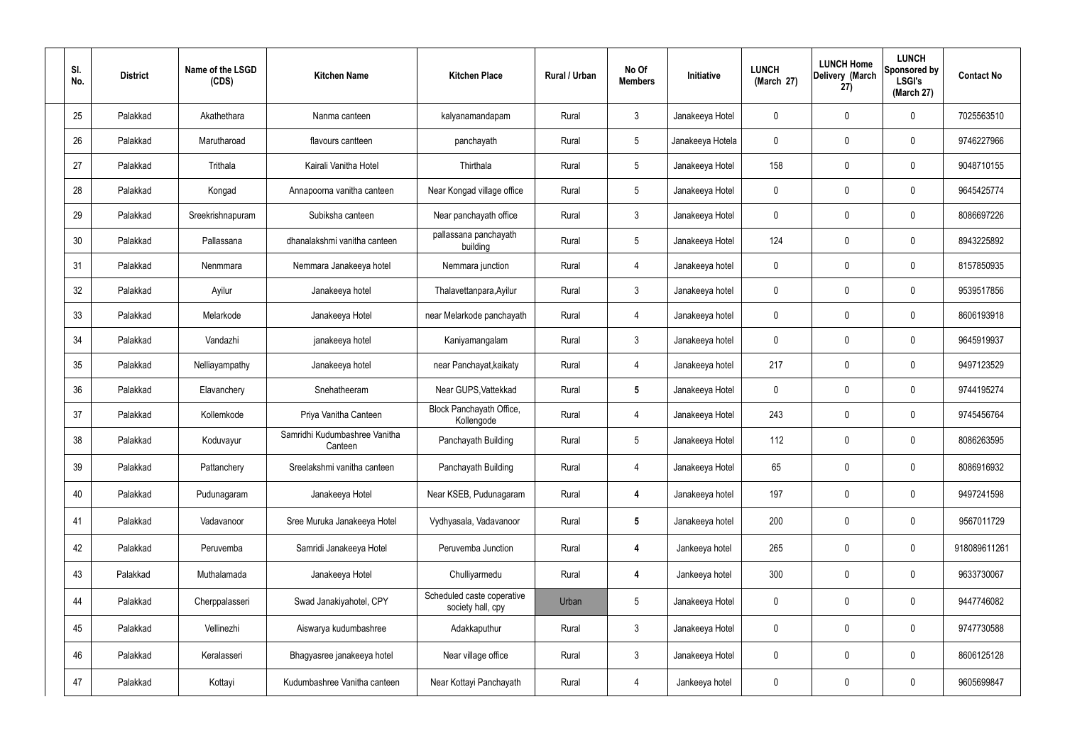| SI.<br>No. | <b>District</b> | Name of the LSGD<br>(CDS) | <b>Kitchen Name</b>                      | <b>Kitchen Place</b>                            | Rural / Urban | No Of<br><b>Members</b> | Initiative       | <b>LUNCH</b><br>(March 27) | <b>LUNCH Home</b><br>Delivery (March<br>27) | <b>LUNCH</b><br>Sponsored by<br><b>LSGI's</b><br>(March 27) | <b>Contact No</b> |
|------------|-----------------|---------------------------|------------------------------------------|-------------------------------------------------|---------------|-------------------------|------------------|----------------------------|---------------------------------------------|-------------------------------------------------------------|-------------------|
| 25         | Palakkad        | Akathethara               | Nanma canteen                            | kalyanamandapam                                 | Rural         | $\mathbf{3}$            | Janakeeya Hotel  | 0                          | 0                                           | $\mathbf 0$                                                 | 7025563510        |
| 26         | Palakkad        | Marutharoad               | flavours cantteen                        | panchayath                                      | Rural         | $5\phantom{.0}$         | Janakeeya Hotela | $\mathbf 0$                | 0                                           | $\boldsymbol{0}$                                            | 9746227966        |
| 27         | Palakkad        | Trithala                  | Kairali Vanitha Hotel                    | Thirthala                                       | Rural         | $5\phantom{.0}$         | Janakeeya Hotel  | 158                        | $\mathbf 0$                                 | $\pmb{0}$                                                   | 9048710155        |
| 28         | Palakkad        | Kongad                    | Annapoorna vanitha canteen               | Near Kongad village office                      | Rural         | $5\phantom{.0}$         | Janakeeya Hotel  | $\mathbf 0$                | 0                                           | $\mathbf 0$                                                 | 9645425774        |
| 29         | Palakkad        | Sreekrishnapuram          | Subiksha canteen                         | Near panchayath office                          | Rural         | $\mathbf{3}$            | Janakeeya Hotel  | $\mathbf 0$                | $\boldsymbol{0}$                            | $\pmb{0}$                                                   | 8086697226        |
| 30         | Palakkad        | Pallassana                | dhanalakshmi vanitha canteen             | pallassana panchayath<br>building               | Rural         | $5\phantom{.0}$         | Janakeeya Hotel  | 124                        | $\mathbf 0$                                 | $\pmb{0}$                                                   | 8943225892        |
| 31         | Palakkad        | Nenmmara                  | Nemmara Janakeeya hotel                  | Nemmara junction                                | Rural         | $\overline{4}$          | Janakeeya hotel  | $\mathbf 0$                | 0                                           | $\mathbf 0$                                                 | 8157850935        |
| 32         | Palakkad        | Ayilur                    | Janakeeya hotel                          | Thalavettanpara, Ayilur                         | Rural         | $\mathbf{3}$            | Janakeeya hotel  | 0                          | 0                                           | 0                                                           | 9539517856        |
| 33         | Palakkad        | Melarkode                 | Janakeeya Hotel                          | near Melarkode panchayath                       | Rural         | 4                       | Janakeeya hotel  | $\mathbf 0$                | $\mathbf 0$                                 | $\pmb{0}$                                                   | 8606193918        |
| 34         | Palakkad        | Vandazhi                  | janakeeya hotel                          | Kaniyamangalam                                  | Rural         | $\mathbf{3}$            | Janakeeya hotel  | 0                          | $\boldsymbol{0}$                            | $\mathbf 0$                                                 | 9645919937        |
| 35         | Palakkad        | Nelliayampathy            | Janakeeya hotel                          | near Panchayat, kaikaty                         | Rural         | 4                       | Janakeeya hotel  | 217                        | $\boldsymbol{0}$                            | 0                                                           | 9497123529        |
| 36         | Palakkad        | Elavanchery               | Snehatheeram                             | Near GUPS, Vattekkad                            | Rural         | $5\phantom{.0}$         | Janakeeya Hotel  | $\mathbf 0$                | 0                                           | $\mathbf 0$                                                 | 9744195274        |
| 37         | Palakkad        | Kollemkode                | Priya Vanitha Canteen                    | Block Panchayath Office,<br>Kollengode          | Rural         | $\overline{4}$          | Janakeeya Hotel  | 243                        | 0                                           | $\boldsymbol{0}$                                            | 9745456764        |
| 38         | Palakkad        | Koduvayur                 | Samridhi Kudumbashree Vanitha<br>Canteen | Panchayath Building                             | Rural         | $5\phantom{.0}$         | Janakeeya Hotel  | 112                        | 0                                           | 0                                                           | 8086263595        |
| 39         | Palakkad        | Pattanchery               | Sreelakshmi vanitha canteen              | Panchayath Building                             | Rural         | $\overline{4}$          | Janakeeya Hotel  | 65                         | $\mathbf 0$                                 | $\boldsymbol{0}$                                            | 8086916932        |
| 40         | Palakkad        | Pudunagaram               | Janakeeya Hotel                          | Near KSEB, Pudunagaram                          | Rural         | 4                       | Janakeeya hotel  | 197                        | 0                                           | $\mathbf 0$                                                 | 9497241598        |
| 41         | Palakkad        | Vadavanoor                | Sree Muruka Janakeeya Hotel              | Vydhyasala, Vadavanoor                          | Rural         | $5\phantom{.0}$         | Janakeeya hotel  | 200                        | $\mathbf 0$                                 | $\mathbf 0$                                                 | 9567011729        |
| 42         | Palakkad        | Peruvemba                 | Samridi Janakeeya Hotel                  | Peruvemba Junction                              | Rural         | $\boldsymbol{4}$        | Jankeeya hotel   | 265                        | 0                                           | $\mathbf 0$                                                 | 918089611261      |
| 43         | Palakkad        | Muthalamada               | Janakeeya Hotel                          | Chulliyarmedu                                   | Rural         | 4                       | Jankeeya hotel   | 300                        | $\mathbf 0$                                 | $\mathbf 0$                                                 | 9633730067        |
| 44         | Palakkad        | Cherppalasseri            | Swad Janakiyahotel, CPY                  | Scheduled caste coperative<br>society hall, cpy | Urban         | $5\phantom{.0}$         | Janakeeya Hotel  | $\mathbf 0$                | 0                                           | $\mathbf 0$                                                 | 9447746082        |
| 45         | Palakkad        | Vellinezhi                | Aiswarya kudumbashree                    | Adakkaputhur                                    | Rural         | 3 <sup>1</sup>          | Janakeeya Hotel  | 0                          | $\mathbf 0$                                 | $\mathbf 0$                                                 | 9747730588        |
| 46         | Palakkad        | Keralasseri               | Bhagyasree janakeeya hotel               | Near village office                             | Rural         | $\mathbf{3}$            | Janakeeya Hotel  | 0                          | 0                                           | $\mathbf 0$                                                 | 8606125128        |
| 47         | Palakkad        | Kottayi                   | Kudumbashree Vanitha canteen             | Near Kottayi Panchayath                         | Rural         | 4                       | Jankeeya hotel   | 0                          | 0                                           | $\boldsymbol{0}$                                            | 9605699847        |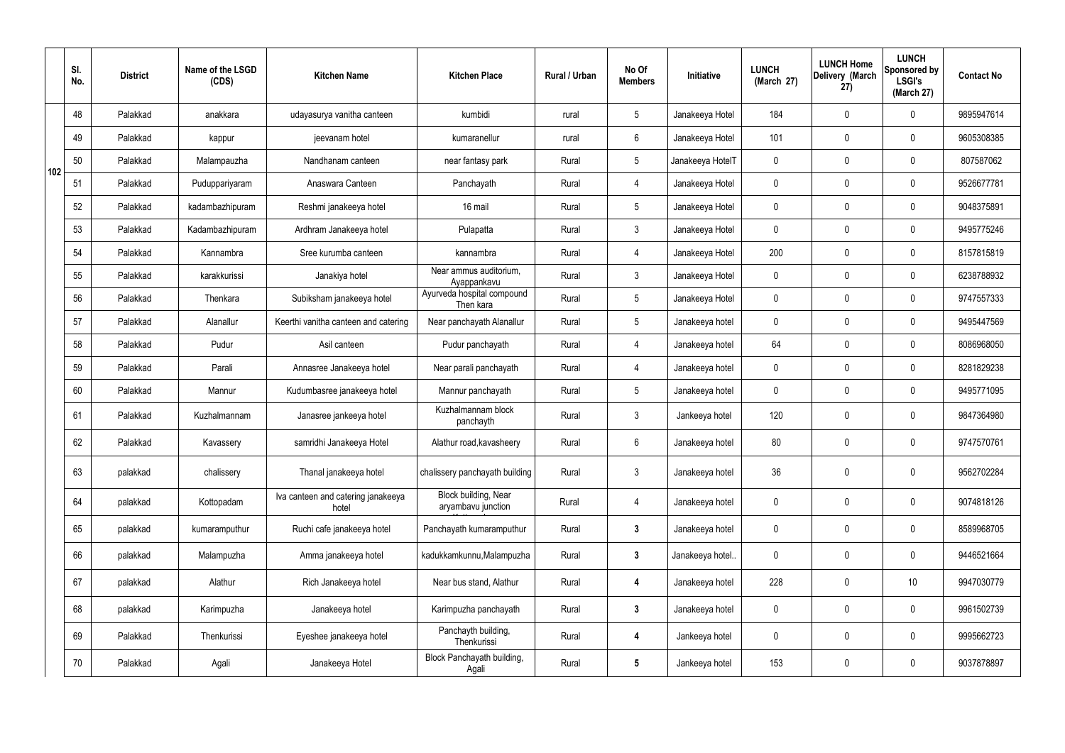|     | SI.<br>No. | <b>District</b> | Name of the LSGD<br>(CDS) | <b>Kitchen Name</b>                         | <b>Kitchen Place</b>                       | Rural / Urban | No Of<br><b>Members</b> | <b>Initiative</b> | <b>LUNCH</b><br>(March 27) | <b>LUNCH Home</b><br>Delivery (March<br>27) | <b>LUNCH</b><br>Sponsored by<br><b>LSGI's</b><br>(March 27) | <b>Contact No</b> |
|-----|------------|-----------------|---------------------------|---------------------------------------------|--------------------------------------------|---------------|-------------------------|-------------------|----------------------------|---------------------------------------------|-------------------------------------------------------------|-------------------|
|     | 48         | Palakkad        | anakkara                  | udayasurya vanitha canteen                  | kumbidi                                    | rural         | $5\overline{)}$         | Janakeeya Hotel   | 184                        | $\mathbf 0$                                 | $\mathbf 0$                                                 | 9895947614        |
|     | 49         | Palakkad        | kappur                    | jeevanam hotel                              | kumaranellur                               | rural         | $6\overline{6}$         | Janakeeya Hotel   | 101                        | $\mathbf 0$                                 | $\mathbf 0$                                                 | 9605308385        |
| 102 | 50         | Palakkad        | Malampauzha               | Nandhanam canteen                           | near fantasy park                          | Rural         | 5 <sup>5</sup>          | Janakeeya HotelT  | $\mathbf 0$                | $\mathbf 0$                                 | $\mathbf 0$                                                 | 807587062         |
|     | 51         | Palakkad        | Puduppariyaram            | Anaswara Canteen                            | Panchayath                                 | Rural         | $\overline{4}$          | Janakeeya Hotel   | $\mathbf 0$                | $\mathbf 0$                                 | $\mathbf 0$                                                 | 9526677781        |
|     | 52         | Palakkad        | kadambazhipuram           | Reshmi janakeeya hotel                      | 16 mail                                    | Rural         | $5\overline{)}$         | Janakeeya Hotel   | $\mathbf 0$                | $\mathbf 0$                                 | $\mathbf 0$                                                 | 9048375891        |
|     | 53         | Palakkad        | Kadambazhipuram           | Ardhram Janakeeya hotel                     | Pulapatta                                  | Rural         | 3                       | Janakeeya Hotel   | $\mathbf 0$                | $\mathbf 0$                                 | $\mathbf 0$                                                 | 9495775246        |
|     | 54         | Palakkad        | Kannambra                 | Sree kurumba canteen                        | kannambra                                  | Rural         | $\overline{4}$          | Janakeeya Hotel   | 200                        | $\mathbf 0$                                 | $\mathbf 0$                                                 | 8157815819        |
|     | 55         | Palakkad        | karakkurissi              | Janakiya hotel                              | Near ammus auditorium,<br>Ayappankavu      | Rural         | $\mathbf{3}$            | Janakeeya Hotel   | $\mathbf 0$                | 0                                           | $\mathbf 0$                                                 | 6238788932        |
|     | 56         | Palakkad        | Thenkara                  | Subiksham janakeeya hotel                   | Ayurveda hospital compound<br>Then kara    | Rural         | $5\phantom{.0}$         | Janakeeya Hotel   | $\mathbf 0$                | 0                                           | $\mathbf 0$                                                 | 9747557333        |
|     | 57         | Palakkad        | Alanallur                 | Keerthi vanitha canteen and catering        | Near panchayath Alanallur                  | Rural         | $5\overline{)}$         | Janakeeya hotel   | $\mathbf 0$                | $\mathbf 0$                                 | $\mathbf 0$                                                 | 9495447569        |
|     | 58         | Palakkad        | Pudur                     | Asil canteen                                | Pudur panchayath                           | Rural         | 4                       | Janakeeya hotel   | 64                         | $\mathbf 0$                                 | $\mathbf 0$                                                 | 8086968050        |
|     | 59         | Palakkad        | Parali                    | Annasree Janakeeya hotel                    | Near parali panchayath                     | Rural         | $\overline{4}$          | Janakeeya hotel   | $\mathbf 0$                | $\mathbf 0$                                 | $\mathbf 0$                                                 | 8281829238        |
|     | 60         | Palakkad        | Mannur                    | Kudumbasree janakeeya hotel                 | Mannur panchayath                          | Rural         | $5\overline{)}$         | Janakeeya hotel   | $\mathbf 0$                | $\mathbf 0$                                 | $\mathbf 0$                                                 | 9495771095        |
|     | 61         | Palakkad        | Kuzhalmannam              | Janasree jankeeya hotel                     | Kuzhalmannam block<br>panchayth            | Rural         | $\mathbf{3}$            | Jankeeya hotel    | 120                        | $\mathbf 0$                                 | $\mathbf 0$                                                 | 9847364980        |
|     | 62         | Palakkad        | Kavassery                 | samridhi Janakeeya Hotel                    | Alathur road, kavasheery                   | Rural         | 6                       | Janakeeya hotel   | 80                         | 0                                           | $\mathbf 0$                                                 | 9747570761        |
|     | 63         | palakkad        | chalissery                | Thanal janakeeya hotel                      | chalissery panchayath building             | Rural         | $\mathfrak{Z}$          | Janakeeya hotel   | 36                         | $\mathbf 0$                                 | $\mathbf 0$                                                 | 9562702284        |
|     | 64         | palakkad        | Kottopadam                | Iva canteen and catering janakeeya<br>hotel | Block building, Near<br>aryambavu junction | Rural         | $\overline{4}$          | Janakeeya hotel   | $\mathbf 0$                | $\mathbf 0$                                 | $\mathbf 0$                                                 | 9074818126        |
|     | 65         | palakkad        | kumaramputhur             | Ruchi cafe janakeeya hotel                  | Panchayath kumaramputhur                   | Rural         | $3\phantom{.0}$         | Janakeeya hotel   | $\mathbf 0$                | $\pmb{0}$                                   | $\mathbf 0$                                                 | 8589968705        |
|     | 66         | palakkad        | Malampuzha                | Amma janakeeya hotel                        | kadukkamkunnu, Malampuzha                  | Rural         | $\mathbf{3}$            | Janakeeya hotel   | $\mathbf 0$                | $\pmb{0}$                                   | $\mathbf 0$                                                 | 9446521664        |
|     | 67         | palakkad        | Alathur                   | Rich Janakeeya hotel                        | Near bus stand, Alathur                    | Rural         | 4                       | Janakeeya hotel   | 228                        | $\mathbf 0$                                 | 10                                                          | 9947030779        |
|     | 68         | palakkad        | Karimpuzha                | Janakeeya hotel                             | Karimpuzha panchayath                      | Rural         | $\mathbf{3}$            | Janakeeya hotel   | $\mathbf 0$                | $\pmb{0}$                                   | $\mathbf 0$                                                 | 9961502739        |
|     | 69         | Palakkad        | Thenkurissi               | Eyeshee janakeeya hotel                     | Panchayth building,<br>Thenkurissi         | Rural         | 4                       | Jankeeya hotel    | $\mathbf 0$                | $\mathbf 0$                                 | $\mathbf 0$                                                 | 9995662723        |
|     | 70         | Palakkad        | Agali                     | Janakeeya Hotel                             | Block Panchayath building,<br>Agali        | Rural         | $5\phantom{.0}$         | Jankeeya hotel    | 153                        | $\mathbf 0$                                 | $\mathbf 0$                                                 | 9037878897        |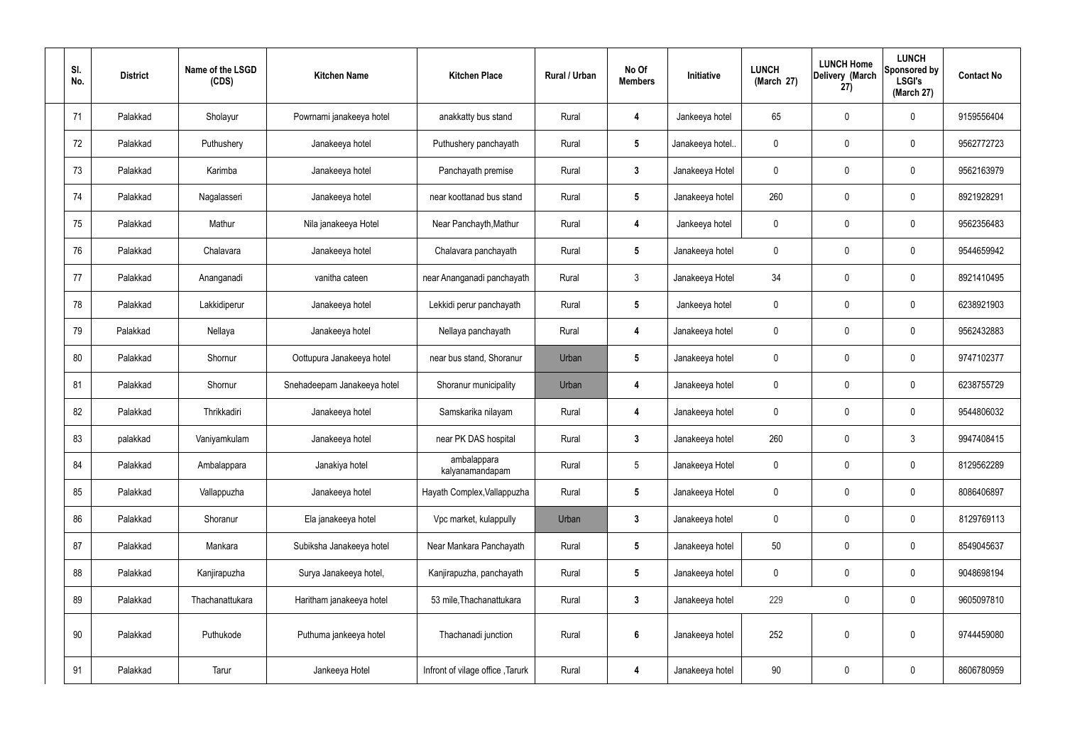| SI.<br>No. | <b>District</b> | Name of the LSGD<br>(CDS) | <b>Kitchen Name</b>         | <b>Kitchen Place</b>             | Rural / Urban | No Of<br><b>Members</b> | Initiative       | <b>LUNCH</b><br>(March 27) | <b>LUNCH Home</b><br>Delivery (March<br>27) | <b>LUNCH</b><br>Sponsored by<br><b>LSGI's</b><br>(March 27) | <b>Contact No</b> |
|------------|-----------------|---------------------------|-----------------------------|----------------------------------|---------------|-------------------------|------------------|----------------------------|---------------------------------------------|-------------------------------------------------------------|-------------------|
| 71         | Palakkad        | Sholayur                  | Powrnami janakeeya hotel    | anakkatty bus stand              | Rural         | 4                       | Jankeeya hotel   | 65                         | 0                                           | $\mathbf 0$                                                 | 9159556404        |
| 72         | Palakkad        | Puthushery                | Janakeeya hotel             | Puthushery panchayath            | Rural         | $5\overline{)}$         | Janakeeya hotel. | 0                          | $\mathbf 0$                                 | $\mathbf 0$                                                 | 9562772723        |
| 73         | Palakkad        | Karimba                   | Janakeeya hotel             | Panchayath premise               | Rural         | $\mathbf{3}$            | Janakeeya Hotel  | 0                          | 0                                           | $\mathbf 0$                                                 | 9562163979        |
| 74         | Palakkad        | Nagalasseri               | Janakeeya hotel             | near koottanad bus stand         | Rural         | $5\overline{)}$         | Janakeeya hotel  | 260                        | $\mathbf 0$                                 | $\mathbf 0$                                                 | 8921928291        |
| 75         | Palakkad        | Mathur                    | Nila janakeeya Hotel        | Near Panchayth, Mathur           | Rural         | 4                       | Jankeeya hotel   | 0                          | $\mathbf 0$                                 | $\mathbf 0$                                                 | 9562356483        |
| 76         | Palakkad        | Chalavara                 | Janakeeya hotel             | Chalavara panchayath             | Rural         | $5\phantom{.0}$         | Janakeeya hotel  | 0                          | $\mathbf 0$                                 | $\mathbf 0$                                                 | 9544659942        |
| 77         | Palakkad        | Ananganadi                | vanitha cateen              | near Ananganadi panchayath       | Rural         | $\mathbf{3}$            | Janakeeya Hotel  | 34                         | $\mathbf 0$                                 | $\mathbf 0$                                                 | 8921410495        |
| 78         | Palakkad        | Lakkidiperur              | Janakeeya hotel             | Lekkidi perur panchayath         | Rural         | $5\phantom{.0}$         | Jankeeya hotel   | 0                          | $\mathbf 0$                                 | $\mathbf 0$                                                 | 6238921903        |
| 79         | Palakkad        | Nellaya                   | Janakeeya hotel             | Nellaya panchayath               | Rural         | 4                       | Janakeeya hotel  | 0                          | $\mathbf 0$                                 | $\mathbf 0$                                                 | 9562432883        |
| 80         | Palakkad        | Shornur                   | Oottupura Janakeeya hotel   | near bus stand, Shoranur         | Urban         | $5\phantom{.0}$         | Janakeeya hotel  | 0                          | $\mathbf 0$                                 | $\mathbf 0$                                                 | 9747102377        |
| 81         | Palakkad        | Shornur                   | Snehadeepam Janakeeya hotel | Shoranur municipality            | Urban         | 4                       | Janakeeya hotel  | 0                          | 0                                           | $\mathbf 0$                                                 | 6238755729        |
| 82         | Palakkad        | Thrikkadiri               | Janakeeya hotel             | Samskarika nilayam               | Rural         | 4                       | Janakeeya hotel  | 0                          | $\mathbf 0$                                 | $\mathbf 0$                                                 | 9544806032        |
| 83         | palakkad        | Vaniyamkulam              | Janakeeya hotel             | near PK DAS hospital             | Rural         | $\mathbf{3}$            | Janakeeya hotel  | 260                        | 0                                           | 3                                                           | 9947408415        |
| 84         | Palakkad        | Ambalappara               | Janakiya hotel              | ambalappara<br>kalyanamandapam   | Rural         | $5\phantom{.0}$         | Janakeeya Hotel  | 0                          | $\mathbf 0$                                 | $\mathbf 0$                                                 | 8129562289        |
| 85         | Palakkad        | Vallappuzha               | Janakeeya hotel             | Hayath Complex, Vallappuzha      | Rural         | $5\overline{)}$         | Janakeeya Hotel  | $\mathbf 0$                | $\mathbf 0$                                 | $\mathbf 0$                                                 | 8086406897        |
| 86         | Palakkad        | Shoranur                  | Ela janakeeya hotel         | Vpc market, kulappully           | Urban         | $\mathbf{3}$            | Janakeeya hotel  | 0                          | $\mathbf 0$                                 | $\mathbf 0$                                                 | 8129769113        |
| 87         | Palakkad        | Mankara                   | Subiksha Janakeeya hotel    | Near Mankara Panchayath          | Rural         | $5\overline{)}$         | Janakeeya hotel  | 50                         | 0                                           | $\mathbf 0$                                                 | 8549045637        |
| 88         | Palakkad        | Kanjirapuzha              | Surya Janakeeya hotel,      | Kanjirapuzha, panchayath         | Rural         | $5\overline{)}$         | Janakeeya hotel  | 0                          | 0                                           | $\mathbf 0$                                                 | 9048698194        |
| 89         | Palakkad        | Thachanattukara           | Haritham janakeeya hotel    | 53 mile, Thachanattukara         | Rural         | $\mathbf{3}$            | Janakeeya hotel  | 229                        | 0                                           | $\mathbf 0$                                                 | 9605097810        |
| 90         | Palakkad        | Puthukode                 | Puthuma jankeeya hotel      | Thachanadi junction              | Rural         | $6\phantom{1}$          | Janakeeya hotel  | 252                        | 0                                           | $\mathbf 0$                                                 | 9744459080        |
| 91         | Palakkad        | Tarur                     | Jankeeya Hotel              | Infront of vilage office, Tarurk | Rural         | 4                       | Janakeeya hotel  | 90                         | 0                                           | $\boldsymbol{0}$                                            | 8606780959        |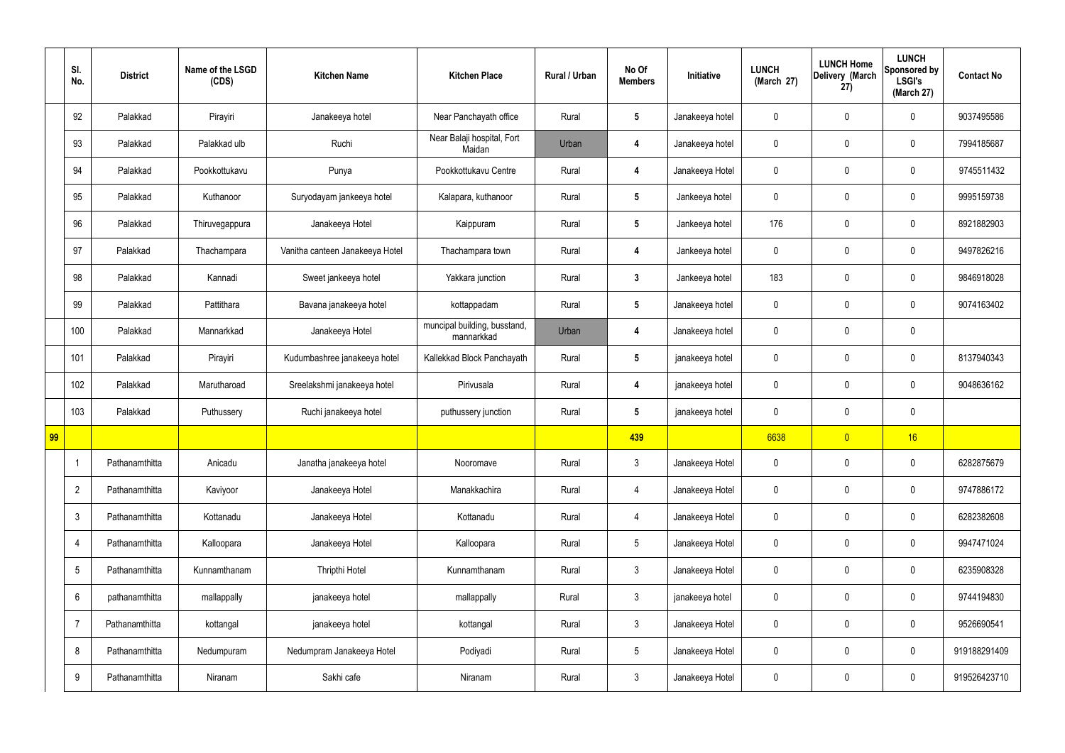|    | SI.<br>No.      | <b>District</b> | Name of the LSGD<br>(CDS) | <b>Kitchen Name</b>             | <b>Kitchen Place</b>                       | Rural / Urban | No Of<br><b>Members</b> | Initiative      | <b>LUNCH</b><br>(March 27) | <b>LUNCH Home</b><br>Delivery (March<br>27) | <b>LUNCH</b><br>Sponsored by<br><b>LSGI's</b><br>(March 27) | <b>Contact No</b> |
|----|-----------------|-----------------|---------------------------|---------------------------------|--------------------------------------------|---------------|-------------------------|-----------------|----------------------------|---------------------------------------------|-------------------------------------------------------------|-------------------|
|    | 92              | Palakkad        | Pirayiri                  | Janakeeya hotel                 | Near Panchayath office                     | Rural         | $5\phantom{.0}$         | Janakeeya hotel | 0                          | 0                                           | $\boldsymbol{0}$                                            | 9037495586        |
|    | 93              | Palakkad        | Palakkad ulb              | Ruchi                           | Near Balaji hospital, Fort<br>Maidan       | Urban         | 4                       | Janakeeya hotel | 0                          | 0                                           | $\pmb{0}$                                                   | 7994185687        |
|    | 94              | Palakkad        | Pookkottukavu             | Punya                           | Pookkottukavu Centre                       | Rural         | 4                       | Janakeeya Hotel | 0                          | 0                                           | $\mathbf 0$                                                 | 9745511432        |
|    | 95              | Palakkad        | Kuthanoor                 | Suryodayam jankeeya hotel       | Kalapara, kuthanoor                        | Rural         | $5\phantom{.0}$         | Jankeeya hotel  | 0                          | 0                                           | $\pmb{0}$                                                   | 9995159738        |
|    | 96              | Palakkad        | Thiruvegappura            | Janakeeya Hotel                 | Kaippuram                                  | Rural         | $5\phantom{.0}$         | Jankeeya hotel  | 176                        | 0                                           | $\mathbf 0$                                                 | 8921882903        |
|    | 97              | Palakkad        | Thachampara               | Vanitha canteen Janakeeya Hotel | Thachampara town                           | Rural         | 4                       | Jankeeya hotel  | 0                          | 0                                           | $\mathbf 0$                                                 | 9497826216        |
|    | 98              | Palakkad        | Kannadi                   | Sweet jankeeya hotel            | Yakkara junction                           | Rural         | $\mathbf{3}$            | Jankeeya hotel  | 183                        | 0                                           | $\mathbf 0$                                                 | 9846918028        |
|    | 99              | Palakkad        | Pattithara                | Bavana janakeeya hotel          | kottappadam                                | Rural         | $5\phantom{.0}$         | Janakeeya hotel | 0                          | 0                                           | $\mathbf 0$                                                 | 9074163402        |
|    | 100             | Palakkad        | Mannarkkad                | Janakeeya Hotel                 | muncipal building, busstand,<br>mannarkkad | Urban         | 4                       | Janakeeya hotel | 0                          | 0                                           | $\pmb{0}$                                                   |                   |
|    | 101             | Palakkad        | Pirayiri                  | Kudumbashree janakeeya hotel    | Kallekkad Block Panchayath                 | Rural         | $5\phantom{.0}$         | janakeeya hotel | 0                          | 0                                           | $\pmb{0}$                                                   | 8137940343        |
|    | 102             | Palakkad        | Marutharoad               | Sreelakshmi janakeeya hotel     | Pirivusala                                 | Rural         | $\overline{\mathbf{4}}$ | janakeeya hotel | 0                          | 0                                           | $\mathbf 0$                                                 | 9048636162        |
|    | 103             | Palakkad        | Puthussery                | Ruchi janakeeya hotel           | puthussery junction                        | Rural         | $5\phantom{.0}$         | janakeeya hotel | 0                          | 0                                           | $\mathbf 0$                                                 |                   |
| 99 |                 |                 |                           |                                 |                                            |               | 439                     |                 | 6638                       | $\overline{0}$                              | 16                                                          |                   |
|    | $\overline{1}$  | Pathanamthitta  | Anicadu                   | Janatha janakeeya hotel         | Nooromave                                  | Rural         | $\mathbf{3}$            | Janakeeya Hotel | 0                          | 0                                           | $\pmb{0}$                                                   | 6282875679        |
|    | $\overline{2}$  | Pathanamthitta  | Kaviyoor                  | Janakeeya Hotel                 | Manakkachira                               | Rural         | $\overline{4}$          | Janakeeya Hotel | 0                          | 0                                           | $\pmb{0}$                                                   | 9747886172        |
|    | $\mathfrak{Z}$  | Pathanamthitta  | Kottanadu                 | Janakeeya Hotel                 | Kottanadu                                  | Rural         | $\overline{4}$          | Janakeeya Hotel | 0                          | $\pmb{0}$                                   | $\pmb{0}$                                                   | 6282382608        |
|    | $\overline{4}$  | Pathanamthitta  | Kalloopara                | Janakeeya Hotel                 | Kalloopara                                 | Rural         | $5\,$                   | Janakeeya Hotel | 0                          | 0                                           | $\mathbf 0$                                                 | 9947471024        |
|    | $5\,$           | Pathanamthitta  | Kunnamthanam              | Thripthi Hotel                  | Kunnamthanam                               | Rural         | $\mathbf{3}$            | Janakeeya Hotel | 0                          | 0                                           | $\pmb{0}$                                                   | 6235908328        |
|    | $6\phantom{.}6$ | pathanamthitta  | mallappally               | janakeeya hotel                 | mallappally                                | Rural         | $\mathbf{3}$            | janakeeya hotel | 0                          | 0                                           | $\mathbf 0$                                                 | 9744194830        |
|    | $\overline{7}$  | Pathanamthitta  | kottangal                 | janakeeya hotel                 | kottangal                                  | Rural         | $\mathbf{3}$            | Janakeeya Hotel | 0                          | 0                                           | $\pmb{0}$                                                   | 9526690541        |
|    | 8               | Pathanamthitta  | Nedumpuram                | Nedumpram Janakeeya Hotel       | Podiyadi                                   | Rural         | $5\phantom{.0}$         | Janakeeya Hotel | 0                          | 0                                           | $\mathbf 0$                                                 | 919188291409      |
|    | $9\,$           | Pathanamthitta  | Niranam                   | Sakhi cafe                      | Niranam                                    | Rural         | $\mathbf{3}$            | Janakeeya Hotel | 0                          | 0                                           | $\pmb{0}$                                                   | 919526423710      |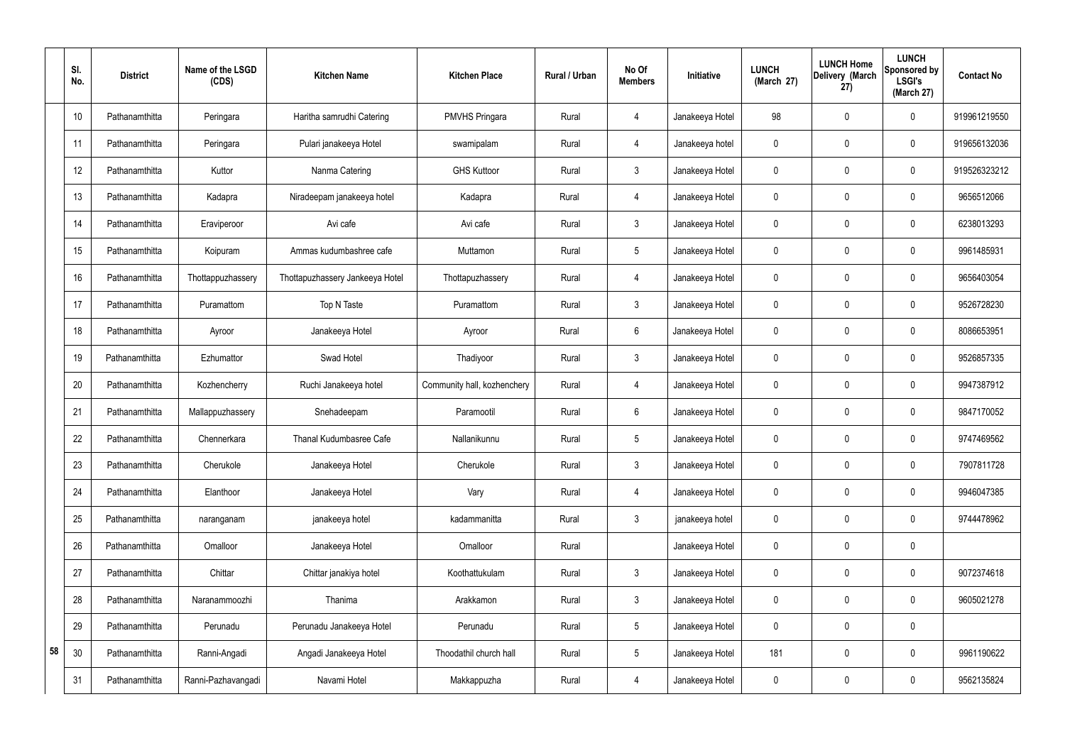|    | SI.<br>No. | <b>District</b> | Name of the LSGD<br>(CDS) | <b>Kitchen Name</b>             | <b>Kitchen Place</b>        | <b>Rural / Urban</b> | No Of<br><b>Members</b> | Initiative      | <b>LUNCH</b><br>(March 27) | <b>LUNCH Home</b><br>Delivery (March<br>27) | <b>LUNCH</b><br>Sponsored by<br><b>LSGI's</b><br>(March 27) | <b>Contact No</b> |
|----|------------|-----------------|---------------------------|---------------------------------|-----------------------------|----------------------|-------------------------|-----------------|----------------------------|---------------------------------------------|-------------------------------------------------------------|-------------------|
|    | 10         | Pathanamthitta  | Peringara                 | Haritha samrudhi Catering       | <b>PMVHS Pringara</b>       | Rural                | 4                       | Janakeeya Hotel | 98                         | 0                                           | $\mathbf 0$                                                 | 919961219550      |
|    | 11         | Pathanamthitta  | Peringara                 | Pulari janakeeya Hotel          | swamipalam                  | Rural                | $\overline{4}$          | Janakeeya hotel | 0                          | $\mathbf 0$                                 | $\mathbf 0$                                                 | 919656132036      |
|    | 12         | Pathanamthitta  | Kuttor                    | Nanma Catering                  | <b>GHS Kuttoor</b>          | Rural                | $\mathfrak{Z}$          | Janakeeya Hotel | 0                          | 0                                           | $\mathbf 0$                                                 | 919526323212      |
|    | 13         | Pathanamthitta  | Kadapra                   | Niradeepam janakeeya hotel      | Kadapra                     | Rural                | $\overline{4}$          | Janakeeya Hotel | 0                          | $\mathbf 0$                                 | $\mathbf 0$                                                 | 9656512066        |
|    | 14         | Pathanamthitta  | Eraviperoor               | Avi cafe                        | Avi cafe                    | Rural                | 3                       | Janakeeya Hotel | 0                          | 0                                           | $\mathbf 0$                                                 | 6238013293        |
|    | 15         | Pathanamthitta  | Koipuram                  | Ammas kudumbashree cafe         | Muttamon                    | Rural                | 5                       | Janakeeya Hotel | 0                          | 0                                           | $\mathbf 0$                                                 | 9961485931        |
|    | 16         | Pathanamthitta  | Thottappuzhassery         | Thottapuzhassery Jankeeya Hotel | Thottapuzhassery            | Rural                | $\overline{4}$          | Janakeeya Hotel | 0                          | 0                                           | $\mathbf 0$                                                 | 9656403054        |
|    | 17         | Pathanamthitta  | Puramattom                | Top N Taste                     | Puramattom                  | Rural                | $\mathbf{3}$            | Janakeeya Hotel | 0                          | $\mathbf 0$                                 | $\mathbf 0$                                                 | 9526728230        |
|    | 18         | Pathanamthitta  | Ayroor                    | Janakeeya Hotel                 | Ayroor                      | Rural                | 6                       | Janakeeya Hotel | 0                          | 0                                           | $\mathbf 0$                                                 | 8086653951        |
|    | 19         | Pathanamthitta  | Ezhumattor                | Swad Hotel                      | Thadiyoor                   | Rural                | $\mathbf{3}$            | Janakeeya Hotel | 0                          | $\mathbf 0$                                 | $\mathbf 0$                                                 | 9526857335        |
|    | 20         | Pathanamthitta  | Kozhencherry              | Ruchi Janakeeya hotel           | Community hall, kozhenchery | Rural                | $\overline{4}$          | Janakeeya Hotel | 0                          | 0                                           | $\mathbf 0$                                                 | 9947387912        |
|    | 21         | Pathanamthitta  | Mallappuzhassery          | Snehadeepam                     | Paramootil                  | Rural                | 6                       | Janakeeya Hotel | 0                          | 0                                           | $\mathbf 0$                                                 | 9847170052        |
|    | 22         | Pathanamthitta  | Chennerkara               | Thanal Kudumbasree Cafe         | Nallanikunnu                | Rural                | 5                       | Janakeeya Hotel | 0                          | 0                                           | $\mathbf 0$                                                 | 9747469562        |
|    | 23         | Pathanamthitta  | Cherukole                 | Janakeeya Hotel                 | Cherukole                   | Rural                | $\mathbf{3}$            | Janakeeya Hotel | 0                          | $\mathbf 0$                                 | $\mathbf 0$                                                 | 7907811728        |
|    | 24         | Pathanamthitta  | Elanthoor                 | Janakeeya Hotel                 | Vary                        | Rural                | $\overline{4}$          | Janakeeya Hotel | $\mathbf 0$                | $\mathbf 0$                                 | $\mathbf 0$                                                 | 9946047385        |
|    | 25         | Pathanamthitta  | naranganam                | janakeeya hotel                 | kadammanitta                | Rural                | $\mathbf{3}$            | janakeeya hotel | 0                          | $\mathbf 0$                                 | $\mathbf 0$                                                 | 9744478962        |
|    | 26         | Pathanamthitta  | Omalloor                  | Janakeeya Hotel                 | Omalloor                    | Rural                |                         | Janakeeya Hotel | 0                          | $\mathbf 0$                                 | $\pmb{0}$                                                   |                   |
|    | 27         | Pathanamthitta  | Chittar                   | Chittar janakiya hotel          | Koothattukulam              | Rural                | $\mathbf{3}$            | Janakeeya Hotel | 0                          | $\mathbf 0$                                 | $\pmb{0}$                                                   | 9072374618        |
|    | 28         | Pathanamthitta  | Naranammoozhi             | Thanima                         | Arakkamon                   | Rural                | $\mathbf{3}$            | Janakeeya Hotel | 0                          | $\pmb{0}$                                   | $\mathsf{0}$                                                | 9605021278        |
|    | 29         | Pathanamthitta  | Perunadu                  | Perunadu Janakeeya Hotel        | Perunadu                    | Rural                | 5                       | Janakeeya Hotel | 0                          | $\pmb{0}$                                   | $\pmb{0}$                                                   |                   |
| 58 | 30         | Pathanamthitta  | Ranni-Angadi              | Angadi Janakeeya Hotel          | Thoodathil church hall      | Rural                | 5                       | Janakeeya Hotel | 181                        | $\mathbf 0$                                 | $\pmb{0}$                                                   | 9961190622        |
|    | 31         | Pathanamthitta  | Ranni-Pazhavangadi        | Navami Hotel                    | Makkappuzha                 | Rural                | $\overline{4}$          | Janakeeya Hotel | 0                          | $\boldsymbol{0}$                            | $\pmb{0}$                                                   | 9562135824        |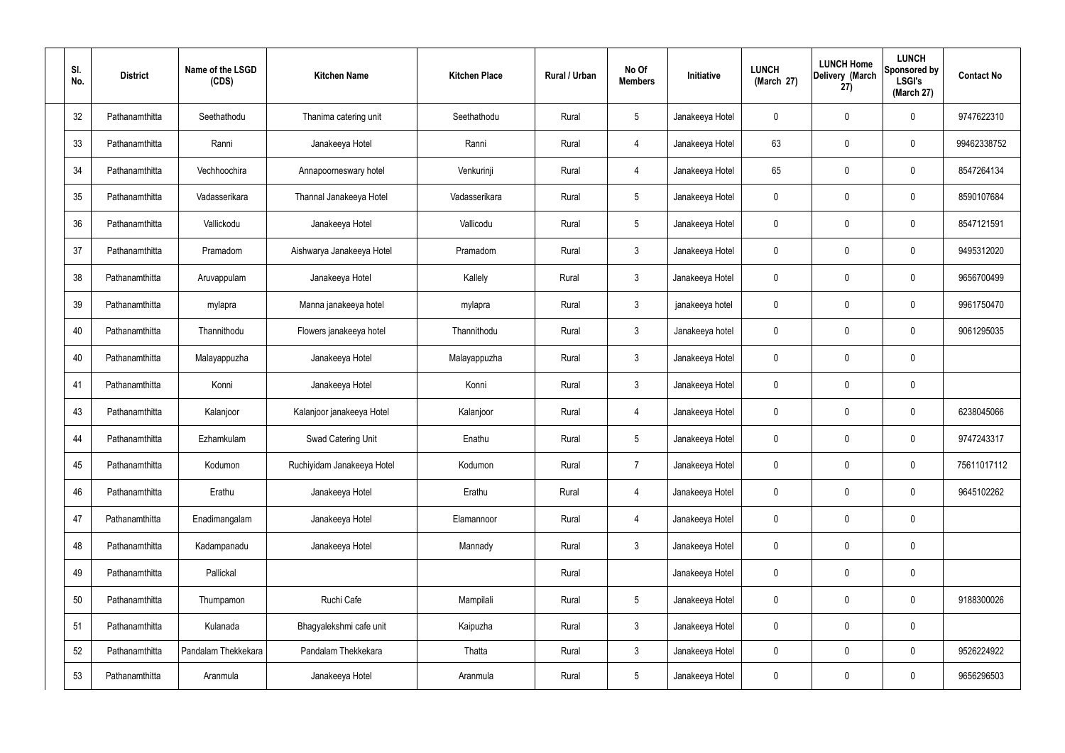| SI.<br>No. | <b>District</b> | Name of the LSGD<br>(CDS) | <b>Kitchen Name</b>        | <b>Kitchen Place</b> | Rural / Urban | No Of<br><b>Members</b> | Initiative      | <b>LUNCH</b><br>(March 27) | <b>LUNCH Home</b><br>Delivery (March<br>27) | <b>LUNCH</b><br>Sponsored by<br><b>LSGI's</b><br>(March 27) | <b>Contact No</b> |
|------------|-----------------|---------------------------|----------------------------|----------------------|---------------|-------------------------|-----------------|----------------------------|---------------------------------------------|-------------------------------------------------------------|-------------------|
| 32         | Pathanamthitta  | Seethathodu               | Thanima catering unit      | Seethathodu          | Rural         | $5\phantom{.0}$         | Janakeeya Hotel | 0                          | 0                                           | $\mathbf 0$                                                 | 9747622310        |
| 33         | Pathanamthitta  | Ranni                     | Janakeeya Hotel            | Ranni                | Rural         | 4                       | Janakeeya Hotel | 63                         | 0                                           | $\pmb{0}$                                                   | 99462338752       |
| 34         | Pathanamthitta  | Vechhoochira              | Annapoorneswary hotel      | Venkurinji           | Rural         | 4                       | Janakeeya Hotel | 65                         | 0                                           | $\mathbf 0$                                                 | 8547264134        |
| 35         | Pathanamthitta  | Vadasserikara             | Thannal Janakeeya Hotel    | Vadasserikara        | Rural         | $5\phantom{.0}$         | Janakeeya Hotel | 0                          | 0                                           | $\pmb{0}$                                                   | 8590107684        |
| 36         | Pathanamthitta  | Vallickodu                | Janakeeya Hotel            | Vallicodu            | Rural         | $5\phantom{.0}$         | Janakeeya Hotel | 0                          | 0                                           | $\mathbf 0$                                                 | 8547121591        |
| 37         | Pathanamthitta  | Pramadom                  | Aishwarya Janakeeya Hotel  | Pramadom             | Rural         | $\mathbf{3}$            | Janakeeya Hotel | 0                          | 0                                           | $\pmb{0}$                                                   | 9495312020        |
| 38         | Pathanamthitta  | Aruvappulam               | Janakeeya Hotel            | Kallely              | Rural         | $\mathbf{3}$            | Janakeeya Hotel | 0                          | 0                                           | $\mathbf 0$                                                 | 9656700499        |
| 39         | Pathanamthitta  | mylapra                   | Manna janakeeya hotel      | mylapra              | Rural         | $\mathbf{3}$            | janakeeya hotel | 0                          | 0                                           | $\pmb{0}$                                                   | 9961750470        |
| 40         | Pathanamthitta  | Thannithodu               | Flowers janakeeya hotel    | Thannithodu          | Rural         | $\mathbf{3}$            | Janakeeya hotel | 0                          | 0                                           | $\mathbf 0$                                                 | 9061295035        |
| 40         | Pathanamthitta  | Malayappuzha              | Janakeeya Hotel            | Malayappuzha         | Rural         | $\mathbf{3}$            | Janakeeya Hotel | 0                          | 0                                           | $\mathbf 0$                                                 |                   |
| 41         | Pathanamthitta  | Konni                     | Janakeeya Hotel            | Konni                | Rural         | $\mathbf{3}$            | Janakeeya Hotel | 0                          | 0                                           | $\mathbf 0$                                                 |                   |
| 43         | Pathanamthitta  | Kalanjoor                 | Kalanjoor janakeeya Hotel  | Kalanjoor            | Rural         | 4                       | Janakeeya Hotel | 0                          | 0                                           | $\mathbf 0$                                                 | 6238045066        |
| 44         | Pathanamthitta  | Ezhamkulam                | Swad Catering Unit         | Enathu               | Rural         | $5\phantom{.0}$         | Janakeeya Hotel | 0                          | 0                                           | $\boldsymbol{0}$                                            | 9747243317        |
| 45         | Pathanamthitta  | Kodumon                   | Ruchiyidam Janakeeya Hotel | Kodumon              | Rural         | $\overline{7}$          | Janakeeya Hotel | 0                          | 0                                           | $\mathbf 0$                                                 | 75611017112       |
| 46         | Pathanamthitta  | Erathu                    | Janakeeya Hotel            | Erathu               | Rural         | $\overline{4}$          | Janakeeya Hotel | 0                          | 0                                           | $\mathbf 0$                                                 | 9645102262        |
| 47         | Pathanamthitta  | Enadimangalam             | Janakeeya Hotel            | Elamannoor           | Rural         | 4                       | Janakeeya Hotel | 0                          | 0                                           | $\pmb{0}$                                                   |                   |
| 48         | Pathanamthitta  | Kadampanadu               | Janakeeya Hotel            | Mannady              | Rural         | $\mathbf{3}$            | Janakeeya Hotel | 0                          | 0                                           | $\mathbf 0$                                                 |                   |
| 49         | Pathanamthitta  | Pallickal                 |                            |                      | Rural         |                         | Janakeeya Hotel | 0                          | 0                                           | $\pmb{0}$                                                   |                   |
| 50         | Pathanamthitta  | Thumpamon                 | Ruchi Cafe                 | Mampilali            | Rural         | $\sqrt{5}$              | Janakeeya Hotel | 0                          | 0                                           | $\mathbf 0$                                                 | 9188300026        |
| 51         | Pathanamthitta  | Kulanada                  | Bhagyalekshmi cafe unit    | Kaipuzha             | Rural         | $\mathbf{3}$            | Janakeeya Hotel | 0                          | 0                                           | $\pmb{0}$                                                   |                   |
| 52         | Pathanamthitta  | Pandalam Thekkekara       | Pandalam Thekkekara        | Thatta               | Rural         | $\mathbf{3}$            | Janakeeya Hotel | 0                          | 0                                           | $\mathbf 0$                                                 | 9526224922        |
| 53         | Pathanamthitta  | Aranmula                  | Janakeeya Hotel            | Aranmula             | Rural         | $5\phantom{.0}$         | Janakeeya Hotel | 0                          | $\pmb{0}$                                   | $\pmb{0}$                                                   | 9656296503        |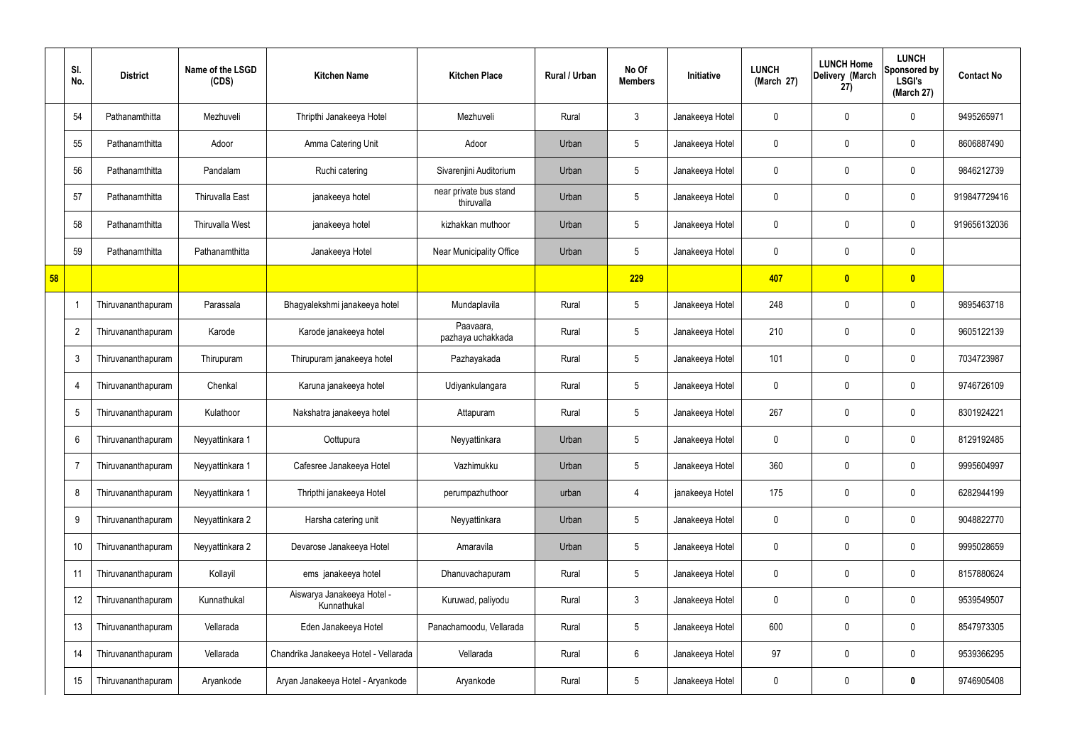|    | SI.<br>No.      | <b>District</b>    | Name of the LSGD<br>(CDS) | <b>Kitchen Name</b>                       | <b>Kitchen Place</b>                 | Rural / Urban | No Of<br><b>Members</b> | Initiative      | <b>LUNCH</b><br>(March 27) | <b>LUNCH Home</b><br>Delivery (March<br>27) | <b>LUNCH</b><br>Sponsored by<br><b>LSGI's</b><br>(March 27) | <b>Contact No</b> |
|----|-----------------|--------------------|---------------------------|-------------------------------------------|--------------------------------------|---------------|-------------------------|-----------------|----------------------------|---------------------------------------------|-------------------------------------------------------------|-------------------|
|    | 54              | Pathanamthitta     | Mezhuveli                 | Thripthi Janakeeya Hotel                  | Mezhuveli                            | Rural         | $\mathbf{3}$            | Janakeeya Hotel | 0                          | 0                                           | $\mathbf 0$                                                 | 9495265971        |
|    | 55              | Pathanamthitta     | Adoor                     | Amma Catering Unit                        | Adoor                                | Urban         | $5\phantom{.0}$         | Janakeeya Hotel | 0                          | 0                                           | $\mathbf 0$                                                 | 8606887490        |
|    | 56              | Pathanamthitta     | Pandalam                  | Ruchi catering                            | Sivarenjini Auditorium               | Urban         | $5\phantom{.0}$         | Janakeeya Hotel | 0                          | 0                                           | $\mathbf 0$                                                 | 9846212739        |
|    | 57              | Pathanamthitta     | <b>Thiruvalla East</b>    | janakeeya hotel                           | near private bus stand<br>thiruvalla | Urban         | $5\overline{)}$         | Janakeeya Hotel | 0                          | 0                                           | $\mathbf 0$                                                 | 919847729416      |
|    | 58              | Pathanamthitta     | <b>Thiruvalla West</b>    | janakeeya hotel                           | kizhakkan muthoor                    | Urban         | $5\phantom{.0}$         | Janakeeya Hotel | 0                          | 0                                           | $\mathbf 0$                                                 | 919656132036      |
|    | 59              | Pathanamthitta     | Pathanamthitta            | Janakeeya Hotel                           | <b>Near Municipality Office</b>      | Urban         | $5\phantom{.0}$         | Janakeeya Hotel | 0                          | 0                                           | $\mathbf 0$                                                 |                   |
| 58 |                 |                    |                           |                                           |                                      |               | 229                     |                 | 407                        | $\mathbf{0}$                                | $\bullet$                                                   |                   |
|    |                 | Thiruvananthapuram | Parassala                 | Bhagyalekshmi janakeeya hotel             | Mundaplavila                         | Rural         | $5\phantom{.0}$         | Janakeeya Hotel | 248                        | 0                                           | $\mathbf 0$                                                 | 9895463718        |
|    | $\overline{2}$  | Thiruvananthapuram | Karode                    | Karode janakeeya hotel                    | Paavaara,<br>pazhaya uchakkada       | Rural         | $5\phantom{.0}$         | Janakeeya Hotel | 210                        | 0                                           | $\mathbf 0$                                                 | 9605122139        |
|    | -3              | Thiruvananthapuram | Thirupuram                | Thirupuram janakeeya hotel                | Pazhayakada                          | Rural         | $5\phantom{.0}$         | Janakeeya Hotel | 101                        | 0                                           | $\mathbf 0$                                                 | 7034723987        |
|    | $\overline{4}$  | Thiruvananthapuram | Chenkal                   | Karuna janakeeya hotel                    | Udiyankulangara                      | Rural         | $5\phantom{.0}$         | Janakeeya Hotel | 0                          | $\mathbf 0$                                 | $\mathbf 0$                                                 | 9746726109        |
|    | $5\phantom{.0}$ | Thiruvananthapuram | Kulathoor                 | Nakshatra janakeeya hotel                 | Attapuram                            | Rural         | $5\phantom{.0}$         | Janakeeya Hotel | 267                        | $\mathbf 0$                                 | $\mathbf 0$                                                 | 8301924221        |
|    | 6               | Thiruvananthapuram | Neyyattinkara 1           | Oottupura                                 | Neyyattinkara                        | Urban         | 5                       | Janakeeya Hotel | 0                          | $\mathbf 0$                                 | $\mathbf 0$                                                 | 8129192485        |
|    | -7              | Thiruvananthapuram | Neyyattinkara 1           | Cafesree Janakeeya Hotel                  | Vazhimukku                           | Urban         | $5\phantom{.0}$         | Janakeeya Hotel | 360                        | 0                                           | $\mathbf 0$                                                 | 9995604997        |
|    | 8               | Thiruvananthapuram | Neyyattinkara 1           | Thripthi janakeeya Hotel                  | perumpazhuthoor                      | urban         | $\overline{4}$          | janakeeya Hotel | 175                        | 0                                           | $\mathbf 0$                                                 | 6282944199        |
|    | 9               | Thiruvananthapuram | Neyyattinkara 2           | Harsha catering unit                      | Neyyattinkara                        | Urban         | $5\phantom{.0}$         | Janakeeya Hotel | 0                          | 0                                           | $\mathbf 0$                                                 | 9048822770        |
|    | 10              | Thiruvananthapuram | Neyyattinkara 2           | Devarose Janakeeya Hotel                  | Amaravila                            | Urban         | $5\phantom{.0}$         | Janakeeya Hotel | 0                          | 0                                           | $\mathbf 0$                                                 | 9995028659        |
|    | 11              | Thiruvananthapuram | Kollayil                  | ems janakeeya hotel                       | Dhanuvachapuram                      | Rural         | $5\phantom{.0}$         | Janakeeya Hotel | 0                          | 0                                           | $\mathbf 0$                                                 | 8157880624        |
|    | 12              | Thiruvananthapuram | Kunnathukal               | Aiswarya Janakeeya Hotel -<br>Kunnathukal | Kuruwad, paliyodu                    | Rural         | $\mathbf{3}$            | Janakeeya Hotel | 0                          | 0                                           | $\mathbf 0$                                                 | 9539549507        |
|    | 13              | Thiruvananthapuram | Vellarada                 | Eden Janakeeya Hotel                      | Panachamoodu, Vellarada              | Rural         | $5\,$                   | Janakeeya Hotel | 600                        | 0                                           | $\mathbf 0$                                                 | 8547973305        |
|    | 14              | Thiruvananthapuram | Vellarada                 | Chandrika Janakeeya Hotel - Vellarada     | Vellarada                            | Rural         | $6\phantom{.}6$         | Janakeeya Hotel | 97                         | 0                                           | $\mathbf 0$                                                 | 9539366295        |
|    | 15              | Thiruvananthapuram | Aryankode                 | Aryan Janakeeya Hotel - Aryankode         | Aryankode                            | Rural         | $5\phantom{.0}$         | Janakeeya Hotel | 0                          | 0                                           | $\bf{0}$                                                    | 9746905408        |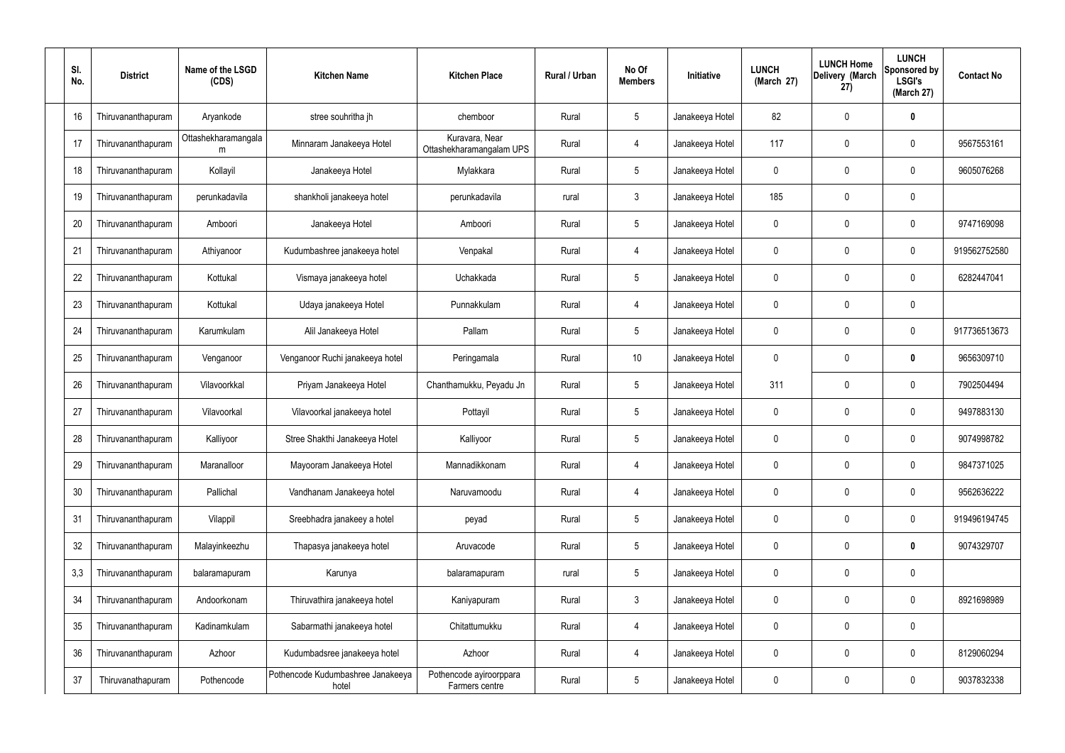| SI.<br>No. | <b>District</b>    | Name of the LSGD<br>(CDS) | <b>Kitchen Name</b>                        | <b>Kitchen Place</b>                       | Rural / Urban | No Of<br><b>Members</b> | Initiative      | <b>LUNCH</b><br>(March 27) | <b>LUNCH Home</b><br>Delivery (March<br>27) | <b>LUNCH</b><br>Sponsored by<br><b>LSGI's</b><br>(March 27) | <b>Contact No</b> |
|------------|--------------------|---------------------------|--------------------------------------------|--------------------------------------------|---------------|-------------------------|-----------------|----------------------------|---------------------------------------------|-------------------------------------------------------------|-------------------|
| 16         | Thiruvananthapuram | Aryankode                 | stree souhritha jh                         | chemboor                                   | Rural         | $5\phantom{.0}$         | Janakeeya Hotel | 82                         | $\mathbf 0$                                 | $\bf{0}$                                                    |                   |
| 17         | Thiruvananthapuram | Ottashekharamangala<br>m  | Minnaram Janakeeya Hotel                   | Kuravara, Near<br>Ottashekharamangalam UPS | Rural         | $\overline{4}$          | Janakeeya Hotel | 117                        | $\mathbf 0$                                 | 0                                                           | 9567553161        |
| 18         | Thiruvananthapuram | Kollayil                  | Janakeeya Hotel                            | Mylakkara                                  | Rural         | $5\phantom{.0}$         | Janakeeya Hotel | 0                          | 0                                           | $\mathbf 0$                                                 | 9605076268        |
| 19         | Thiruvananthapuram | perunkadavila             | shankholi janakeeya hotel                  | perunkadavila                              | rural         | $\mathbf{3}$            | Janakeeya Hotel | 185                        | $\mathbf 0$                                 | $\pmb{0}$                                                   |                   |
| 20         | Thiruvananthapuram | Amboori                   | Janakeeya Hotel                            | Amboori                                    | Rural         | $5\phantom{.0}$         | Janakeeya Hotel | 0                          | $\mathbf 0$                                 | $\mathbf 0$                                                 | 9747169098        |
| 21         | Thiruvananthapuram | Athiyanoor                | Kudumbashree janakeeya hotel               | Venpakal                                   | Rural         | 4                       | Janakeeya Hotel | $\mathbf 0$                | $\mathbf 0$                                 | $\pmb{0}$                                                   | 919562752580      |
| 22         | Thiruvananthapuram | Kottukal                  | Vismaya janakeeya hotel                    | Uchakkada                                  | Rural         | $5\phantom{.0}$         | Janakeeya Hotel | 0                          | 0                                           | $\mathbf 0$                                                 | 6282447041        |
| 23         | Thiruvananthapuram | Kottukal                  | Udaya janakeeya Hotel                      | Punnakkulam                                | Rural         | 4                       | Janakeeya Hotel | $\mathbf 0$                | $\mathbf 0$                                 | $\pmb{0}$                                                   |                   |
| 24         | Thiruvananthapuram | Karumkulam                | Alil Janakeeya Hotel                       | Pallam                                     | Rural         | $5\phantom{.0}$         | Janakeeya Hotel | 0                          | $\mathbf 0$                                 | $\pmb{0}$                                                   | 917736513673      |
| 25         | Thiruvananthapuram | Venganoor                 | Venganoor Ruchi janakeeya hotel            | Peringamala                                | Rural         | 10                      | Janakeeya Hotel | $\mathbf 0$                | 0                                           | $\bm{0}$                                                    | 9656309710        |
| 26         | Thiruvananthapuram | Vilavoorkkal              | Priyam Janakeeya Hotel                     | Chanthamukku, Peyadu Jn                    | Rural         | $5\phantom{.0}$         | Janakeeya Hotel | 311                        | 0                                           | $\mathbf 0$                                                 | 7902504494        |
| 27         | Thiruvananthapuram | Vilavoorkal               | Vilavoorkal janakeeya hotel                | Pottayil                                   | Rural         | $5\phantom{.0}$         | Janakeeya Hotel | $\mathbf 0$                | 0                                           | $\mathbf 0$                                                 | 9497883130        |
| 28         | Thiruvananthapuram | Kalliyoor                 | Stree Shakthi Janakeeya Hotel              | Kalliyoor                                  | Rural         | $5\phantom{.0}$         | Janakeeya Hotel | 0                          | 0                                           | $\mathbf 0$                                                 | 9074998782        |
| 29         | Thiruvananthapuram | Maranalloor               | Mayooram Janakeeya Hotel                   | Mannadikkonam                              | Rural         | $\overline{4}$          | Janakeeya Hotel | 0                          | $\mathbf 0$                                 | $\pmb{0}$                                                   | 9847371025        |
| 30         | Thiruvananthapuram | Pallichal                 | Vandhanam Janakeeya hotel                  | Naruvamoodu                                | Rural         | $\overline{4}$          | Janakeeya Hotel | $\mathbf 0$                | $\mathbf 0$                                 | $\mathbf 0$                                                 | 9562636222        |
| 31         | Thiruvananthapuram | Vilappil                  | Sreebhadra janakeey a hotel                | peyad                                      | Rural         | $5\phantom{.0}$         | Janakeeya Hotel | 0                          | $\mathbf 0$                                 | $\pmb{0}$                                                   | 919496194745      |
| 32         | Thiruvananthapuram | Malayinkeezhu             | Thapasya janakeeya hotel                   | Aruvacode                                  | Rural         | $5\phantom{.0}$         | Janakeeya Hotel | $\mathbf 0$                | $\mathbf 0$                                 | $\pmb{0}$                                                   | 9074329707        |
| 3,3        | Thiruvananthapuram | balaramapuram             | Karunya                                    | balaramapuram                              | rural         | $5\phantom{.0}$         | Janakeeya Hotel | $\mathbf 0$                | $\mathbf 0$                                 | $\pmb{0}$                                                   |                   |
| 34         | Thiruvananthapuram | Andoorkonam               | Thiruvathira janakeeya hotel               | Kaniyapuram                                | Rural         | $\mathbf{3}$            | Janakeeya Hotel | $\mathbf 0$                | $\mathbf 0$                                 | $\mathbf 0$                                                 | 8921698989        |
| 35         | Thiruvananthapuram | Kadinamkulam              | Sabarmathi janakeeya hotel                 | Chitattumukku                              | Rural         | $\overline{4}$          | Janakeeya Hotel | $\mathbf 0$                | $\mathbf 0$                                 | $\pmb{0}$                                                   |                   |
| 36         | Thiruvananthapuram | Azhoor                    | Kudumbadsree janakeeya hotel               | Azhoor                                     | Rural         | $\overline{4}$          | Janakeeya Hotel | $\mathbf 0$                | $\mathbf 0$                                 | $\mathbf 0$                                                 | 8129060294        |
| 37         | Thiruvanathapuram  | Pothencode                | Pothencode Kudumbashree Janakeeya<br>hotel | Pothencode ayiroorppara<br>Farmers centre  | Rural         | $5\overline{)}$         | Janakeeya Hotel | $\mathbf 0$                | $\boldsymbol{0}$                            | 0                                                           | 9037832338        |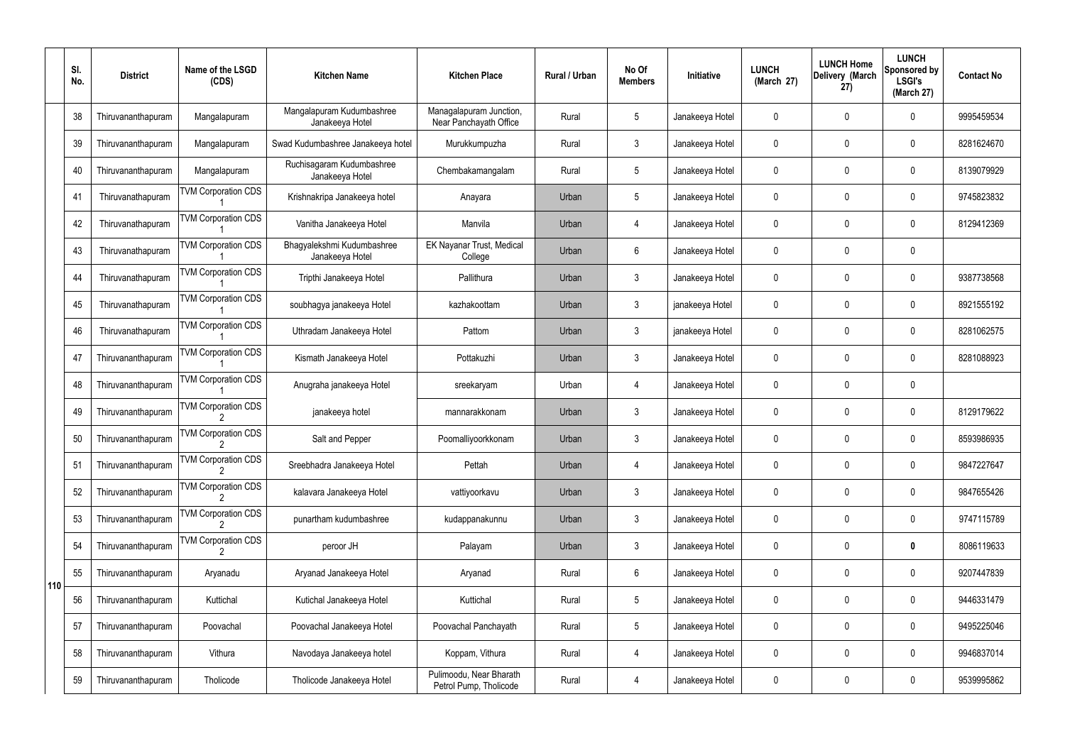|     | SI.<br>No. | <b>District</b>    | Name of the LSGD<br>(CDS)  | <b>Kitchen Name</b>                           | <b>Kitchen Place</b>                              | Rural / Urban | No Of<br><b>Members</b> | Initiative      | <b>LUNCH</b><br>(March 27) | <b>LUNCH Home</b><br>Delivery (March<br>27) | <b>LUNCH</b><br>Sponsored by<br><b>LSGI's</b><br>(March 27) | <b>Contact No</b> |
|-----|------------|--------------------|----------------------------|-----------------------------------------------|---------------------------------------------------|---------------|-------------------------|-----------------|----------------------------|---------------------------------------------|-------------------------------------------------------------|-------------------|
|     | 38         | Thiruvananthapuram | Mangalapuram               | Mangalapuram Kudumbashree<br>Janakeeya Hotel  | Managalapuram Junction,<br>Near Panchayath Office | Rural         | 5                       | Janakeeya Hotel | $\mathbf 0$                | 0                                           | $\mathbf 0$                                                 | 9995459534        |
|     | 39         | Thiruvananthapuram | Mangalapuram               | Swad Kudumbashree Janakeeya hotel             | Murukkumpuzha                                     | Rural         | $\mathbf{3}$            | Janakeeya Hotel | $\mathbf 0$                | 0                                           | $\mathbf 0$                                                 | 8281624670        |
|     | 40         | Thiruvananthapuram | Mangalapuram               | Ruchisagaram Kudumbashree<br>Janakeeya Hotel  | Chembakamangalam                                  | Rural         | $5\phantom{.0}$         | Janakeeya Hotel | $\mathbf 0$                | 0                                           | $\mathbf 0$                                                 | 8139079929        |
|     | 41         | Thiruvanathapuram  | <b>TVM Corporation CDS</b> | Krishnakripa Janakeeya hotel                  | Anayara                                           | Urban         | $5\phantom{.0}$         | Janakeeya Hotel | $\mathbf 0$                | 0                                           | $\mathbf 0$                                                 | 9745823832        |
|     | 42         | Thiruvanathapuram  | <b>TVM Corporation CDS</b> | Vanitha Janakeeya Hotel                       | Manvila                                           | Urban         | 4                       | Janakeeya Hotel | $\mathbf 0$                | 0                                           | $\mathbf 0$                                                 | 8129412369        |
|     | 43         | Thiruvanathapuram  | <b>TVM Corporation CDS</b> | Bhagyalekshmi Kudumbashree<br>Janakeeya Hotel | EK Nayanar Trust, Medical<br>College              | Urban         | 6                       | Janakeeya Hotel | $\mathbf 0$                | 0                                           | $\mathbf 0$                                                 |                   |
|     | 44         | Thiruvanathapuram  | <b>TVM Corporation CDS</b> | Tripthi Janakeeya Hotel                       | Pallithura                                        | Urban         | $\mathfrak{Z}$          | Janakeeya Hotel | $\mathbf 0$                | 0                                           | $\mathbf 0$                                                 | 9387738568        |
|     | 45         | Thiruvanathapuram  | <b>TVM Corporation CDS</b> | soubhagya janakeeya Hotel                     | kazhakoottam                                      | Urban         | $\mathbf{3}$            | janakeeya Hotel | $\mathbf 0$                | 0                                           | $\mathbf 0$                                                 | 8921555192        |
|     | 46         | Thiruvanathapuram  | <b>TVM Corporation CDS</b> | Uthradam Janakeeya Hotel                      | Pattom                                            | Urban         | $\mathbf{3}$            | janakeeya Hotel | $\mathbf 0$                | 0                                           | $\mathbf 0$                                                 | 8281062575        |
|     | 47         | Thiruvananthapuram | <b>TVM Corporation CDS</b> | Kismath Janakeeya Hotel                       | Pottakuzhi                                        | Urban         | $\mathfrak{Z}$          | Janakeeya Hotel | $\mathbf 0$                | 0                                           | $\mathbf 0$                                                 | 8281088923        |
|     | 48         | Thiruvananthapuram | <b>TVM Corporation CDS</b> | Anugraha janakeeya Hotel                      | sreekaryam                                        | Urban         | $\overline{4}$          | Janakeeya Hotel | $\mathbf 0$                | 0                                           | $\pmb{0}$                                                   |                   |
|     | 49         | Thiruvananthapuram | <b>TVM Corporation CDS</b> | janakeeya hotel                               | mannarakkonam                                     | Urban         | $\mathfrak{Z}$          | Janakeeya Hotel | $\mathbf 0$                | 0                                           | $\mathbf 0$                                                 | 8129179622        |
|     | 50         | Thiruvananthapuram | <b>TVM Corporation CDS</b> | Salt and Pepper                               | Poomalliyoorkkonam                                | Urban         | 3                       | Janakeeya Hotel | $\mathbf 0$                | 0                                           | $\mathbf{0}$                                                | 8593986935        |
|     | 51         | Thiruvananthapuram | <b>TVM Corporation CDS</b> | Sreebhadra Janakeeya Hotel                    | Pettah                                            | Urban         | 4                       | Janakeeya Hotel | $\mathbf 0$                | 0                                           | $\mathbf 0$                                                 | 9847227647        |
|     | 52         | Thiruvananthapuram | <b>TVM Corporation CDS</b> | kalavara Janakeeya Hotel                      | vattiyoorkavu                                     | Urban         | $\mathfrak{Z}$          | Janakeeya Hotel | 0                          | 0                                           | $\mathbf 0$                                                 | 9847655426        |
|     | 53         | Thiruvananthapuram | <b>TVM Corporation CDS</b> | punartham kudumbashree                        | kudappanakunnu                                    | Urban         | $\mathfrak{Z}$          | Janakeeya Hotel | 0                          | 0                                           | $\mathbf 0$                                                 | 9747115789        |
|     | 54         | Thiruvananthapuram | <b>TVM Corporation CDS</b> | peroor JH                                     | Palayam                                           | Urban         | $\mathfrak{Z}$          | Janakeeya Hotel | $\pmb{0}$                  | 0                                           | $\bf{0}$                                                    | 8086119633        |
| 110 | 55         | Thiruvananthapuram | Aryanadu                   | Aryanad Janakeeya Hotel                       | Aryanad                                           | Rural         | $6\phantom{.}$          | Janakeeya Hotel | 0                          | 0                                           | $\mathbf 0$                                                 | 9207447839        |
|     | 56         | Thiruvananthapuram | Kuttichal                  | Kutichal Janakeeya Hotel                      | Kuttichal                                         | Rural         | $5\phantom{.0}$         | Janakeeya Hotel | $\pmb{0}$                  | $\mathbf 0$                                 | $\mathbf 0$                                                 | 9446331479        |
|     | 57         | Thiruvananthapuram | Poovachal                  | Poovachal Janakeeya Hotel                     | Poovachal Panchayath                              | Rural         | $5\phantom{.0}$         | Janakeeya Hotel | 0                          | 0                                           | $\mathbf 0$                                                 | 9495225046        |
|     | 58         | Thiruvananthapuram | Vithura                    | Navodaya Janakeeya hotel                      | Koppam, Vithura                                   | Rural         | 4                       | Janakeeya Hotel | $\pmb{0}$                  | 0                                           | $\mathbf 0$                                                 | 9946837014        |
|     | 59         | Thiruvananthapuram | Tholicode                  | Tholicode Janakeeya Hotel                     | Pulimoodu, Near Bharath<br>Petrol Pump, Tholicode | Rural         | 4                       | Janakeeya Hotel | 0                          | 0                                           | $\pmb{0}$                                                   | 9539995862        |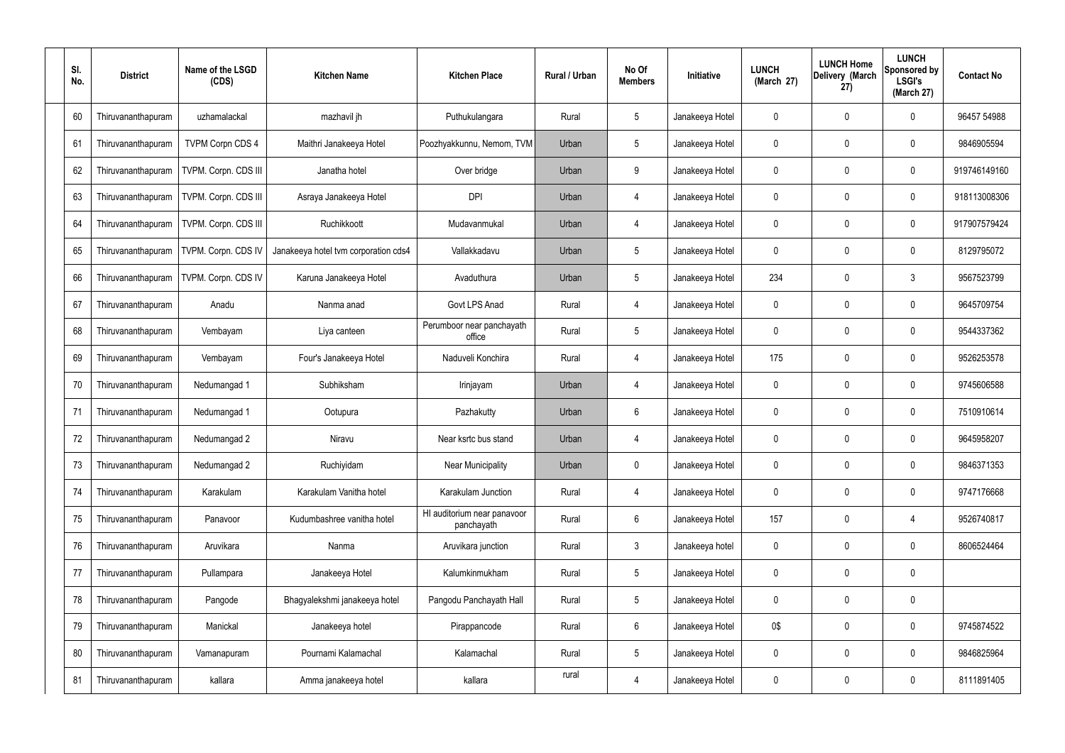| SI.<br>No. | <b>District</b>    | Name of the LSGD<br>(CDS) | <b>Kitchen Name</b>                  | <b>Kitchen Place</b>                      | Rural / Urban | No Of<br><b>Members</b> | Initiative      | <b>LUNCH</b><br>(March 27) | <b>LUNCH Home</b><br>Delivery (March<br>27) | <b>LUNCH</b><br><b>Sponsored by</b><br><b>LSGI's</b><br>(March 27) | <b>Contact No</b> |
|------------|--------------------|---------------------------|--------------------------------------|-------------------------------------------|---------------|-------------------------|-----------------|----------------------------|---------------------------------------------|--------------------------------------------------------------------|-------------------|
| 60         | Thiruvananthapuram | uzhamalackal              | mazhavil jh                          | Puthukulangara                            | Rural         | 5                       | Janakeeya Hotel | 0                          | 0                                           | 0                                                                  | 96457 54988       |
| 61         | Thiruvananthapuram | <b>TVPM Corpn CDS 4</b>   | Maithri Janakeeya Hotel              | Poozhyakkunnu, Nemom, TVM                 | Urban         | 5                       | Janakeeya Hotel | $\mathbf{0}$               | $\mathbf 0$                                 | $\mathbf 0$                                                        | 9846905594        |
| 62         | Thiruvananthapuram | TVPM. Corpn. CDS III      | Janatha hotel                        | Over bridge                               | Urban         | 9                       | Janakeeya Hotel | 0                          | $\mathbf 0$                                 | $\mathbf 0$                                                        | 919746149160      |
| 63         | Thiruvananthapuram | TVPM. Corpn. CDS III      | Asraya Janakeeya Hotel               | <b>DPI</b>                                | Urban         | $\overline{4}$          | Janakeeya Hotel | 0                          | $\mathbf 0$                                 | $\mathbf 0$                                                        | 918113008306      |
| 64         | Thiruvananthapuram | TVPM. Corpn. CDS III      | Ruchikkoott                          | Mudavanmukal                              | Urban         | $\overline{4}$          | Janakeeya Hotel | 0                          | 0                                           | $\mathbf 0$                                                        | 917907579424      |
| 65         | Thiruvananthapuram | TVPM. Corpn. CDS IV       | Janakeeya hotel tvm corporation cds4 | Vallakkadavu                              | Urban         | 5                       | Janakeeya Hotel | 0                          | $\mathbf 0$                                 | $\mathbf 0$                                                        | 8129795072        |
| 66         | Thiruvananthapuram | TVPM. Corpn. CDS IV       | Karuna Janakeeya Hotel               | Avaduthura                                | Urban         | 5                       | Janakeeya Hotel | 234                        | 0                                           | $\mathbf{3}$                                                       | 9567523799        |
| 67         | Thiruvananthapuram | Anadu                     | Nanma anad                           | Govt LPS Anad                             | Rural         | $\overline{4}$          | Janakeeya Hotel | $\mathbf{0}$               | $\mathbf 0$                                 | 0                                                                  | 9645709754        |
| 68         | Thiruvananthapuram | Vembayam                  | Liya canteen                         | Perumboor near panchayath<br>office       | Rural         | 5                       | Janakeeya Hotel | 0                          | 0                                           | 0                                                                  | 9544337362        |
| 69         | Thiruvananthapuram | Vembayam                  | Four's Janakeeya Hotel               | Naduveli Konchira                         | Rural         | 4                       | Janakeeya Hotel | 175                        | $\mathbf 0$                                 | $\mathbf 0$                                                        | 9526253578        |
| 70         | Thiruvananthapuram | Nedumangad 1              | Subhiksham                           | Irinjayam                                 | Urban         | $\overline{4}$          | Janakeeya Hotel | $\mathbf 0$                | 0                                           | $\mathbf 0$                                                        | 9745606588        |
| 71         | Thiruvananthapuram | Nedumangad 1              | Ootupura                             | Pazhakutty                                | Urban         | 6                       | Janakeeya Hotel | $\mathbf{0}$               | 0                                           | $\mathbf 0$                                                        | 7510910614        |
| 72         | Thiruvananthapuram | Nedumangad 2              | Niravu                               | Near ksrtc bus stand                      | Urban         | 4                       | Janakeeya Hotel | 0                          | 0                                           | 0                                                                  | 9645958207        |
| 73         | Thiruvananthapuram | Nedumangad 2              | Ruchiyidam                           | <b>Near Municipality</b>                  | Urban         | $\mathbf 0$             | Janakeeya Hotel | 0                          | $\mathbf 0$                                 | $\mathbf 0$                                                        | 9846371353        |
| 74         | Thiruvananthapuram | Karakulam                 | Karakulam Vanitha hotel              | Karakulam Junction                        | Rural         | $\overline{4}$          | Janakeeya Hotel | $\mathbf 0$                | $\overline{0}$                              | 0                                                                  | 9747176668        |
| 75         | Thiruvananthapuram | Panavoor                  | Kudumbashree vanitha hotel           | HI auditorium near panavoor<br>panchayath | Rural         | $6\phantom{.}6$         | Janakeeya Hotel | 157                        | $\overline{0}$                              | 4                                                                  | 9526740817        |
| 76         | Thiruvananthapuram | Aruvikara                 | Nanma                                | Aruvikara junction                        | Rural         | $\mathbf{3}$            | Janakeeya hotel | $\mathbf 0$                | $\overline{0}$                              | 0                                                                  | 8606524464        |
| 77         | Thiruvananthapuram | Pullampara                | Janakeeya Hotel                      | Kalumkinmukham                            | Rural         | $\overline{5}$          | Janakeeya Hotel | 0                          | 0                                           | $\pmb{0}$                                                          |                   |
| 78         | Thiruvananthapuram | Pangode                   | Bhagyalekshmi janakeeya hotel        | Pangodu Panchayath Hall                   | Rural         | $\overline{5}$          | Janakeeya Hotel | $\mathbf 0$                | $\overline{0}$                              | $\pmb{0}$                                                          |                   |
| 79         | Thiruvananthapuram | Manickal                  | Janakeeya hotel                      | Pirappancode                              | Rural         | $6\phantom{.}6$         | Janakeeya Hotel | 0\$                        | 0                                           | 0                                                                  | 9745874522        |
| 80         | Thiruvananthapuram | Vamanapuram               | Pournami Kalamachal                  | Kalamachal                                | Rural         | $5\phantom{.0}$         | Janakeeya Hotel | 0                          | $\mathbf 0$                                 | $\pmb{0}$                                                          | 9846825964        |
| 81         | Thiruvananthapuram | kallara                   | Amma janakeeya hotel                 | kallara                                   | rural         | $\overline{4}$          | Janakeeya Hotel | 0                          | $\boldsymbol{0}$                            | $\pmb{0}$                                                          | 8111891405        |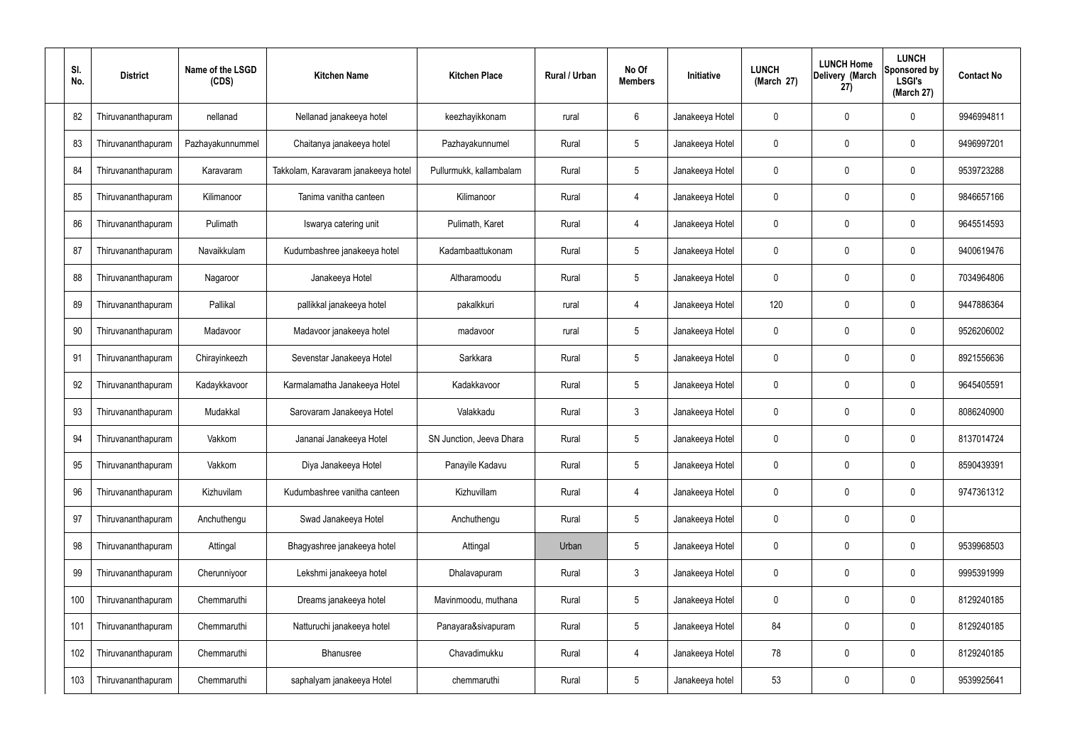| SI.<br>No. | <b>District</b>    | Name of the LSGD<br>(CDS) | <b>Kitchen Name</b>                 | <b>Kitchen Place</b>     | Rural / Urban | No Of<br><b>Members</b> | Initiative      | <b>LUNCH</b><br>(March 27) | <b>LUNCH Home</b><br>Delivery (March<br>27) | <b>LUNCH</b><br><b>Sponsored by</b><br><b>LSGI's</b><br>(March 27) | <b>Contact No</b> |
|------------|--------------------|---------------------------|-------------------------------------|--------------------------|---------------|-------------------------|-----------------|----------------------------|---------------------------------------------|--------------------------------------------------------------------|-------------------|
| 82         | Thiruvananthapuram | nellanad                  | Nellanad janakeeya hotel            | keezhayikkonam           | rural         | 6                       | Janakeeya Hotel | 0                          | $\mathbf 0$                                 | 0                                                                  | 9946994811        |
| 83         | Thiruvananthapuram | Pazhayakunnummel          | Chaitanya janakeeya hotel           | Pazhayakunnumel          | Rural         | 5                       | Janakeeya Hotel | 0                          | $\mathbf 0$                                 | 0                                                                  | 9496997201        |
| 84         | Thiruvananthapuram | Karavaram                 | Takkolam, Karavaram janakeeya hotel | Pullurmukk, kallambalam  | Rural         | $5\phantom{.0}$         | Janakeeya Hotel | 0                          | 0                                           | 0                                                                  | 9539723288        |
| 85         | Thiruvananthapuram | Kilimanoor                | Tanima vanitha canteen              | Kilimanoor               | Rural         | 4                       | Janakeeya Hotel | 0                          | $\mathbf 0$                                 | 0                                                                  | 9846657166        |
| 86         | Thiruvananthapuram | Pulimath                  | Iswarya catering unit               | Pulimath, Karet          | Rural         | 4                       | Janakeeya Hotel | 0                          | $\mathbf 0$                                 | 0                                                                  | 9645514593        |
| 87         | Thiruvananthapuram | Navaikkulam               | Kudumbashree janakeeya hotel        | Kadambaattukonam         | Rural         | 5                       | Janakeeya Hotel | 0                          | $\mathbf 0$                                 | 0                                                                  | 9400619476        |
| 88         | Thiruvananthapuram | Nagaroor                  | Janakeeya Hotel                     | Altharamoodu             | Rural         | $5\phantom{.0}$         | Janakeeya Hotel | 0                          | 0                                           | 0                                                                  | 7034964806        |
| 89         | Thiruvananthapuram | Pallikal                  | pallikkal janakeeya hotel           | pakalkkuri               | rural         | 4                       | Janakeeya Hotel | 120                        | $\mathbf 0$                                 | 0                                                                  | 9447886364        |
| 90         | Thiruvananthapuram | Madavoor                  | Madavoor janakeeya hotel            | madavoor                 | rural         | $5\phantom{.0}$         | Janakeeya Hotel | 0                          | $\mathbf 0$                                 | 0                                                                  | 9526206002        |
| 91         | Thiruvananthapuram | Chirayinkeezh             | Sevenstar Janakeeya Hotel           | Sarkkara                 | Rural         | $5\phantom{.0}$         | Janakeeya Hotel | 0                          | 0                                           | 0                                                                  | 8921556636        |
| 92         | Thiruvananthapuram | Kadaykkavoor              | Karmalamatha Janakeeya Hotel        | Kadakkavoor              | Rural         | $5\phantom{.0}$         | Janakeeya Hotel | 0                          | 0                                           | 0                                                                  | 9645405591        |
| 93         | Thiruvananthapuram | Mudakkal                  | Sarovaram Janakeeya Hotel           | Valakkadu                | Rural         | $\mathbf{3}$            | Janakeeya Hotel | 0                          | 0                                           | 0                                                                  | 8086240900        |
| 94         | Thiruvananthapuram | Vakkom                    | Jananai Janakeeya Hotel             | SN Junction, Jeeva Dhara | Rural         | $5\phantom{.0}$         | Janakeeya Hotel | 0                          | 0                                           | 0                                                                  | 8137014724        |
| 95         | Thiruvananthapuram | Vakkom                    | Diya Janakeeya Hotel                | Panayile Kadavu          | Rural         | 5                       | Janakeeya Hotel | $\mathbf 0$                | $\mathbf 0$                                 | 0                                                                  | 8590439391        |
| 96         | Thiruvananthapuram | Kizhuvilam                | Kudumbashree vanitha canteen        | Kizhuvillam              | Rural         | $\overline{4}$          | Janakeeya Hotel | $\mathbf 0$                | $\mathbf 0$                                 | 0                                                                  | 9747361312        |
| 97         | Thiruvananthapuram | Anchuthengu               | Swad Janakeeya Hotel                | Anchuthengu              | Rural         | $5\phantom{.0}$         | Janakeeya Hotel | 0                          | $\mathbf 0$                                 | 0                                                                  |                   |
| 98         | Thiruvananthapuram | Attingal                  | Bhagyashree janakeeya hotel         | Attingal                 | Urban         | $5\phantom{.0}$         | Janakeeya Hotel | $\mathbf 0$                | $\mathbf 0$                                 | 0                                                                  | 9539968503        |
| 99         | Thiruvananthapuram | Cherunniyoor              | Lekshmi janakeeya hotel             | Dhalavapuram             | Rural         | $\mathbf{3}$            | Janakeeya Hotel | 0                          | $\mathbf 0$                                 | 0                                                                  | 9995391999        |
| 100        | Thiruvananthapuram | Chemmaruthi               | Dreams janakeeya hotel              | Mavinmoodu, muthana      | Rural         | $5\phantom{.0}$         | Janakeeya Hotel | $\mathbf 0$                | $\mathbf 0$                                 | 0                                                                  | 8129240185        |
| 101        | Thiruvananthapuram | Chemmaruthi               | Natturuchi janakeeya hotel          | Panayara&sivapuram       | Rural         | $5\phantom{.0}$         | Janakeeya Hotel | 84                         | $\mathbf 0$                                 | 0                                                                  | 8129240185        |
| 102        | Thiruvananthapuram | Chemmaruthi               | Bhanusree                           | Chavadimukku             | Rural         | $\overline{4}$          | Janakeeya Hotel | 78                         | $\mathbf 0$                                 | 0                                                                  | 8129240185        |
| 103        | Thiruvananthapuram | Chemmaruthi               | saphalyam janakeeya Hotel           | chemmaruthi              | Rural         | $5\phantom{.0}$         | Janakeeya hotel | 53                         | $\boldsymbol{0}$                            | 0                                                                  | 9539925641        |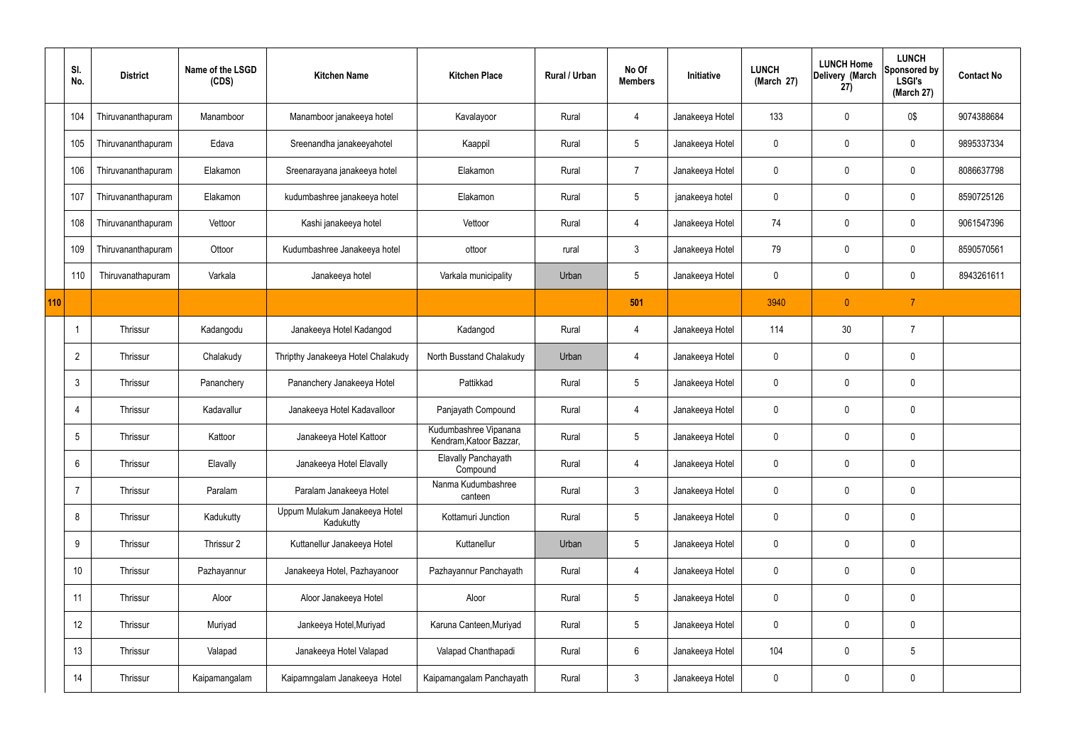|     | SI.<br>No.      | <b>District</b>    | Name of the LSGD<br>(CDS) | <b>Kitchen Name</b>                        | <b>Kitchen Place</b>                             | Rural / Urban | No Of<br><b>Members</b> | Initiative      | <b>LUNCH</b><br>(March 27) | <b>LUNCH Home</b><br>Delivery (March<br>27) | <b>LUNCH</b><br>Sponsored by<br><b>LSGI's</b><br>(March 27) | <b>Contact No</b> |
|-----|-----------------|--------------------|---------------------------|--------------------------------------------|--------------------------------------------------|---------------|-------------------------|-----------------|----------------------------|---------------------------------------------|-------------------------------------------------------------|-------------------|
|     | 104             | Thiruvananthapuram | Manamboor                 | Manamboor janakeeya hotel                  | Kavalayoor                                       | Rural         | $\overline{4}$          | Janakeeya Hotel | 133                        | $\mathbf 0$                                 | 0\$                                                         | 9074388684        |
|     | 105             | Thiruvananthapuram | Edava                     | Sreenandha janakeeyahotel                  | Kaappil                                          | Rural         | $5\overline{)}$         | Janakeeya Hotel | $\mathbf 0$                | $\mathbf 0$                                 | $\mathbf 0$                                                 | 9895337334        |
|     | 106             | Thiruvananthapuram | Elakamon                  | Sreenarayana janakeeya hotel               | Elakamon                                         | Rural         | $\overline{7}$          | Janakeeya Hotel | $\mathbf 0$                | $\mathbf 0$                                 | $\mathbf 0$                                                 | 8086637798        |
|     | 107             | Thiruvananthapuram | Elakamon                  | kudumbashree janakeeya hotel               | Elakamon                                         | Rural         | $5\overline{)}$         | janakeeya hotel | $\mathbf 0$                | $\mathbf 0$                                 | $\mathbf 0$                                                 | 8590725126        |
|     | 108             | Thiruvananthapuram | Vettoor                   | Kashi janakeeya hotel                      | Vettoor                                          | Rural         | 4                       | Janakeeya Hotel | 74                         | $\mathbf 0$                                 | $\mathbf 0$                                                 | 9061547396        |
|     | 109             | Thiruvananthapuram | Ottoor                    | Kudumbashree Janakeeya hotel               | ottoor                                           | rural         | $\mathbf{3}$            | Janakeeya Hotel | 79                         | $\pmb{0}$                                   | $\mathbf 0$                                                 | 8590570561        |
|     | 110             | Thiruvanathapuram  | Varkala                   | Janakeeya hotel                            | Varkala municipality                             | Urban         | $5\overline{)}$         | Janakeeya Hotel | $\mathbf 0$                | 0                                           | $\mathbf 0$                                                 | 8943261611        |
| 110 |                 |                    |                           |                                            |                                                  |               | 501                     |                 | 3940                       | $\pmb{0}$                                   | $\overline{7}$                                              |                   |
|     |                 | Thrissur           | Kadangodu                 | Janakeeya Hotel Kadangod                   | Kadangod                                         | Rural         | $\overline{4}$          | Janakeeya Hotel | 114                        | 30                                          | $\overline{7}$                                              |                   |
|     | $\overline{2}$  | Thrissur           | Chalakudy                 | Thripthy Janakeeya Hotel Chalakudy         | North Busstand Chalakudy                         | Urban         | 4                       | Janakeeya Hotel | $\mathbf 0$                | $\mathbf 0$                                 | $\mathbf 0$                                                 |                   |
|     | $\mathbf{3}$    | Thrissur           | Pananchery                | Pananchery Janakeeya Hotel                 | Pattikkad                                        | Rural         | $5\overline{)}$         | Janakeeya Hotel | $\mathbf 0$                | $\mathbf 0$                                 | $\mathbf 0$                                                 |                   |
|     | 4               | Thrissur           | Kadavallur                | Janakeeya Hotel Kadavalloor                | Panjayath Compound                               | Rural         | $\overline{4}$          | Janakeeya Hotel | $\mathbf 0$                | $\mathbf 0$                                 | $\mathbf 0$                                                 |                   |
|     | 5               | Thrissur           | Kattoor                   | Janakeeya Hotel Kattoor                    | Kudumbashree Vipanana<br>Kendram, Katoor Bazzar, | Rural         | $5\overline{)}$         | Janakeeya Hotel | $\mathbf 0$                | $\mathbf 0$                                 | $\mathbf 0$                                                 |                   |
|     | 6               | Thrissur           | Elavally                  | Janakeeya Hotel Elavally                   | Elavally Panchayath<br>Compound                  | Rural         | $\overline{4}$          | Janakeeya Hotel | $\pmb{0}$                  | $\pmb{0}$                                   | $\mathbf 0$                                                 |                   |
|     | $\overline{7}$  | Thrissur           | Paralam                   | Paralam Janakeeya Hotel                    | Nanma Kudumbashree<br>canteen                    | Rural         | $\mathbf{3}$            | Janakeeya Hotel | $\mathbf 0$                | $\pmb{0}$                                   | $\mathbf 0$                                                 |                   |
|     | 8               | Thrissur           | Kadukutty                 | Uppum Mulakum Janakeeya Hotel<br>Kadukutty | Kottamuri Junction                               | Rural         | $5\overline{)}$         | Janakeeya Hotel | $\pmb{0}$                  | $\pmb{0}$                                   | $\mathbf 0$                                                 |                   |
|     | 9               | Thrissur           | Thrissur 2                | Kuttanellur Janakeeya Hotel                | Kuttanellur                                      | Urban         | 5 <sub>5</sub>          | Janakeeya Hotel | $\pmb{0}$                  | $\pmb{0}$                                   | $\mathbf 0$                                                 |                   |
|     | 10 <sup>°</sup> | Thrissur           | Pazhayannur               | Janakeeya Hotel, Pazhayanoor               | Pazhayannur Panchayath                           | Rural         | $\overline{4}$          | Janakeeya Hotel | $\mathbf 0$                | $\pmb{0}$                                   | $\mathbf 0$                                                 |                   |
|     | 11              | Thrissur           | Aloor                     | Aloor Janakeeya Hotel                      | Aloor                                            | Rural         | $5\overline{)}$         | Janakeeya Hotel | $\mathbf 0$                | $\pmb{0}$                                   | $\mathbf 0$                                                 |                   |
|     | 12              | Thrissur           | Muriyad                   | Jankeeya Hotel, Muriyad                    | Karuna Canteen, Muriyad                          | Rural         | $5\overline{)}$         | Janakeeya Hotel | $\mathbf 0$                | $\pmb{0}$                                   | $\mathbf 0$                                                 |                   |
|     | 13              | Thrissur           | Valapad                   | Janakeeya Hotel Valapad                    | Valapad Chanthapadi                              | Rural         | $6\overline{6}$         | Janakeeya Hotel | 104                        | $\pmb{0}$                                   | $5\,$                                                       |                   |
|     | 14              | Thrissur           | Kaipamangalam             | Kaipamngalam Janakeeya Hotel               | Kaipamangalam Panchayath                         | Rural         | 3 <sup>1</sup>          | Janakeeya Hotel | $\mathsf{0}$               | $\pmb{0}$                                   | $\pmb{0}$                                                   |                   |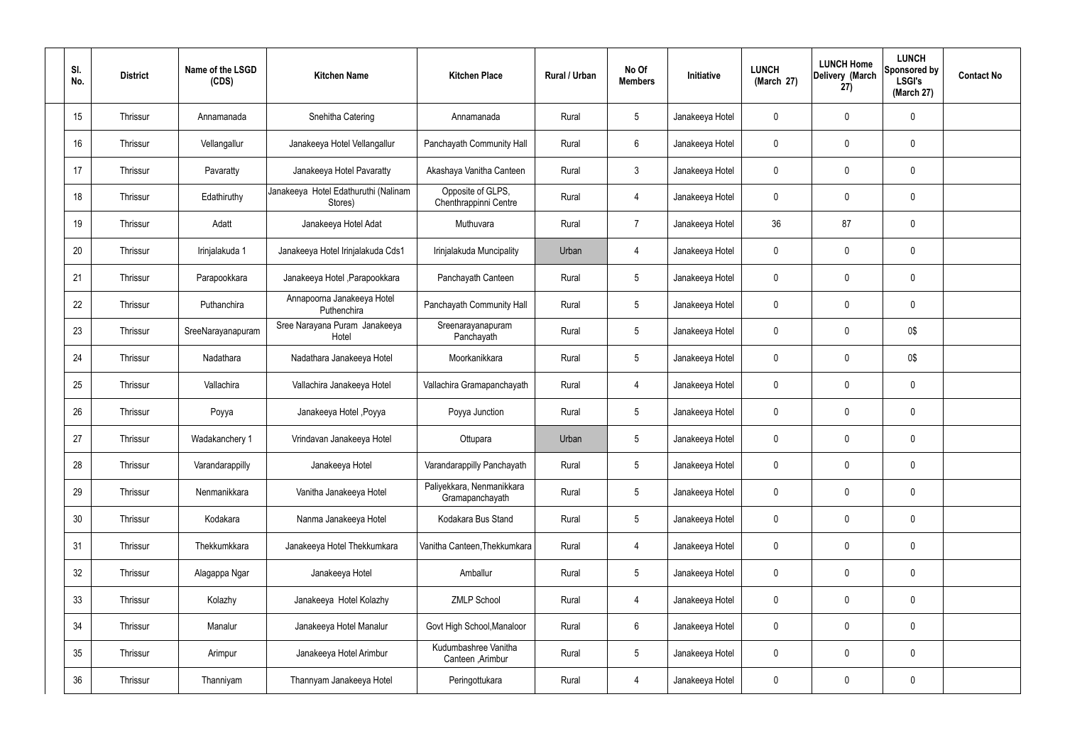| SI.<br>No. | <b>District</b> | Name of the LSGD<br>(CDS) | <b>Kitchen Name</b>                             | <b>Kitchen Place</b>                         | Rural / Urban | No Of<br><b>Members</b> | Initiative      | <b>LUNCH</b><br>(March 27) | <b>LUNCH Home</b><br>Delivery (March<br>27) | <b>LUNCH</b><br>Sponsored by<br><b>LSGI's</b><br>(March 27) | <b>Contact No</b> |
|------------|-----------------|---------------------------|-------------------------------------------------|----------------------------------------------|---------------|-------------------------|-----------------|----------------------------|---------------------------------------------|-------------------------------------------------------------|-------------------|
| 15         | Thrissur        | Annamanada                | Snehitha Catering                               | Annamanada                                   | Rural         | $5\phantom{.0}$         | Janakeeya Hotel | 0                          | 0                                           | $\mathbf 0$                                                 |                   |
| 16         | Thrissur        | Vellangallur              | Janakeeya Hotel Vellangallur                    | Panchayath Community Hall                    | Rural         | 6                       | Janakeeya Hotel | 0                          | $\mathbf 0$                                 | $\mathbf 0$                                                 |                   |
| 17         | Thrissur        | Pavaratty                 | Janakeeya Hotel Pavaratty                       | Akashaya Vanitha Canteen                     | Rural         | $\mathbf{3}$            | Janakeeya Hotel | 0                          | 0                                           | $\mathbf 0$                                                 |                   |
| 18         | Thrissur        | Edathiruthy               | Janakeeya Hotel Edathuruthi (Nalinam<br>Stores) | Opposite of GLPS,<br>Chenthrappinni Centre   | Rural         | $\overline{4}$          | Janakeeya Hotel | 0                          | 0                                           | $\mathbf 0$                                                 |                   |
| 19         | Thrissur        | Adatt                     | Janakeeya Hotel Adat                            | Muthuvara                                    | Rural         | $\overline{7}$          | Janakeeya Hotel | 36                         | 87                                          | $\mathbf 0$                                                 |                   |
| 20         | Thrissur        | Irinjalakuda 1            | Janakeeya Hotel Irinjalakuda Cds1               | Irinjalakuda Muncipality                     | Urban         | $\overline{4}$          | Janakeeya Hotel | 0                          | 0                                           | $\mathbf 0$                                                 |                   |
| 21         | Thrissur        | Parapookkara              | Janakeeya Hotel , Parapookkara                  | Panchayath Canteen                           | Rural         | $5\overline{)}$         | Janakeeya Hotel | 0                          | 0                                           | $\mathbf 0$                                                 |                   |
| 22         | Thrissur        | Puthanchira               | Annapoorna Janakeeya Hotel<br>Puthenchira       | Panchayath Community Hall                    | Rural         | $5\phantom{.0}$         | Janakeeya Hotel | 0                          | 0                                           | $\mathbf 0$                                                 |                   |
| 23         | Thrissur        | SreeNarayanapuram         | Sree Narayana Puram Janakeeya<br>Hotel          | Sreenarayanapuram<br>Panchayath              | Rural         | $5\overline{)}$         | Janakeeya Hotel | 0                          | 0                                           | 0\$                                                         |                   |
| 24         | Thrissur        | Nadathara                 | Nadathara Janakeeya Hotel                       | Moorkanikkara                                | Rural         | $5\phantom{.0}$         | Janakeeya Hotel | 0                          | 0                                           | 0\$                                                         |                   |
| 25         | Thrissur        | Vallachira                | Vallachira Janakeeya Hotel                      | Vallachira Gramapanchayath                   | Rural         | $\overline{4}$          | Janakeeya Hotel | 0                          | 0                                           | $\mathbf 0$                                                 |                   |
| 26         | Thrissur        | Poyya                     | Janakeeya Hotel , Poyya                         | Poyya Junction                               | Rural         | $5\phantom{.0}$         | Janakeeya Hotel | 0                          | 0                                           | $\mathbf 0$                                                 |                   |
| 27         | Thrissur        | Wadakanchery 1            | Vrindavan Janakeeya Hotel                       | Ottupara                                     | Urban         | $5\phantom{.0}$         | Janakeeya Hotel | 0                          | 0                                           | $\mathbf 0$                                                 |                   |
| 28         | Thrissur        | Varandarappilly           | Janakeeya Hotel                                 | Varandarappilly Panchayath                   | Rural         | $5\phantom{.0}$         | Janakeeya Hotel | 0                          | $\mathbf 0$                                 | $\pmb{0}$                                                   |                   |
| 29         | Thrissur        | Nenmanikkara              | Vanitha Janakeeya Hotel                         | Paliyekkara, Nenmanikkara<br>Gramapanchayath | Rural         | $5\phantom{.0}$         | Janakeeya Hotel | 0                          | 0                                           | $\pmb{0}$                                                   |                   |
| 30         | Thrissur        | Kodakara                  | Nanma Janakeeya Hotel                           | Kodakara Bus Stand                           | Rural         | $5\phantom{.0}$         | Janakeeya Hotel | 0                          | 0                                           | $\pmb{0}$                                                   |                   |
| 31         | Thrissur        | Thekkumkkara              | Janakeeya Hotel Thekkumkara                     | Vanitha Canteen, Thekkumkara                 | Rural         | $\overline{4}$          | Janakeeya Hotel | 0                          | 0                                           | $\pmb{0}$                                                   |                   |
| 32         | Thrissur        | Alagappa Ngar             | Janakeeya Hotel                                 | Amballur                                     | Rural         | $5\phantom{.0}$         | Janakeeya Hotel | 0                          | 0                                           | $\pmb{0}$                                                   |                   |
| 33         | Thrissur        | Kolazhy                   | Janakeeya Hotel Kolazhy                         | <b>ZMLP School</b>                           | Rural         | $\overline{4}$          | Janakeeya Hotel | 0                          | 0                                           | $\pmb{0}$                                                   |                   |
| 34         | Thrissur        | Manalur                   | Janakeeya Hotel Manalur                         | Govt High School, Manaloor                   | Rural         | $6\,$                   | Janakeeya Hotel | 0                          | 0                                           | $\pmb{0}$                                                   |                   |
| 35         | Thrissur        | Arimpur                   | Janakeeya Hotel Arimbur                         | Kudumbashree Vanitha<br>Canteen, Arimbur     | Rural         | $5\,$                   | Janakeeya Hotel | 0                          | 0                                           | $\mathbf 0$                                                 |                   |
| 36         | Thrissur        | Thanniyam                 | Thannyam Janakeeya Hotel                        | Peringottukara                               | Rural         | 4                       | Janakeeya Hotel | 0                          | 0                                           | $\pmb{0}$                                                   |                   |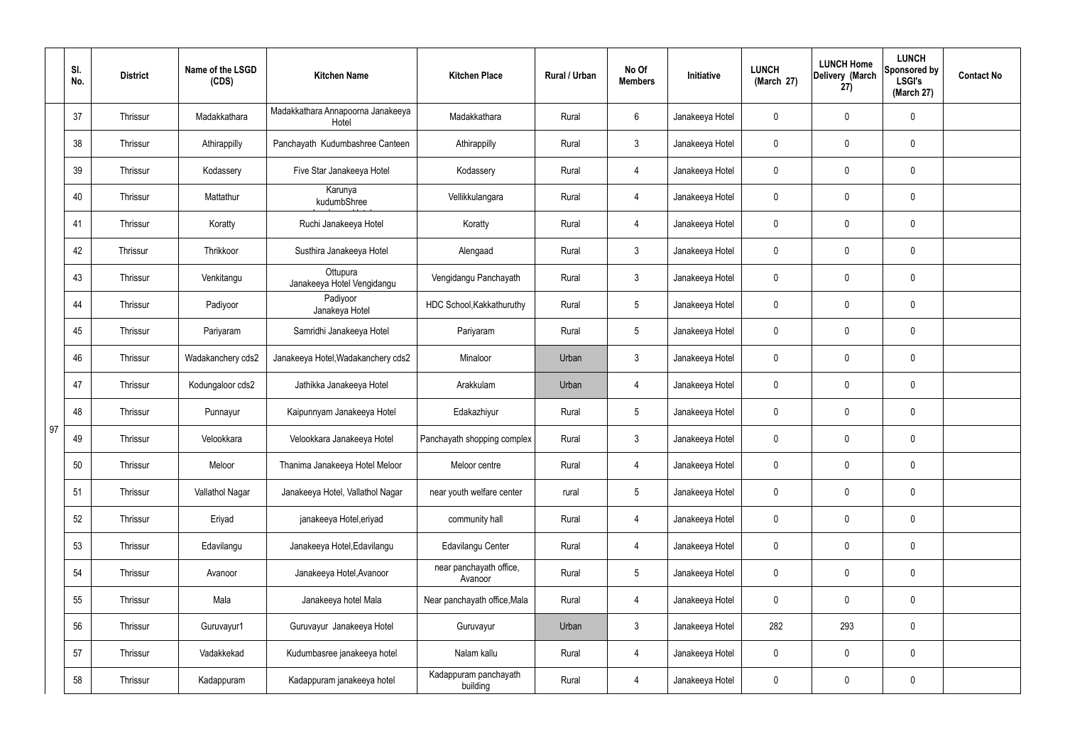|    | SI.<br>No. | <b>District</b> | Name of the LSGD<br>(CDS) | <b>Kitchen Name</b>                        | <b>Kitchen Place</b>               | <b>Rural / Urban</b> | No Of<br><b>Members</b> | Initiative      | <b>LUNCH</b><br>(March 27) | <b>LUNCH Home</b><br>Delivery (March<br>27) | <b>LUNCH</b><br>Sponsored by<br><b>LSGI's</b><br>(March 27) | <b>Contact No</b> |
|----|------------|-----------------|---------------------------|--------------------------------------------|------------------------------------|----------------------|-------------------------|-----------------|----------------------------|---------------------------------------------|-------------------------------------------------------------|-------------------|
|    | 37         | Thrissur        | Madakkathara              | Madakkathara Annapoorna Janakeeya<br>Hotel | Madakkathara                       | Rural                | 6                       | Janakeeya Hotel | 0                          | $\mathsf{0}$                                | $\mathbf 0$                                                 |                   |
|    | 38         | Thrissur        | Athirappilly              | Panchayath Kudumbashree Canteen            | Athirappilly                       | Rural                | $\mathbf{3}$            | Janakeeya Hotel | $\mathbf 0$                | $\mathsf{0}$                                | $\pmb{0}$                                                   |                   |
|    | 39         | Thrissur        | Kodassery                 | Five Star Janakeeya Hotel                  | Kodassery                          | Rural                | 4                       | Janakeeya Hotel | 0                          | 0                                           | $\mathbf 0$                                                 |                   |
|    | 40         | Thrissur        | Mattathur                 | Karunya<br>kudumbShree                     | Vellikkulangara                    | Rural                | 4                       | Janakeeya Hotel | $\mathbf 0$                | $\mathsf{0}$                                | $\pmb{0}$                                                   |                   |
|    | 41         | Thrissur        | Koratty                   | Ruchi Janakeeya Hotel                      | Koratty                            | Rural                | 4                       | Janakeeya Hotel | 0                          | $\mathsf{0}$                                | $\mathbf 0$                                                 |                   |
|    | 42         | Thrissur        | Thrikkoor                 | Susthira Janakeeya Hotel                   | Alengaad                           | Rural                | $\mathbf{3}$            | Janakeeya Hotel | $\mathbf 0$                | $\mathsf{0}$                                | $\pmb{0}$                                                   |                   |
|    | 43         | Thrissur        | Venkitangu                | Ottupura<br>Janakeeya Hotel Vengidangu     | Vengidangu Panchayath              | Rural                | $\mathbf{3}$            | Janakeeya Hotel | 0                          | $\mathbf 0$                                 | $\mathbf 0$                                                 |                   |
|    | 44         | Thrissur        | Padiyoor                  | Padiyoor<br>Janakeya Hotel                 | HDC School, Kakkathuruthy          | Rural                | $5\overline{)}$         | Janakeeya Hotel | $\mathbf 0$                | $\mathbf 0$                                 | $\pmb{0}$                                                   |                   |
|    | 45         | Thrissur        | Pariyaram                 | Samridhi Janakeeya Hotel                   | Pariyaram                          | Rural                | $5\overline{)}$         | Janakeeya Hotel | 0                          | $\mathbf 0$                                 | $\pmb{0}$                                                   |                   |
|    | 46         | Thrissur        | Wadakanchery cds2         | Janakeeya Hotel, Wadakanchery cds2         | Minaloor                           | Urban                | $\mathfrak{Z}$          | Janakeeya Hotel | 0                          | $\mathbf 0$                                 | $\mathbf 0$                                                 |                   |
|    | 47         | Thrissur        | Kodungaloor cds2          | Jathikka Janakeeya Hotel                   | Arakkulam                          | Urban                | 4                       | Janakeeya Hotel | 0                          | $\mathbf 0$                                 | $\mathbf 0$                                                 |                   |
|    | 48         | Thrissur        | Punnayur                  | Kaipunnyam Janakeeya Hotel                 | Edakazhiyur                        | Rural                | $5\overline{)}$         | Janakeeya Hotel | 0                          | $\mathbf 0$                                 | $\mathbf 0$                                                 |                   |
| 97 | 49         | Thrissur        | Velookkara                | Velookkara Janakeeya Hotel                 | Panchayath shopping complex        | Rural                | 3                       | Janakeeya Hotel | 0                          | $\mathbf 0$                                 | $\mathbf 0$                                                 |                   |
|    | 50         | Thrissur        | Meloor                    | Thanima Janakeeya Hotel Meloor             | Meloor centre                      | Rural                | $\overline{4}$          | Janakeeya Hotel | $\mathbf 0$                | $\mathbf 0$                                 | $\mathbf 0$                                                 |                   |
|    | 51         | Thrissur        | Vallathol Nagar           | Janakeeya Hotel, Vallathol Nagar           | near youth welfare center          | rural                | $5\phantom{.0}$         | Janakeeya Hotel | $\mathbf 0$                | $\mathbf 0$                                 | $\pmb{0}$                                                   |                   |
|    | 52         | Thrissur        | Eriyad                    | janakeeya Hotel, eriyad                    | community hall                     | Rural                | $\overline{4}$          | Janakeeya Hotel | $\mathbf 0$                | $\mathbf 0$                                 | $\pmb{0}$                                                   |                   |
|    | 53         | Thrissur        | Edavilangu                | Janakeeya Hotel, Edavilangu                | Edavilangu Center                  | Rural                | $\overline{4}$          | Janakeeya Hotel | $\mathbf 0$                | $\mathbf 0$                                 | $\pmb{0}$                                                   |                   |
|    | 54         | Thrissur        | Avanoor                   | Janakeeya Hotel, Avanoor                   | near panchayath office,<br>Avanoor | Rural                | $5\phantom{.0}$         | Janakeeya Hotel | 0                          | $\mathbf 0$                                 | $\pmb{0}$                                                   |                   |
|    | 55         | Thrissur        | Mala                      | Janakeeya hotel Mala                       | Near panchayath office, Mala       | Rural                | $\overline{4}$          | Janakeeya Hotel | $\mathbf 0$                | $\mathbf 0$                                 | $\pmb{0}$                                                   |                   |
|    | 56         | Thrissur        | Guruvayur1                | Guruvayur Janakeeya Hotel                  | Guruvayur                          | Urban                | $\mathbf{3}$            | Janakeeya Hotel | 282                        | 293                                         | $\mathbf 0$                                                 |                   |
|    | 57         | Thrissur        | Vadakkekad                | Kudumbasree janakeeya hotel                | Nalam kallu                        | Rural                | $\overline{4}$          | Janakeeya Hotel | $\pmb{0}$                  | $\mathbf 0$                                 | $\pmb{0}$                                                   |                   |
|    | 58         | Thrissur        | Kadappuram                | Kadappuram janakeeya hotel                 | Kadappuram panchayath<br>building  | Rural                | 4                       | Janakeeya Hotel | 0                          | 0                                           | $\pmb{0}$                                                   |                   |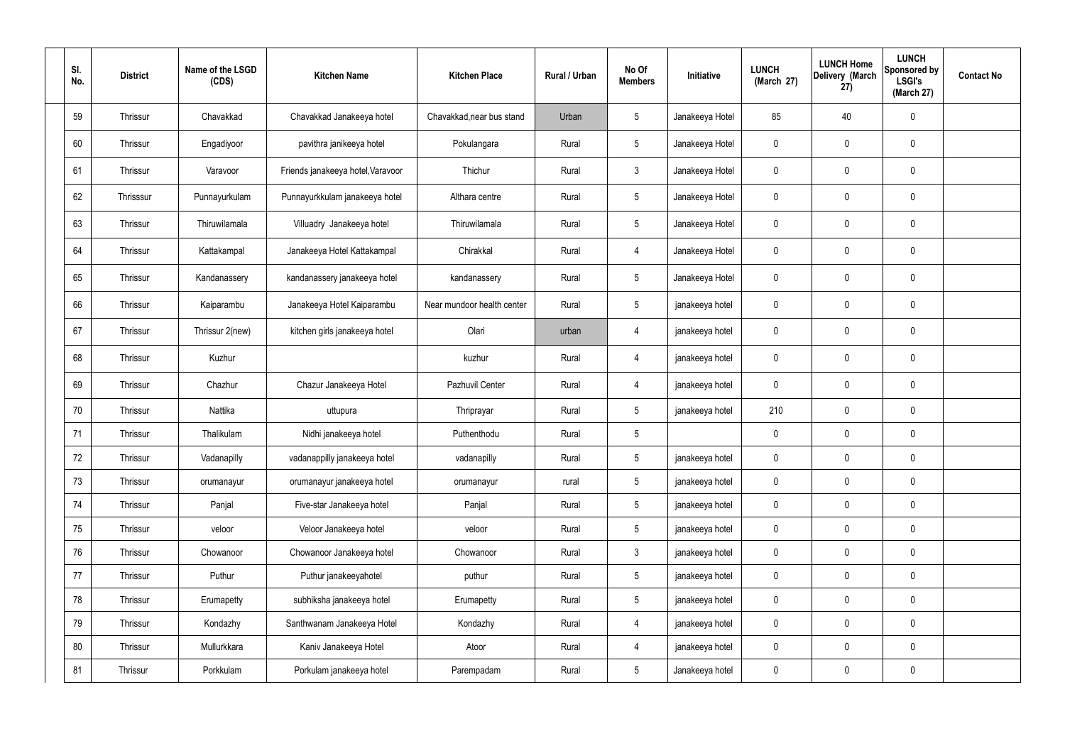| SI.<br>No. | <b>District</b> | Name of the LSGD<br>(CDS) | <b>Kitchen Name</b>               | <b>Kitchen Place</b>       | Rural / Urban | No Of<br><b>Members</b> | Initiative      | <b>LUNCH</b><br>(March 27) | <b>LUNCH Home</b><br>Delivery (March<br>27) | <b>LUNCH</b><br>Sponsored by<br><b>LSGI's</b><br>(March 27) | <b>Contact No</b> |
|------------|-----------------|---------------------------|-----------------------------------|----------------------------|---------------|-------------------------|-----------------|----------------------------|---------------------------------------------|-------------------------------------------------------------|-------------------|
| 59         | Thrissur        | Chavakkad                 | Chavakkad Janakeeya hotel         | Chavakkad, near bus stand  | Urban         | $5\phantom{.0}$         | Janakeeya Hotel | 85                         | 40                                          | $\mathbf 0$                                                 |                   |
| 60         | Thrissur        | Engadiyoor                | pavithra janikeeya hotel          | Pokulangara                | Rural         | $5\overline{)}$         | Janakeeya Hotel | $\mathbf 0$                | 0                                           | $\pmb{0}$                                                   |                   |
| 61         | Thrissur        | Varavoor                  | Friends janakeeya hotel, Varavoor | Thichur                    | Rural         | $\mathbf{3}$            | Janakeeya Hotel | $\mathbf 0$                | 0                                           | $\mathbf 0$                                                 |                   |
| 62         | Thrisssur       | Punnayurkulam             | Punnayurkkulam janakeeya hotel    | Althara centre             | Rural         | $5\overline{)}$         | Janakeeya Hotel | $\mathbf 0$                | $\mathbf 0$                                 | $\pmb{0}$                                                   |                   |
| 63         | Thrissur        | Thiruwilamala             | Villuadry Janakeeya hotel         | Thiruwilamala              | Rural         | $5\overline{)}$         | Janakeeya Hotel | $\mathbf 0$                | 0                                           | $\mathbf 0$                                                 |                   |
| 64         | Thrissur        | Kattakampal               | Janakeeya Hotel Kattakampal       | Chirakkal                  | Rural         | $\overline{4}$          | Janakeeya Hotel | $\mathbf 0$                | $\mathbf 0$                                 | $\mathbf 0$                                                 |                   |
| 65         | Thrissur        | Kandanassery              | kandanassery janakeeya hotel      | kandanassery               | Rural         | $5\overline{)}$         | Janakeeya Hotel | $\mathbf 0$                | 0                                           | $\mathbf 0$                                                 |                   |
| 66         | Thrissur        | Kaiparambu                | Janakeeya Hotel Kaiparambu        | Near mundoor health center | Rural         | $5\overline{)}$         | janakeeya hotel | $\mathbf 0$                | $\mathbf 0$                                 | $\mathbf 0$                                                 |                   |
| 67         | Thrissur        | Thrissur 2(new)           | kitchen girls janakeeya hotel     | Olari                      | urban         | $\overline{4}$          | janakeeya hotel | $\mathbf 0$                | 0                                           | $\mathbf 0$                                                 |                   |
| 68         | Thrissur        | Kuzhur                    |                                   | kuzhur                     | Rural         | $\overline{4}$          | janakeeya hotel | $\mathbf 0$                | $\mathbf 0$                                 | $\pmb{0}$                                                   |                   |
| 69         | Thrissur        | Chazhur                   | Chazur Janakeeya Hotel            | Pazhuvil Center            | Rural         | $\overline{4}$          | janakeeya hotel | $\mathbf 0$                | 0                                           | $\pmb{0}$                                                   |                   |
| 70         | Thrissur        | Nattika                   | uttupura                          | Thriprayar                 | Rural         | $5\phantom{.0}$         | janakeeya hotel | 210                        | $\mathbf 0$                                 | $\pmb{0}$                                                   |                   |
| 71         | Thrissur        | Thalikulam                | Nidhi janakeeya hotel             | Puthenthodu                | Rural         | $5\phantom{.0}$         |                 | 0                          | 0                                           | $\pmb{0}$                                                   |                   |
| 72         | Thrissur        | Vadanapilly               | vadanappilly janakeeya hotel      | vadanapilly                | Rural         | $5\phantom{.0}$         | janakeeya hotel | 0                          | 0                                           | $\pmb{0}$                                                   |                   |
| 73         | Thrissur        | orumanayur                | orumanayur janakeeya hotel        | orumanayur                 | rural         | $5\phantom{.0}$         | janakeeya hotel | $\pmb{0}$                  | 0                                           | $\mathbf 0$                                                 |                   |
| 74         | Thrissur        | Panjal                    | Five-star Janakeeya hotel         | Panjal                     | Rural         | $5\phantom{.0}$         | janakeeya hotel | $\pmb{0}$                  | 0                                           | $\mathbf 0$                                                 |                   |
| 75         | Thrissur        | veloor                    | Veloor Janakeeya hotel            | veloor                     | Rural         | $5\phantom{.0}$         | janakeeya hotel | $\pmb{0}$                  | 0                                           | $\pmb{0}$                                                   |                   |
| 76         | Thrissur        | Chowanoor                 | Chowanoor Janakeeya hotel         | Chowanoor                  | Rural         | 3 <sup>1</sup>          | janakeeya hotel | $\pmb{0}$                  | 0                                           | $\mathbf 0$                                                 |                   |
| 77         | Thrissur        | Puthur                    | Puthur janakeeyahotel             | puthur                     | Rural         | $5\overline{)}$         | janakeeya hotel | $\mathbf 0$                | 0                                           | $\mathbf 0$                                                 |                   |
| 78         | Thrissur        | Erumapetty                | subhiksha janakeeya hotel         | Erumapetty                 | Rural         | $5\phantom{.0}$         | janakeeya hotel | $\pmb{0}$                  | 0                                           | $\mathbf 0$                                                 |                   |
| 79         | Thrissur        | Kondazhy                  | Santhwanam Janakeeya Hotel        | Kondazhy                   | Rural         | $\overline{4}$          | janakeeya hotel | $\pmb{0}$                  | $\mathbf 0$                                 | $\mathbf 0$                                                 |                   |
| 80         | Thrissur        | Mullurkkara               | Kaniv Janakeeya Hotel             | Atoor                      | Rural         | $\overline{4}$          | janakeeya hotel | $\pmb{0}$                  | 0                                           | $\pmb{0}$                                                   |                   |
| 81         | Thrissur        | Porkkulam                 | Porkulam janakeeya hotel          | Parempadam                 | Rural         | $5\phantom{.0}$         | Janakeeya hotel | 0                          | 0                                           | $\pmb{0}$                                                   |                   |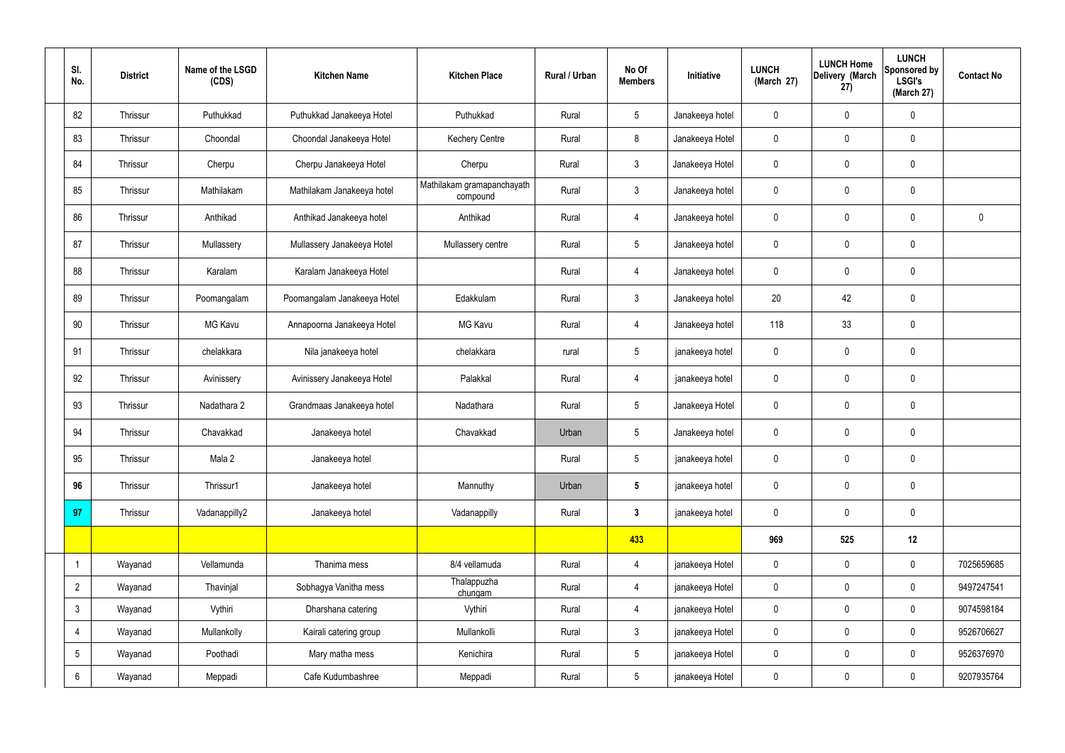| SI.<br>No.      | <b>District</b> | Name of the LSGD<br>(CDS) | <b>Kitchen Name</b>         | <b>Kitchen Place</b>                   | Rural / Urban | No Of<br><b>Members</b> | Initiative      | <b>LUNCH</b><br>(March 27) | <b>LUNCH Home</b><br>Delivery (March<br>27) | <b>LUNCH</b><br>Sponsored by<br><b>LSGI's</b><br>(March 27) | <b>Contact No</b> |
|-----------------|-----------------|---------------------------|-----------------------------|----------------------------------------|---------------|-------------------------|-----------------|----------------------------|---------------------------------------------|-------------------------------------------------------------|-------------------|
| 82              | Thrissur        | Puthukkad                 | Puthukkad Janakeeya Hotel   | Puthukkad                              | Rural         | $5\overline{)}$         | Janakeeya hotel | 0                          | $\mathbf 0$                                 | $\pmb{0}$                                                   |                   |
| 83              | Thrissur        | Choondal                  | Choondal Janakeeya Hotel    | <b>Kechery Centre</b>                  | Rural         | 8                       | Janakeeya Hotel | 0                          | 0                                           | $\mathbf 0$                                                 |                   |
| 84              | Thrissur        | Cherpu                    | Cherpu Janakeeya Hotel      | Cherpu                                 | Rural         | $\mathbf{3}$            | Janakeeya Hotel | 0                          | $\mathbf 0$                                 | $\pmb{0}$                                                   |                   |
| 85              | Thrissur        | Mathilakam                | Mathilakam Janakeeya hotel  | Mathilakam gramapanchayath<br>compound | Rural         | $\mathbf{3}$            | Janakeeya hotel | 0                          | $\mathbf 0$                                 | $\mathbf 0$                                                 |                   |
| 86              | Thrissur        | Anthikad                  | Anthikad Janakeeya hotel    | Anthikad                               | Rural         | $\overline{4}$          | Janakeeya hotel | 0                          | $\mathbf 0$                                 | $\pmb{0}$                                                   | $\mathbf 0$       |
| 87              | Thrissur        | Mullassery                | Mullassery Janakeeya Hotel  | Mullassery centre                      | Rural         | $5\phantom{.0}$         | Janakeeya hotel | 0                          | 0                                           | $\mathbf 0$                                                 |                   |
| 88              | Thrissur        | Karalam                   | Karalam Janakeeya Hotel     |                                        | Rural         | $\overline{4}$          | Janakeeya hotel | 0                          | $\mathbf 0$                                 | $\pmb{0}$                                                   |                   |
| 89              | Thrissur        | Poomangalam               | Poomangalam Janakeeya Hotel | Edakkulam                              | Rural         | $\mathbf{3}$            | Janakeeya hotel | 20                         | 42                                          | $\pmb{0}$                                                   |                   |
| 90              | Thrissur        | <b>MG Kavu</b>            | Annapoorna Janakeeya Hotel  | <b>MG Kavu</b>                         | Rural         | $\overline{4}$          | Janakeeya hotel | 118                        | 33                                          | $\pmb{0}$                                                   |                   |
| 91              | Thrissur        | chelakkara                | Nila janakeeya hotel        | chelakkara                             | rural         | $5\phantom{.0}$         | janakeeya hotel | 0                          | $\mathbf 0$                                 | $\mathbf 0$                                                 |                   |
| 92              | Thrissur        | Avinissery                | Avinissery Janakeeya Hotel  | Palakkal                               | Rural         | $\overline{4}$          | janakeeya hotel | 0                          | $\mathbf 0$                                 | $\pmb{0}$                                                   |                   |
| 93              | Thrissur        | Nadathara 2               | Grandmaas Janakeeya hotel   | Nadathara                              | Rural         | $5\phantom{.0}$         | Janakeeya Hotel | 0                          | 0                                           | $\mathbf 0$                                                 |                   |
| 94              | Thrissur        | Chavakkad                 | Janakeeya hotel             | Chavakkad                              | Urban         | $5\phantom{.0}$         | Janakeeya hotel | 0                          | 0                                           | $\pmb{0}$                                                   |                   |
| 95              | Thrissur        | Mala 2                    | Janakeeya hotel             |                                        | Rural         | $5\phantom{.0}$         | janakeeya hotel | 0                          | $\pmb{0}$                                   | $\pmb{0}$                                                   |                   |
| 96              | Thrissur        | Thrissur1                 | Janakeeya hotel             | Mannuthy                               | Urban         | $5\phantom{.0}$         | janakeeya hotel | 0                          | $\mathbf 0$                                 | $\mathbf 0$                                                 |                   |
| 97              | Thrissur        | Vadanappilly2             | Janakeeya hotel             | Vadanappilly                           | Rural         | $3\phantom{a}$          | janakeeya hotel | 0                          | 0                                           | $\pmb{0}$                                                   |                   |
|                 |                 |                           |                             |                                        |               | 433                     |                 | 969                        | 525                                         | 12                                                          |                   |
|                 | Wayanad         | Vellamunda                | Thanima mess                | 8/4 vellamuda                          | Rural         | $\overline{4}$          | janakeeya Hotel | $\mathbf 0$                | 0                                           | $\mathbf 0$                                                 | 7025659685        |
| $\overline{2}$  | Wayanad         | Thavinjal                 | Sobhagya Vanitha mess       | Thalappuzha<br>chungam                 | Rural         | $\overline{4}$          | janakeeya Hotel | $\pmb{0}$                  | 0                                           | $\mathbf 0$                                                 | 9497247541        |
| $3\overline{3}$ | Wayanad         | Vythiri                   | Dharshana catering          | Vythiri                                | Rural         | $\overline{4}$          | janakeeya Hotel | 0                          | $\pmb{0}$                                   | $\mathbf 0$                                                 | 9074598184        |
| 4               | Wayanad         | Mullankolly               | Kairali catering group      | Mullankolli                            | Rural         | $\mathbf{3}$            | janakeeya Hotel | 0                          | 0                                           | $\mathbf 0$                                                 | 9526706627        |
| $5\overline{)}$ | Wayanad         | Poothadi                  | Mary matha mess             | Kenichira                              | Rural         | $5\overline{)}$         | janakeeya Hotel | 0                          | $\mathbf 0$                                 | $\mathbf 0$                                                 | 9526376970        |
| 6               | Wayanad         | Meppadi                   | Cafe Kudumbashree           | Meppadi                                | Rural         | $\sqrt{5}$              | janakeeya Hotel | 0                          | 0                                           | $\pmb{0}$                                                   | 9207935764        |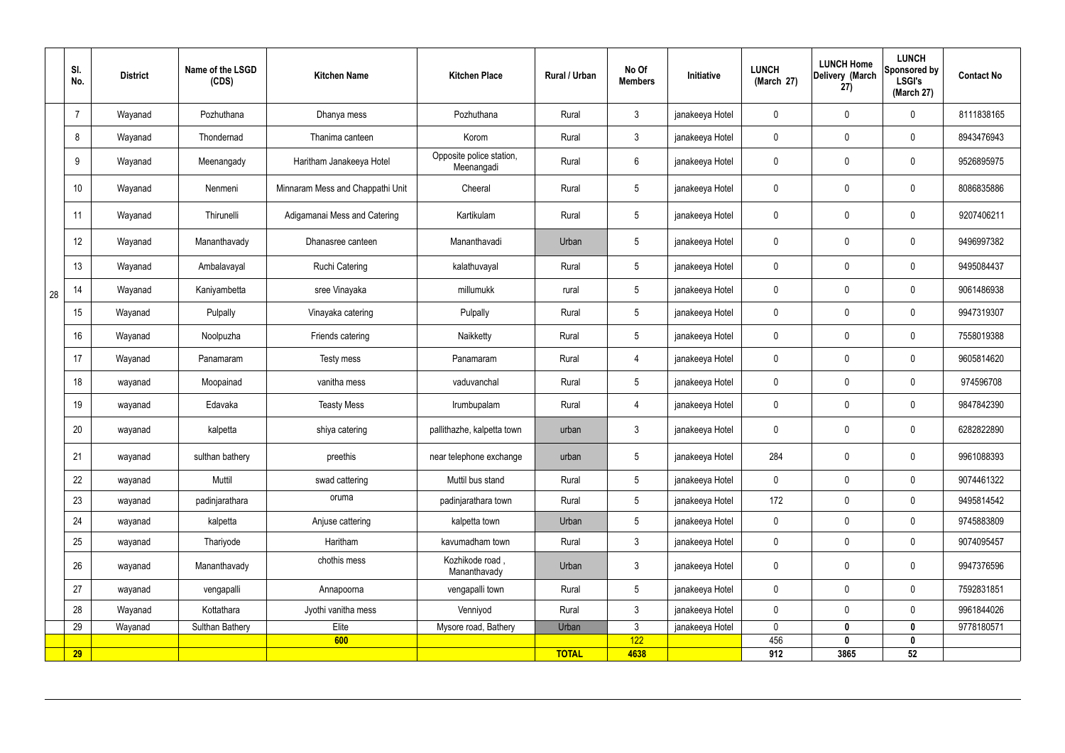|    | SI.<br>No. | <b>District</b> | Name of the LSGD<br>(CDS) | <b>Kitchen Name</b>              | <b>Kitchen Place</b>                   | Rural / Urban | No Of<br><b>Members</b> | <b>Initiative</b> | <b>LUNCH</b><br>(March 27) | <b>LUNCH Home</b><br>Delivery (March<br>27) | <b>LUNCH</b><br>Sponsored by<br><b>LSGI's</b><br>(March 27) | <b>Contact No</b> |
|----|------------|-----------------|---------------------------|----------------------------------|----------------------------------------|---------------|-------------------------|-------------------|----------------------------|---------------------------------------------|-------------------------------------------------------------|-------------------|
|    | 7          | Wayanad         | Pozhuthana                | Dhanya mess                      | Pozhuthana                             | Rural         | $\mathbf{3}$            | janakeeya Hotel   | $\mathbf 0$                | $\mathbf 0$                                 | $\mathbf 0$                                                 | 8111838165        |
|    | 8          | Wayanad         | Thondernad                | Thanima canteen                  | Korom                                  | Rural         | $\mathbf{3}$            | janakeeya Hotel   | $\mathbf 0$                | $\mathbf 0$                                 | $\mathbf 0$                                                 | 8943476943        |
|    | 9          | Wayanad         | Meenangady                | Haritham Janakeeya Hotel         | Opposite police station,<br>Meenangadi | Rural         | $6\phantom{.}6$         | janakeeya Hotel   | $\mathbf 0$                | $\mathbf 0$                                 | $\mathbf 0$                                                 | 9526895975        |
|    | 10         | Wayanad         | Nenmeni                   | Minnaram Mess and Chappathi Unit | Cheeral                                | Rural         | 5                       | janakeeya Hotel   | $\mathbf 0$                | $\mathbf 0$                                 | $\mathbf 0$                                                 | 8086835886        |
|    | 11         | Wayanad         | Thirunelli                | Adigamanai Mess and Catering     | Kartikulam                             | Rural         | $5\phantom{.0}$         | janakeeya Hotel   | $\mathbf 0$                | $\mathbf 0$                                 | $\mathbf 0$                                                 | 9207406211        |
|    | 12         | Wayanad         | Mananthavady              | Dhanasree canteen                | Mananthavadi                           | Urban         | $5\overline{)}$         | janakeeya Hotel   | $\mathbf 0$                | $\mathbf 0$                                 | $\mathbf 0$                                                 | 9496997382        |
|    | 13         | Wayanad         | Ambalavayal               | <b>Ruchi Catering</b>            | kalathuvayal                           | Rural         | $5\overline{)}$         | janakeeya Hotel   | $\mathbf 0$                | $\mathbf 0$                                 | $\mathbf 0$                                                 | 9495084437        |
| 28 | 14         | Wayanad         | Kaniyambetta              | sree Vinayaka                    | millumukk                              | rural         | 5 <sup>5</sup>          | janakeeya Hotel   | $\mathbf 0$                | $\mathbf 0$                                 | $\mathbf 0$                                                 | 9061486938        |
|    | 15         | Wayanad         | Pulpally                  | Vinayaka catering                | Pulpally                               | Rural         | $5\overline{)}$         | janakeeya Hotel   | $\mathbf 0$                | $\mathbf 0$                                 | $\mathbf 0$                                                 | 9947319307        |
|    | 16         | Wayanad         | Noolpuzha                 | Friends catering                 | Naikketty                              | Rural         | $5\phantom{.0}$         | janakeeya Hotel   | $\mathbf 0$                | $\mathbf 0$                                 | $\mathbf 0$                                                 | 7558019388        |
|    | 17         | Wayanad         | Panamaram                 | Testy mess                       | Panamaram                              | Rural         | $\overline{4}$          | janakeeya Hotel   | $\mathbf 0$                | $\mathbf 0$                                 | $\mathbf 0$                                                 | 9605814620        |
|    | 18         | wayanad         | Moopainad                 | vanitha mess                     | vaduvanchal                            | Rural         | $5\overline{)}$         | janakeeya Hotel   | $\mathbf 0$                | $\mathbf 0$                                 | $\mathbf 0$                                                 | 974596708         |
|    | 19         | wayanad         | Edavaka                   | <b>Teasty Mess</b>               | Irumbupalam                            | Rural         | 4                       | janakeeya Hotel   | $\mathbf 0$                | $\mathbf 0$                                 | $\mathbf 0$                                                 | 9847842390        |
|    | 20         | wayanad         | kalpetta                  | shiya catering                   | pallithazhe, kalpetta town             | urban         | $\mathbf{3}$            | janakeeya Hotel   | $\mathbf 0$                | $\mathbf 0$                                 | $\mathbf 0$                                                 | 6282822890        |
|    | 21         | wayanad         | sulthan bathery           | preethis                         | near telephone exchange                | urban         | $5\phantom{.0}$         | janakeeya Hotel   | 284                        | $\pmb{0}$                                   | $\mathbf 0$                                                 | 9961088393        |
|    | 22         | wayanad         | Muttil                    | swad cattering                   | Muttil bus stand                       | Rural         | 5 <sub>5</sub>          | janakeeya Hotel   | $\mathbf 0$                | $\pmb{0}$                                   | $\mathbf 0$                                                 | 9074461322        |
|    | 23         | wayanad         | padinjarathara            | oruma                            | padinjarathara town                    | Rural         | $5\overline{)}$         | janakeeya Hotel   | 172                        | $\pmb{0}$                                   | $\mathbf 0$                                                 | 9495814542        |
|    | 24         | wayanad         | kalpetta                  | Anjuse cattering                 | kalpetta town                          | Urban         | 5 <sub>5</sub>          | janakeeya Hotel   | $\mathbf 0$                | $\pmb{0}$                                   | $\mathbf 0$                                                 | 9745883809        |
|    | 25         | wayanad         | Thariyode                 | Haritham                         | kavumadham town                        | Rural         | 3                       | janakeeya Hotel   | $\mathbf 0$                | $\pmb{0}$                                   | $\mathbf 0$                                                 | 9074095457        |
|    | 26         | wayanad         | Mananthavady              | chothis mess                     | Kozhikode road,<br>Mananthavady        | Urban         | 3 <sup>2</sup>          | janakeeya Hotel   | $\pmb{0}$                  | $\pmb{0}$                                   | $\mathbf 0$                                                 | 9947376596        |
|    | 27         | wayanad         | vengapalli                | Annapoorna                       | vengapalli town                        | Rural         | 5 <sub>5</sub>          | janakeeya Hotel   | $\mathbf 0$                | $\mathbf 0$                                 | $\mathbf 0$                                                 | 7592831851        |
|    | 28         | Wayanad         | Kottathara                | Jyothi vanitha mess              | Venniyod                               | Rural         | $\mathbf{3}$            | janakeeya Hotel   | $\mathbf 0$                | $\mathbf 0$                                 | $\mathbf 0$                                                 | 9961844026        |
|    | 29         | Wayanad         | Sulthan Bathery           | Elite                            | Mysore road, Bathery                   | Urban         | 3                       | janakeeya Hotel   | $\mathbf 0$                | 0                                           | $\mathbf 0$                                                 | 9778180571        |
|    | 29         |                 |                           | 600                              |                                        | <b>TOTAL</b>  | 122<br>4638             |                   | 456<br>912                 | $\mathbf{0}$<br>3865                        | $\mathbf 0$<br>52                                           |                   |
|    |            |                 |                           |                                  |                                        |               |                         |                   |                            |                                             |                                                             |                   |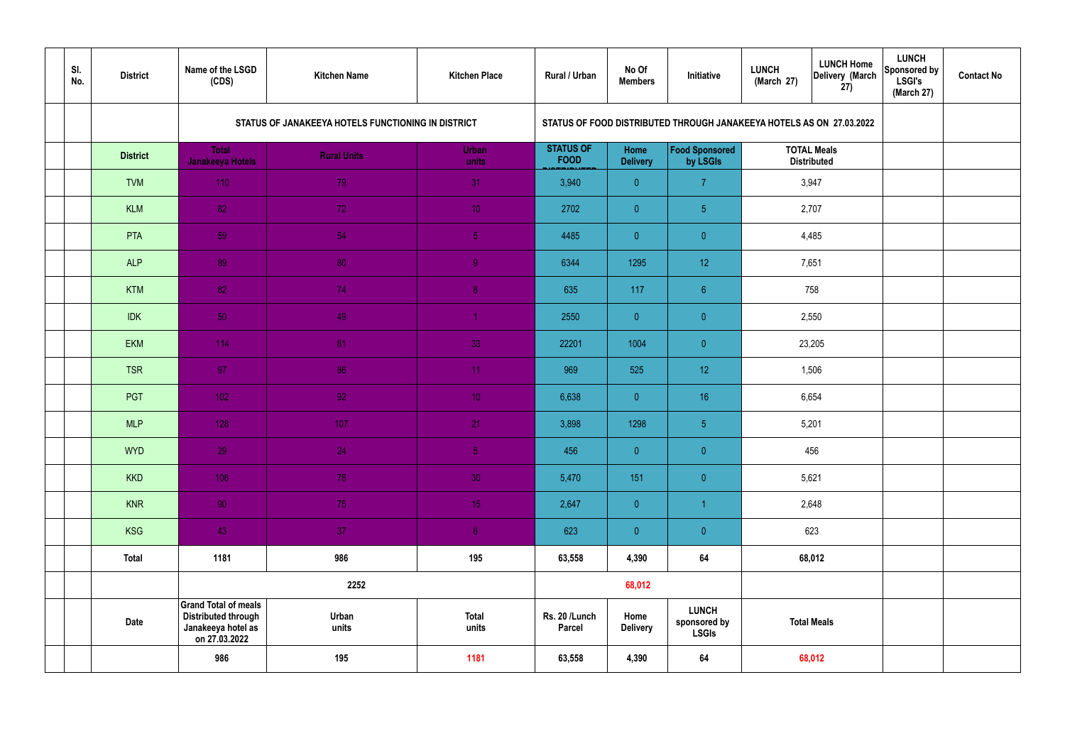| SI.<br>No. | <b>District</b> | Name of the LSGD<br>(CDS)                                                                        | <b>Kitchen Name</b>                                | <b>Kitchen Place</b>  | <b>Rural / Urban</b>            | No Of<br><b>Members</b> | Initiative                                                           | <b>LUNCH</b><br>(March 27) | <b>LUNCH Home</b><br>Delivery (March<br>27) | <b>LUNCH</b><br>Sponsored by<br><b>LSGI's</b><br>(March 27) | <b>Contact No</b> |
|------------|-----------------|--------------------------------------------------------------------------------------------------|----------------------------------------------------|-----------------------|---------------------------------|-------------------------|----------------------------------------------------------------------|----------------------------|---------------------------------------------|-------------------------------------------------------------|-------------------|
|            |                 |                                                                                                  | STATUS OF JANAKEEYA HOTELS FUNCTIONING IN DISTRICT |                       |                                 |                         | STATUS OF FOOD DISTRIBUTED THROUGH JANAKEEYA HOTELS AS ON 27.03.2022 |                            |                                             |                                                             |                   |
|            | <b>District</b> | <b>Total</b><br><b>Janakeeya Hotels</b>                                                          | <b>Rural Units</b>                                 | <b>Urban</b><br>units | <b>STATUS OF</b><br><b>FOOD</b> | Home<br><b>Delivery</b> | Food Sponsored<br>by LSGIs                                           |                            | <b>TOTAL Meals</b><br><b>Distributed</b>    |                                                             |                   |
|            | <b>TVM</b>      | 110                                                                                              | 79                                                 | 31                    | 3,940                           | $\overline{0}$          | $\overline{7}$                                                       |                            | 3,947                                       |                                                             |                   |
|            | <b>KLM</b>      | 82                                                                                               | 72                                                 | 10 <sup>°</sup>       | 2702                            | $\overline{0}$          | 5 <sub>5</sub>                                                       |                            | 2,707                                       |                                                             |                   |
|            | PTA             | 59                                                                                               | 54                                                 | 5 <sub>1</sub>        | 4485                            | $\overline{0}$          | $\overline{0}$                                                       |                            | 4,485                                       |                                                             |                   |
|            | <b>ALP</b>      | 89                                                                                               | 80                                                 | 9                     | 6344                            | 1295                    | 12 <sup>°</sup>                                                      |                            | 7,651                                       |                                                             |                   |
|            | <b>KTM</b>      | 82                                                                                               | 74                                                 | 8 <sup>°</sup>        | 635                             | 117                     | $6\phantom{.}6$                                                      | 758<br>2,550               |                                             |                                                             |                   |
|            | <b>IDK</b>      | 50                                                                                               | 49                                                 | $\blacktriangleleft$  | 2550                            | $\overline{0}$          | $\overline{0}$                                                       | 23,205                     |                                             |                                                             |                   |
|            | <b>EKM</b>      | 114                                                                                              | 81                                                 | 33                    | 22201                           | 1004                    | $\overline{0}$                                                       |                            |                                             |                                                             |                   |
|            | <b>TSR</b>      | 97                                                                                               | 86                                                 | 11                    | 969                             | 525                     | 12 <sup>°</sup>                                                      | 1,506                      |                                             |                                                             |                   |
|            | PGT             | $102$                                                                                            | 92                                                 | 10 <sup>°</sup>       | 6,638                           | $\overline{0}$          | 16 <sup>°</sup>                                                      |                            | 6,654                                       |                                                             |                   |
|            | <b>MLP</b>      | 128                                                                                              | 107                                                | 21                    | 3,898                           | 1298                    | $\sqrt{5}$                                                           |                            | 5,201                                       |                                                             |                   |
|            | <b>WYD</b>      | 29                                                                                               | 24                                                 | 5 <sub>5</sub>        | 456                             | $\overline{0}$          | $\overline{0}$                                                       |                            | 456                                         |                                                             |                   |
|            | <b>KKD</b>      | 106                                                                                              | 76                                                 | 30 <sup>°</sup>       | 5,470                           | 151                     | $\pmb{0}$                                                            |                            | 5,621                                       |                                                             |                   |
|            | <b>KNR</b>      | 90 <sup>°</sup>                                                                                  | 75                                                 | 15 <sub>1</sub>       | 2,647                           | $\overline{0}$          |                                                                      |                            | 2,648                                       |                                                             |                   |
|            | <b>KSG</b>      | 43                                                                                               | 37                                                 | 6 <sup>1</sup>        | 623                             | $\overline{0}$          | $\pmb{0}$                                                            |                            | 623                                         |                                                             |                   |
|            | <b>Total</b>    | 1181                                                                                             | 986                                                | 195                   | 63,558                          | 4,390                   | 64                                                                   |                            | 68,012                                      |                                                             |                   |
|            |                 |                                                                                                  | 2252                                               |                       |                                 | 68,012                  |                                                                      |                            |                                             |                                                             |                   |
|            | <b>Date</b>     | <b>Grand Total of meals</b><br><b>Distributed through</b><br>Janakeeya hotel as<br>on 27.03.2022 | Urban<br>units                                     | <b>Total</b><br>units | Rs. 20 /Lunch<br><b>Parcel</b>  | Home<br><b>Delivery</b> | <b>LUNCH</b><br>sponsored by<br><b>LSGIs</b>                         | <b>Total Meals</b>         |                                             |                                                             |                   |
|            |                 | 986                                                                                              | 195                                                | 1181                  | 63,558                          | 4,390                   | 64                                                                   | 68,012                     |                                             |                                                             |                   |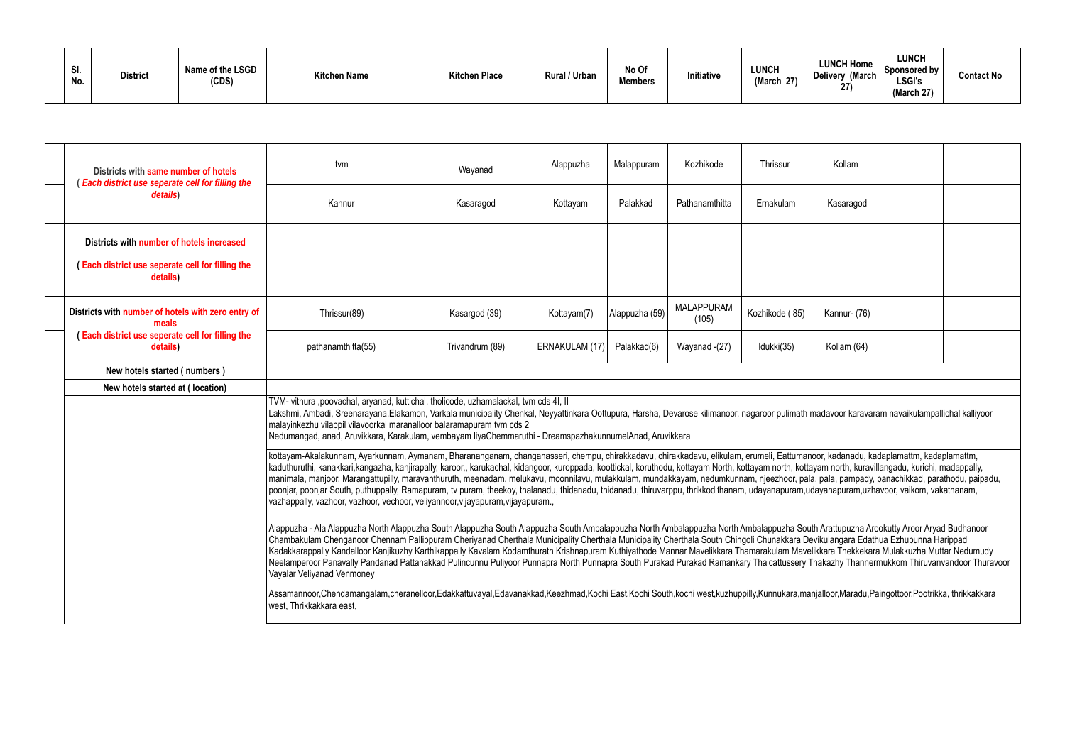| SI.<br>No. | <b>District</b> | Name of the LSGD<br>(CDS) | <b>Kitchen Name</b> | <b>Kitchen Place</b> | Rural / Urban | No Of<br><b>Members</b> | Initiative | <b>LUNCH</b><br>27)<br>'March | <b>LUNCH Home</b><br>Delivery (March<br>27) | <b>LUNCH</b><br>$ S$ ponsored by $ $<br><b>LSGI's</b><br>(March 27) | <b>Contact No</b> |
|------------|-----------------|---------------------------|---------------------|----------------------|---------------|-------------------------|------------|-------------------------------|---------------------------------------------|---------------------------------------------------------------------|-------------------|
|------------|-----------------|---------------------------|---------------------|----------------------|---------------|-------------------------|------------|-------------------------------|---------------------------------------------|---------------------------------------------------------------------|-------------------|

|                                                                                                                                  | Districts with same number of hotels<br>Each district use seperate cell for filling the                                                                                                                                                          | tvm                                                                                                                                                                                                                                                                                                                                                                                                                                                                                                                                                                                                                                                                                                                                                                                                                                                                        | Wayanad   | Alappuzha | Malappuram | Kozhikode      | Thrissur  | Kollam    |  |  |  |  |  |
|----------------------------------------------------------------------------------------------------------------------------------|--------------------------------------------------------------------------------------------------------------------------------------------------------------------------------------------------------------------------------------------------|----------------------------------------------------------------------------------------------------------------------------------------------------------------------------------------------------------------------------------------------------------------------------------------------------------------------------------------------------------------------------------------------------------------------------------------------------------------------------------------------------------------------------------------------------------------------------------------------------------------------------------------------------------------------------------------------------------------------------------------------------------------------------------------------------------------------------------------------------------------------------|-----------|-----------|------------|----------------|-----------|-----------|--|--|--|--|--|
|                                                                                                                                  | details)                                                                                                                                                                                                                                         | Kannur                                                                                                                                                                                                                                                                                                                                                                                                                                                                                                                                                                                                                                                                                                                                                                                                                                                                     | Kasaragod | Kottayam  | Palakkad   | Pathanamthitta | Ernakulam | Kasaragod |  |  |  |  |  |
|                                                                                                                                  | Districts with number of hotels increased                                                                                                                                                                                                        |                                                                                                                                                                                                                                                                                                                                                                                                                                                                                                                                                                                                                                                                                                                                                                                                                                                                            |           |           |            |                |           |           |  |  |  |  |  |
|                                                                                                                                  | <b>Each district use seperate cell for filling the</b><br>details)                                                                                                                                                                               |                                                                                                                                                                                                                                                                                                                                                                                                                                                                                                                                                                                                                                                                                                                                                                                                                                                                            |           |           |            |                |           |           |  |  |  |  |  |
|                                                                                                                                  | <b>MALAPPURAM</b><br>Districts with number of hotels with zero entry of<br>Kozhikode (85)<br>Alappuzha (59)<br>Kannur- (76)<br>Thrissur(89)<br>Kasargod (39)<br>Kottayam(7)<br>(105)<br>meals<br>Each district use seperate cell for filling the |                                                                                                                                                                                                                                                                                                                                                                                                                                                                                                                                                                                                                                                                                                                                                                                                                                                                            |           |           |            |                |           |           |  |  |  |  |  |
| pathanamthitta(55)<br>Trivandrum (89)<br>ERNAKULAM (17)<br>Palakkad(6)<br>Wayanad -(27)<br>Idukki(35)<br>Kollam (64)<br>details) |                                                                                                                                                                                                                                                  |                                                                                                                                                                                                                                                                                                                                                                                                                                                                                                                                                                                                                                                                                                                                                                                                                                                                            |           |           |            |                |           |           |  |  |  |  |  |
|                                                                                                                                  | New hotels started (numbers)                                                                                                                                                                                                                     |                                                                                                                                                                                                                                                                                                                                                                                                                                                                                                                                                                                                                                                                                                                                                                                                                                                                            |           |           |            |                |           |           |  |  |  |  |  |
|                                                                                                                                  | New hotels started at (location)                                                                                                                                                                                                                 |                                                                                                                                                                                                                                                                                                                                                                                                                                                                                                                                                                                                                                                                                                                                                                                                                                                                            |           |           |            |                |           |           |  |  |  |  |  |
|                                                                                                                                  |                                                                                                                                                                                                                                                  | TVM- vithura ,poovachal, aryanad, kuttichal, tholicode, uzhamalackal, tvm cds 4I, II<br>Lakshmi, Ambadi, Sreenarayana,Elakamon, Varkala municipality Chenkal, Neyyattinkara Oottupura, Harsha, Devarose kilimanoor, nagaroor pulimath madavoor karavaram navaikulampallichal kalliyoor<br>malayinkezhu vilappil vilavoorkal maranalloor balaramapuram tvm cds 2<br>Nedumangad, anad, Aruvikkara, Karakulam, vembayam liyaChemmaruthi - DreamspazhakunnumelAnad, Aruvikkara                                                                                                                                                                                                                                                                                                                                                                                                 |           |           |            |                |           |           |  |  |  |  |  |
|                                                                                                                                  |                                                                                                                                                                                                                                                  | kottayam-Akalakunnam, Ayarkunnam, Aymanam, Bharananganam, changanasseri, chempu, chirakkadavu, chirakkadavu, elikulam, erumeli, Eattumanoor, kadanadu, kadaplamattm, kadaplamattm,<br>kaduthuruthi, kanakkari,kangazha, kanjirapally, karoor,, karukachal, kidangoor, kuroppada, koottickal, koruthodu, kottayam North, kottayam north, kottayam north, kuravillangadu, kurichi, madappally,<br>manimala, manjoor, Marangattupilly, maravanthuruth, meenadam, melukavu, moonnilavu, mulakkulam, mundakkayam, nedumkunnam, njeezhoor, pala, pala, pampady, panachikkad, parathodu, paipadu,<br>poonjar, poonjar South, puthuppally, Ramapuram, tv puram, theekoy, thalanadu, thidanadu, thidanadu, thiruvarppu, thrikkodithanam, udayanapuram,udayanapuram,uzhavoor, vaikom, vakathanam,<br>vazhappally, vazhoor, vazhoor, vechoor, veliyannoor, vijayapuram, vijayapuram., |           |           |            |                |           |           |  |  |  |  |  |
|                                                                                                                                  |                                                                                                                                                                                                                                                  | Alappuzha - Ala Alappuzha North Alappuzha South Alappuzha South Alappuzha South Ambalappuzha North Ambalappuzha South Arattupuzha Arookutty Aroor Aryad Budhanoor<br>Chambakulam Chenganoor Chennam Pallippuram Cheriyanad Cherthala Municipality Cherthala Municipality Cherthala South Chingoli Chunakkara Devikulangara Edathua Ezhupunna Harippad<br>Kadakkarappally Kandalloor Kanjikuzhy Karthikappally Kavalam Kodamthurath Krishnapuram Kuthiyathode Mannar Mavelikkara Thamarakulam Mavelikkara Thekkekara Mulakkuzha Muttar Nedumudy<br>Neelamperoor Panavally Pandanad Pattanakkad Pulincunnu Puliyoor Punnapra North Punnapra South Purakad Purakad Ramankary Thaicattussery Thakazhy Thannermukkom Thiruvanvandoor Thuravoor<br>Vayalar Veliyanad Venmoney                                                                                                    |           |           |            |                |           |           |  |  |  |  |  |
|                                                                                                                                  |                                                                                                                                                                                                                                                  | Assamannoor,Chendamangalam,cheranelloor,Edakkattuvayal,Edavanakkad,Keezhmad,Kochi East,Kochi South,kochi west,kuzhuppilly,Kunnukara,manjalloor,Maradu,Paingottoor,Pootrikka, thrikkakkara<br>west, Thrikkakkara east,                                                                                                                                                                                                                                                                                                                                                                                                                                                                                                                                                                                                                                                      |           |           |            |                |           |           |  |  |  |  |  |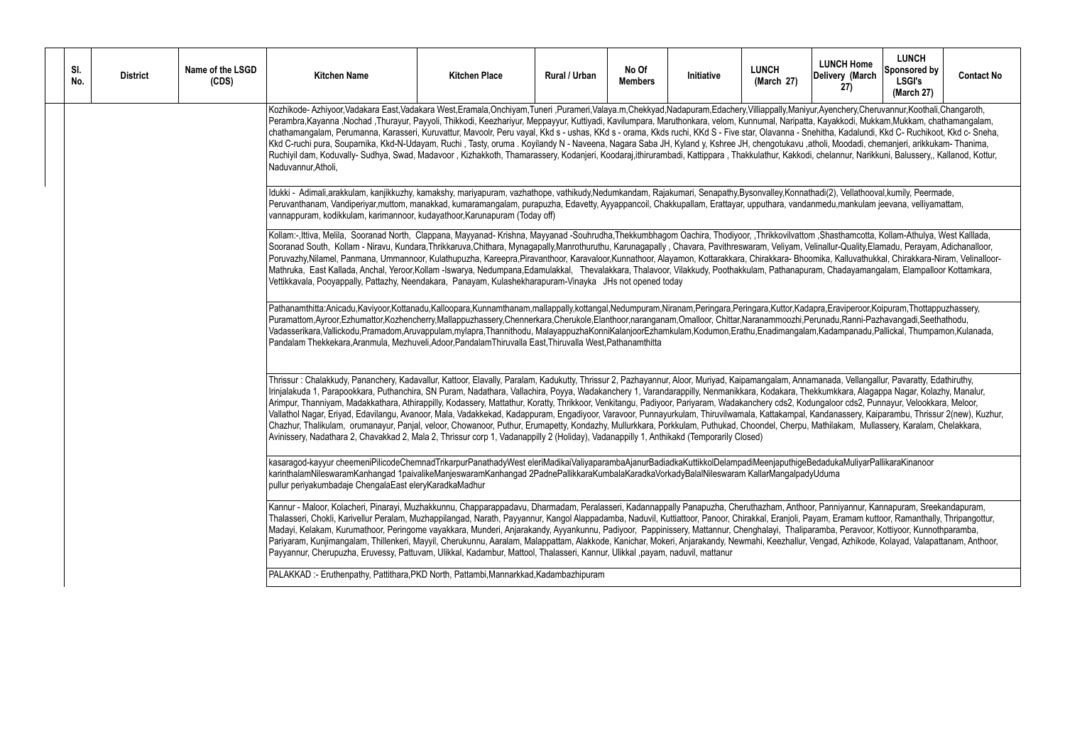| SI.<br>No. | <b>District</b> | Name of the LSGD<br>(CDS) | <b>Kitchen Name</b>                                                                                                                                                                                                                                                                                                                                                                                                                                                                                                                                                                                                                                                                                                                                                                                                                                                                                                                                                                                                                                                                                                                         | <b>Kitchen Place</b> | Rural / Urban | No Of<br><b>Members</b> | Initiative | <b>LUNCH</b><br>(March 27) | <b>LUNCH Home</b><br>Delivery (March<br>(27) | <b>LUNCH</b><br>Sponsored by<br><b>LSGI's</b><br>(March 27) | <b>Contact No</b> |  |  |
|------------|-----------------|---------------------------|---------------------------------------------------------------------------------------------------------------------------------------------------------------------------------------------------------------------------------------------------------------------------------------------------------------------------------------------------------------------------------------------------------------------------------------------------------------------------------------------------------------------------------------------------------------------------------------------------------------------------------------------------------------------------------------------------------------------------------------------------------------------------------------------------------------------------------------------------------------------------------------------------------------------------------------------------------------------------------------------------------------------------------------------------------------------------------------------------------------------------------------------|----------------------|---------------|-------------------------|------------|----------------------------|----------------------------------------------|-------------------------------------------------------------|-------------------|--|--|
|            |                 |                           | Kozhikode- Azhiyoor,Vadakara East,Vadakara West,Eramala,Onchiyam,Tuneri ,Purameri,Valaya.m,Chekkyad,Nadapuram,Edachery,Villiappally,Maniyur,Ayenchery,Cheruvannur,Koothali,Changaroth,<br>Perambra,Kayanna ,Nochad ,Thurayur, Payyoli, Thikkodi, Keezhariyur, Meppayyur, Kuttiyadi, Kavilumpara, Maruthonkara, velom, Kunnumal, Naripatta, Kayakkodi, Mukkam,Mukkam, chathamangalam,<br>chathamangalam, Perumanna, Karasseri, Kuruvattur, Mavoolr, Peru vayal, Kkd s - ushas, KKd s - orama, Kkds ruchi, KKd S - Five star, Olavanna - Snehitha, Kadalundi, Kkd C- Ruchikoot, Kkd c- Sneha,<br>Kkd C-ruchi pura, Souparnika, Kkd-N-Udayam, Ruchi, Tasty, oruma . Koyilandy N - Naveena, Nagara Saba JH, Kyland y, Kshree JH, chengotukavu ,atholi, Moodadi, chemanjeri, arikkukam- Thanima,<br>Ruchiyil dam, Koduvally- Sudhya, Swad, Madavoor, Kizhakkoth, Thamarassery, Kodanjeri, Koodaraj,ithirurambadi, Kattippara, Thakkulathur, Kakkodi, chelannur, Narikkuni, Balussery,, Kallanod, Kottur,<br>Naduvannur, Atholi,                                                                                                                  |                      |               |                         |            |                            |                                              |                                                             |                   |  |  |
|            |                 |                           | Idukki - Adimali,arakkulam, kanjikkuzhy, kamakshy, mariyapuram, vazhathope, vathikudy,Nedumkandam, Rajakumari, Senapathy,Bysonvalley,Konnathadi(2), Vellathooval,kumily, Peermade,<br>Peruvanthanam, Vandiperiyar,muttom, manakkad, kumaramangalam, purapuzha, Edavetty, Ayyappancoil, Chakkupallam, Erattayar, upputhara, vandanmedu,mankulam jeevana, velliyamattam,<br>vannappuram, kodikkulam, karimannoor, kudayathoor, Karunapuram (Today off)                                                                                                                                                                                                                                                                                                                                                                                                                                                                                                                                                                                                                                                                                        |                      |               |                         |            |                            |                                              |                                                             |                   |  |  |
|            |                 |                           | Kollam:-,Ittiva, Melila, Sooranad North, Clappana, Mayyanad-Krishna, Mayyanad -Souhrudha,Thekkumbhagom Oachira, Thodiyoor, ,Thrikkovilvattom ,Shasthamcotta, Kollam-Athulya, West Kalllada,<br>Sooranad South, Kollam - Niravu, Kundara,Thrikkaruva,Chithara, Mynagapally,Manrothuruthu, Karunagapally, Chavara, Pavithreswaram, Veliyam, Velinallur-Quality,Elamadu, Perayam, Adichanalloor,<br>Poruvazhy,Nilamel, Panmana, Ummannoor, Kulathupuzha, Kareepra,Piravanthoor, Karavaloor,Kunnathoor, Alayamon, Kottarakkara, Chirakkara- Bhoomika, Kalluvathukkal, Chirakkara-Niram, Velinalloor-<br>Mathruka, East Kallada, Anchal, Yeroor,Kollam -Iswarya, Nedumpana,Edamulakkal, Thevalakkara, Thalavoor, Vilakkudy, Poothakkulam, Pathanapuram, Chadayamangalam, Elampalloor Kottamkara,<br>Vettikkavala, Pooyappally, Pattazhy, Neendakara, Panayam, Kulashekharapuram-Vinayka JHs not opened today                                                                                                                                                                                                                                     |                      |               |                         |            |                            |                                              |                                                             |                   |  |  |
|            |                 |                           | Pathanamthitta:Anicadu,Kaviyoor,Kottanadu,Kalloopara,Kunnamthanam,mallappally,kottangal,Nedumpuram,Niranam,Peringara,Peringara,Kuttor,Kadapra,Eraviperoor,Koipuram,Thottappuzhassery,<br>Puramattom,Ayroor,Ezhumattor,Kozhencherry,Mallappuzhassery,Chennerkara,Cherukole,Elanthoor,naranganam,Omalloor, Chittar,Naranammoozhi,Perunadu,Ranni-Pazhavangadi,Seethathodu,<br>Vadasserikara, Vallickodu, Pramadom, Aruvappulam, mylapra, Thannithodu, MalayappuzhaKonniKalanjoorEzhamkulam, Kodumon, Erathu, Enadimangalam, Kadampanadu, Pallickal, Thumpamon, Kulanada,<br>Pandalam Thekkekara, Aranmula, Mezhuveli, Adoor, Pandalam Thiruvalla East, Thiruvalla West, Pathanamthitta                                                                                                                                                                                                                                                                                                                                                                                                                                                         |                      |               |                         |            |                            |                                              |                                                             |                   |  |  |
|            |                 |                           | Thrissur: Chalakkudy, Pananchery, Kadavallur, Kattoor, Elavally, Paralam, Kadukutty, Thrissur 2, Pazhayannur, Aloor, Muriyad, Kaipamangalam, Annamanada, Vellangallur, Pavaratty, Edathiruthy,<br>Irinjalakuda 1, Parapookkara, Puthanchira, SN Puram, Nadathara, Vallachira, Poyya, Wadakanchery 1, Varandarappilly, Nenmanikkara, Kodakara, Thekkumkkara, Alagappa Nagar, Kolazhy, Manalur,<br>Arimpur, Thanniyam, Madakkathara, Athirappilly, Kodassery, Mattathur, Koratty, Thrikkoor, Venkitangu, Padiyoor, Pariyaram, Wadakanchery cds2, Kodungaloor cds2, Punnayur, Velookkara, Meloor,<br>Vallathol Nagar, Eriyad, Edavilangu, Avanoor, Mala, Vadakkekad, Kadappuram, Engadiyoor, Varavoor, Punnayurkulam, Thiruvilwamala, Kattakampal, Kandanassery, Kaiparambu, Thrissur 2(new), Kuzhur,<br>Chazhur, Thalikulam, orumanayur, Panjal, veloor, Chowanoor, Puthur, Erumapetty, Kondazhy, Mullurkkara, Porkkulam, Puthukad, Choondel, Cherpu, Mathilakam, Mullassery, Karalam, Chelakkara,<br>Avinissery, Nadathara 2, Chavakkad 2, Mala 2, Thrissur corp 1, Vadanappilly 2 (Holiday), Vadanappilly 1, Anthikakd (Temporarily Closed) |                      |               |                         |            |                            |                                              |                                                             |                   |  |  |
|            |                 |                           | kasaragod-kayyur cheemeniPilicodeChemnadTrikarpurPanathadyWest eleriMadikaiValiyaparambaAjanurBadiadkaKuttikkolDelampadiMeenjaputhigeBedadukaMuliyarPallikaraKinanoor<br>karinthalamNileswaramKanhangad 1paivalikeManjeswaramKanhangad 2PadnePallikkaraKumbalaKaradkaVorkadyBalalNileswaram KallarMangalpadyUduma<br>pullur periyakumbadaje ChengalaEast eleryKaradkaMadhur                                                                                                                                                                                                                                                                                                                                                                                                                                                                                                                                                                                                                                                                                                                                                                 |                      |               |                         |            |                            |                                              |                                                             |                   |  |  |
|            |                 |                           | Kannur - Maloor, Kolacheri, Pinarayi, Muzhakkunnu, Chapparappadavu, Dharmadam, Peralasseri, Kadannappally Panapuzha, Cheruthazham, Anthoor, Panniyannur, Kannapuram, Sreekandapuram,<br>Thalasseri, Chokli, Karivellur Peralam, Muzhappilangad, Narath, Payyannur, Kangol Alappadamba, Naduvil, Kuttiattoor, Panoor, Chirakkal, Eranjoli, Payam, Eramam kuttoor, Ramanthally, Thripangottur,<br>Madayi, Kelakam, Kurumathoor, Peringome vayakkara, Munderi, Anjarakandy, Ayyankunnu, Padiyoor, Pappinissery, Mattannur, Chenghalayi, Thaliparamba, Peravoor, Kottiyoor, Kunnothparamba,<br>Pariyaram, Kunjimangalam, Thillenkeri, Mayyil, Cherukunnu, Aaralam, Malappattam, Alakkode, Kanichar, Mokeri, Anjarakandy, Newmahi, Keezhallur, Vengad, Azhikode, Kolayad, Valapattanam, Anthoor,<br>Payyannur, Cherupuzha, Eruvessy, Pattuvam, Ulikkal, Kadambur, Mattool, Thalasseri, Kannur, Ulikkal ,payam, naduvil, mattanur                                                                                                                                                                                                                 |                      |               |                         |            |                            |                                              |                                                             |                   |  |  |
|            |                 |                           | PALAKKAD: - Eruthenpathy, Pattithara, PKD North, Pattambi, Mannarkkad, Kadambazhipuram                                                                                                                                                                                                                                                                                                                                                                                                                                                                                                                                                                                                                                                                                                                                                                                                                                                                                                                                                                                                                                                      |                      |               |                         |            |                            |                                              |                                                             |                   |  |  |